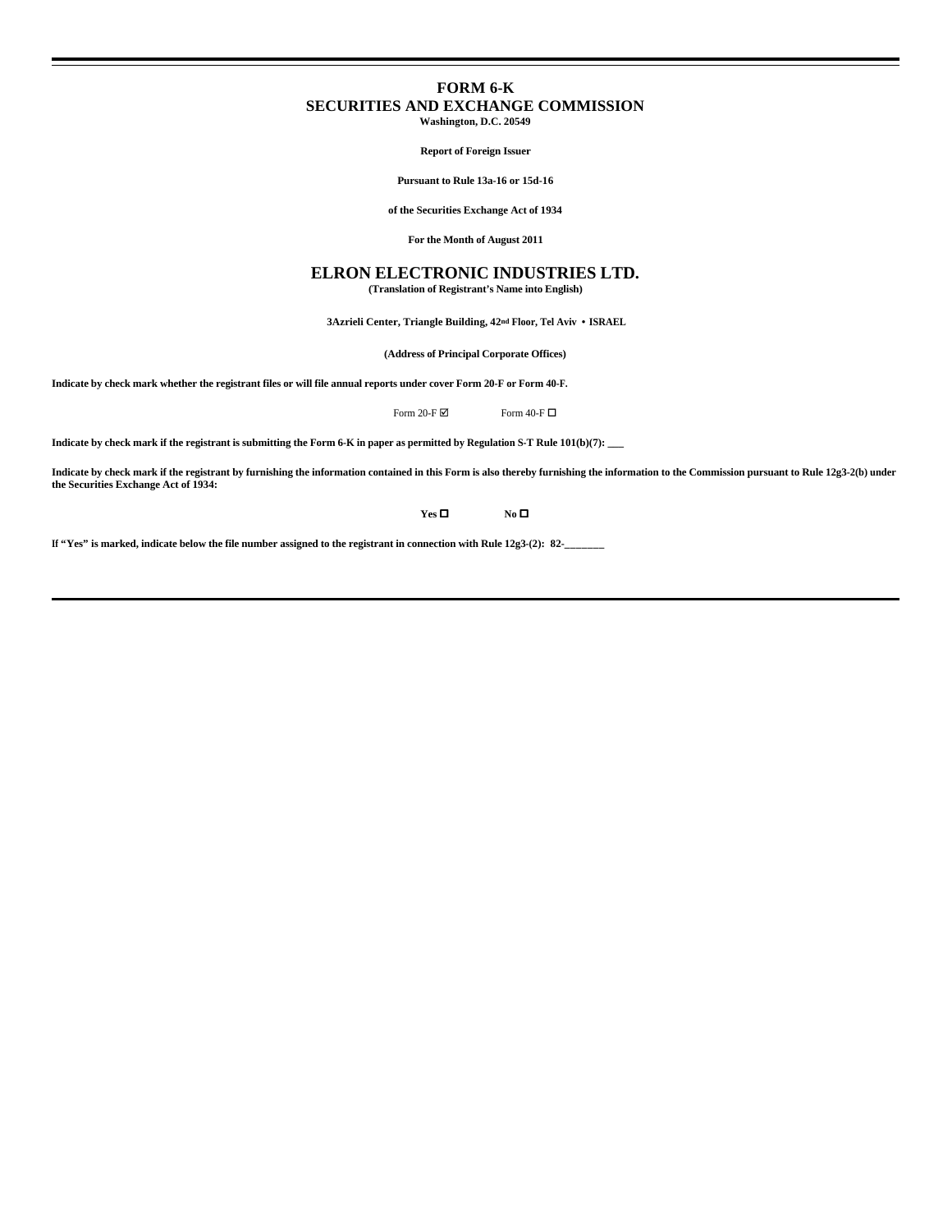# **FORM 6-K SECURITIES AND EXCHANGE COMMISSION**

**Washington, D.C. 20549**

**Report of Foreign Issuer**

**Pursuant to Rule 13a-16 or 15d-16**

**of the Securities Exchange Act of 1934**

**For the Month of August 2011**

# **ELRON ELECTRONIC INDUSTRIES LTD.**

**(Translation of Registrant's Name into English)**

 **3Azrieli Center, Triangle Building, 42nd Floor, Tel Aviv • ISRAEL**

**(Address of Principal Corporate Offices)**

**Indicate by check mark whether the registrant files or will file annual reports under cover Form 20-F or Form 40-F.**

Form 20-F  $\boxtimes$  Form 40-F  $\Box$ 

**Indicate by check mark if the registrant is submitting the Form 6-K in paper as permitted by Regulation S-T Rule 101(b)(7): \_\_\_**

**Indicate by check mark if the registrant by furnishing the information contained in this Form is also thereby furnishing the information to the Commission pursuant to Rule 12g3-2(b) under the Securities Exchange Act of 1934:** 

**Yes O No O** 

If "Yes" is marked, indicate below the file number assigned to the registrant in connection with Rule 12g3-(2): 82-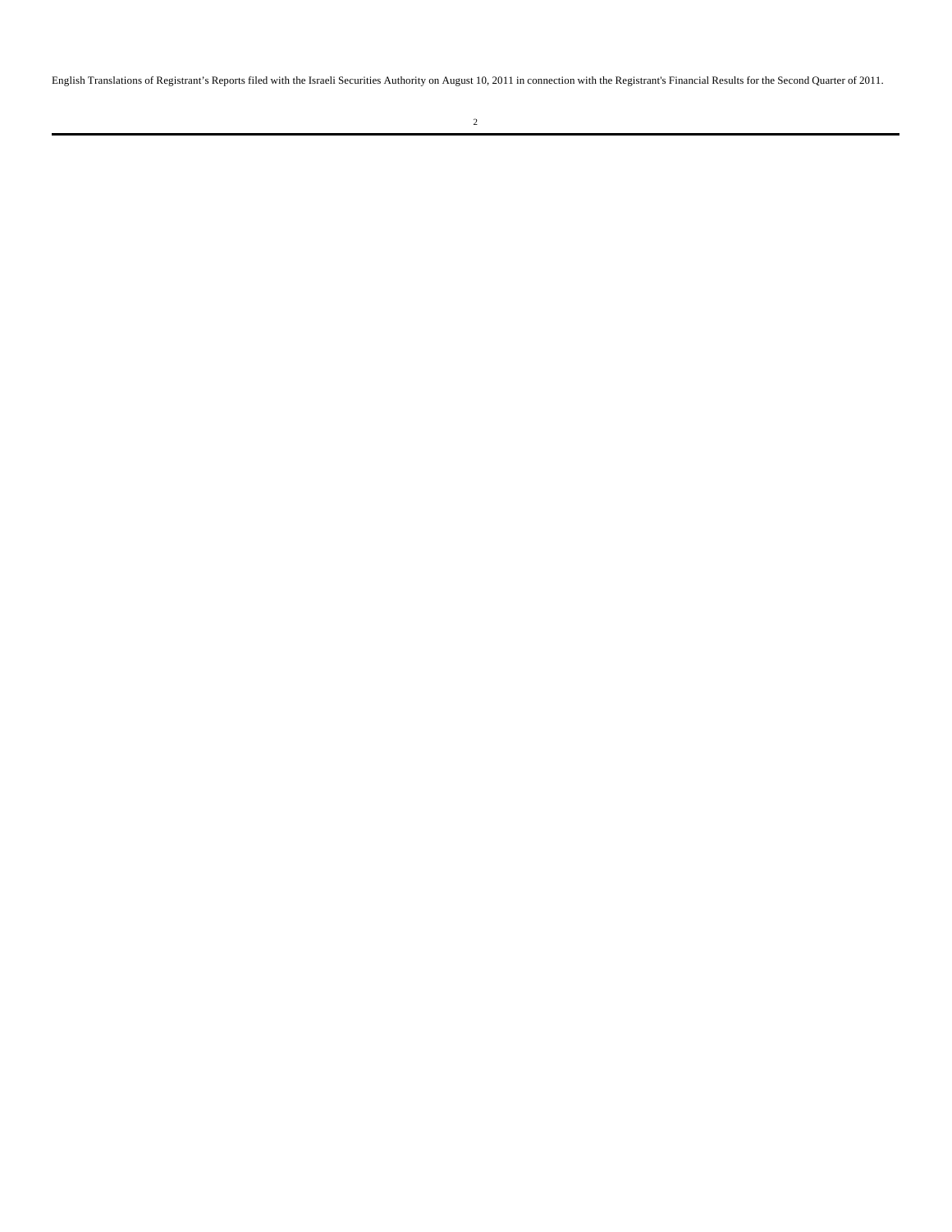English Translations of Registrant's Reports filed with the Israeli Securities Authority on August 10, 2011 in connection with the Registrant's Financial Results for the Second Quarter of 2011.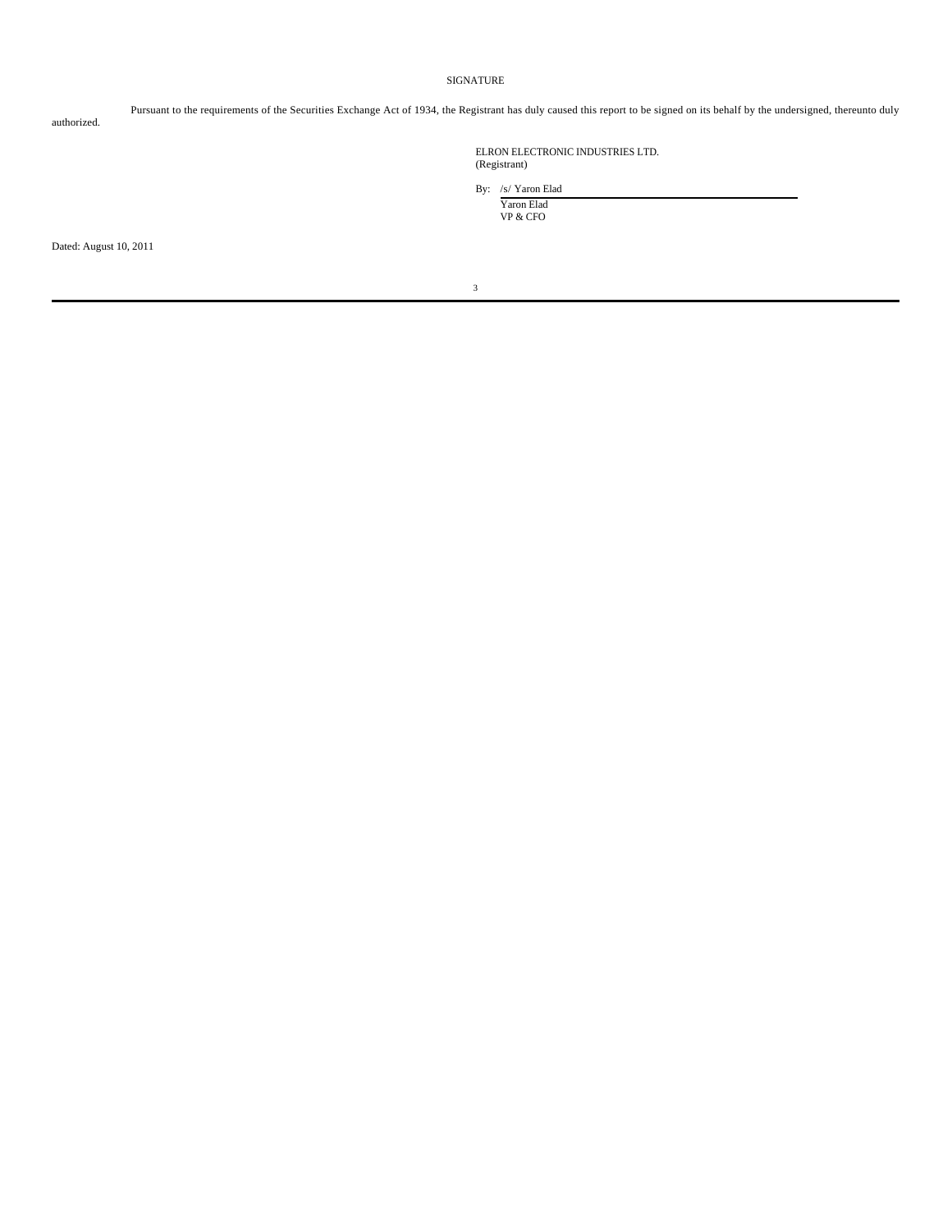# SIGNATURE

authorized.

Pursuant to the requirements of the Securities Exchange Act of 1934, the Registrant has duly caused this report to be signed on its behalf by the undersigned, thereunto duly

ELRON ELECTRONIC INDUSTRIES LTD. (Registrant)

By: /s/ Yaron Elad

Yaron Elad VP & CFO

Dated: August 10, 2011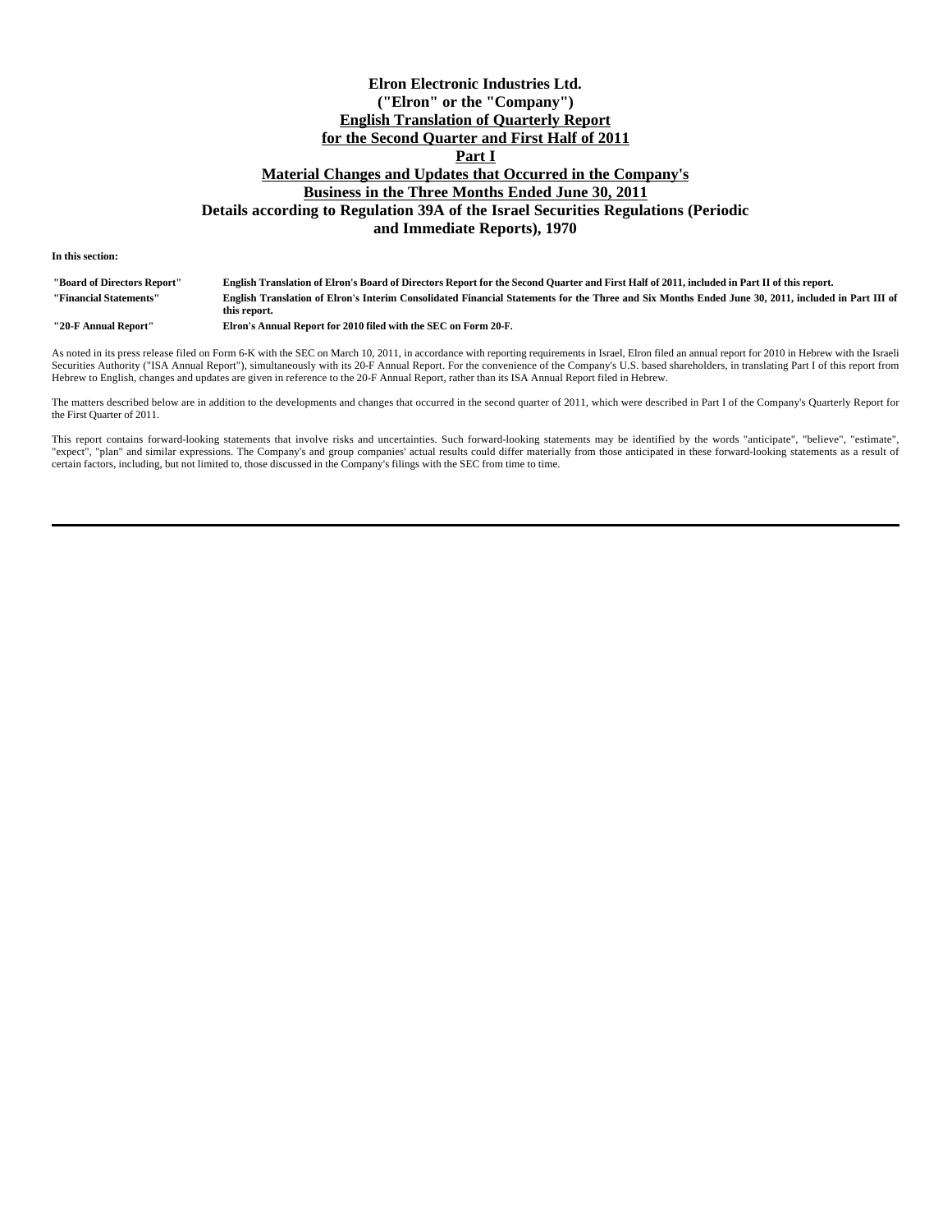# **Elron Electronic Industries Ltd. ("Elron" or the "Company") English Translation of Quarterly Report for the Second Quarter and First Half of 2011 Part I Material Changes and Updates that Occurred in the Company's Business in the Three Months Ended June 30, 2011 Details according to Regulation 39A of the Israel Securities Regulations (Periodic and Immediate Reports), 1970**

**In this section:**

| "Board of Directors Report" | English Translation of Elron's Board of Directors Report for the Second Quarter and First Half of 2011, included in Part II of this report.        |
|-----------------------------|----------------------------------------------------------------------------------------------------------------------------------------------------|
| "Financial Statements"      | English Translation of Elron's Interim Consolidated Financial Statements for the Three and Six Months Ended June 30, 2011, included in Part III of |
|                             | this report.                                                                                                                                       |
| ''20-F Annual Report''      | Elron's Annual Report for 2010 filed with the SEC on Form 20-F.                                                                                    |

As noted in its press release filed on Form 6-K with the SEC on March 10, 2011, in accordance with reporting requirements in Israel, Elron filed an annual report for 2010 in Hebrew with the Israeli Securities Authority ("ISA Annual Report"), simultaneously with its 20-F Annual Report. For the convenience of the Company's U.S. based shareholders, in translating Part I of this report from Hebrew to English, changes and updates are given in reference to the 20-F Annual Report, rather than its ISA Annual Report filed in Hebrew.

The matters described below are in addition to the developments and changes that occurred in the second quarter of 2011, which were described in Part I of the Company's Quarterly Report for the First Quarter of 2011.

This report contains forward-looking statements that involve risks and uncertainties. Such forward-looking statements may be identified by the words "anticipate", "believe", "estimate", "expect", "plan" and similar expressions. The Company's and group companies' actual results could differ materially from those anticipated in these forward-looking statements as a result of certain factors, including, but not limited to, those discussed in the Company's filings with the SEC from time to time.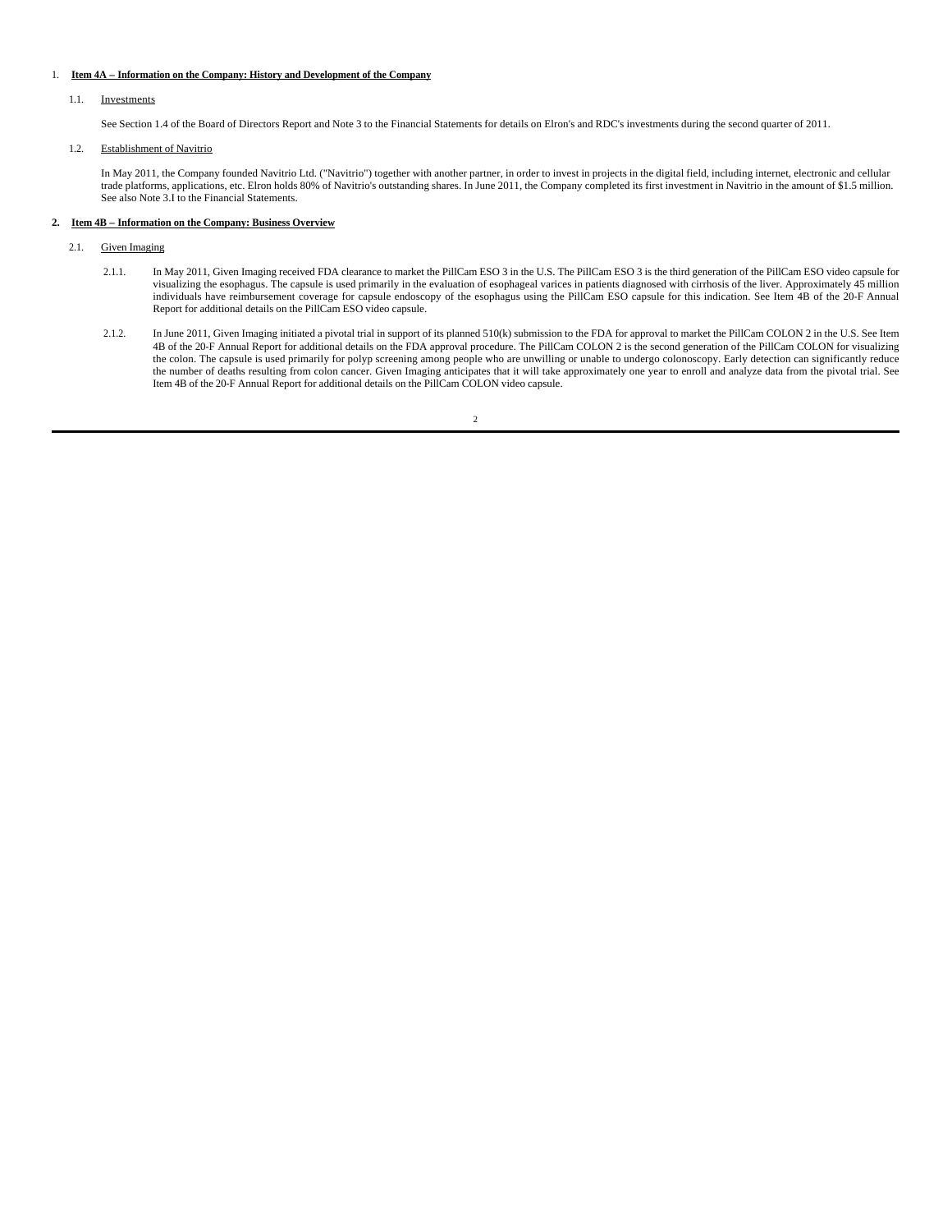## 1. **Item 4A – Information on the Company: History and Development of the Company**

### 1.1. Investments

See Section 1.4 of the Board of Directors Report and Note 3 to the Financial Statements for details on Elron's and RDC's investments during the second quarter of 2011.

### 1.2. Establishment of Navitrio

In May 2011, the Company founded Navitrio Ltd. ("Navitrio") together with another partner, in order to invest in projects in the digital field, including internet, electronic and cellular trade platforms, applications, etc. Elron holds 80% of Navitrio's outstanding shares. In June 2011, the Company completed its first investment in Navitrio in the amount of \$1.5 million. See also Note 3.I to the Financial Statements.

# **2. Item 4B – Information on the Company: Business Overview**

- 2.1. Given Imaging
	- 2.1.1. In May 2011, Given Imaging received FDA clearance to market the PillCam ESO 3 in the U.S. The PillCam ESO 3 is the third generation of the PillCam ESO video capsule for visualizing the esophagus. The capsule is used primarily in the evaluation of esophageal varices in patients diagnosed with cirrhosis of the liver. Approximately 45 million individuals have reimbursement coverage for capsule endoscopy of the esophagus using the PillCam ESO capsule for this indication. See Item 4B of the 20-F Annual Report for additional details on the PillCam ESO video capsule.
- 2.1.2. In June 2011, Given Imaging initiated a pivotal trial in support of its planned 510(k) submission to the FDA for approval to market the PillCam COLON 2 in the U.S. See Item<br>4B of the 20-F Annual Report for additiona the colon. The capsule is used primarily for polyp screening among people who are unwilling or unable to undergo colonoscopy. Early detection can significantly reduce<br>the number of deaths resulting from colon cancer. Given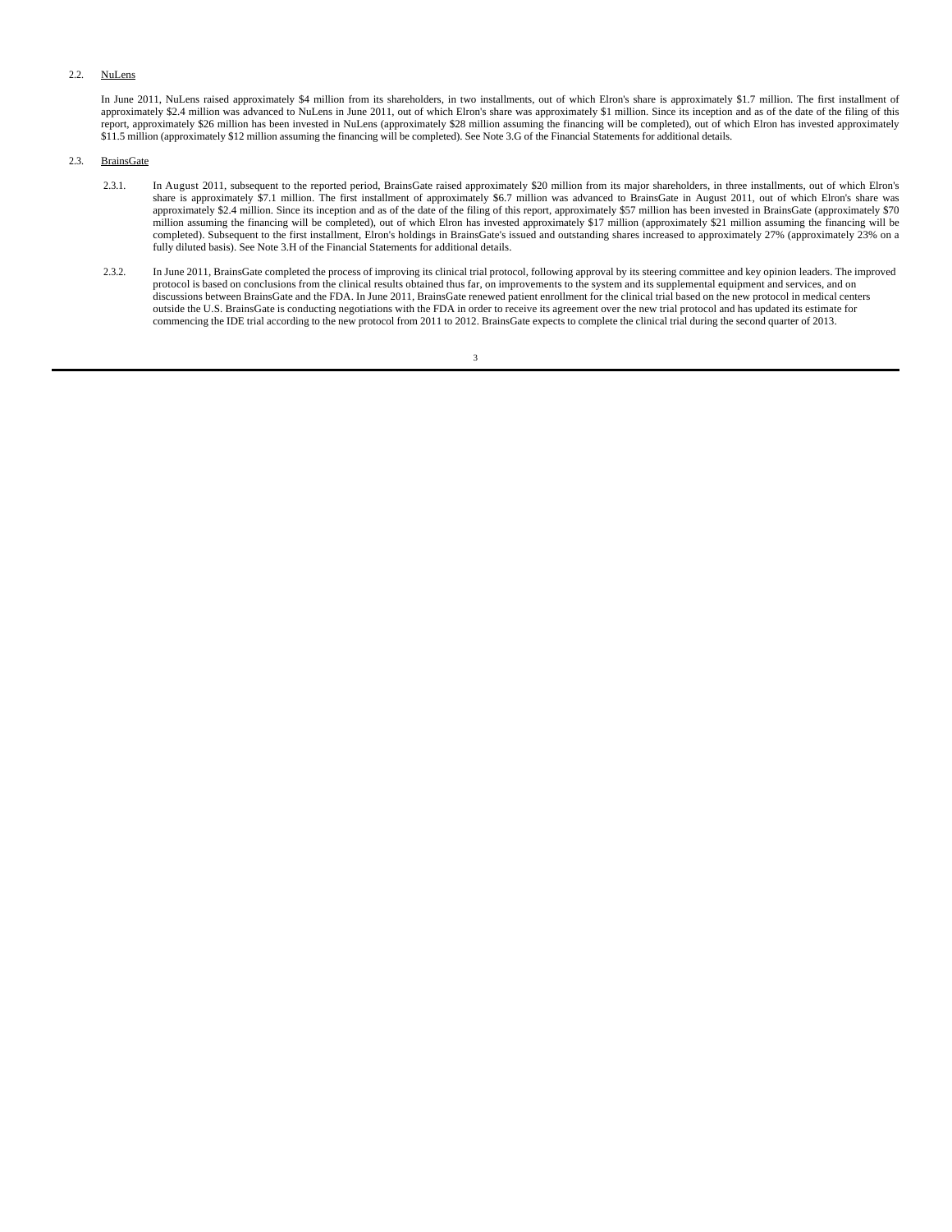# 2.2. NuLens

In June 2011, NuLens raised approximately \$4 million from its shareholders, in two installments, out of which Elron's share is approximately \$1.7 million. The first installment of approximately \$2.4 million was advanced to NuLens in June 2011, out of which Elron's share was approximately \$1 million. Since its inception and as of the date of the filing of this report, approximately \$26 million has been invested in NuLens (approximately \$28 million assuming the financing will be completed), out of which Elron has invested approximately \$11.5 million (approximately \$12 million assuming the financing will be completed). See Note 3.G of the Financial Statements for additional details.

# 2.3. BrainsGate

- 2.3.1. In August 2011, subsequent to the reported period, BrainsGate raised approximately \$20 million from its major shareholders, in three installments, out of which Elron's share is approximately \$7.1 million. The first installment of approximately \$6.7 million was advanced to BrainsGate in August 2011, out of which Elron's share was approximately \$2.4 million. Since its inception and as of the date of the filing of this report, approximately \$57 million has been invested in BrainsGate (approximately \$70 million assuming the financing will be completed), out of which Elron has invested approximately \$17 million (approximately \$21 million assuming the financing will be completed). Subsequent to the first installment, Elron's holdings in BrainsGate's issued and outstanding shares increased to approximately 27% (approximately 23% on a fully diluted basis). See Note 3.H of the Financial Statements for additional details.
- 2.3.2. In June 2011, BrainsGate completed the process of improving its clinical trial protocol, following approval by its steering committee and key opinion leaders. The improved protocol is based on conclusions from the clinical results obtained thus far, on improvements to the system and its supplemental equipment and services, and on discussions between BrainsGate and the FDA. In June 2011, BrainsGate renewed patient enrollment for the clinical trial based on the new protocol in medical centers outside the U.S. BrainsGate is conducting negotiations with the FDA in order to receive its agreement over the new trial protocol and has updated its estimate for commencing the IDE trial according to the new protocol from 2011 to 2012. BrainsGate expects to complete the clinical trial during the second quarter of 2013.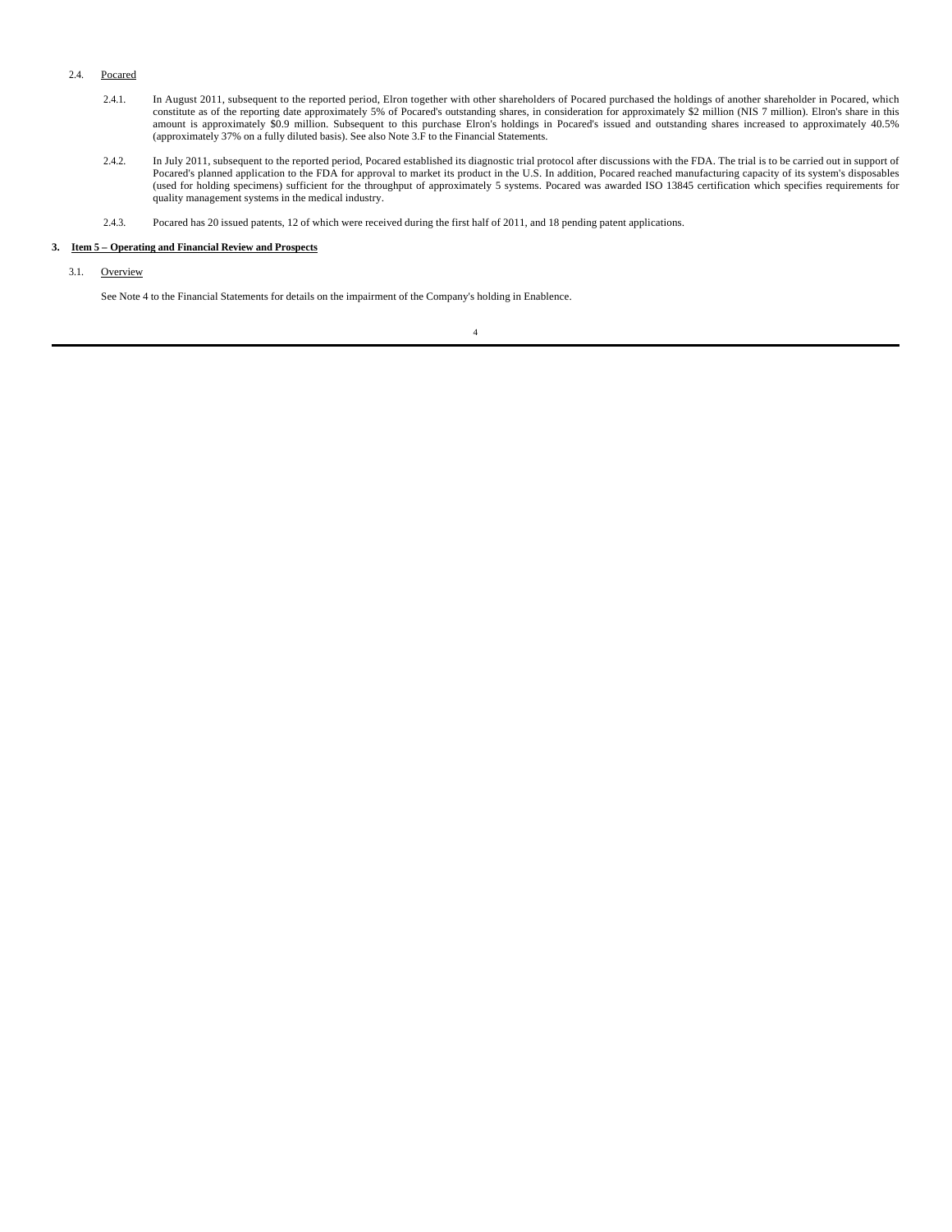# 2.4. Pocared

- 2.4.1. In August 2011, subsequent to the reported period, Elron together with other shareholders of Pocared purchased the holdings of another shareholder in Pocared, which constitute as of the reporting date approximately 5% of Pocared's outstanding shares, in consideration for approximately \$2 million (NIS 7 million). Elron's share in this<br>amount is approximately \$0.9 million. Subsequent to (approximately 37% on a fully diluted basis). See also Note 3.F to the Financial Statements.
- 2.4.2. In July 2011, subsequent to the reported period, Pocared established its diagnostic trial protocol after discussions with the FDA. The trial is to be carried out in support of Pocared's planned application to the FDA for approval to market its product in the U.S. In addition, Pocared reached manufacturing capacity of its system's disposables<br>(used for holding specimens) sufficient for the throug quality management systems in the medical industry.
- 2.4.3. Pocared has 20 issued patents, 12 of which were received during the first half of 2011, and 18 pending patent applications.

# **3. Item 5 – Operating and Financial Review and Prospects**

3.1. Overview

See Note 4 to the Financial Statements for details on the impairment of the Company's holding in Enablence.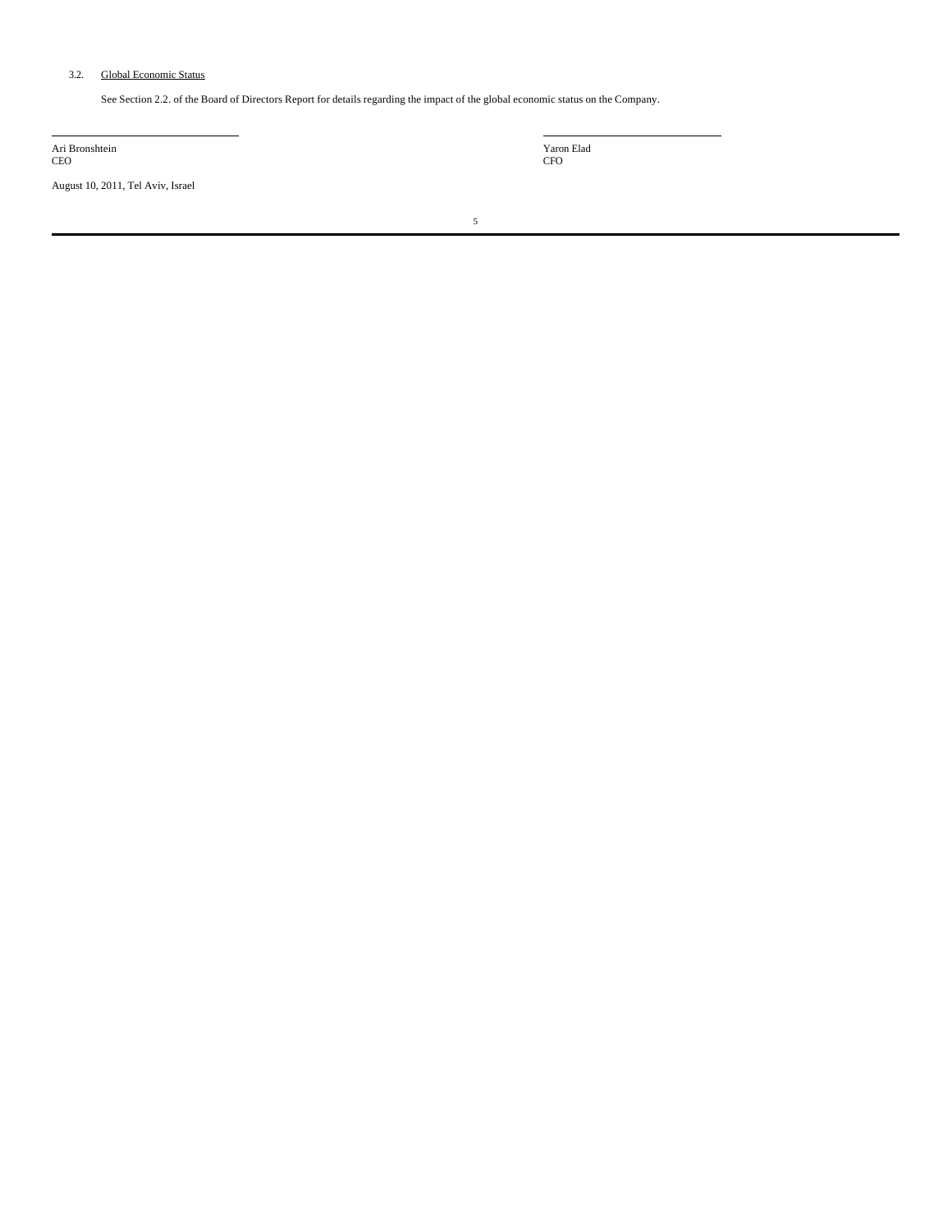# 3.2. Global Economic Status

See Section 2.2. of the Board of Directors Report for details regarding the impact of the global economic status on the Company.

Ari Bronshtein CEO

August 10, 2011, Tel Aviv, Israel

Yaron Elad CFO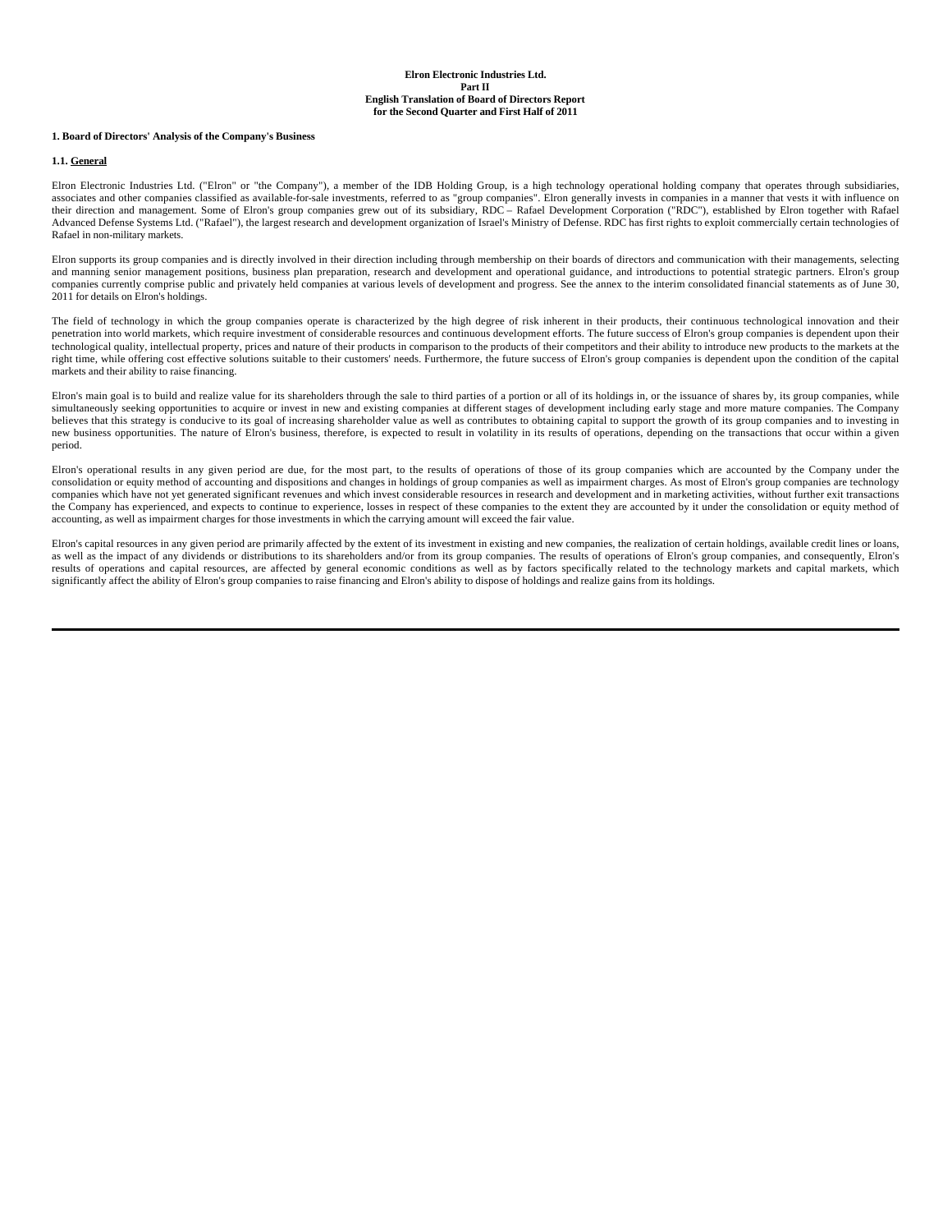### **1. Board of Directors' Analysis of the Company's Business**

#### **1.1. General**

Elron Electronic Industries Ltd. ("Elron" or "the Company"), a member of the IDB Holding Group, is a high technology operational holding company that operates through subsidiaries, associates and other companies classified as available-for-sale investments, referred to as "group companies". Elron generally invests in companies in a manner that vests it with influence on<br>their direction and management Advanced Defense Systems Ltd. ("Rafael"), the largest research and development organization of Israel's Ministry of Defense. RDC has first rights to exploit commercially certain technologies of Rafael in non-military markets.

Elron supports its group companies and is directly involved in their direction including through membership on their boards of directors and communication with their managements, selecting and manning senior management positions, business plan preparation, research and development and operational guidance, and introductions to potential strategic partners. Elron's group companies currently comprise public and privately held companies at various levels of development and progress. See the annex to the interim consolidated financial statements as of June 30, 2011 for details on Elron's holdings.

The field of technology in which the group companies operate is characterized by the high degree of risk inherent in their products, their continuous technological innovation and their penetration into world markets, which require investment of considerable resources and continuous development efforts. The future success of Elron's group companies is dependent upon their technological quality, intellectual property, prices and nature of their products in comparison to the products of their competitors and their ability to introduce new products to the markets at the right time, while offering cost effective solutions suitable to their customers' needs. Furthermore, the future success of Elron's group companies is dependent upon the condition of the capital markets and their ability to raise financing.

Elron's main goal is to build and realize value for its shareholders through the sale to third parties of a portion or all of its holdings in, or the issuance of shares by, its group companies, while simultaneously seeking opportunities to acquire or invest in new and existing companies at different stages of development including early stage and more mature companies. The Company believes that this strategy is conducive to its goal of increasing shareholder value as well as contributes to obtaining capital to support the growth of its group companies and to investing in new business opportunities. The nature of Elron's business, therefore, is expected to result in volatility in its results of operations, depending on the transactions that occur within a given period.

Elron's operational results in any given period are due, for the most part, to the results of operations of those of its group companies which are accounted by the Company under the consolidation or equity method of accounting and dispositions and changes in holdings of group companies as well as impairment charges. As most of Elron's group companies are technology companies which have not yet generated significant revenues and which invest considerable resources in research and development and in marketing activities, without further exit transactions the Company has experienced, and expects to continue to experience, losses in respect of these companies to the extent they are accounted by it under the consolidation or equity method of accounting, as well as impairment charges for those investments in which the carrying amount will exceed the fair value.

Elron's capital resources in any given period are primarily affected by the extent of its investment in existing and new companies, the realization of certain holdings, available credit lines or loans, as well as the impact of any dividends or distributions to its shareholders and/or from its group companies. The results of operations of Elron's group companies, and consequently, Elron's results of operations and capital resources, are affected by general economic conditions as well as by factors specifically related to the technology markets and capital markets, which significantly affect the ability of Elron's group companies to raise financing and Elron's ability to dispose of holdings and realize gains from its holdings.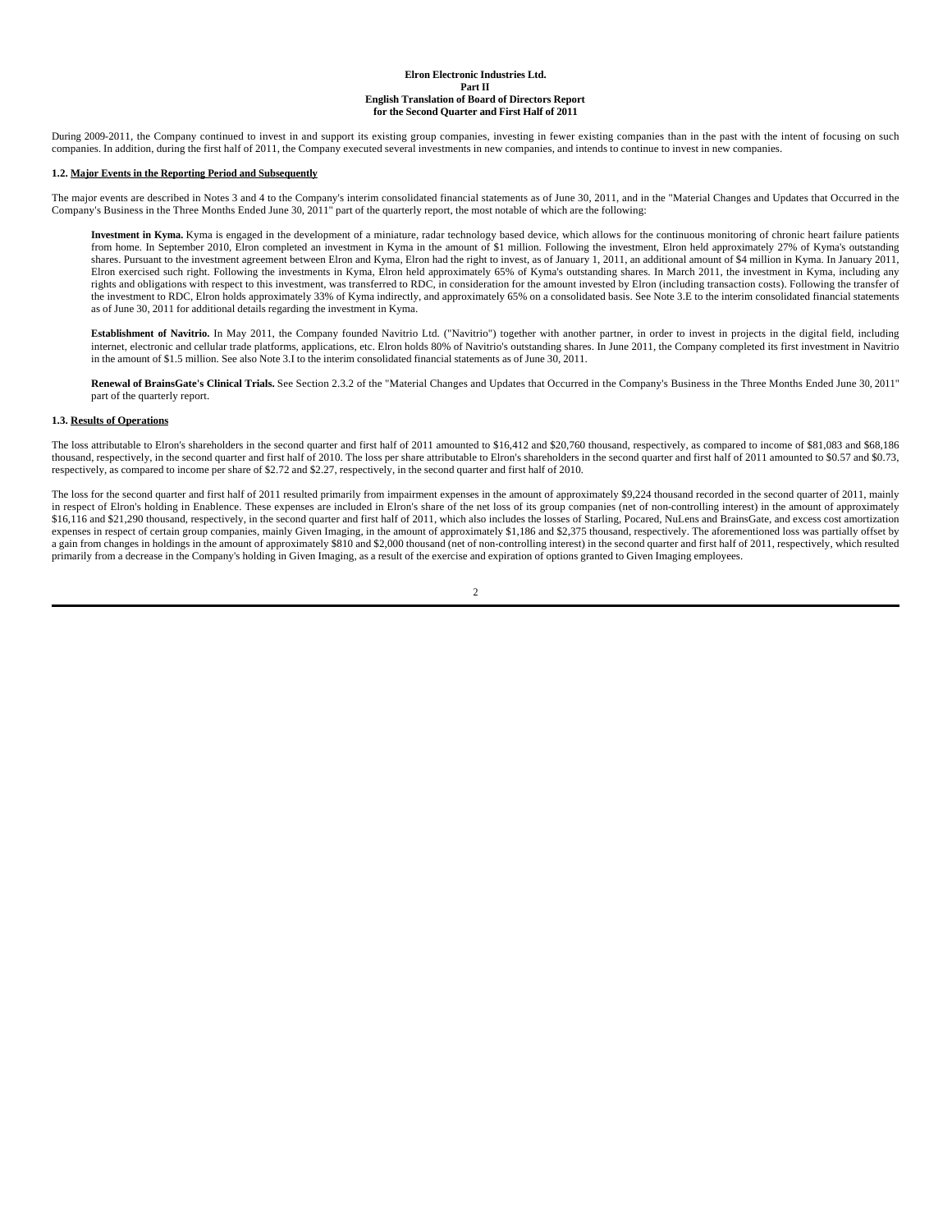During 2009-2011, the Company continued to invest in and support its existing group companies, investing in fewer existing companies than in the past with the intent of focusing on such companies. In addition, during the first half of 2011, the Company executed several investments in new companies, and intends to continue to invest in new companies.

#### **1.2. Major Events in the Reporting Period and Subsequently**

The major events are described in Notes 3 and 4 to the Company's interim consolidated financial statements as of June 30, 2011, and in the "Material Changes and Updates that Occurred in the Company's Business in the Three Months Ended June 30, 2011" part of the quarterly report, the most notable of which are the following:

**Investment in Kyma.** Kyma is engaged in the development of a miniature, radar technology based device, which allows for the continuous monitoring of chronic heart failure patients from home. In September 2010, Elron completed an investment in Kyma in the amount of \$1 million. Following the investment, Elron held approximately 27% of Kyma's outstanding shares. Pursuant to the investment agreement between Elron and Kyma, Elron had the right to invest, as of January 1, 2011, an additional amount of \$4 million in Kyma. In January 2011, Elron exercised such right. Following the investments in Kyma, Elron held approximately 65% of Kyma's outstanding shares. In March 2011, the investment in Kyma, including any rights and obligations with respect to this investment, was transferred to RDC, in consideration for the amount invested by Elron (including transaction costs). Following the transfer of the investment to RDC, Elron holds approximately 33% of Kyma indirectly, and approximately 65% on a consolidated basis. See Note 3.E to the interim consolidated financial statements as of June 30, 2011 for additional details regarding the investment in Kyma.

**Establishment of Navitrio.** In May 2011, the Company founded Navitrio Ltd. ("Navitrio") together with another partner, in order to invest in projects in the digital field, including internet, electronic and cellular trade platforms, applications, etc. Elron holds 80% of Navitrio's outstanding shares. In June 2011, the Company completed its first investment in Navitrio in the amount of \$1.5 million. See also Note 3.I to the interim consolidated financial statements as of June 30, 2011.

**Renewal of BrainsGate's Clinical Trials.** See Section 2.3.2 of the "Material Changes and Updates that Occurred in the Company's Business in the Three Months Ended June 30, 2011" part of the quarterly report.

### **1.3. Results of Operations**

The loss attributable to Elron's shareholders in the second quarter and first half of 2011 amounted to \$16,412 and \$20,760 thousand, respectively, as compared to income of \$81,083 and \$68,186 thousand, respectively, in the second quarter and first half of 2010. The loss per share attributable to Elron's shareholders in the second quarter and first half of 2011 amounted to \$0.57 and \$0.73, respectively, as compared to income per share of \$2.72 and \$2.27, respectively, in the second quarter and first half of 2010.

The loss for the second quarter and first half of 2011 resulted primarily from impairment expenses in the amount of approximately \$9,224 thousand recorded in the second quarter of 2011, mainly in respect of Elron's holding in Enablence. These expenses are included in Elron's share of the net loss of its group companies (net of non-controlling interest) in the amount of approximately \$16,116 and \$21,290 thousand, respectively, in the second quarter and first half of 2011, which also includes the losses of Starling, Pocared, NuLens and BrainsGate, and excess cost amortization expenses in respect of certain group companies, mainly Given Imaging, in the amount of approximately \$1,186 and \$2,375 thousand, respectively. The aforementioned loss was partially offset by a gain from changes in holdings in the amount of approximately \$810 and \$2,000 thousand (net of non-controlling interest) in the second quarter and first half of 2011, respectively, which resulted primarily from a decrease in the Company's holding in Given Imaging, as a result of the exercise and expiration of options granted to Given Imaging employees.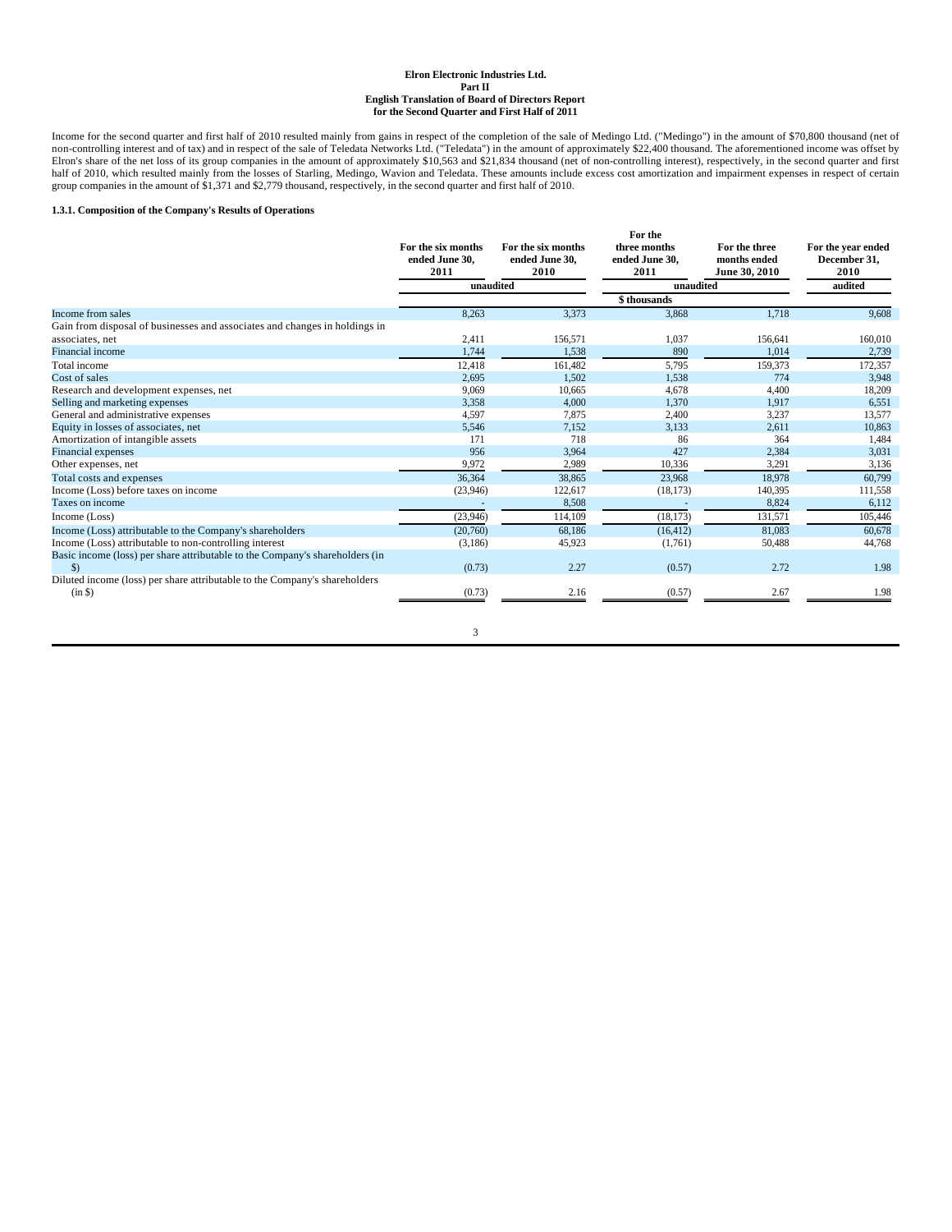Income for the second quarter and first half of 2010 resulted mainly from gains in respect of the completion of the sale of Medingo Ltd. ("Medingo") in the amount of \$70,800 thousand (net of<br>non-controlling interest and of Elron's share of the net loss of its group companies in the amount of approximately \$10,563 and \$21,834 thousand (net of non-controlling interest), respectively, in the second quarter and first<br>half of 2010, which resulted

### **1.3.1. Composition of the Company's Results of Operations**

|                        |                                                                                                                                                                                                                             | For the                                                           |                                                 |                                                              |
|------------------------|-----------------------------------------------------------------------------------------------------------------------------------------------------------------------------------------------------------------------------|-------------------------------------------------------------------|-------------------------------------------------|--------------------------------------------------------------|
| ended June 30,<br>2011 | ended June 30.<br>2010                                                                                                                                                                                                      | ended June 30.<br>2011                                            | months ended<br>June 30, 2010                   | For the year ended<br>December 31,<br>2010                   |
|                        |                                                                                                                                                                                                                             |                                                                   |                                                 | audited                                                      |
|                        |                                                                                                                                                                                                                             | \$thousands                                                       |                                                 |                                                              |
| 8,263                  | 3,373                                                                                                                                                                                                                       | 3,868                                                             | 1,718                                           | 9.608                                                        |
|                        |                                                                                                                                                                                                                             |                                                                   |                                                 |                                                              |
|                        | 156.571                                                                                                                                                                                                                     |                                                                   | 156,641                                         | 160,010                                                      |
|                        |                                                                                                                                                                                                                             |                                                                   |                                                 | 2,739                                                        |
| 12,418                 | 161.482                                                                                                                                                                                                                     | 5,795                                                             | 159.373                                         | 172,357                                                      |
| 2,695                  | 1.502                                                                                                                                                                                                                       | 1,538                                                             | 774                                             | 3,948                                                        |
| 9,069                  | 10,665                                                                                                                                                                                                                      | 4,678                                                             | 4,400                                           | 18,209                                                       |
| 3,358                  | 4,000                                                                                                                                                                                                                       | 1,370                                                             | 1,917                                           | 6,551                                                        |
| 4,597                  | 7,875                                                                                                                                                                                                                       | 2,400                                                             | 3,237                                           | 13,577                                                       |
|                        |                                                                                                                                                                                                                             |                                                                   |                                                 | 10.863                                                       |
|                        |                                                                                                                                                                                                                             | 86                                                                |                                                 | 1,484                                                        |
| 956                    | 3,964                                                                                                                                                                                                                       | 427                                                               | 2,384                                           | 3,031                                                        |
|                        |                                                                                                                                                                                                                             |                                                                   |                                                 | 3,136                                                        |
| 36,364                 | 38,865                                                                                                                                                                                                                      | 23,968                                                            | 18.978                                          | 60,799                                                       |
| (23,946)               | 122,617                                                                                                                                                                                                                     | (18, 173)                                                         | 140,395                                         | 111,558                                                      |
|                        | 8,508                                                                                                                                                                                                                       |                                                                   | 8.824                                           | 6,112                                                        |
| (23,946)               | 114,109                                                                                                                                                                                                                     | (18, 173)                                                         | 131,571                                         | 105,446                                                      |
| (20,760)               | 68,186                                                                                                                                                                                                                      | (16, 412)                                                         | 81,083                                          | 60,678                                                       |
| (3,186)                | 45,923                                                                                                                                                                                                                      | (1,761)                                                           | 50,488                                          | 44,768                                                       |
| (0.73)                 | 2.27                                                                                                                                                                                                                        | (0.57)                                                            | 2.72                                            | 1.98                                                         |
| (0.73)                 | 2.16                                                                                                                                                                                                                        | (0.57)                                                            | 2.67                                            | 1.98                                                         |
|                        | For the six months<br>Gain from disposal of businesses and associates and changes in holdings in<br>2,411<br>1,744<br>5,546<br>171<br>9,972<br>Basic income (loss) per share attributable to the Company's shareholders (in | For the six months<br>unaudited<br>1.538<br>7,152<br>718<br>2,989 | three months<br>1.037<br>890<br>3,133<br>10,336 | For the three<br>unaudited<br>1.014<br>2.611<br>364<br>3,291 |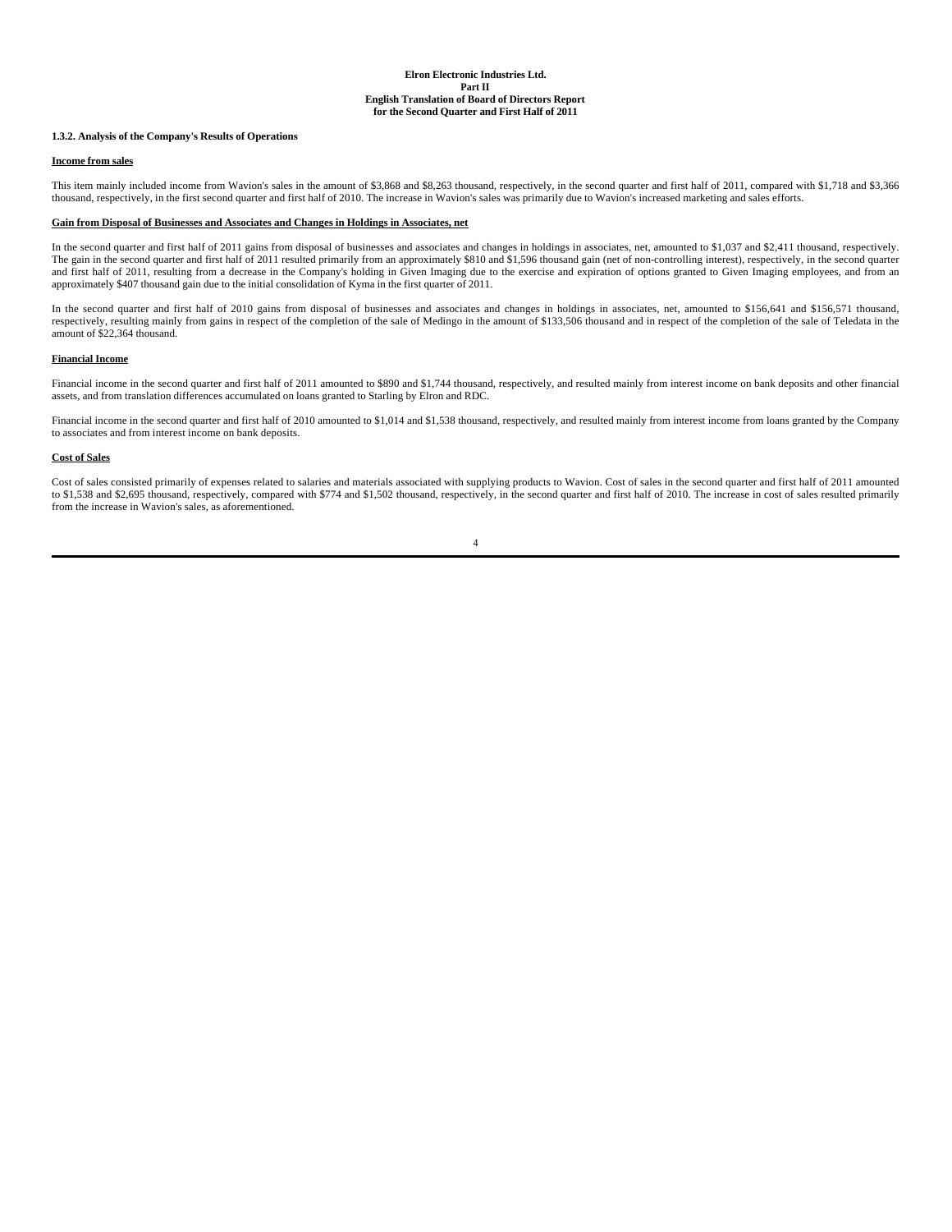### **1.3.2. Analysis of the Company's Results of Operations**

#### **Income from sales**

This item mainly included income from Wavion's sales in the amount of \$3,868 and \$8,263 thousand, respectively, in the second quarter and first half of 2011, compared with \$1,718 and \$3,366 thousand, respectively, in the first second quarter and first half of 2010. The increase in Wavion's sales was primarily due to Wavion's increased marketing and sales efforts.

### **Gain from Disposal of Businesses and Associates and Changes in Holdings in Associates, net**

In the second quarter and first half of 2011 gains from disposal of businesses and associates and changes in holdings in associates, net, amounted to \$1,037 and \$2,411 thousand, respectively. The gain in the second quarter and first half of 2011 resulted primarily from an approximately \$810 and \$1,596 thousand gain (net of non-controlling interest), respectively, in the second quarter<br>and first half of 2011, re approximately \$407 thousand gain due to the initial consolidation of Kyma in the first quarter of 2011.

In the second quarter and first half of 2010 gains from disposal of businesses and associates and changes in holdings in associates, net, amounted to \$156,641 and \$156,571 thousand, respectively, resulting mainly from gains in respect of the completion of the sale of Medingo in the amount of \$133,506 thousand and in respect of the completion of the sale of Teledata in the amount of \$22,364 thousand.

#### **Financial Income**

Financial income in the second quarter and first half of 2011 amounted to \$890 and \$1,744 thousand, respectively, and resulted mainly from interest income on bank deposits and other financial assets, and from translation differences accumulated on loans granted to Starling by Elron and RDC.

Financial income in the second quarter and first half of 2010 amounted to \$1,014 and \$1,538 thousand, respectively, and resulted mainly from interest income from loans granted by the Company to associates and from interest income on bank deposits.

#### **Cost of Sales**

Cost of sales consisted primarily of expenses related to salaries and materials associated with supplying products to Wavion. Cost of sales in the second quarter and first half of 2011 amounted to \$1,538 and \$2,695 thousand, respectively, compared with \$774 and \$1,502 thousand, respectively, in the second quarter and first half of 2010. The increase in cost of sales resulted primarily from the increase in Wavion's sales, as aforementioned.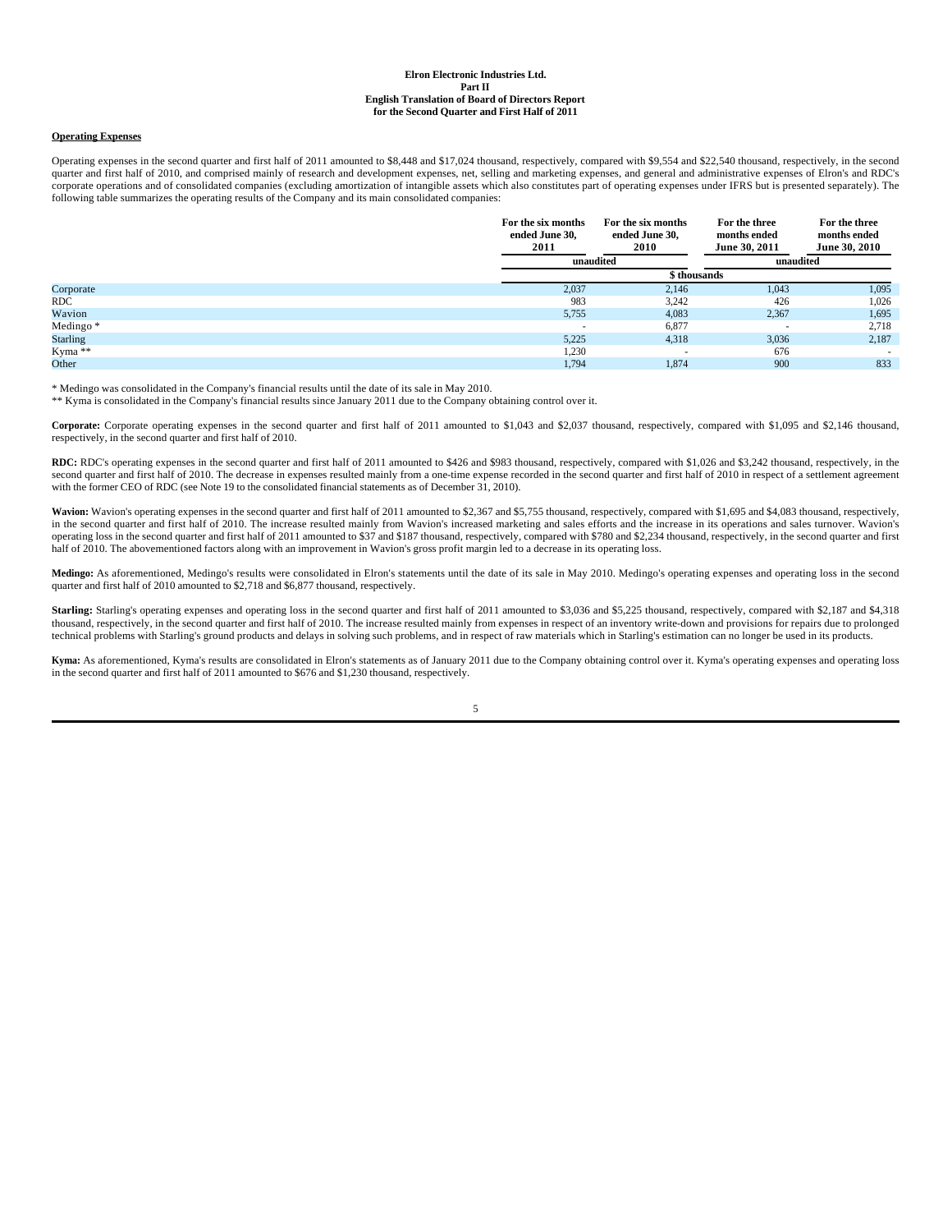### **Operating Expenses**

Operating expenses in the second quarter and first half of 2011 amounted to \$8,448 and \$17,024 thousand, respectively, compared with \$9,554 and \$22,540 thousand, respectively, in the second quarter and first half of 2010, and comprised mainly of research and development expenses, net, selling and marketing expenses, and general and administrative expenses of Elron's and RDC's corporate operations and of consolidated companies (excluding amortization of intangible assets which also constitutes part of operating expenses under IFRS but is presented separately). The following table summarizes the operating results of the Company and its main consolidated companies:

|                 | For the six months<br>ended June 30,<br>2011 | For the six months<br>ended June 30,<br>2010 | For the three<br>months ended<br>June 30, 2011 | For the three<br>months ended<br>June 30, 2010 |
|-----------------|----------------------------------------------|----------------------------------------------|------------------------------------------------|------------------------------------------------|
|                 | unaudited                                    |                                              | unaudited                                      |                                                |
|                 |                                              | \$ thousands                                 |                                                |                                                |
| Corporate       | 2,037                                        | 2,146                                        | 1,043                                          | 1,095                                          |
| <b>RDC</b>      | 983                                          | 3,242                                        | 426                                            | 1,026                                          |
| Wavion          | 5,755                                        | 4,083                                        | 2,367                                          | 1,695                                          |
| Medingo*        |                                              | 6,877                                        |                                                | 2,718                                          |
| <b>Starling</b> | 5,225                                        | 4,318                                        | 3,036                                          | 2,187                                          |
| Kyma **         | 1,230                                        |                                              | 676                                            | $\sim$                                         |
| Other           | 1,794                                        | 1,874                                        | 900                                            | 833                                            |

\* Medingo was consolidated in the Company's financial results until the date of its sale in May 2010.

\*\* Kyma is consolidated in the Company's financial results since January 2011 due to the Company obtaining control over it.

**Corporate:** Corporate operating expenses in the second quarter and first half of 2011 amounted to \$1,043 and \$2,037 thousand, respectively, compared with \$1,095 and \$2,146 thousand, respectively, in the second quarter and first half of 2010.

RDC: RDC's operating expenses in the second quarter and first half of 2011 amounted to \$426 and \$983 thousand, respectively, compared with \$1,026 and \$3,242 thousand, respectively, in the second quarter and first half of 2010. The decrease in expenses resulted mainly from a one-time expense recorded in the second quarter and first half of 2010 in respect of a settlement agreement with the former CEO of RDC (see Note 19 to the consolidated financial statements as of December 31, 2010).

Wavion: Wavion's operating expenses in the second quarter and first half of 2011 amounted to \$2,367 and \$5,755 thousand, respectively, compared with \$1,695 and \$4,083 thousand, respectively, in the second quarter and first half of 2010. The increase resulted mainly from Wavion's increased marketing and sales efforts and the increase in its operations and sales turnover. Wavion's operating loss in the second quarter and first half of 2011 amounted to \$37 and \$187 thousand, respectively, compared with \$780 and \$2,234 thousand, respectively, in the second quarter and first half of 2010. The abovementioned factors along with an improvement in Wavion's gross profit margin led to a decrease in its operating loss.

**Medingo:** As aforementioned, Medingo's results were consolidated in Elron's statements until the date of its sale in May 2010. Medingo's operating expenses and operating loss in the second quarter and first half of 2010 amounted to \$2,718 and \$6,877 thousand, respectively.

Starling: Starling's operating expenses and operating loss in the second quarter and first half of 2011 amounted to \$3,036 and \$5,225 thousand, respectively, compared with \$2,187 and \$4,318 thousand, respectively, in the second quarter and first half of 2010. The increase resulted mainly from expenses in respect of an inventory write-down and provisions for repairs due to prolonged technical problems with Starling's ground products and delays in solving such problems, and in respect of raw materials which in Starling's estimation can no longer be used in its products.

**Kyma:** As aforementioned, Kyma's results are consolidated in Elron's statements as of January 2011 due to the Company obtaining control over it. Kyma's operating expenses and operating loss in the second quarter and first half of 2011 amounted to \$676 and \$1,230 thousand, respectively.

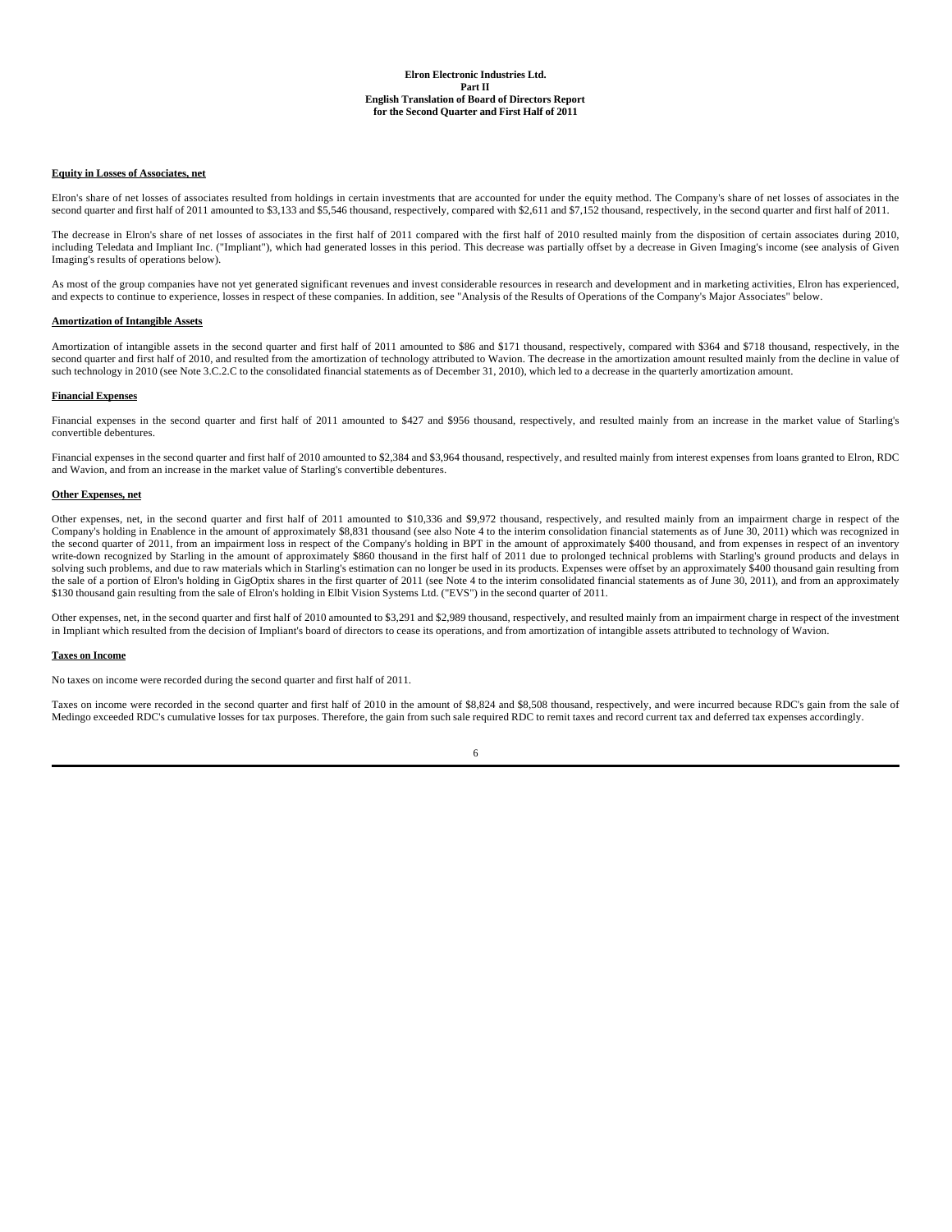#### **Equity in Losses of Associates, net**

Elron's share of net losses of associates resulted from holdings in certain investments that are accounted for under the equity method. The Company's share of net losses of associates in the second quarter and first half of 2011 amounted to \$3,133 and \$5,546 thousand, respectively, compared with \$2,611 and \$7,152 thousand, respectively, in the second quarter and first half of 2011.

The decrease in Elron's share of net losses of associates in the first half of 2011 compared with the first half of 2010 resulted mainly from the disposition of certain associates during 2010, including Teledata and Impliant Inc. ("Impliant"), which had generated losses in this period. This decrease was partially offset by a decrease in Given Imaging's income (see analysis of Given Imaging's results of operations below).

As most of the group companies have not yet generated significant revenues and invest considerable resources in research and development and in marketing activities, Elron has experienced, and expects to continue to experience, losses in respect of these companies. In addition, see "Analysis of the Results of Operations of the Company's Major Associates" below.

#### **Amortization of Intangible Assets**

Amortization of intangible assets in the second quarter and first half of 2011 amounted to \$86 and \$171 thousand, respectively, compared with \$364 and \$718 thousand, respectively, in the second quarter and first half of 2010, and resulted from the amortization of technology attributed to Wavion. The decrease in the amortization amount resulted mainly from the decline in value of such technology in 2010 (see Note 3.C.2.C to the consolidated financial statements as of December 31, 2010), which led to a decrease in the quarterly amortization amount.

#### **Financial Expenses**

Financial expenses in the second quarter and first half of 2011 amounted to \$427 and \$956 thousand, respectively, and resulted mainly from an increase in the market value of Starling's convertible debentures.

Financial expenses in the second quarter and first half of 2010 amounted to \$2,384 and \$3,964 thousand, respectively, and resulted mainly from interest expenses from loans granted to Elron, RDC and Wavion, and from an increase in the market value of Starling's convertible debentures.

#### **Other Expenses, net**

Other expenses, net, in the second quarter and first half of 2011 amounted to \$10,336 and \$9,972 thousand, respectively, and resulted mainly from an impairment charge in respect of the Company's holding in Enablence in the amount of approximately \$8,831 thousand (see also Note 4 to the interim consolidation financial statements as of June 30, 2011) which was recognized in the second quarter of 2011, from an impairment loss in respect of the Company's holding in BPT in the amount of approximately \$400 thousand, and from expenses in respect of an inventory write-down recognized by Starling in the amount of approximately \$860 thousand in the first half of 2011 due to prolonged technical problems with Starling's ground products and delays in solving such problems, and due to raw materials which in Starling's estimation can no longer be used in its products. Expenses were offset by an approximately \$400 thousand gain resulting from the sale of a portion of Elron's holding in GigOptix shares in the first quarter of 2011 (see Note 4 to the interim consolidated financial statements as of June 30, 2011), and from an approximately \$130 thousand gain resulting from the sale of Elron's holding in Elbit Vision Systems Ltd. ("EVS") in the second quarter of 2011.

Other expenses, net, in the second quarter and first half of 2010 amounted to \$3,291 and \$2,989 thousand, respectively, and resulted mainly from an impairment charge in respect of the investment in Impliant which resulted from the decision of Impliant's board of directors to cease its operations, and from amortization of intangible assets attributed to technology of Wavion.

#### **Taxes on Income**

No taxes on income were recorded during the second quarter and first half of 2011.

Taxes on income were recorded in the second quarter and first half of 2010 in the amount of \$8,824 and \$8,508 thousand, respectively, and were incurred because RDC's gain from the sale of Medingo exceeded RDC's cumulative losses for tax purposes. Therefore, the gain from such sale required RDC to remit taxes and record current tax and deferred tax expenses accordingly.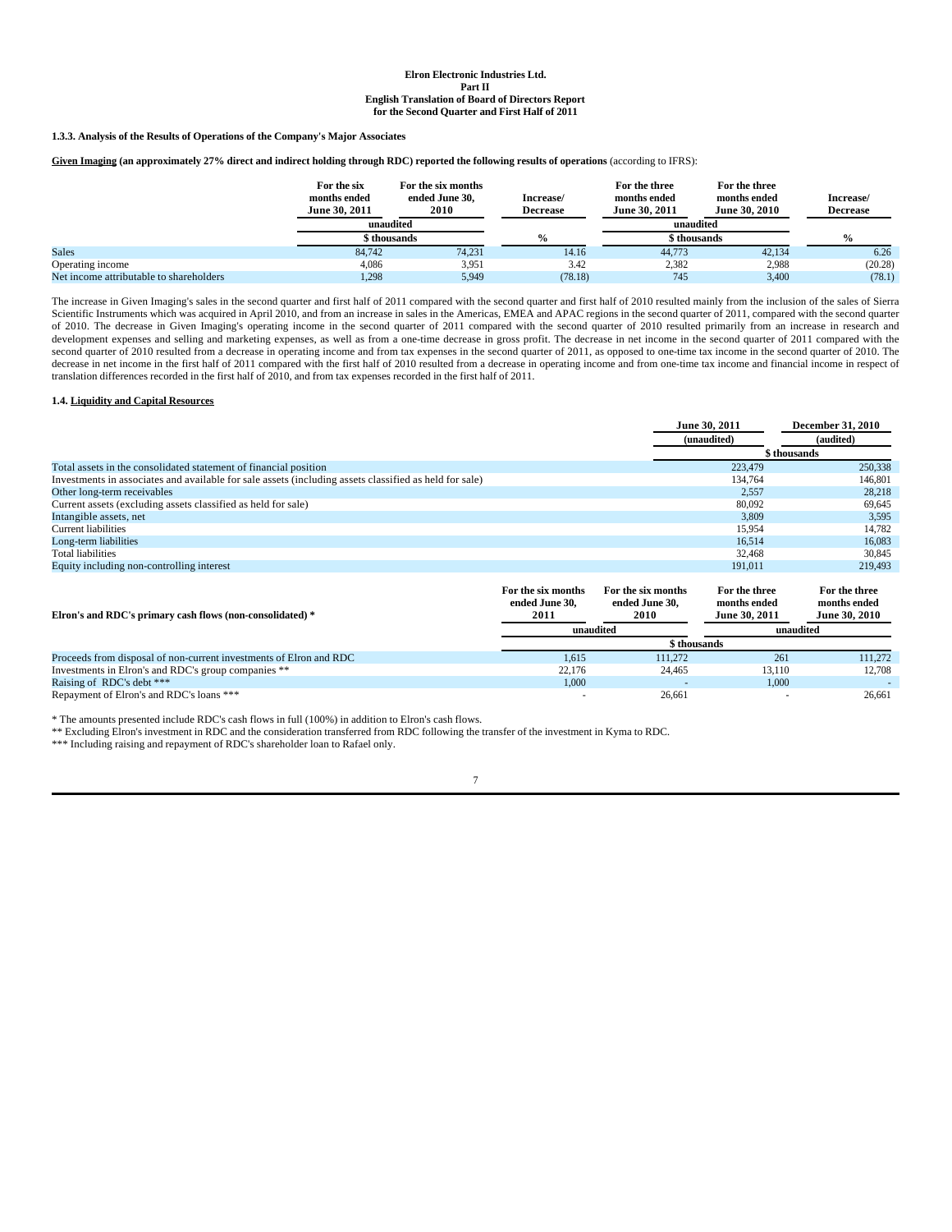**1.3.3. Analysis of the Results of Operations of the Company's Major Associates**

Given Imaging (an approximately 27% direct and indirect holding through RDC) reported the following results of operations (according to IFRS):

|                  | For the six<br>months ended<br>June 30, 2011 | For the six months<br>ended June 30,<br>2010 | Increase/<br><b>Decrease</b> | For the three<br>months ended<br>June 30, 2011 | For the three<br>months ended<br>June 30, 2010 | Increase/<br><b>Decrease</b> |
|------------------|----------------------------------------------|----------------------------------------------|------------------------------|------------------------------------------------|------------------------------------------------|------------------------------|
|                  |                                              | unaudited                                    |                              |                                                | unaudited                                      |                              |
|                  |                                              | \$ thousands                                 |                              |                                                | sthousands }                                   | $\frac{0}{0}$                |
| <b>Sales</b>     | 84.742                                       | 74,231                                       | 14.16                        | 44,773                                         | 42,134                                         | 6.26                         |
| Operating income | 4,086                                        | 3.951                                        | 3.42                         | 2,382                                          | 2,988                                          | (20.28)                      |
|                  |                                              |                                              |                              |                                                |                                                |                              |

The increase in Given Imaging's sales in the second quarter and first half of 2011 compared with the second quarter and first half of 2010 resulted mainly from the inclusion of the sales of Sierra<br>Scientific Instruments wh of 2010. The decrease in Given Imaging's operating income in the second quarter of 2011 compared with the second quarter of 2010 resulted primarily from an increase in research and development expenses and selling and marketing expenses, as well as from a one-time decrease in gross profit. The decrease in net income in the second quarter of 2011 compared with the second quarter of 2010 resulted from a decrease in operating income and from tax expenses in the second quarter of 2011, as opposed to one-time tax income in the second quarter of 2010. The decrease in net income in the first half of 2011 compared with the first half of 2010 resulted from a decrease in operating income and from one-time tax income and financial income in respect of translation differences recorded in the first half of 2010, and from tax expenses recorded in the first half of 2011.

#### **1.4. Liquidity and Capital Resources**

|                                                                                                        |                    |                    | June 30, 2011 | <b>December 31, 2010</b> |
|--------------------------------------------------------------------------------------------------------|--------------------|--------------------|---------------|--------------------------|
|                                                                                                        |                    |                    | (unaudited)   | (audited)                |
|                                                                                                        |                    |                    |               | \$ thousands             |
| Total assets in the consolidated statement of financial position                                       |                    |                    | 223,479       | 250,338                  |
| Investments in associates and available for sale assets (including assets classified as held for sale) |                    |                    | 134.764       | 146,801                  |
| Other long-term receivables                                                                            |                    |                    | 2,557         | 28,218                   |
| Current assets (excluding assets classified as held for sale)                                          |                    |                    | 80,092        | 69,645                   |
| Intangible assets, net                                                                                 |                    |                    | 3,809         | 3,595                    |
| <b>Current liabilities</b>                                                                             |                    |                    | 15,954        | 14,782                   |
| Long-term liabilities                                                                                  |                    |                    | 16.514        | 16.083                   |
| <b>Total liabilities</b>                                                                               |                    |                    | 32.468        | 30,845                   |
| Equity including non-controlling interest                                                              |                    |                    | 191.011       | 219,493                  |
|                                                                                                        | For the six months | For the six months | For the three | For the three            |

| Elron's and RDC's primary cash flows (non-consolidated) *          | ended June 30.<br>2011 | ended June 30.<br>2010 | months ended<br>June 30, 2011 | months ended<br><b>June 30, 2010</b> |
|--------------------------------------------------------------------|------------------------|------------------------|-------------------------------|--------------------------------------|
|                                                                    | unaudited              |                        | unaudited                     |                                      |
|                                                                    |                        | \$ thousands           |                               |                                      |
| Proceeds from disposal of non-current investments of Elron and RDC | 1.615                  | 111.272                | 261                           | 111.272                              |
| Investments in Elron's and RDC's group companies **                | 22.176                 | 24.465                 | 13.110                        | 12.708                               |
| Raising of RDC's debt ***                                          | 1,000                  |                        | 1,000                         |                                      |
| Repayment of Elron's and RDC's loans ***                           |                        | 26,661                 |                               | 26.661                               |

\* The amounts presented include RDC's cash flows in full (100%) in addition to Elron's cash flows.

\*\* Excluding Elron's investment in RDC and the consideration transferred from RDC following the transfer of the investment in Kyma to RDC.

\*\*\* Including raising and repayment of RDC's shareholder loan to Rafael only.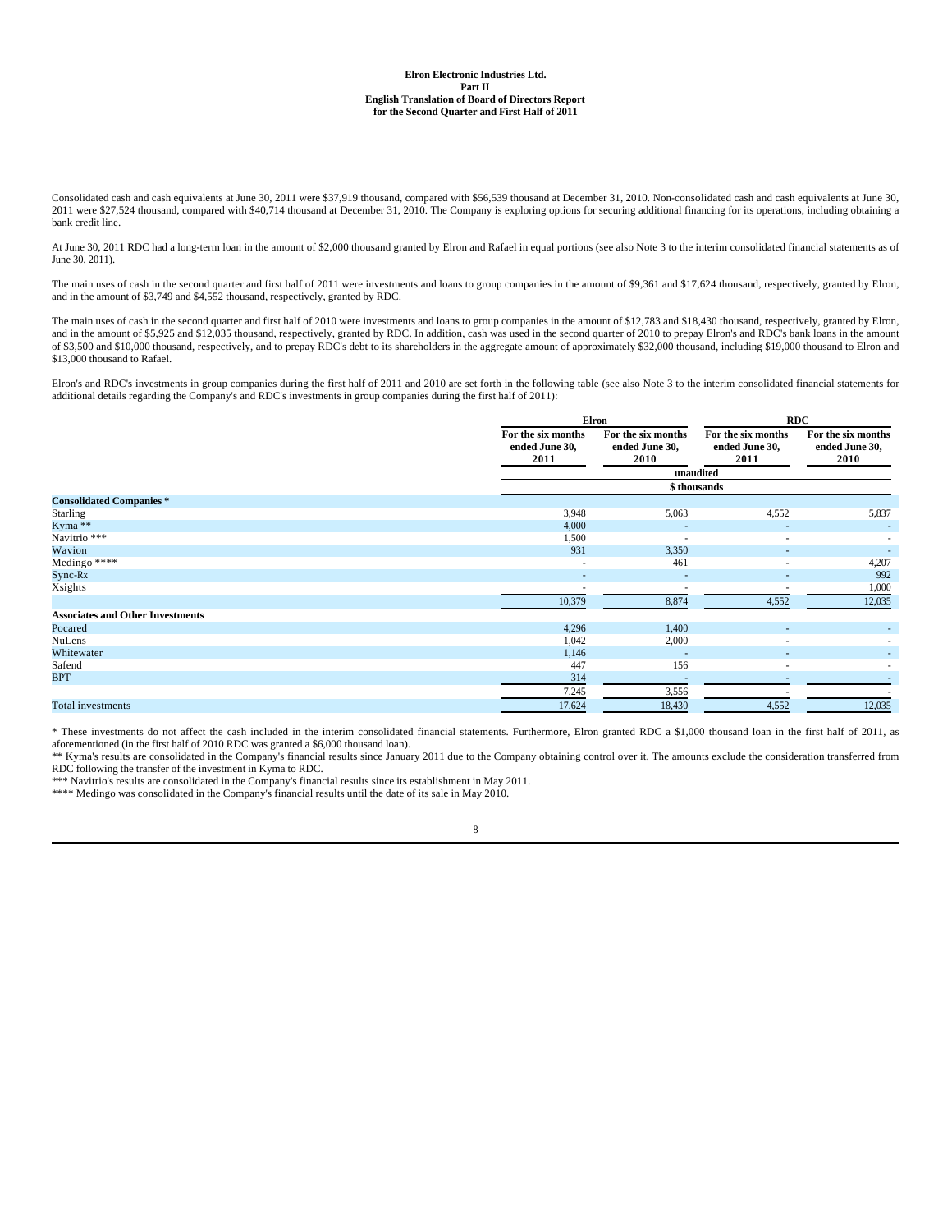Consolidated cash and cash equivalents at June 30, 2011 were \$37,919 thousand, compared with \$56,539 thousand at December 31, 2010. Non-consolidated cash and cash equivalents at June 30, 2011 were \$27,524 thousand, compared with \$40,714 thousand at December 31, 2010. The Company is exploring options for securing additional financing for its operations, including obtaining a 2011 were \$27,524 thousand, comp bank credit line.

At June 30, 2011 RDC had a long-term loan in the amount of \$2,000 thousand granted by Elron and Rafael in equal portions (see also Note 3 to the interim consolidated financial statements as of June 30, 2011).

The main uses of cash in the second quarter and first half of 2011 were investments and loans to group companies in the amount of \$9,361 and \$17,624 thousand, respectively, granted by Elron, and in the amount of \$3,749 and \$4,552 thousand, respectively, granted by RDC.

The main uses of cash in the second quarter and first half of 2010 were investments and loans to group companies in the amount of \$12,783 and \$18,430 thousand, respectively, granted by Elron, and in the amount of \$5,925 an of \$3,500 and \$10,000 thousand, respectively, and to prepay RDC's debt to its shareholders in the aggregate amount of approximately \$32,000 thousand, including \$19,000 thousand to Elron and \$13,000 thousand to Rafael.

Elron's and RDC's investments in group companies during the first half of 2011 and 2010 are set forth in the following table (see also Note 3 to the interim consolidated financial statements for additional details regarding the Company's and RDC's investments in group companies during the first half of 2011):

|                                         |                                              | <b>Elron</b>                                 | <b>RDC</b>                                   |                                              |  |
|-----------------------------------------|----------------------------------------------|----------------------------------------------|----------------------------------------------|----------------------------------------------|--|
|                                         | For the six months<br>ended June 30,<br>2011 | For the six months<br>ended June 30,<br>2010 | For the six months<br>ended June 30,<br>2011 | For the six months<br>ended June 30,<br>2010 |  |
|                                         |                                              |                                              | unaudited                                    |                                              |  |
|                                         |                                              |                                              | \$ thousands                                 |                                              |  |
| <b>Consolidated Companies*</b>          |                                              |                                              |                                              |                                              |  |
| Starling                                | 3,948                                        | 5,063                                        | 4,552                                        | 5,837                                        |  |
| Kyma **                                 | 4,000                                        |                                              |                                              |                                              |  |
| Navitrio ***                            | 1,500                                        | $\overline{\phantom{a}}$                     | $\overline{\phantom{a}}$                     |                                              |  |
| Wavion                                  | 931                                          | 3,350                                        | $\overline{a}$                               |                                              |  |
| Medingo ****                            | $\overline{\phantom{a}}$                     | 461                                          | $\sim$                                       | 4,207                                        |  |
| $Sync-Rx$                               |                                              |                                              | $\overline{\phantom{a}}$                     | 992                                          |  |
| Xsights                                 |                                              |                                              |                                              | 1,000                                        |  |
|                                         | 10,379                                       | 8,874                                        | 4,552                                        | 12,035                                       |  |
| <b>Associates and Other Investments</b> |                                              |                                              |                                              |                                              |  |
| Pocared                                 | 4,296                                        | 1,400                                        |                                              |                                              |  |
| NuLens                                  | 1,042                                        | 2,000                                        |                                              |                                              |  |
| Whitewater                              | 1,146                                        |                                              |                                              |                                              |  |
| Safend                                  | 447                                          | 156                                          |                                              |                                              |  |
| <b>BPT</b>                              | 314                                          |                                              |                                              |                                              |  |
|                                         | 7,245                                        | 3,556                                        |                                              |                                              |  |
| <b>Total investments</b>                | 17,624                                       | 18,430                                       | 4,552                                        | 12,035                                       |  |

\* These investments do not affect the cash included in the interim consolidated financial statements. Furthermore, Elron granted RDC a \$1,000 thousand loan in the first half of 2011, as aforementioned (in the first half of 2010 RDC was granted a \$6,000 thousand loan).

\*\* Kyma's results are consolidated in the Company's financial results since January 2011 due to the Company obtaining control over it. The amounts exclude the consideration transferred from RDC following the transfer of the investment in Kyma to RDC.

\*\*\* Navitrio's results are consolidated in the Company's financial results since its establishment in May 2011. \*\*\*\* Medingo was consolidated in the Company's financial results until the date of its sale in May 2010.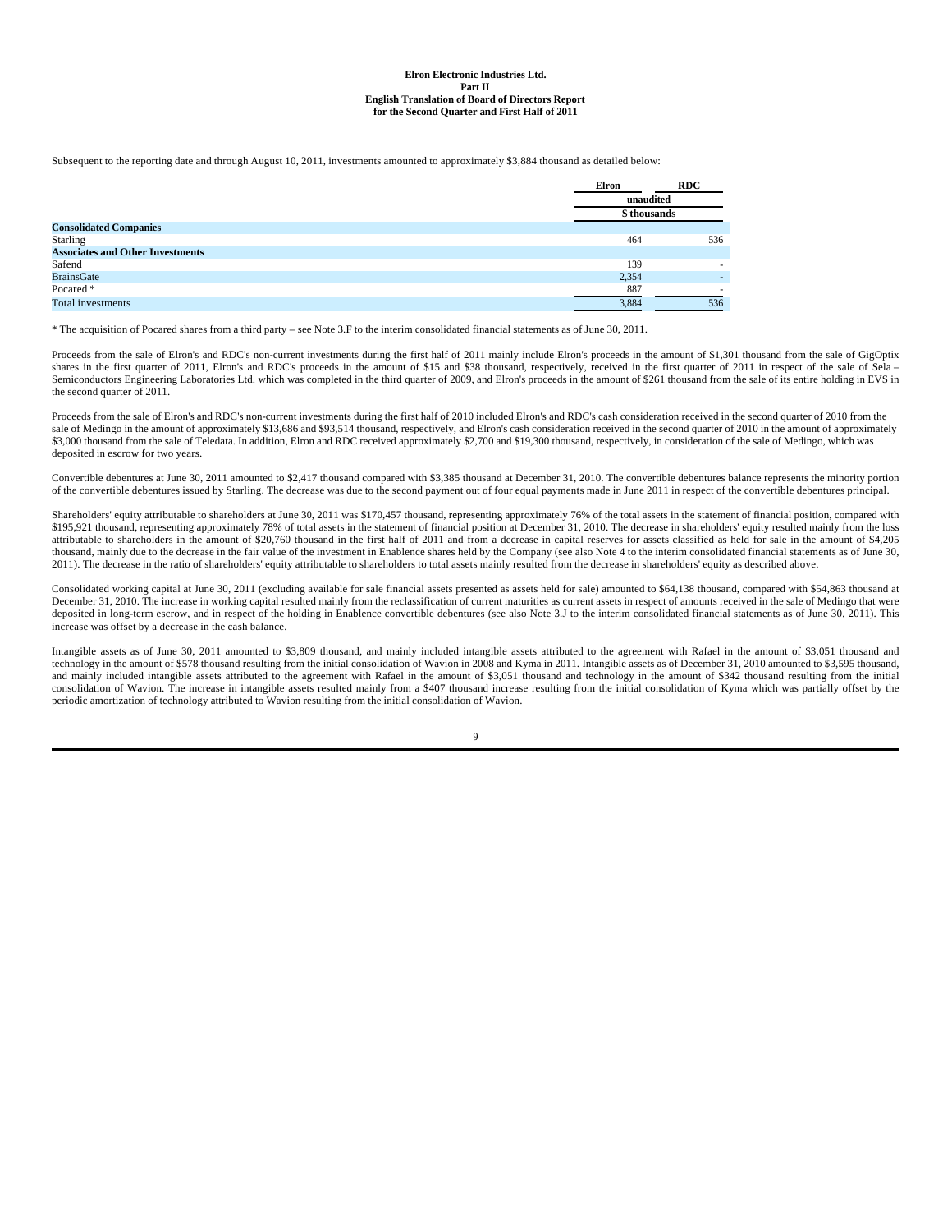Subsequent to the reporting date and through August 10, 2011, investments amounted to approximately \$3,884 thousand as detailed below:

|                                         | Elron       | <b>RDC</b> |
|-----------------------------------------|-------------|------------|
|                                         | unaudited   |            |
|                                         | \$thousands |            |
| <b>Consolidated Companies</b>           |             |            |
| <b>Starling</b>                         | 464         | 536        |
| <b>Associates and Other Investments</b> |             |            |
| Safend                                  | 139         |            |
| <b>BrainsGate</b>                       | 2,354       |            |
| Pocared *                               | 887         |            |
| <b>Total investments</b>                | 3,884       | 536        |

\* The acquisition of Pocared shares from a third party – see Note 3.F to the interim consolidated financial statements as of June 30, 2011.

Proceeds from the sale of Elron's and RDC's non-current investments during the first half of 2011 mainly include Elron's proceeds in the amount of \$1,301 thousand from the sale of GigOptix shares in the first quarter of 2011, Elron's and RDC's proceeds in the amount of \$15 and \$38 thousand, respectively, received in the first quarter of 2011 in respect of the sale of Sela -Semiconductors Engineering Laboratories Ltd. which was completed in the third quarter of 2009, and Elron's proceeds in the amount of \$261 thousand from the sale of its entire holding in EVS in the second quarter of 2011.

Proceeds from the sale of Elron's and RDC's non-current investments during the first half of 2010 included Elron's and RDC's cash consideration received in the second quarter of 2010 from the sale of Medingo in the amount of approximately \$13,686 and \$93,514 thousand, respectively, and Elron's cash consideration received in the second quarter of 2010 in the amount of approximately \$3,000 thousand from the sale of Teledata. In addition, Elron and RDC received approximately \$2,700 and \$19,300 thousand, respectively, in consideration of the sale of Medingo, which was deposited in escrow for two years.

Convertible debentures at June 30, 2011 amounted to \$2,417 thousand compared with \$3,385 thousand at December 31, 2010. The convertible debentures balance represents the minority portion of the convertible debentures issued by Starling. The decrease was due to the second payment out of four equal payments made in June 2011 in respect of the convertible debentures principal.

Shareholders' equity attributable to shareholders at June 30, 2011 was \$170,457 thousand, representing approximately 76% of the total assets in the statement of financial position, compared with<br>\$195,921 thousand, represen attributable to shareholders in the amount of \$20,760 thousand in the first half of 2011 and from a decrease in capital reserves for assets classified as held for sale in the amount of \$4,205 thousand, mainly due to the decrease in the fair value of the investment in Enablence shares held by the Company (see also Note 4 to the interim consolidated financial statements as of June 30, 2011). The decrease in the ratio of shareholders' equity attributable to shareholders to total assets mainly resulted from the decrease in shareholders' equity as described above.

Consolidated working capital at June 30, 2011 (excluding available for sale financial assets presented as assets held for sale) amounted to \$64,138 thousand, compared with \$54,863 thousand at December 31, 2010. The increase in working capital resulted mainly from the reclassification of current maturities as current assets in respect of amounts received in the sale of Medingo that were<br>deposited in long-term es increase was offset by a decrease in the cash balance.

Intangible assets as of June 30, 2011 amounted to \$3,809 thousand, and mainly included intangible assets attributed to the agreement with Rafael in the amount of \$3,051 thousand and technology in the amount of \$578 thousand resulting from the initial consolidation of Wavion in 2008 and Kyma in 2011. Intangible assets as of December 31, 2010 amounted to \$3,595 thousand, and mainly included intangible assets attributed to the agreement with Rafael in the amount of \$3,051 thousand and technology in the amount of \$342 thousand resulting from the initial consolidation of Wavion. The increase in intangible assets resulted mainly from a \$407 thousand increase resulting from the initial consolidation of Kyma which was partially offset by the periodic amortization of technology attributed to Wavion resulting from the initial consolidation of Wavion.

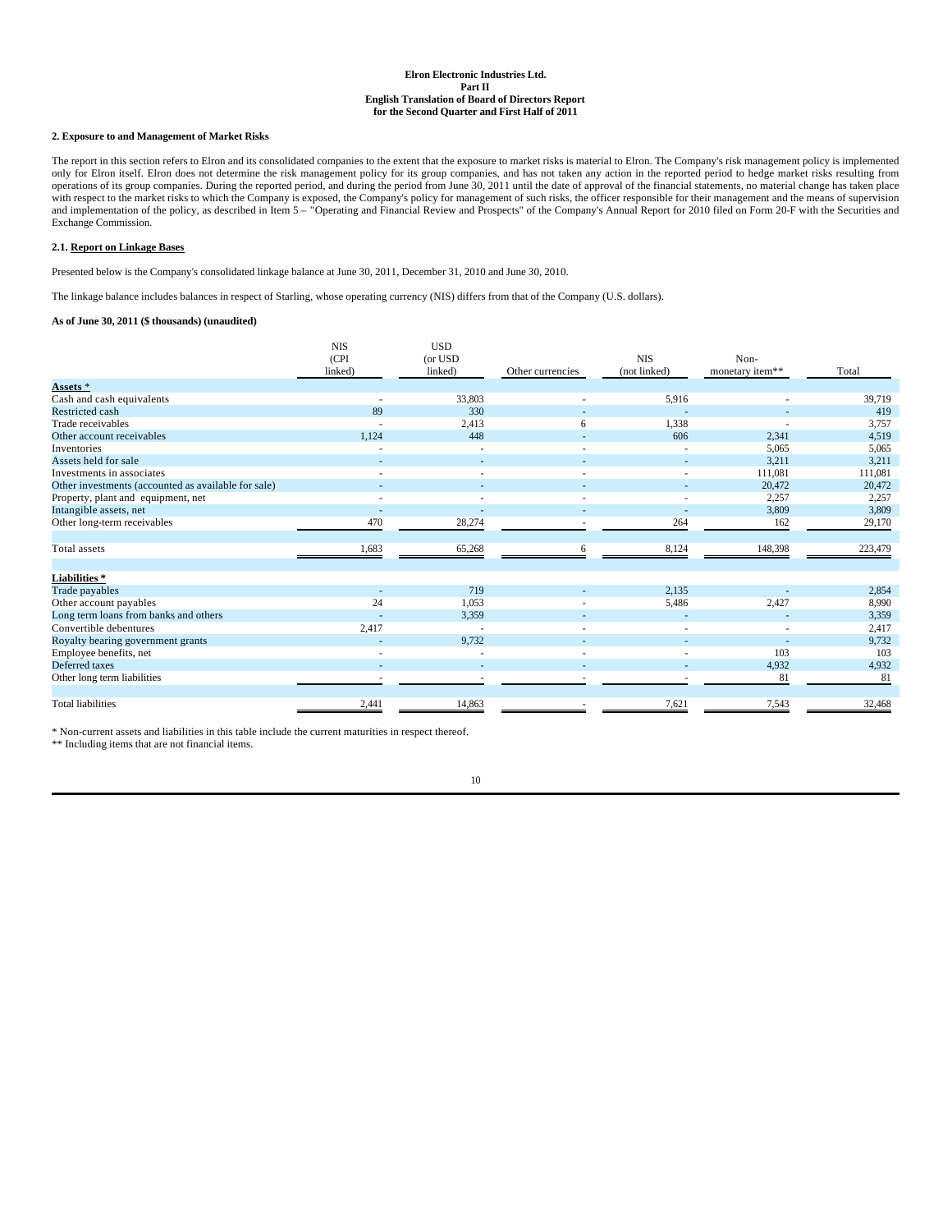### **2. Exposure to and Management of Market Risks**

The report in this section refers to Elron and its consolidated companies to the extent that the exposure to market risks is material to Elron. The Company's risk management policy is implemented only for Elron itself. Elron does not determine the risk management policy for its group companies, and has not taken any action in the reported period to hedge market risks resulting from<br>operations of its group companies with respect to the market risks to which the Company is exposed, the Company's policy for management of such risks, the officer responsible for their management and the means of supervision<br>and implementation of the polic Exchange Commission.

### **2.1. Report on Linkage Bases**

Presented below is the Company's consolidated linkage balance at June 30, 2011, December 31, 2010 and June 30, 2010.

The linkage balance includes balances in respect of Starling, whose operating currency (NIS) differs from that of the Company (U.S. dollars).

### **As of June 30, 2011 (\$ thousands) (unaudited)**

|                                                     | NIS<br>(CPI) | <b>USD</b><br>(or USD |                  | <b>NIS</b>   | Non-            |         |
|-----------------------------------------------------|--------------|-----------------------|------------------|--------------|-----------------|---------|
|                                                     | linked)      | linked)               | Other currencies | (not linked) | monetary item** | Total   |
| Assets <sup>*</sup>                                 |              |                       |                  |              |                 |         |
| Cash and cash equivalents                           |              | 33,803                |                  | 5,916        |                 | 39,719  |
| Restricted cash                                     | 89           | 330                   |                  |              |                 | 419     |
| Trade receivables                                   |              | 2,413                 | 6                | 1,338        |                 | 3,757   |
| Other account receivables                           | 1,124        | 448                   |                  | 606          | 2,341           | 4,519   |
| Inventories                                         |              |                       |                  |              | 5,065           | 5,065   |
| Assets held for sale                                |              |                       |                  |              | 3,211           | 3,211   |
| Investments in associates                           |              |                       |                  |              | 111,081         | 111,081 |
| Other investments (accounted as available for sale) |              |                       |                  |              | 20.472          | 20,472  |
| Property, plant and equipment, net                  |              |                       |                  |              | 2,257           | 2,257   |
| Intangible assets, net                              |              |                       |                  |              | 3,809           | 3,809   |
| Other long-term receivables                         | 470          | 28,274                |                  | 264          | 162             | 29,170  |
| Total assets                                        | 1,683        | 65,268                | 6                | 8,124        | 148,398         | 223,479 |
| <b>Liabilities*</b>                                 |              |                       |                  |              |                 |         |
| Trade payables                                      |              | 719                   |                  | 2,135        |                 | 2,854   |
| Other account payables                              | 24           | 1,053                 |                  | 5,486        | 2,427           | 8,990   |
| Long term loans from banks and others               |              | 3,359                 |                  |              |                 | 3,359   |
| Convertible debentures                              | 2,417        |                       |                  |              |                 | 2,417   |
| Royalty bearing government grants                   |              | 9,732                 |                  |              |                 | 9,732   |
| Employee benefits, net                              |              |                       |                  |              | 103             | 103     |
| Deferred taxes                                      |              |                       |                  |              | 4,932           | 4,932   |
| Other long term liabilities                         |              |                       |                  |              | 81              | 81      |
| <b>Total liabilities</b>                            | 2,441        | 14,863                |                  | 7,621        | 7,543           | 32,468  |

\* Non-current assets and liabilities in this table include the current maturities in respect thereof.

\*\* Including items that are not financial items.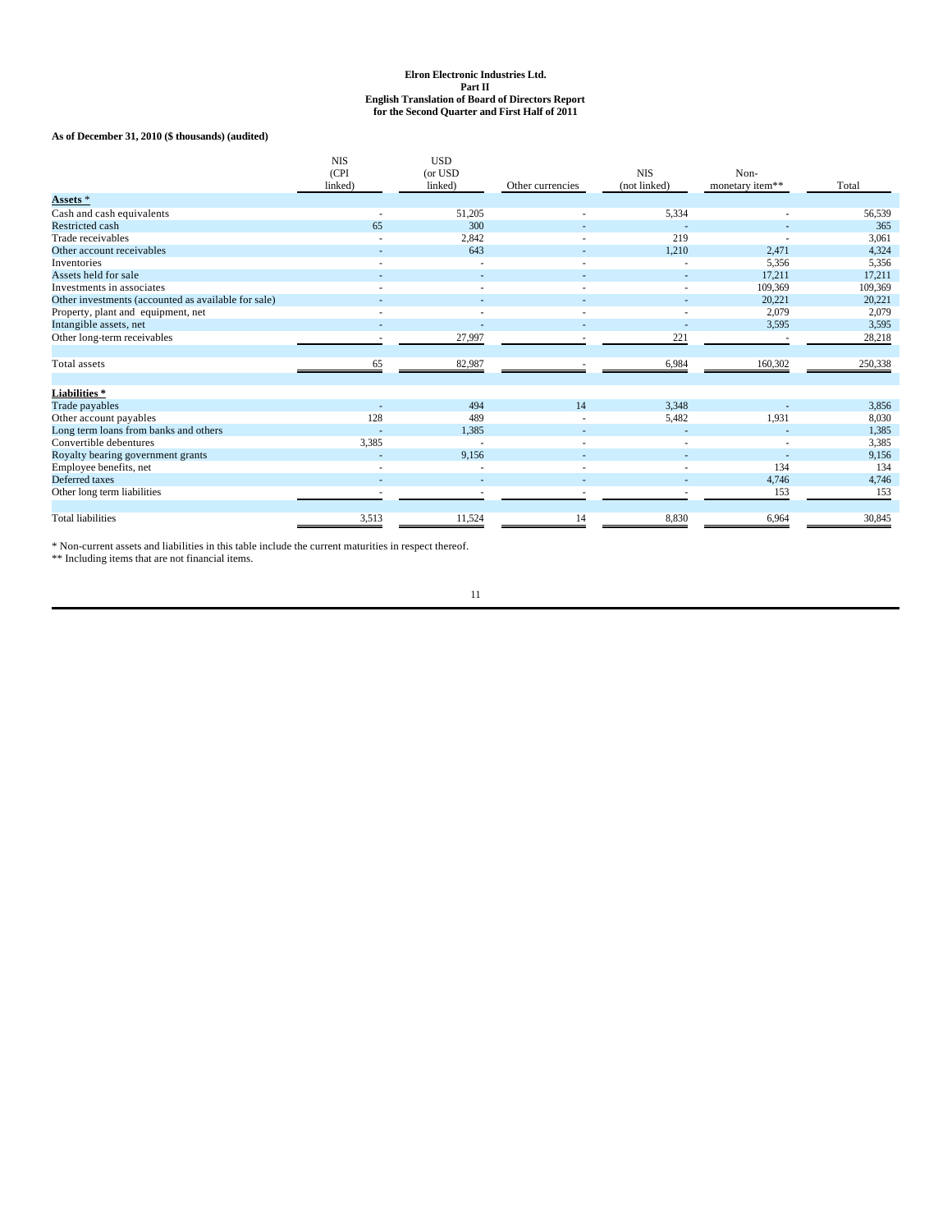**As of December 31, 2010 (\$ thousands) (audited)**

|                                                     | <b>NIS</b><br>(CPI)<br>linked) | <b>USD</b><br>(or USD<br>linked) | Other currencies | <b>NIS</b><br>(not linked) | Non-<br>monetary item** | Total   |
|-----------------------------------------------------|--------------------------------|----------------------------------|------------------|----------------------------|-------------------------|---------|
| Assets *                                            |                                |                                  |                  |                            |                         |         |
| Cash and cash equivalents                           |                                | 51,205                           |                  | 5,334                      |                         | 56,539  |
| <b>Restricted cash</b>                              | 65                             | 300                              |                  |                            |                         | 365     |
| Trade receivables                                   |                                | 2,842                            |                  | 219                        |                         | 3,061   |
| Other account receivables                           |                                | 643                              |                  | 1,210                      | 2,471                   | 4,324   |
| Inventories                                         | ٠                              |                                  |                  |                            | 5,356                   | 5,356   |
| Assets held for sale                                |                                |                                  |                  |                            | 17,211                  | 17,211  |
| Investments in associates                           |                                |                                  |                  |                            | 109.369                 | 109,369 |
| Other investments (accounted as available for sale) |                                |                                  |                  |                            | 20,221                  | 20,221  |
| Property, plant and equipment, net                  |                                |                                  |                  |                            | 2,079                   | 2,079   |
| Intangible assets, net                              |                                |                                  |                  |                            | 3,595                   | 3,595   |
| Other long-term receivables                         |                                | 27,997                           |                  | 221                        |                         | 28,218  |
| Total assets                                        | 65                             | 82,987                           |                  | 6,984                      | 160,302                 | 250,338 |
| Liabilities*                                        |                                |                                  |                  |                            |                         |         |
| Trade payables                                      |                                | 494                              | 14               | 3,348                      |                         | 3,856   |
| Other account payables                              | 128                            | 489                              |                  | 5.482                      | 1.931                   | 8,030   |
| Long term loans from banks and others               |                                | 1,385                            |                  |                            |                         | 1,385   |
| Convertible debentures                              | 3,385                          |                                  |                  |                            |                         | 3,385   |
| Royalty bearing government grants                   |                                | 9,156                            |                  |                            |                         | 9,156   |
| Employee benefits, net                              |                                |                                  |                  |                            | 134                     | 134     |
| Deferred taxes                                      |                                |                                  |                  |                            | 4,746                   | 4,746   |
| Other long term liabilities                         |                                |                                  |                  |                            | 153                     | 153     |
| <b>Total liabilities</b>                            | 3,513                          | 11,524                           | 14               | 8,830                      | 6,964                   | 30,845  |

\* Non-current assets and liabilities in this table include the current maturities in respect thereof. \*\* Including items that are not financial items.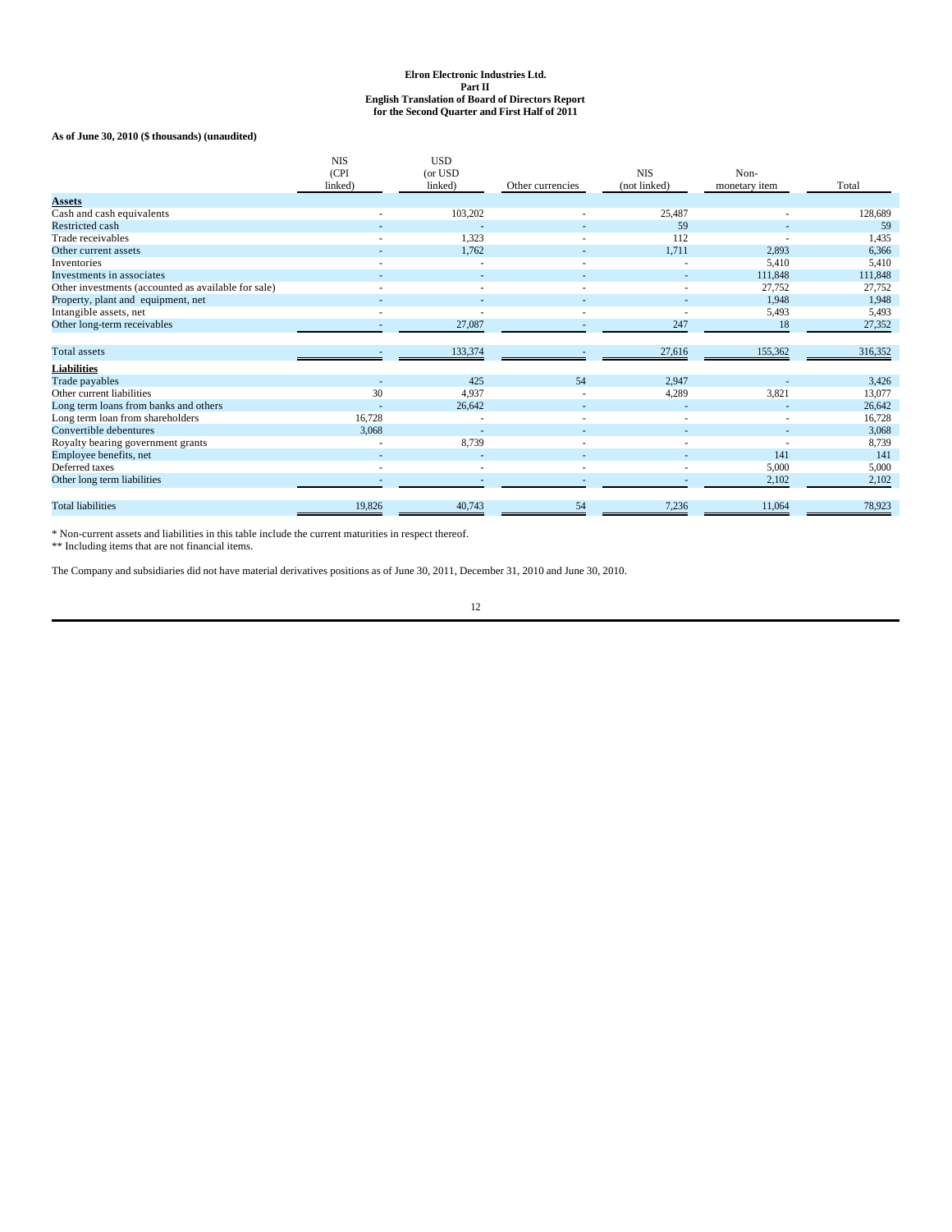**As of June 30, 2010 (\$ thousands) (unaudited)**

|                                                     | <b>NIS</b><br>(CPI<br>linked) | <b>USD</b><br>(or USD<br>linked) | Other currencies | <b>NIS</b><br>(not linked) | Non-<br>monetary item | Total   |
|-----------------------------------------------------|-------------------------------|----------------------------------|------------------|----------------------------|-----------------------|---------|
| <b>Assets</b>                                       |                               |                                  |                  |                            |                       |         |
| Cash and cash equivalents                           |                               | 103,202                          |                  | 25,487                     |                       | 128,689 |
| Restricted cash                                     |                               |                                  |                  | 59                         |                       | 59      |
| Trade receivables                                   |                               | 1,323                            |                  | 112                        |                       | 1,435   |
| Other current assets                                |                               | 1.762                            |                  | 1.711                      | 2,893                 | 6,366   |
| Inventories                                         |                               |                                  |                  |                            | 5.410                 | 5,410   |
| Investments in associates                           |                               |                                  |                  |                            | 111,848               | 111,848 |
| Other investments (accounted as available for sale) |                               |                                  |                  |                            | 27,752                | 27,752  |
| Property, plant and equipment, net                  |                               |                                  |                  |                            | 1.948                 | 1.948   |
| Intangible assets, net                              |                               |                                  |                  |                            | 5,493                 | 5,493   |
| Other long-term receivables                         |                               | 27,087                           |                  | 247                        | 18                    | 27,352  |
| <b>Total</b> assets                                 |                               | 133,374                          |                  | 27,616                     | 155,362               | 316,352 |
| <b>Liabilities</b>                                  |                               |                                  |                  |                            |                       |         |
| Trade payables                                      |                               | 425                              | 54               | 2,947                      |                       | 3,426   |
| Other current liabilities                           | 30                            | 4.937                            |                  | 4,289                      | 3,821                 | 13,077  |
| Long term loans from banks and others               |                               | 26,642                           |                  |                            |                       | 26,642  |
| Long term loan from shareholders                    | 16.728                        |                                  |                  |                            |                       | 16,728  |
| Convertible debentures                              | 3,068                         |                                  |                  |                            |                       | 3,068   |
| Royalty bearing government grants                   |                               | 8,739                            |                  |                            |                       | 8,739   |
| Employee benefits, net                              |                               |                                  |                  |                            | 141                   | 141     |
| Deferred taxes                                      |                               |                                  |                  |                            | 5.000                 | 5,000   |
| Other long term liabilities                         |                               |                                  |                  |                            | 2,102                 | 2,102   |
| <b>Total liabilities</b>                            | 19,826                        | 40.743                           | 54               | 7,236                      | 11,064                | 78,923  |

\* Non-current assets and liabilities in this table include the current maturities in respect thereof. \*\* Including items that are not financial items.

The Company and subsidiaries did not have material derivatives positions as of June 30, 2011, December 31, 2010 and June 30, 2010.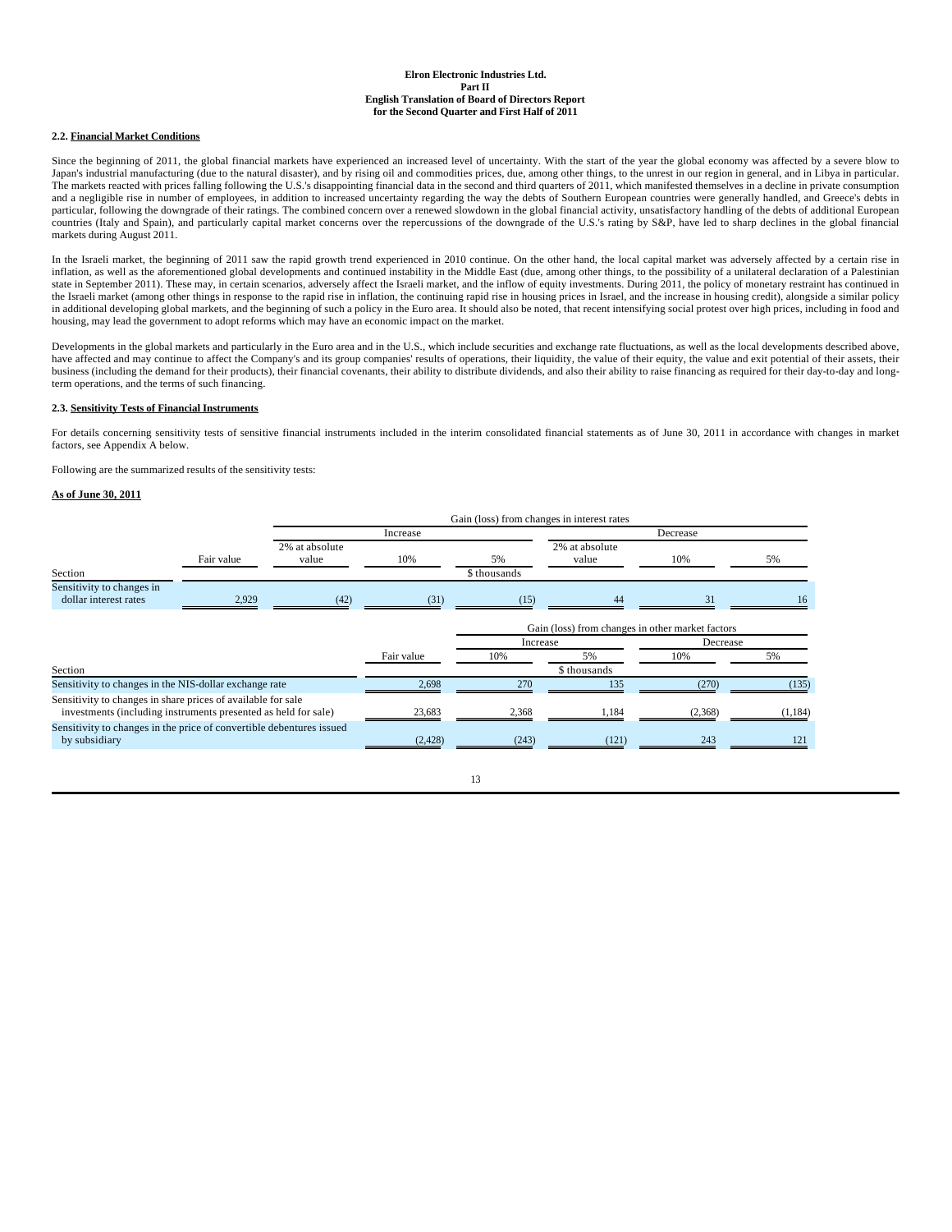### **2.2. Financial Market Conditions**

Since the beginning of 2011, the global financial markets have experienced an increased level of uncertainty. With the start of the year the global economy was affected by a severe blow to Japan's industrial manufacturing (due to the natural disaster), and by rising oil and commodities prices, due, among other things, to the unrest in our region in general, and in Libya in particular. The markets reacted with prices falling following the U.S.'s disappointing financial data in the second and third quarters of 2011, which manifested themselves in a decline in private consumption and a negligible rise in number of employees, in addition to increased uncertainty regarding the way the debts of Southern European countries were generally handled, and Greece's debts in particular, following the downgrade of their ratings. The combined concern over a renewed slowdown in the global financial activity, unsatisfactory handling of the debts of additional European countries (Italy and Spain), and particularly capital market concerns over the repercussions of the downgrade of the U.S.'s rating by S&P, have led to sharp declines in the global financial markets during August 2011.

In the Israeli market, the beginning of 2011 saw the rapid growth trend experienced in 2010 continue. On the other hand, the local capital market was adversely affected by a certain rise in inflation, as well as the aforementioned global developments and continued instability in the Middle East (due, among other things, to the possibility of a unilateral declaration of a Palestinian state in September 2011). These may, in certain scenarios, adversely affect the Israeli market, and the inflow of equity investments. During 2011, the policy of monetary restraint has continued in the Israeli market (among other things in response to the rapid rise in inflation, the continuing rapid rise in housing prices in Israel, and the increase in housing credit), alongside a similar policy<br>in additional develo housing, may lead the government to adopt reforms which may have an economic impact on the market.

Developments in the global markets and particularly in the Euro area and in the U.S., which include securities and exchange rate fluctuations, as well as the local developments described above, have affected and may continue to affect the Company's and its group companies' results of operations, their liquidity, the value of their equity, the value and exit potential of their assets, their<br>business (including the term operations, and the terms of such financing.

#### **2.3. Sensitivity Tests of Financial Instruments**

For details concerning sensitivity tests of sensitive financial instruments included in the interim consolidated financial statements as of June 30, 2011 in accordance with changes in market factors, see Appendix A below.

Following are the summarized results of the sensitivity tests:

#### **As of June 30, 2011**

|                                                                                                                                |            |                | Gain (loss) from changes in interest rates |              |                                                  |          |       |  |
|--------------------------------------------------------------------------------------------------------------------------------|------------|----------------|--------------------------------------------|--------------|--------------------------------------------------|----------|-------|--|
|                                                                                                                                |            |                | Increase                                   |              |                                                  | Decrease |       |  |
|                                                                                                                                |            | 2% at absolute |                                            |              | 2% at absolute                                   |          |       |  |
|                                                                                                                                | Fair value | value          | 10%                                        | 5%           | value                                            | 10%      | 5%    |  |
| Section                                                                                                                        |            |                |                                            | \$ thousands |                                                  |          |       |  |
| Sensitivity to changes in<br>dollar interest rates                                                                             | 2,929      | (42)           | (31)                                       | (15)         | 44                                               | 31       | 16    |  |
|                                                                                                                                |            |                |                                            |              | Gain (loss) from changes in other market factors |          |       |  |
|                                                                                                                                |            |                |                                            | Increase     |                                                  | Decrease |       |  |
|                                                                                                                                |            |                | Fair value                                 | 10%          | 5%                                               | 10%      | 5%    |  |
| Section                                                                                                                        |            |                |                                            |              | \$ thousands                                     |          |       |  |
| Sensitivity to changes in the NIS-dollar exchange rate                                                                         |            |                | 2,698                                      | 270          | 135                                              | (270)    | (135) |  |
| Sensitivity to changes in share prices of available for sale<br>investments (including instruments presented as held for sale) |            | 23.683         | 2.368                                      | 1.184        | (2,368)                                          | (1, 184) |       |  |
| Sensitivity to changes in the price of convertible debentures issued<br>by subsidiary                                          |            |                | (2, 428)                                   | (243)        | (121)                                            | 243      |       |  |
|                                                                                                                                |            |                |                                            |              |                                                  |          |       |  |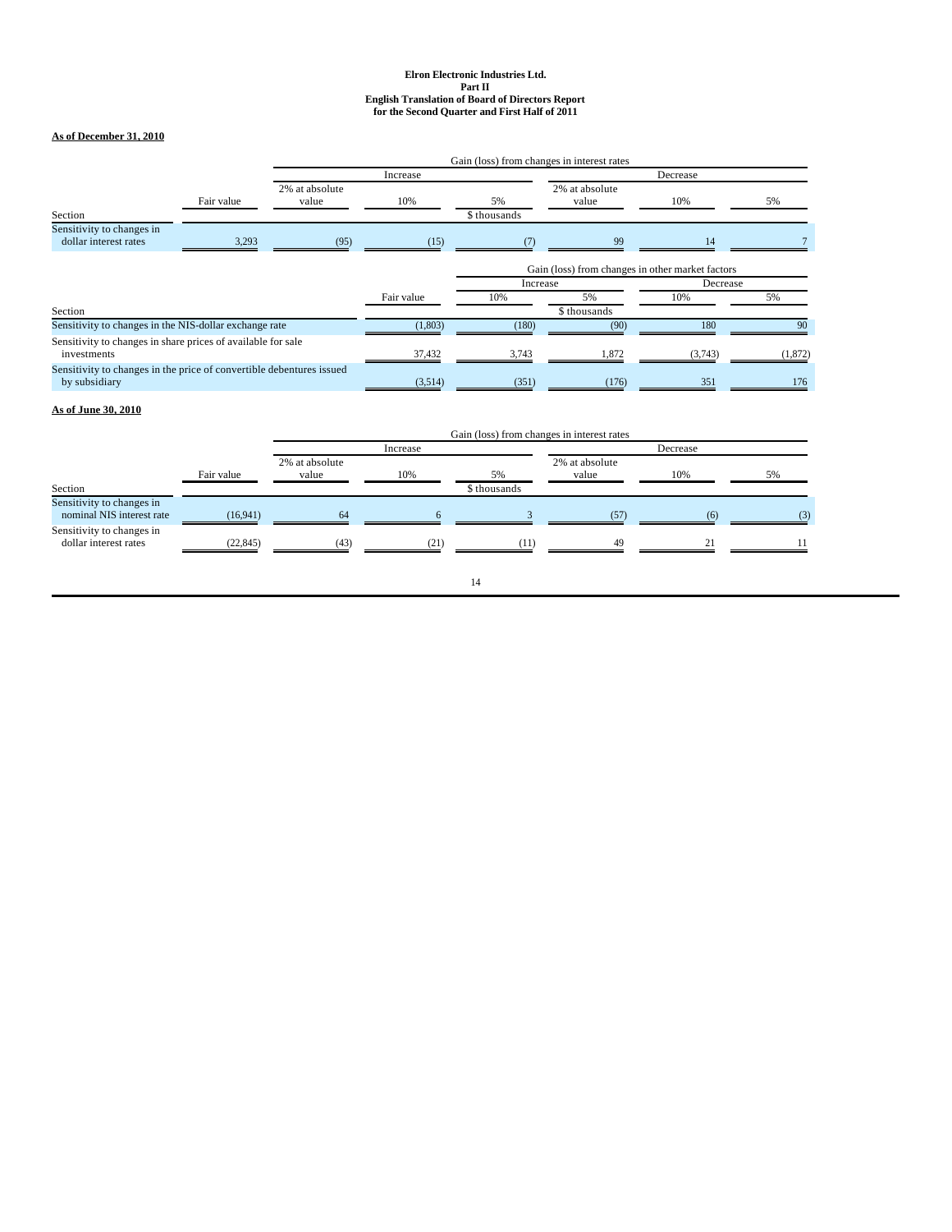# **As of December 31, 2010**

|                                                                                       |            |                         |            | Gain (loss) from changes in interest rates |                                                  |          |          |  |
|---------------------------------------------------------------------------------------|------------|-------------------------|------------|--------------------------------------------|--------------------------------------------------|----------|----------|--|
|                                                                                       |            |                         | Increase   |                                            |                                                  | Decrease |          |  |
|                                                                                       | Fair value | 2% at absolute<br>value | 10%        | 5%                                         | 2% at absolute<br>value                          | 10%      | 5%       |  |
| Section                                                                               |            |                         |            | \$ thousands                               |                                                  |          |          |  |
| Sensitivity to changes in<br>dollar interest rates                                    | 3,293      | (95)                    | (15)       |                                            | 99                                               | 14       |          |  |
|                                                                                       |            |                         |            |                                            | Gain (loss) from changes in other market factors |          |          |  |
|                                                                                       |            |                         |            | Increase                                   |                                                  | Decrease |          |  |
|                                                                                       |            |                         | Fair value | 10%                                        | 5%                                               | 10%      | 5%       |  |
| Section                                                                               |            |                         |            |                                            | \$ thousands                                     |          |          |  |
| Sensitivity to changes in the NIS-dollar exchange rate                                |            |                         | (1,803)    | (180)                                      | (90)                                             | 180      | 90       |  |
| Sensitivity to changes in share prices of available for sale<br>investments           |            |                         | 37,432     | 3.743                                      | 1.872                                            | (3,743)  | (1, 872) |  |
| Sensitivity to changes in the price of convertible debentures issued<br>by subsidiary |            |                         | (3,514)    | (351)                                      | (176)                                            | 351      | 176      |  |

# **As of June 30, 2010**

|                                                        |            | Gain (loss) from changes in interest rates |          |              |                         |              |     |
|--------------------------------------------------------|------------|--------------------------------------------|----------|--------------|-------------------------|--------------|-----|
|                                                        |            |                                            | Increase |              | Decrease                |              |     |
|                                                        | Fair value | 2% at absolute<br>value                    | 10%      | 5%           | 2% at absolute<br>value | 10%          | 5%  |
| Section                                                |            |                                            |          | \$ thousands |                         |              |     |
| Sensitivity to changes in<br>nominal NIS interest rate | (16,941)   | 64                                         |          |              | (57)                    |              | (3) |
| Sensitivity to changes in<br>dollar interest rates     | (22, 845)  | (43)                                       | (21)     | (11)         | 49                      | $^{\circ}$ 1 |     |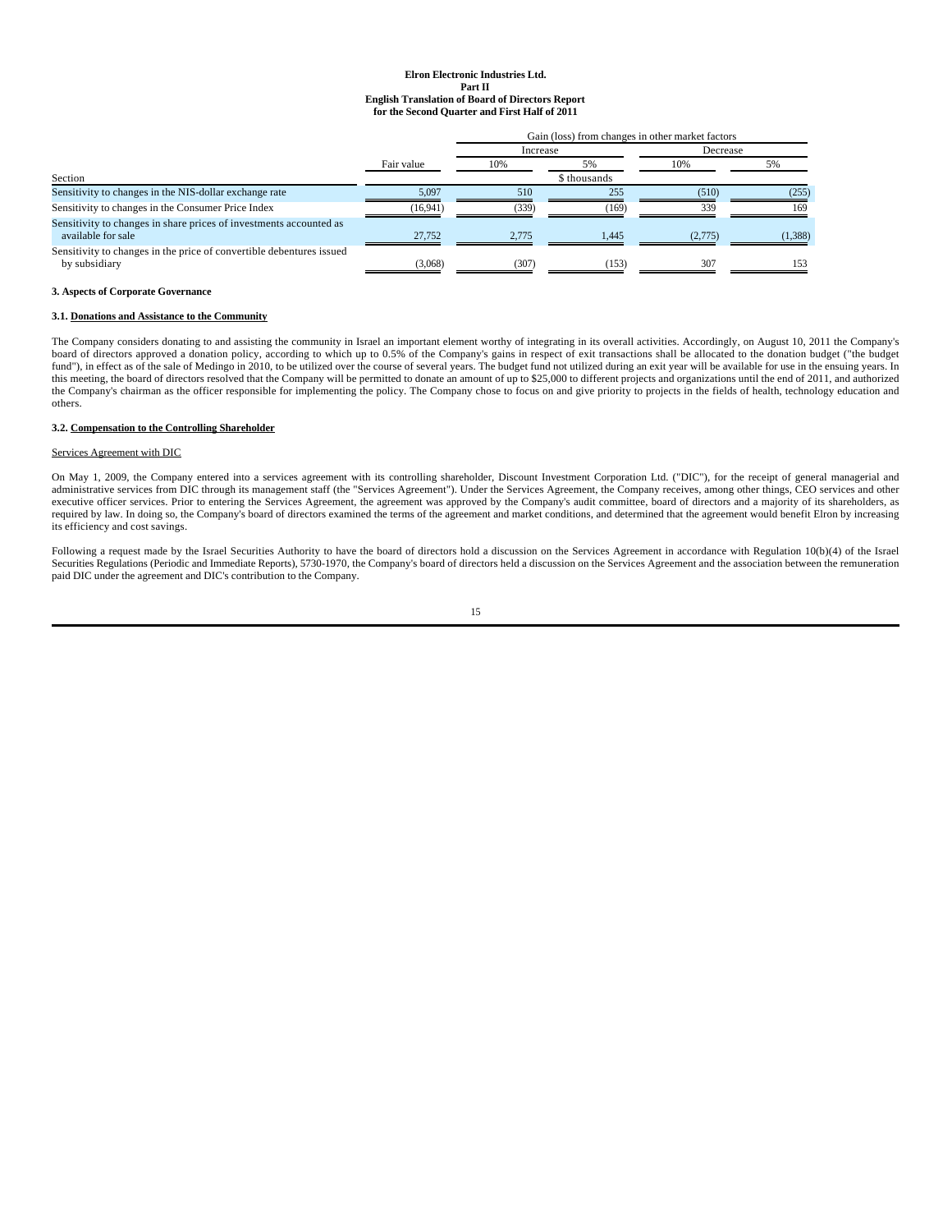|                                                                                          |            | Gain (loss) from changes in other market factors |              |          |         |
|------------------------------------------------------------------------------------------|------------|--------------------------------------------------|--------------|----------|---------|
|                                                                                          | Fair value | Increase                                         |              | Decrease |         |
|                                                                                          |            | 10%                                              | 5%           | 10%      | 5%      |
| Section                                                                                  |            |                                                  | \$ thousands |          |         |
| Sensitivity to changes in the NIS-dollar exchange rate                                   | 5.097      | 510                                              | 255          | (510)    | (255)   |
| Sensitivity to changes in the Consumer Price Index                                       | (16,941)   | (339)                                            | (169)        | 339      | 169     |
| Sensitivity to changes in share prices of investments accounted as<br>available for sale | 27.752     | 2.775                                            | 1.445        | (2.775)  | (1.388) |
| Sensitivity to changes in the price of convertible debentures issued<br>by subsidiary    | (3,068)    | (307)                                            | 153)         | 307      | 153     |

### **3. Aspects of Corporate Governance**

#### **3.1. Donations and Assistance to the Community**

The Company considers donating to and assisting the community in Israel an important element worthy of integrating in its overall activities. Accordingly, on August 10, 2011 the Company's board of directors approved a donation policy, according to which up to 0.5% of the Company's gains in respect of exit transactions shall be allocated to the donation budget ("the budget fund"), in effect as of the sale of Medingo in 2010, to be utilized over the course of several years. The budget fund not utilized during an exit year will be available for use in the ensuing years. In this meeting, the board of directors resolved that the Company will be permitted to donate an amount of up to \$25,000 to different projects and organizations until the end of 2011, and authorized the Company's chairman as the officer responsible for implementing the policy. The Company chose to focus on and give priority to projects in the fields of health, technology education and others.

#### **3.2. Compensation to the Controlling Shareholder**

# Services Agreement with DIC

On May 1, 2009, the Company entered into a services agreement with its controlling shareholder, Discount Investment Corporation Ltd. ("DIC"), for the receipt of general managerial and administrative services from DIC through its management staff (the "Services Agreement"). Under the Services Agreement, the Company receives, among other things, CEO services and other executive officer services. Prior to entering the Services Agreement, the agreement was approved by the Company's audit committee, board of directors and a majority of its shareholders, as required by law. In doing so, the Company's board of directors examined the terms of the agreement and market conditions, and determined that the agreement would benefit Elron by increasing its efficiency and cost savings.

Following a request made by the Israel Securities Authority to have the board of directors hold a discussion on the Services Agreement in accordance with Regulation 10(b)(4) of the Israel Securities Regulations (Periodic and Immediate Reports), 5730-1970, the Company's board of directors held a discussion on the Services Agreement and the association between the remuneration paid DIC under the agreement and DIC's contribution to the Company.

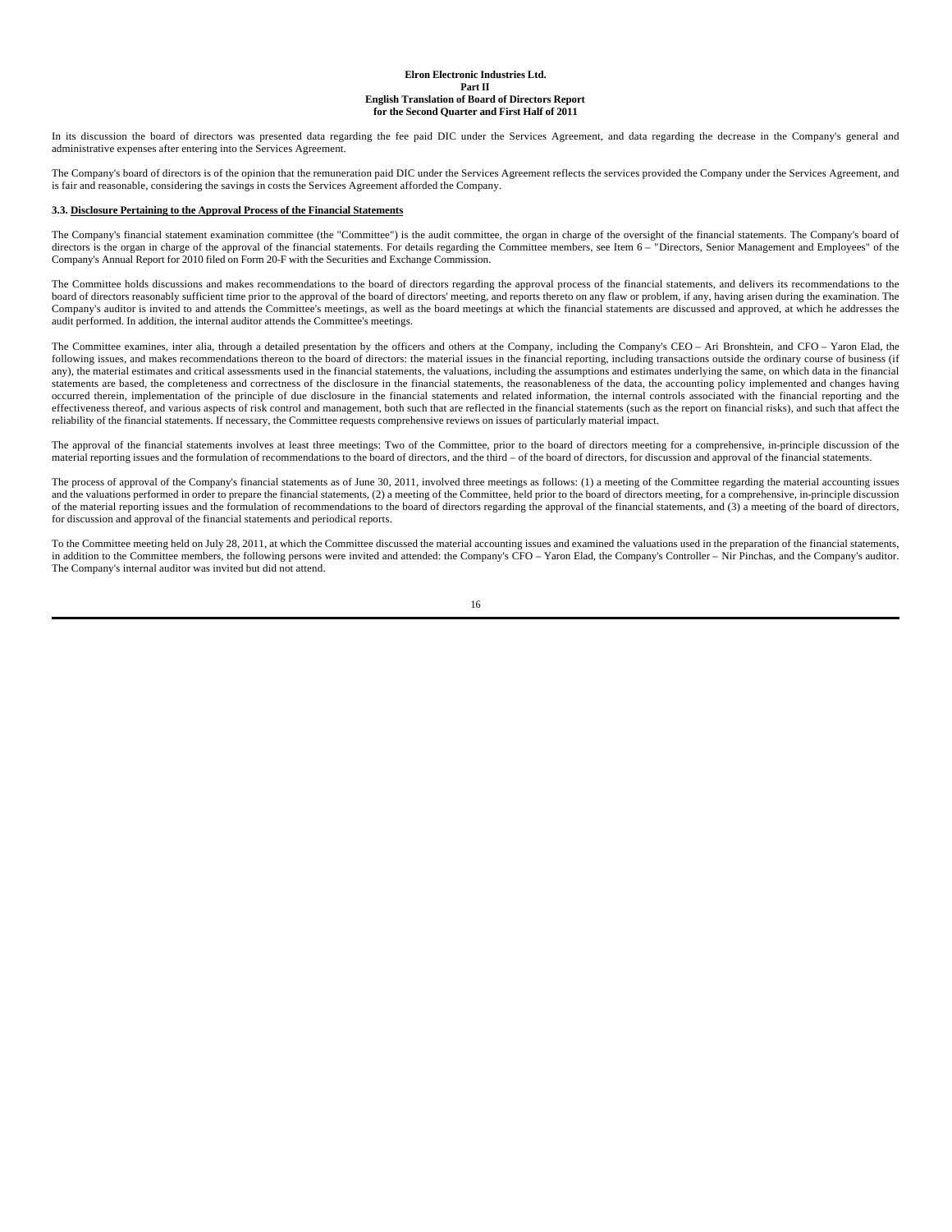In its discussion the board of directors was presented data regarding the fee paid DIC under the Services Agreement, and data regarding the decrease in the Company's general and administrative expenses after entering into the Services Agreement.

The Company's board of directors is of the opinion that the remuneration paid DIC under the Services Agreement reflects the services provided the Company under the Services Agreement, and is fair and reasonable, considering the savings in costs the Services Agreement afforded the Company.

#### **3.3. Disclosure Pertaining to the Approval Process of the Financial Statements**

The Company's financial statement examination committee (the "Committee") is the audit committee, the organ in charge of the oversight of the financial statements. The Company's board of directors is the organ in charge of the approval of the financial statements. For details regarding the Committee members, see Item 6 – "Directors, Senior Management and Employees" of the Company's Annual Report for 2010 filed on Form 20-F with the Securities and Exchange Commission.

The Committee holds discussions and makes recommendations to the board of directors regarding the approval process of the financial statements, and delivers its recommendations to the board of directors reasonably sufficient time prior to the approval of the board of directors' meeting, and reports thereto on any flaw or problem, if any, having arisen during the examination. The Company's auditor is invited to and attends the Committee's meetings, as well as the board meetings at which the financial statements are discussed and approved, at which he addresses the audit performed. In addition, the internal auditor attends the Committee's meetings.

The Committee examines, inter alia, through a detailed presentation by the officers and others at the Company, including the Company's CEO – Ari Bronshtein, and CFO – Yaron Elad, the following issues, and makes recommendations thereon to the board of directors: the material issues in the financial reporting, including transactions outside the ordinary course of business (if any), the material estimates and critical assessments used in the financial statements, the valuations, including the assumptions and estimates underlying the same, on which data in the financial statements are based, the completeness and correctness of the disclosure in the financial statements, the reasonableness of the data, the accounting policy implemented and changes having occurred therein, implementation of the principle of due disclosure in the financial statements and related information, the internal controls associated with the financial reporting and the effectiveness thereof, and various aspects of risk control and management, both such that are reflected in the financial statements (such as the report on financial risks), and such that affect the reliability of the financial statements. If necessary, the Committee requests comprehensive reviews on issues of particularly material impact.

The approval of the financial statements involves at least three meetings: Two of the Committee, prior to the board of directors meeting for a comprehensive, in-principle discussion of the material reporting issues and the formulation of recommendations to the board of directors, and the third – of the board of directors, for discussion and approval of the financial statements.

The process of approval of the Company's financial statements as of June 30, 2011, involved three meetings as follows: (1) a meeting of the Committee regarding the material accounting issues and the valuations performed in order to prepare the financial statements, (2) a meeting of the Committee, held prior to the board of directors meeting, for a comprehensive, in-principle discussion of the material reporting issues and the formulation of recommendations to the board of directors regarding the approval of the financial statements, and (3) a meeting of the board of directors, for discussion and approval of the financial statements and periodical reports.

To the Committee meeting held on July 28, 2011, at which the Committee discussed the material accounting issues and examined the valuations used in the preparation of the financial statements, in addition to the Committee members, the following persons were invited and attended: the Company's CFO - Yaron Elad, the Company's Controller - Nir Pinchas, and the Company's auditor. The Company's internal auditor was invited but did not attend.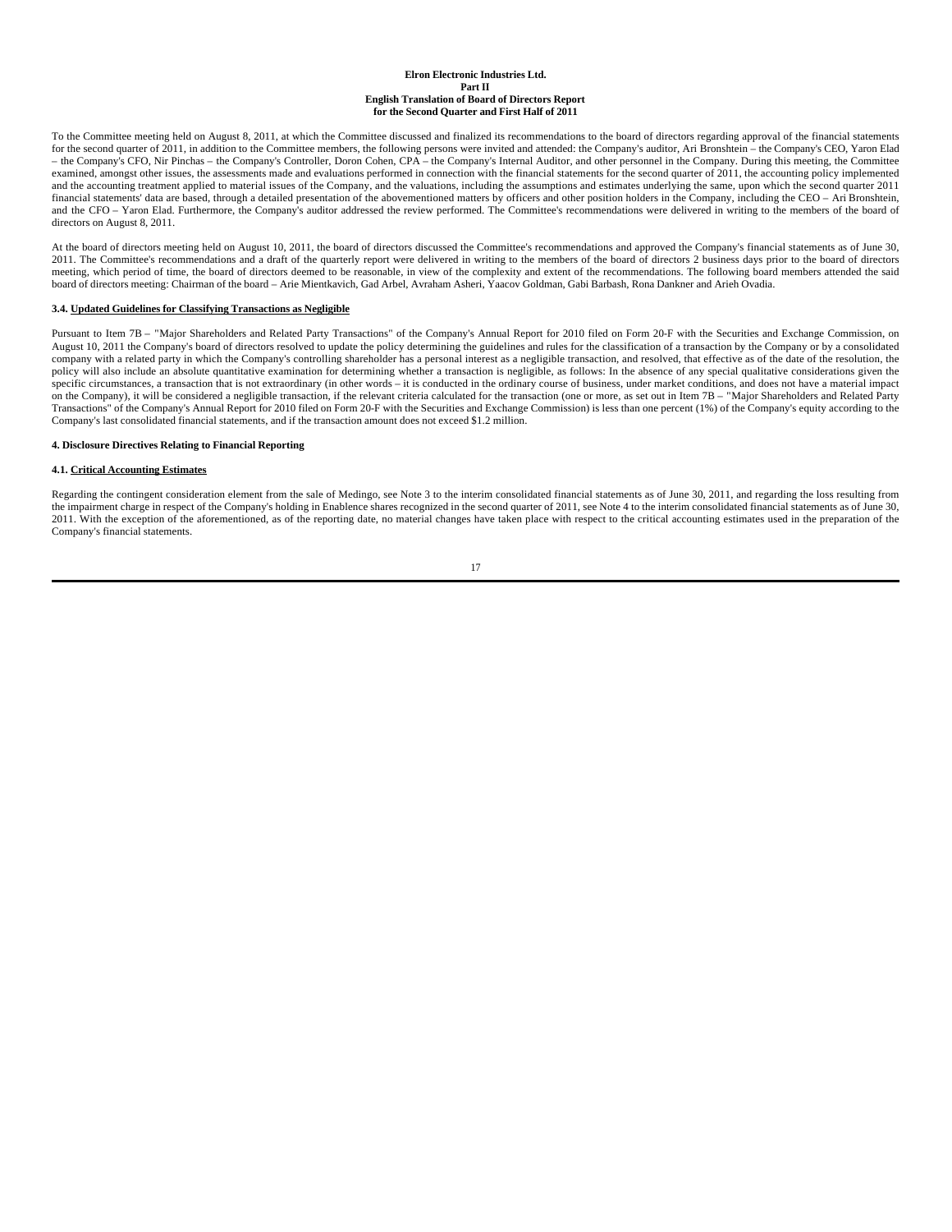To the Committee meeting held on August 8, 2011, at which the Committee discussed and finalized its recommendations to the board of directors regarding approval of the financial statements for the second quarter of 2011, in addition to the Committee members, the following persons were invited and attended: the Company's auditor, Ari Bronshtein – the Company's CEO, Yaron Elad – the Company's CFO, Nir Pinchas – the Company's Controller, Doron Cohen, CPA – the Company's Internal Auditor, and other personnel in the Company. During this meeting, the Committee examined, amongst other issues, the assessments made and evaluations performed in connection with the financial statements for the second quarter of 2011, the accounting policy implemented and the accounting treatment applied to material issues of the Company, and the valuations, including the assumptions and estimates underlying the same, upon which the second quarter 2011 financial statements' data are based, through a detailed presentation of the abovementioned matters by officers and other position holders in the Company, including the CEO – Ari Bronshtein, and the CFO – Yaron Elad. Furthermore, the Company's auditor addressed the review performed. The Committee's recommendations were delivered in writing to the members of the board of directors on August 8, 2011.

At the board of directors meeting held on August 10, 2011, the board of directors discussed the Committee's recommendations and approved the Company's financial statements as of June 30, 2011. The Committee's recommendations and a draft of the quarterly report were delivered in writing to the members of the board of directors 2 business days prior to the board of directors deterctors attended the said mech board of directors meeting: Chairman of the board – Arie Mientkavich, Gad Arbel, Avraham Asheri, Yaacov Goldman, Gabi Barbash, Rona Dankner and Arieh Ovadia.

#### **3.4. Updated Guidelines for Classifying Transactions as Negligible**

Pursuant to Item 7B – "Major Shareholders and Related Party Transactions" of the Company's Annual Report for 2010 filed on Form 20-F with the Securities and Exchange Commission, on August 10, 2011 the Company's board of directors resolved to update the policy determining the guidelines and rules for the classification of a transaction by the Company or by a consolidated company with a related party in which the Company's controlling shareholder has a personal interest as a negligible transaction, and resolved, that effective as of the date of the resolution, the policy will also include an absolute quantitative examination for determining whether a transaction is negligible, as follows: In the absence of any special qualitative considerations given the heye of any specific circums on the Company), it will be considered a negligible transaction, if the relevant criteria calculated for the transaction (one or more, as set out in Item 7B – "Major Shareholders and Related Party Transactions" of the Company's Annual Report for 2010 filed on Form 20-F with the Securities and Exchange Commission) is less than one percent (1%) of the Company's equity according to the Company's last consolidated financial statements, and if the transaction amount does not exceed \$1.2 million.

#### **4. Disclosure Directives Relating to Financial Reporting**

### **4.1. Critical Accounting Estimates**

Regarding the contingent consideration element from the sale of Medingo, see Note 3 to the interim consolidated financial statements as of June 30, 2011, and regarding the loss resulting from the impairment charge in respect of the Company's holding in Enablence shares recognized in the second quarter of 2011, see Note 4 to the interim consolidated financial statements as of June 30, 2011. With the exception of the aforementioned, as of the reporting date, no material changes have taken place with respect to the critical accounting estimates used in the preparation of the Company's financial statements.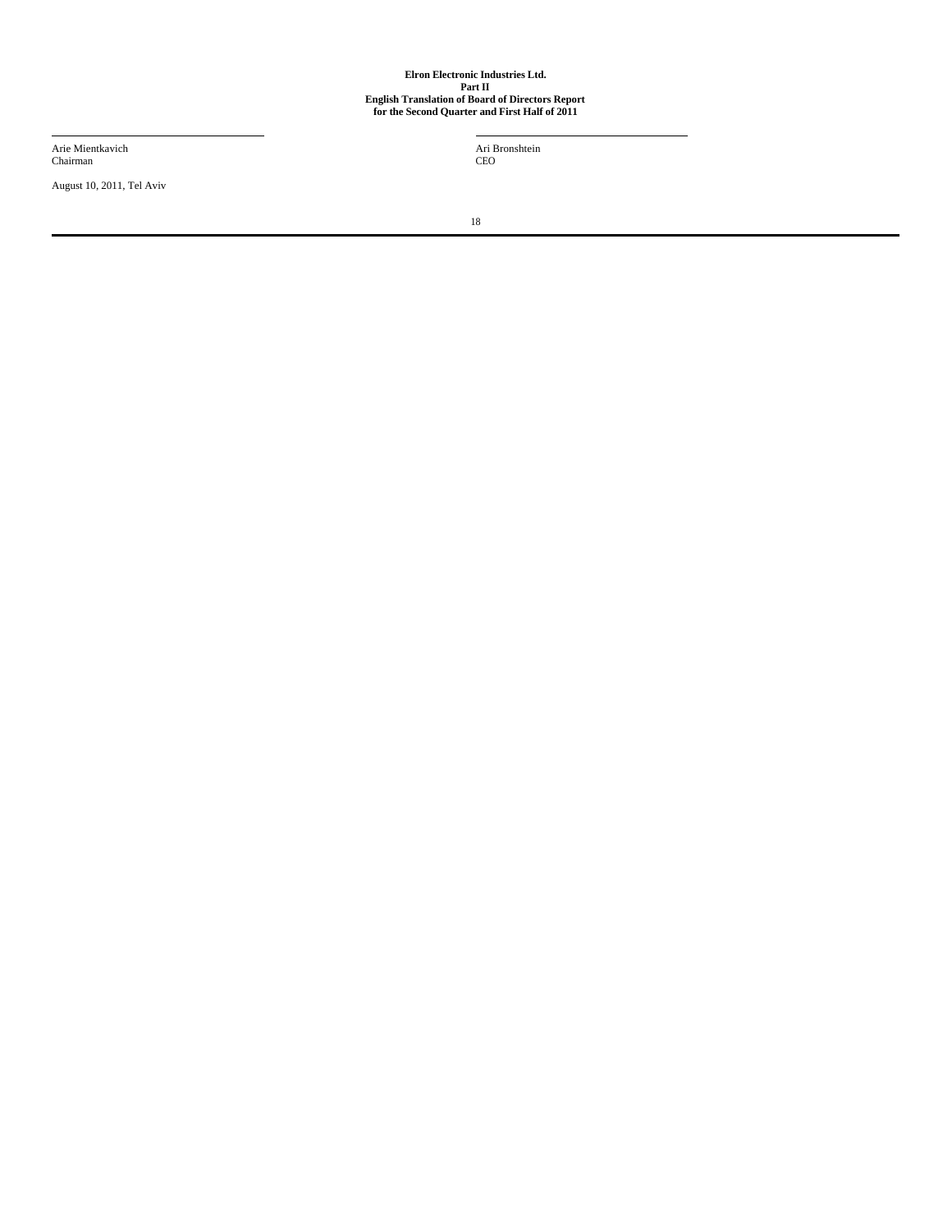Arie Mientkavich Chairman

August 10, 2011, Tel Aviv

Ari Bronshtein CEO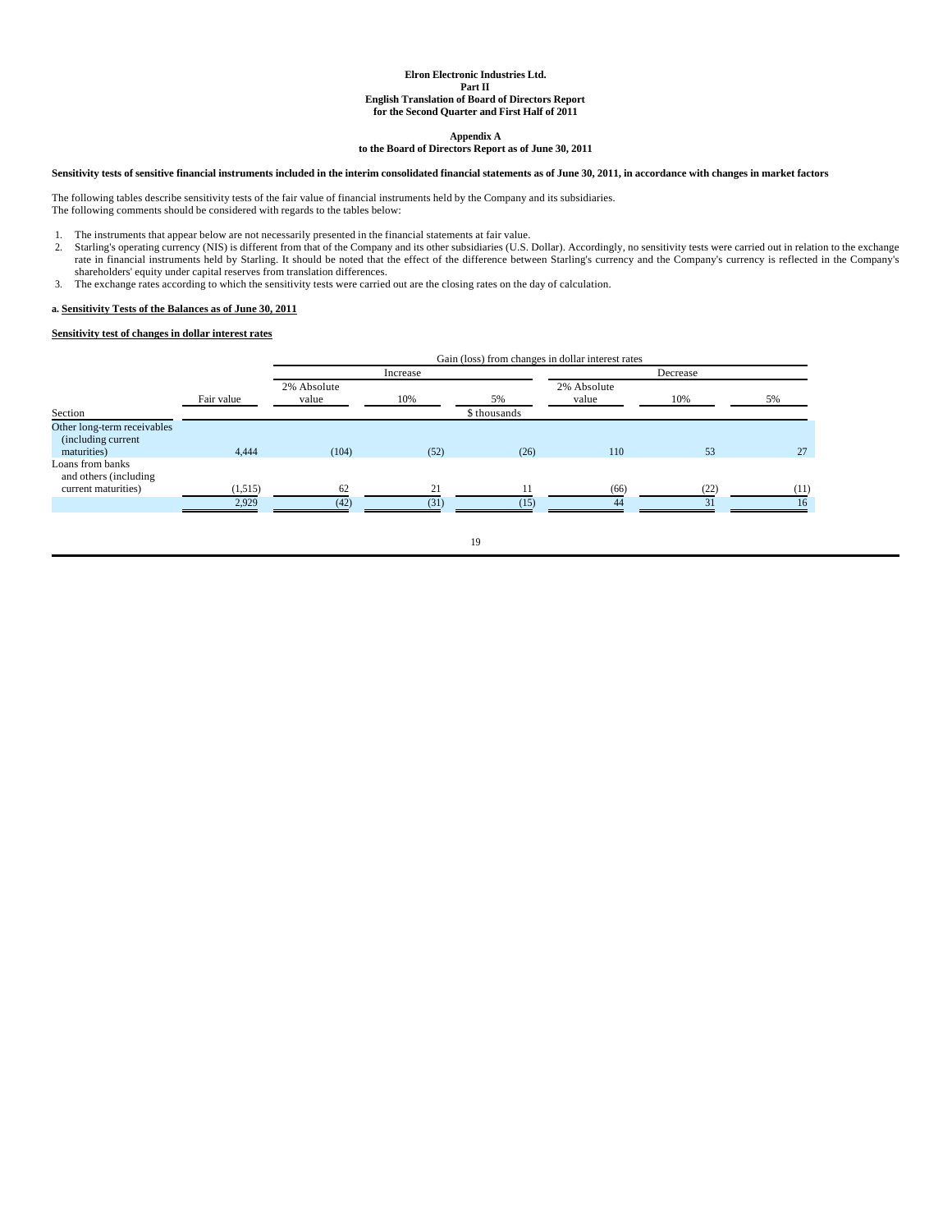**Appendix A**

### **to the Board of Directors Report as of June 30, 2011**

# **Sensitivity tests of sensitive financial instruments included in the interim consolidated financial statements as of June 30, 2011, in accordance with changes in market factors**

The following tables describe sensitivity tests of the fair value of financial instruments held by the Company and its subsidiaries. The following comments should be considered with regards to the tables below:

- 
- 1. The instruments that appear below are not necessarily presented in the financial statements at fair value.<br>2. Starling's operating currency (NIS) is different from that of the Company and its other subsidiaries (U.S. Do rate in financial instruments held by Starling. It should be noted that the effect of the difference between Starling's currency and the Company's currency is reflected in the Company's<br>shareholders' equity under capital r
- 3. The exchange rates according to which the sensitivity tests were carried out are the closing rates on the day of calculation.

# **a. Sensitivity Tests of the Balances as of June 30, 2011**

# **Sensitivity test of changes in dollar interest rates**

|                                                                   |            |                      | Gain (loss) from changes in dollar interest rates |              |                      |          |      |
|-------------------------------------------------------------------|------------|----------------------|---------------------------------------------------|--------------|----------------------|----------|------|
|                                                                   |            |                      | Increase                                          |              |                      | Decrease |      |
|                                                                   | Fair value | 2% Absolute<br>value | 10%                                               | 5%           | 2% Absolute<br>value | 10%      | 5%   |
| Section                                                           |            |                      |                                                   | \$ thousands |                      |          |      |
| Other long-term receivables<br>(including current)<br>maturities) | 4.444      | (104)                | (52)                                              | (26)         | 110                  | 53       | 27   |
| Loans from banks<br>and others (including)<br>current maturities) | (1,515)    | 62                   | 21                                                | 11           | (66)                 | (22)     | (11) |
|                                                                   | 2.929      | (42)                 | (31)                                              | (15)         | AA                   | 31       | 16   |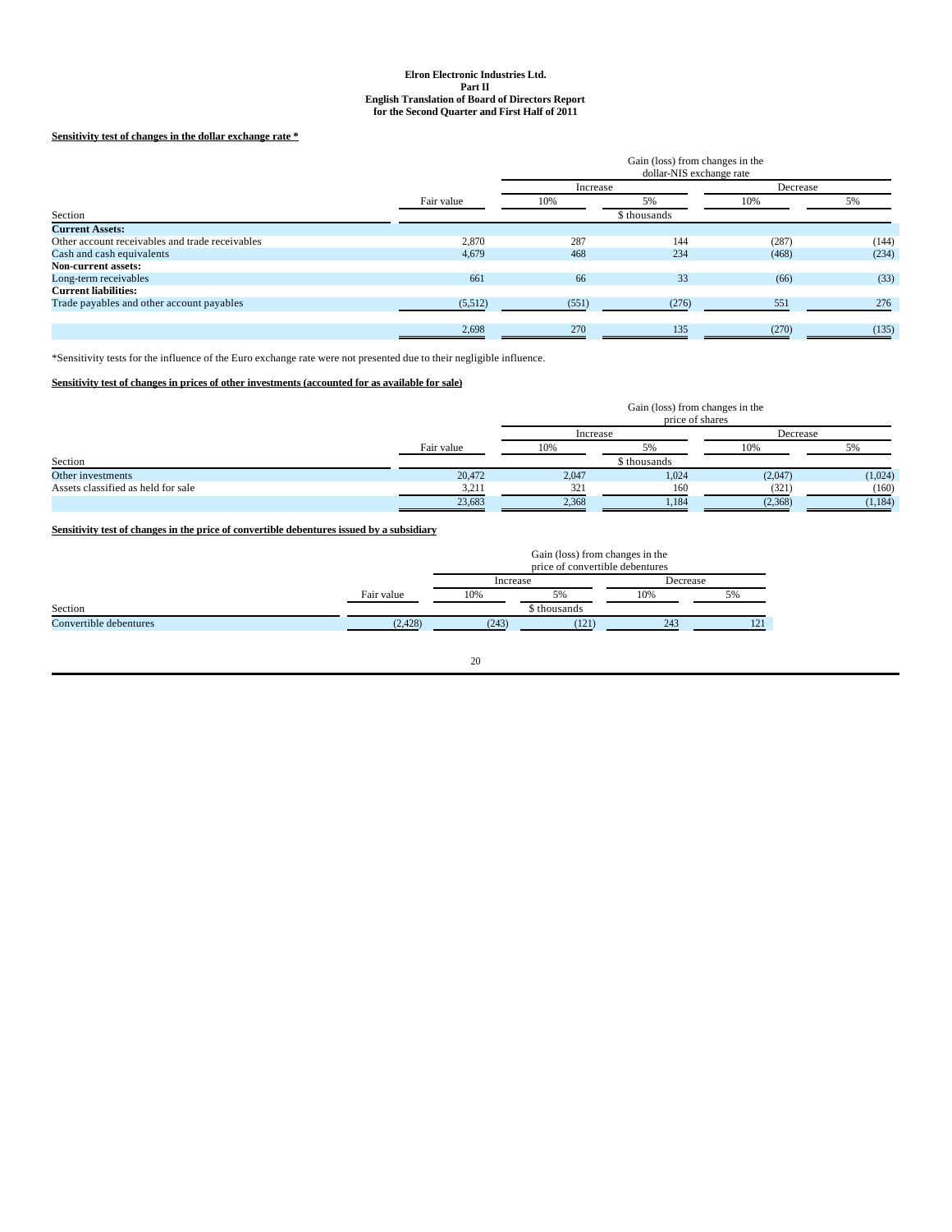# **Sensitivity test of changes in the dollar exchange rate \***

|                                                 |            |          | Gain (loss) from changes in the<br>dollar-NIS exchange rate |          |       |  |
|-------------------------------------------------|------------|----------|-------------------------------------------------------------|----------|-------|--|
|                                                 |            | Increase |                                                             | Decrease |       |  |
|                                                 | Fair value | 10%      | 5%                                                          | 10%      | 5%    |  |
| Section                                         |            |          | \$ thousands                                                |          |       |  |
| <b>Current Assets:</b>                          |            |          |                                                             |          |       |  |
| Other account receivables and trade receivables | 2,870      | 287      | 144                                                         | (287)    | (144) |  |
| Cash and cash equivalents                       | 4,679      | 468      | 234                                                         | (468)    | (234) |  |
| Non-current assets:                             |            |          |                                                             |          |       |  |
| Long-term receivables                           | 661        | 66       | 33                                                          | (66)     | (33)  |  |
| <b>Current liabilities:</b>                     |            |          |                                                             |          |       |  |
| Trade payables and other account payables       | (5,512)    | (551)    | (276)                                                       | 551      | 276   |  |
|                                                 |            |          |                                                             |          |       |  |
|                                                 | 2,698      | 270      | 135                                                         | (270)    | (135) |  |

\*Sensitivity tests for the influence of the Euro exchange rate were not presented due to their negligible influence.

# **Sensitivity test of changes in prices of other investments (accounted for as available for sale)**

|                                    |            |          | Gain (loss) from changes in the<br>price of shares |          |          |  |
|------------------------------------|------------|----------|----------------------------------------------------|----------|----------|--|
|                                    |            | Increase |                                                    | Decrease |          |  |
|                                    | Fair value | 10%      | 5%                                                 | 10%      | 5%       |  |
| Section                            |            |          | \$ thousands                                       |          |          |  |
| Other investments                  | 20,472     | 2,047    | 1,024                                              | (2,047)  | (1,024)  |  |
| Assets classified as held for sale | 3,211      | 321      | 160                                                | (321)    | (160)    |  |
|                                    | 23,683     | 2,368    | 1,184                                              | (2,368)  | (1, 184) |  |

# **Sensitivity test of changes in the price of convertible debentures issued by a subsidiary**

|                        |            | Gain (loss) from changes in the<br>price of convertible debentures |              |          |     |
|------------------------|------------|--------------------------------------------------------------------|--------------|----------|-----|
|                        |            | Increase                                                           |              | Decrease |     |
|                        | Fair value | 10%                                                                | 5%           | 10%      | 5%  |
| Section                |            |                                                                    | \$ thousands |          |     |
| Convertible debentures | (2.428)    | (243)                                                              | (121)        | 243      | 121 |

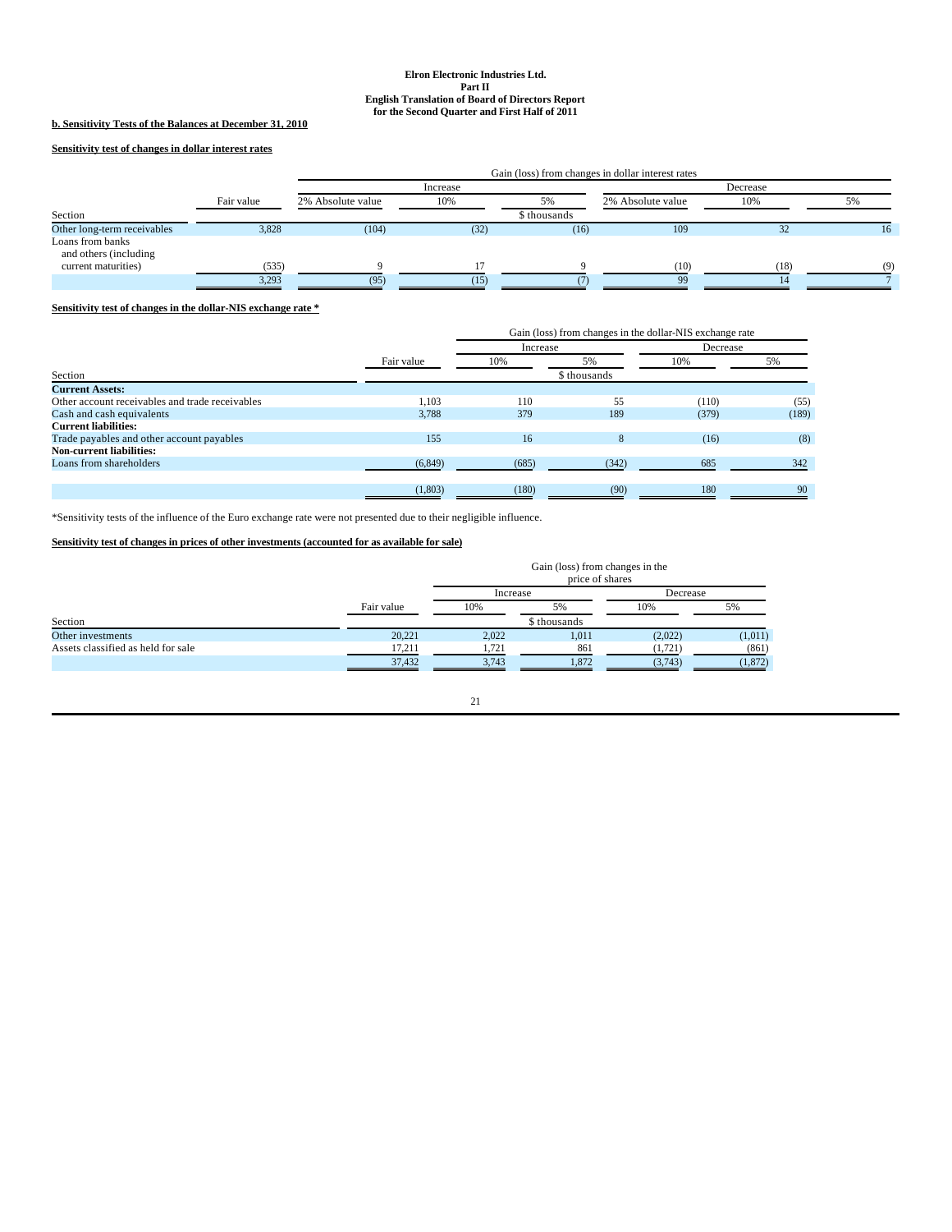# **b. Sensitivity Tests of the Balances at December 31, 2010**

**Sensitivity test of changes in dollar interest rates**

|                                           |            | Gain (loss) from changes in dollar interest rates |          |              |                   |      |          |
|-------------------------------------------|------------|---------------------------------------------------|----------|--------------|-------------------|------|----------|
|                                           |            |                                                   | Increase |              |                   |      |          |
|                                           | Fair value | 2% Absolute value                                 | 10%      | 5%           | 2% Absolute value | 10%  |          |
| Section                                   |            |                                                   |          | \$ thousands |                   |      |          |
| Other long-term receivables               | 3,828      | (104)                                             | (32)     | (16)         | 109               | 32   | 16       |
| Loans from banks<br>and others (including |            |                                                   |          |              |                   |      |          |
| current maturities)                       | (535)      |                                                   |          |              | (10)              | (18) | $\alpha$ |
|                                           | 3,293      | (95)                                              | (15      |              | QQ                |      |          |

# **Sensitivity test of changes in the dollar-NIS exchange rate \***

|                                                 | Gain (loss) from changes in the dollar-NIS exchange rate |       |          |       |          |
|-------------------------------------------------|----------------------------------------------------------|-------|----------|-------|----------|
|                                                 |                                                          |       | Increase |       | Decrease |
|                                                 | Fair value                                               | 10%   | 5%       | 10%   | 5%       |
| Section                                         | \$ thousands                                             |       |          |       |          |
| <b>Current Assets:</b>                          |                                                          |       |          |       |          |
| Other account receivables and trade receivables | 1.103                                                    | 110   | 55       | (110) | (55)     |
| Cash and cash equivalents                       | 3,788                                                    | 379   | 189      | (379) | (189)    |
| <b>Current liabilities:</b>                     |                                                          |       |          |       |          |
| Trade payables and other account payables       | 155                                                      | 16    | 8        | (16)  | (8)      |
| <b>Non-current liabilities:</b>                 |                                                          |       |          |       |          |
| Loans from shareholders                         | (6, 849)                                                 | (685) | (342)    | 685   | 342      |
|                                                 |                                                          |       |          |       |          |
|                                                 | (1,803)                                                  | (180) | (90)     | 180   | -90      |

\*Sensitivity tests of the influence of the Euro exchange rate were not presented due to their negligible influence.

# **Sensitivity test of changes in prices of other investments (accounted for as available for sale)**

|                                    |            | Gain (loss) from changes in the<br>price of shares |              |          |          |  |
|------------------------------------|------------|----------------------------------------------------|--------------|----------|----------|--|
|                                    |            | Increase                                           |              | Decrease |          |  |
|                                    | Fair value | 10%                                                | 5%           | 10%      | 5%       |  |
| Section                            |            |                                                    | \$ thousands |          |          |  |
| Other investments                  | 20,221     | 2,022                                              | 1,011        | (2,022)  | (1,011)  |  |
| Assets classified as held for sale | 17.211     | 1,721                                              | 861          | (1, 721) | (861)    |  |
|                                    | 37,432     | 3,743                                              | 1,872        | (3,743)  | (1, 872) |  |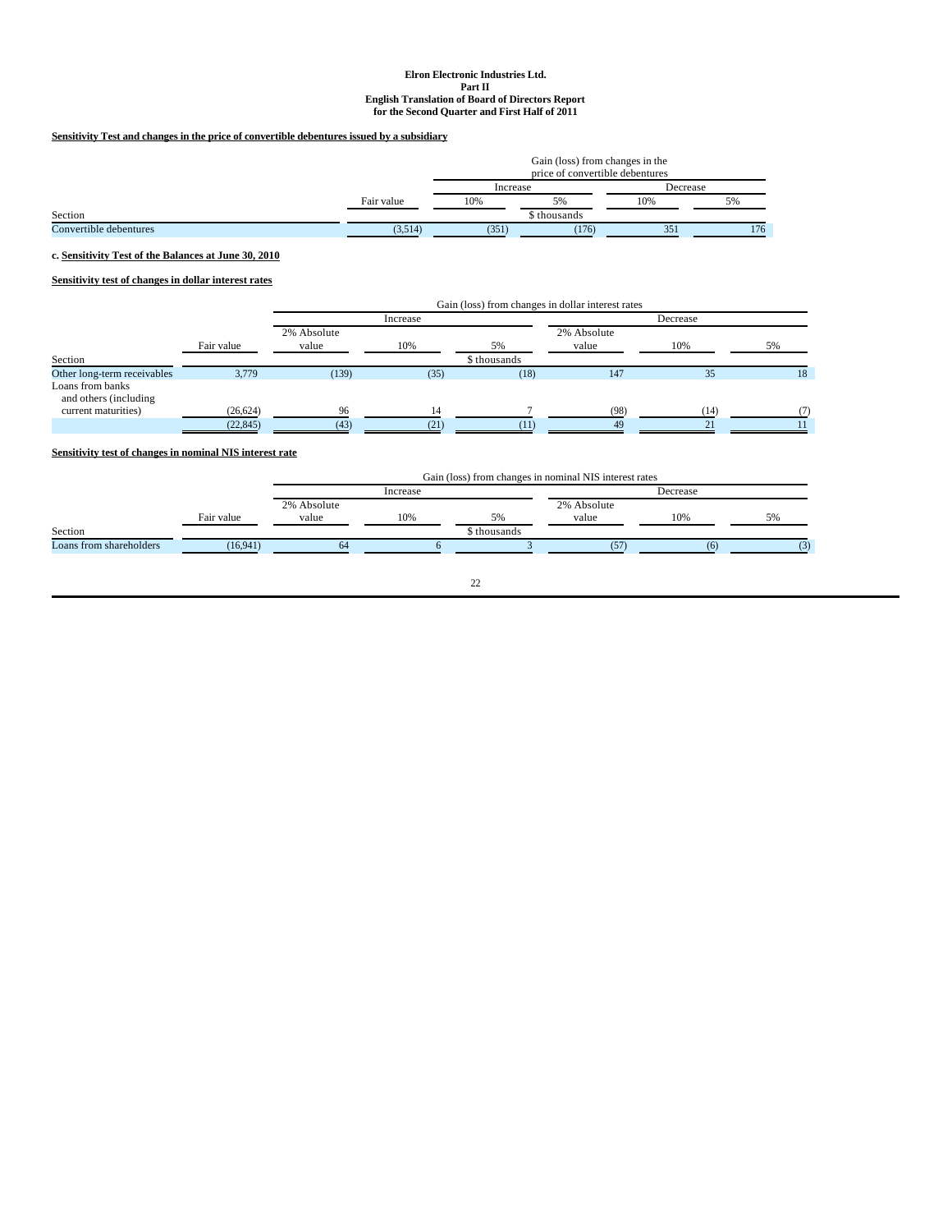# **Sensitivity Test and changes in the price of convertible debentures issued by a subsidiary**

|                        |            | Gain (loss) from changes in the<br>price of convertible debentures |              |          |     |
|------------------------|------------|--------------------------------------------------------------------|--------------|----------|-----|
|                        |            | Increase                                                           |              | Decrease |     |
|                        | Fair value | 10%                                                                | 5%           | 10%      | 5%  |
| Section                |            |                                                                    | \$ thousands |          |     |
| Convertible debentures | (3.514)    | (351)                                                              | (176)        | 351      | 176 |

**c. Sensitivity Test of the Balances at June 30, 2010**

**Sensitivity test of changes in dollar interest rates**

|                                                                  |            | Gain (loss) from changes in dollar interest rates |          |              |                      |      |    |
|------------------------------------------------------------------|------------|---------------------------------------------------|----------|--------------|----------------------|------|----|
|                                                                  |            |                                                   | Increase |              |                      |      |    |
|                                                                  | Fair value | 2% Absolute<br>value                              | 10%      | 5%           | 2% Absolute<br>value | 10%  | 5% |
| Section                                                          |            |                                                   |          | \$ thousands |                      |      |    |
| Other long-term receivables                                      | 3,779      | (139)                                             | (35)     | (18)         | 147                  | 35   | 18 |
| Loans from banks<br>and others (including<br>current maturities) | (26, 624)  | 96                                                | 14       |              | (98)                 | (14) |    |
|                                                                  | (22, 845)  | (43)                                              | (21)     | (11)         | 49                   |      |    |

# **Sensitivity test of changes in nominal NIS interest rate**

|                         |            |             | Gain (loss) from changes in nominal NIS interest rates |             |             |     |    |
|-------------------------|------------|-------------|--------------------------------------------------------|-------------|-------------|-----|----|
|                         |            | Increase    |                                                        |             | Decrease    |     |    |
|                         |            | 2% Absolute |                                                        |             | 2% Absolute |     |    |
|                         | Fair value | value       | 10%                                                    | 5%          | value       | 10% | 5% |
| Section                 |            |             |                                                        | s thousands |             |     |    |
| Loans from shareholders | (16.941)   | 64          |                                                        |             | (57)        |     |    |
|                         |            |             |                                                        |             |             |     |    |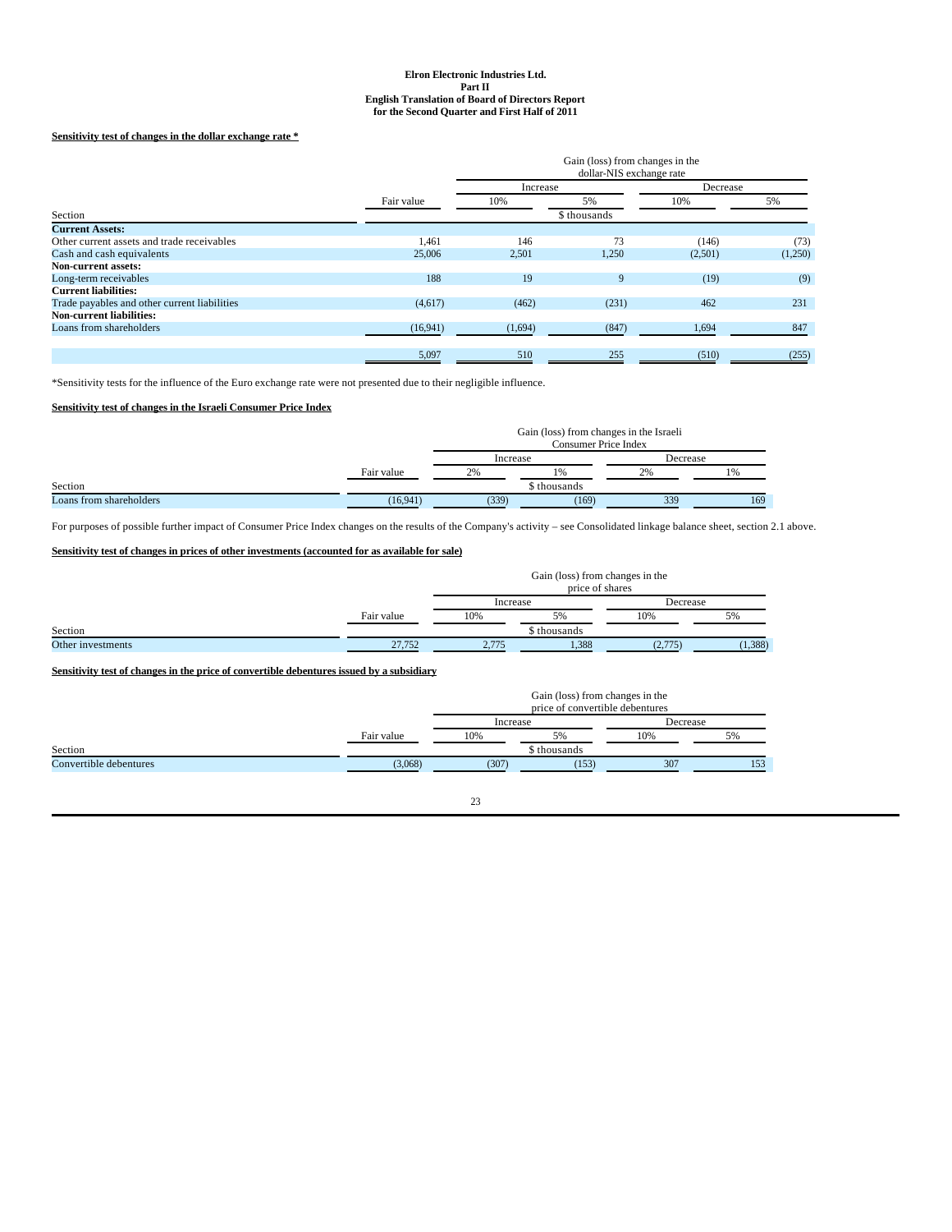# **Sensitivity test of changes in the dollar exchange rate \***

|                                              |            | Gain (loss) from changes in the<br>dollar-NIS exchange rate |              |         |          |
|----------------------------------------------|------------|-------------------------------------------------------------|--------------|---------|----------|
|                                              |            |                                                             | Increase     |         | Decrease |
|                                              | Fair value | 10%                                                         | 5%           | 10%     | 5%       |
| Section                                      |            |                                                             | \$ thousands |         |          |
| <b>Current Assets:</b>                       |            |                                                             |              |         |          |
| Other current assets and trade receivables   | 1,461      | 146                                                         | 73           | (146)   | (73)     |
| Cash and cash equivalents                    | 25,006     | 2,501                                                       | 1,250        | (2,501) | (1,250)  |
| <b>Non-current assets:</b>                   |            |                                                             |              |         |          |
| Long-term receivables                        | 188        | 19                                                          | 9            | (19)    | (9)      |
| <b>Current liabilities:</b>                  |            |                                                             |              |         |          |
| Trade payables and other current liabilities | (4,617)    | (462)                                                       | (231)        | 462     | 231      |
| <b>Non-current liabilities:</b>              |            |                                                             |              |         |          |
| Loans from shareholders                      | (16, 941)  | (1,694)                                                     | (847)        | 1,694   | 847      |
|                                              |            |                                                             |              |         |          |
|                                              | 5,097      | 510                                                         | 255          | (510)   | (255)    |

\*Sensitivity tests for the influence of the Euro exchange rate were not presented due to their negligible influence.

# **Sensitivity test of changes in the Israeli Consumer Price Index**

|                         | Gain (loss) from changes in the Israeli<br><b>Consumer Price Index</b> |          |             |          |     |
|-------------------------|------------------------------------------------------------------------|----------|-------------|----------|-----|
|                         |                                                                        | Increase |             | Decrease |     |
|                         | Fair value                                                             | 2%       | 1%          | 2%       | 1%  |
| Section                 |                                                                        |          | s thousands |          |     |
| Loans from shareholders | (16, 941)                                                              | (339)    | (169)       | 339      | 169 |

For purposes of possible further impact of Consumer Price Index changes on the results of the Company's activity – see Consolidated linkage balance sheet, section 2.1 above.

# **Sensitivity test of changes in prices of other investments (accounted for as available for sale)**

|                   |            | Gain (loss) from changes in the<br>price of shares |              |          |          |
|-------------------|------------|----------------------------------------------------|--------------|----------|----------|
|                   |            | Increase                                           |              | Decrease |          |
|                   | Fair value | 10%                                                | 5%           | 10%      | 5%       |
| Section           |            |                                                    | \$ thousands |          |          |
| Other investments | 27,752     | 2.775                                              | 1,388        | (2, 775) | (1, 388) |

# **Sensitivity test of changes in the price of convertible debentures issued by a subsidiary**

|                        | Gain (loss) from changes in the<br>price of convertible debentures |          |              |          |     |
|------------------------|--------------------------------------------------------------------|----------|--------------|----------|-----|
|                        |                                                                    | Increase |              | Decrease |     |
|                        | Fair value                                                         | 10%      | 5%           | 10%      | 5%  |
| Section                |                                                                    |          | \$ thousands |          |     |
| Convertible debentures | (3.068)                                                            | (307)    | (153)        | 307      | 153 |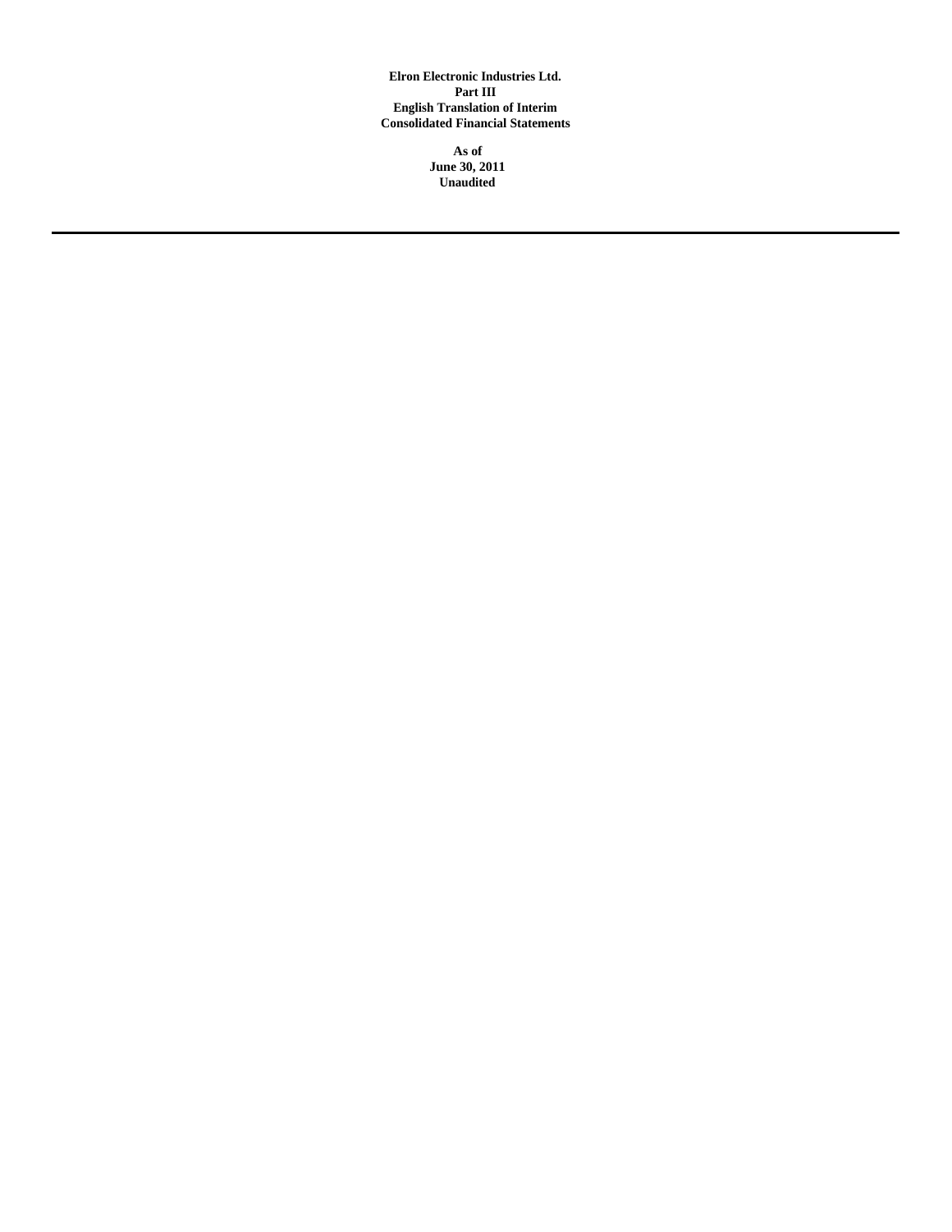**Elron Electronic Industries Ltd. Part III English Translation of Interim Consolidated Financial Statements**

> **As of June 30, 2011 Unaudited**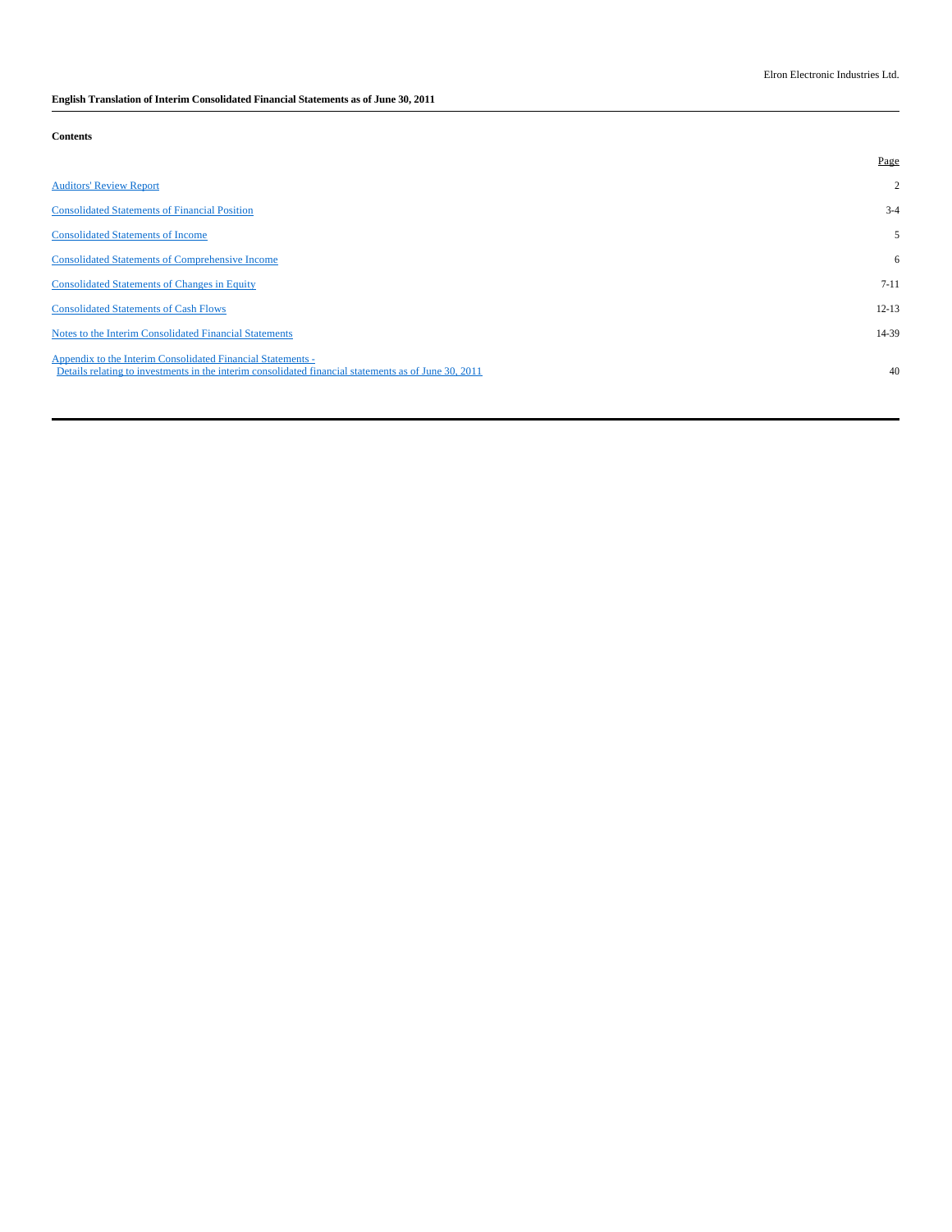# **English Translation of Interim Consolidated Financial Statements as of June 30, 2011**

**Contents**

|                                                                                                                                                                     | Page           |
|---------------------------------------------------------------------------------------------------------------------------------------------------------------------|----------------|
| <b>Auditors' Review Report</b>                                                                                                                                      | $\overline{2}$ |
| <b>Consolidated Statements of Financial Position</b>                                                                                                                | $3-4$          |
| <b>Consolidated Statements of Income</b>                                                                                                                            | 5              |
| <b>Consolidated Statements of Comprehensive Income</b>                                                                                                              | 6              |
| <b>Consolidated Statements of Changes in Equity</b>                                                                                                                 | $7 - 11$       |
| <b>Consolidated Statements of Cash Flows</b>                                                                                                                        | $12 - 13$      |
| Notes to the Interim Consolidated Financial Statements                                                                                                              | 14-39          |
| Appendix to the Interim Consolidated Financial Statements -<br>Details relating to investments in the interim consolidated financial statements as of June 30, 2011 | 40             |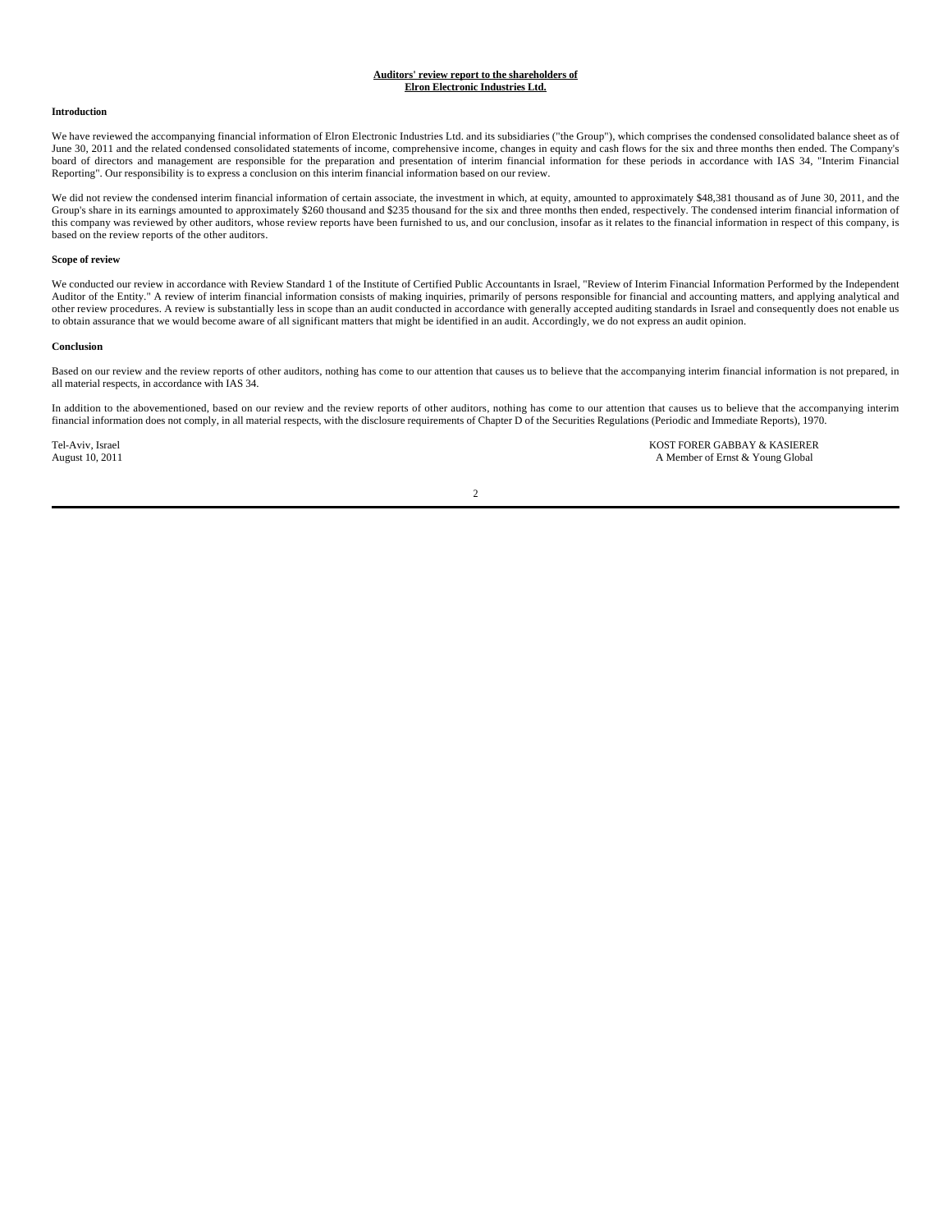### **Auditors' review report to the shareholders of Elron Electronic Industries Ltd.**

#### **Introduction**

We have reviewed the accompanying financial information of Elron Electronic Industries Ltd. and its subsidiaries ("the Group"), which comprises the condensed consolidated balance sheet as of June 30, 2011 and the related condensed consolidated statements of income, comprehensive income, changes in equity and cash flows for the six and three months then ended. The Company's board of directors and management are responsible for the preparation and presentation of interim financial information for these periods in accordance with IAS 34, "Interim Financial Reporting". Our responsibility is to express a conclusion on this interim financial information based on our review.

We did not review the condensed interim financial information of certain associate, the investment in which, at equity, amounted to approximately \$48,381 thousand as of June 30, 2011, and the Group's share in its earnings amounted to approximately \$260 thousand and \$235 thousand for the six and three months then ended, respectively. The condensed interim financial information of this company was reviewed by other auditors, whose review reports have been furnished to us, and our conclusion, insofar as it relates to the financial information in respect of this company, is based on the review reports of the other auditors.

#### **Scope of review**

We conducted our review in accordance with Review Standard 1 of the Institute of Certified Public Accountants in Israel, "Review of Interim Financial Information Performed by the Independent Auditor of the Entity." A review of interim financial information consists of making inquiries, primarily of persons responsible for financial and accounting matters, and applying analytical and<br>other review procedures. A to obtain assurance that we would become aware of all significant matters that might be identified in an audit. Accordingly, we do not express an audit opinion.

#### **Conclusion**

Based on our review and the review reports of other auditors, nothing has come to our attention that causes us to believe that the accompanying interim financial information is not prepared, in all material respects, in accordance with IAS 34.

In addition to the abovementioned, based on our review and the review reports of other auditors, nothing has come to our attention that causes us to believe that the accompanying interim financial information does not comply, in all material respects, with the disclosure requirements of Chapter D of the Securities Regulations (Periodic and Immediate Reports), 1970.

Tel-Aviv, Israel **KOST FORER GABBAY & KASIERER**<br>August 10, 2011 **All and Structure August 10, 2011 All and Structure August 10, 2011** A Member of Ernst & Young Global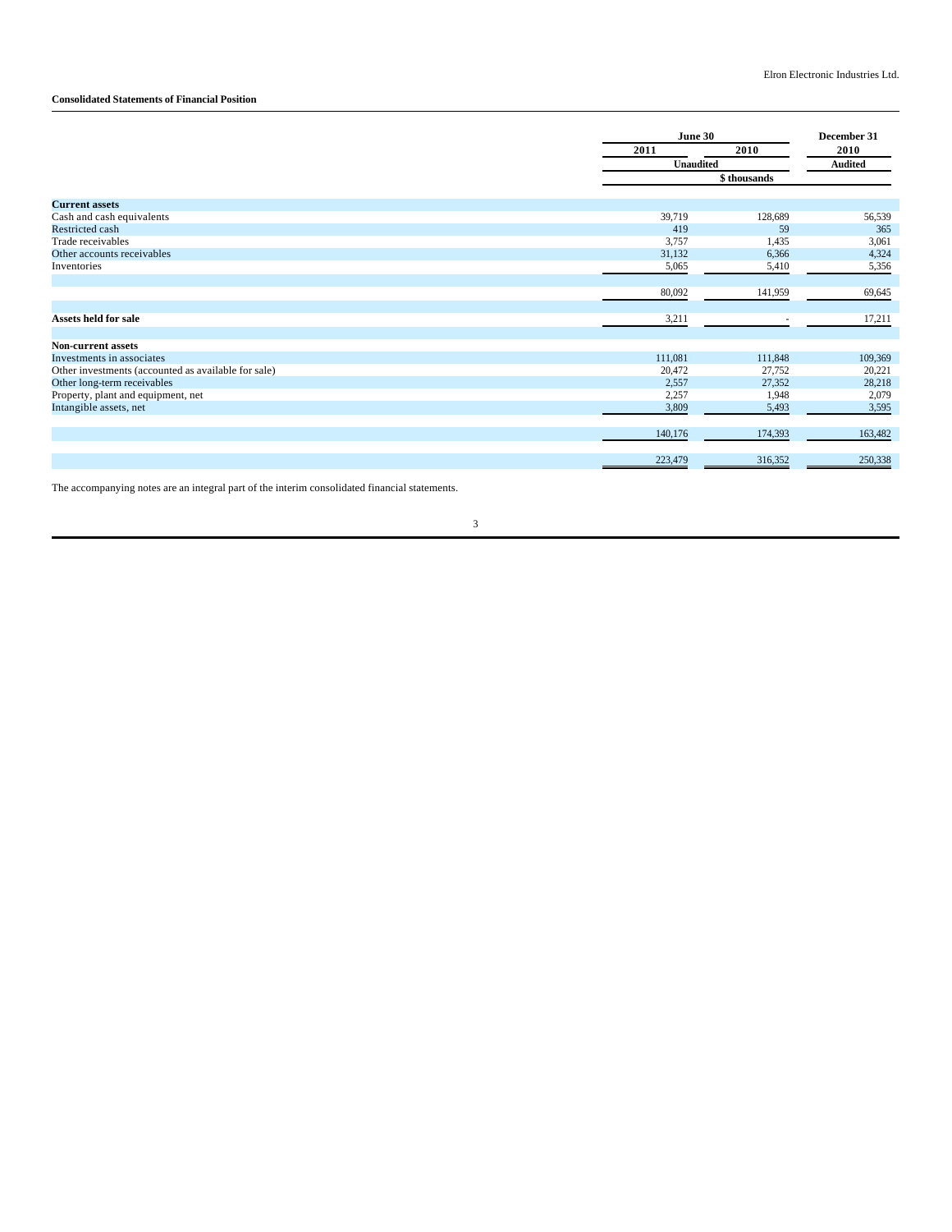# **Consolidated Statements of Financial Position**

|                                                     |         | June 30                  |         |  |
|-----------------------------------------------------|---------|--------------------------|---------|--|
|                                                     | 2011    | 2010                     | 2010    |  |
|                                                     |         | <b>Unaudited</b>         |         |  |
|                                                     |         | \$ thousands             |         |  |
| <b>Current assets</b>                               |         |                          |         |  |
| Cash and cash equivalents                           | 39,719  | 128,689                  | 56,539  |  |
| Restricted cash                                     | 419     | 59                       | 365     |  |
| Trade receivables                                   | 3,757   | 1,435                    | 3,061   |  |
| Other accounts receivables                          | 31,132  | 6,366                    | 4,324   |  |
| Inventories                                         | 5,065   | 5,410                    | 5,356   |  |
|                                                     |         |                          |         |  |
|                                                     | 80,092  | 141,959                  | 69,645  |  |
|                                                     |         |                          |         |  |
| Assets held for sale                                | 3,211   | $\overline{\phantom{a}}$ | 17,211  |  |
|                                                     |         |                          |         |  |
| <b>Non-current assets</b>                           |         |                          |         |  |
| Investments in associates                           | 111,081 | 111,848                  | 109,369 |  |
| Other investments (accounted as available for sale) | 20,472  | 27,752                   | 20,221  |  |
| Other long-term receivables                         | 2,557   | 27,352                   | 28,218  |  |
| Property, plant and equipment, net                  | 2,257   | 1,948                    | 2,079   |  |
| Intangible assets, net                              | 3,809   | 5,493                    | 3,595   |  |
|                                                     |         |                          |         |  |
|                                                     | 140,176 | 174,393                  | 163,482 |  |
|                                                     |         |                          |         |  |
|                                                     | 223,479 | 316,352                  | 250,338 |  |
|                                                     |         |                          |         |  |

The accompanying notes are an integral part of the interim consolidated financial statements.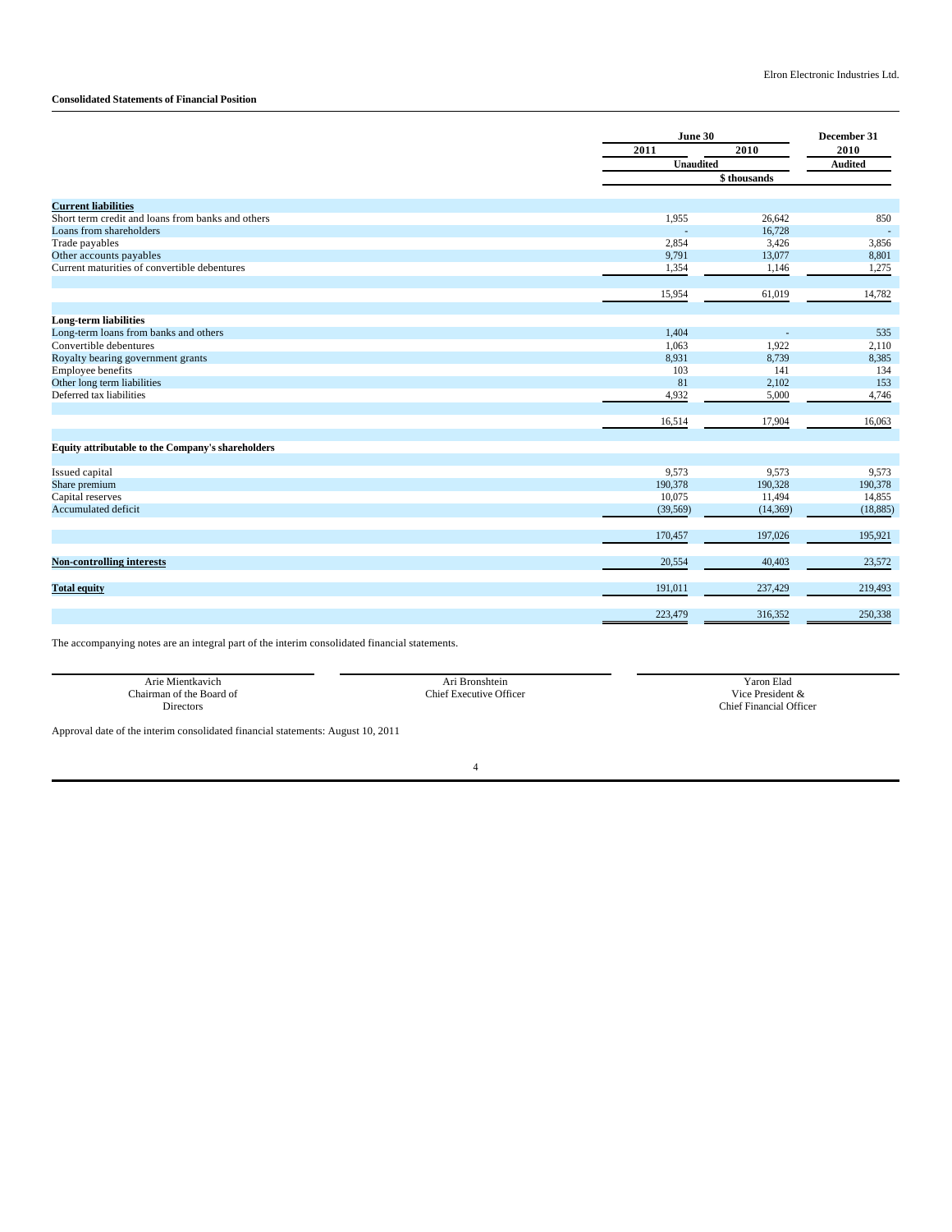# **Consolidated Statements of Financial Position**

|                                                   |                  | June 30<br>2010<br>2011 |                        |
|---------------------------------------------------|------------------|-------------------------|------------------------|
|                                                   |                  |                         |                        |
|                                                   | <b>Unaudited</b> |                         | 2010<br><b>Audited</b> |
|                                                   |                  | \$thousands             |                        |
|                                                   |                  |                         |                        |
| <b>Current liabilities</b>                        |                  |                         |                        |
| Short term credit and loans from banks and others | 1,955            | 26,642                  | 850                    |
| Loans from shareholders                           |                  | 16,728                  | $\sim$                 |
| Trade payables                                    | 2,854            | 3,426                   | 3,856                  |
| Other accounts payables                           | 9,791            | 13,077                  | 8,801                  |
| Current maturities of convertible debentures      | 1,354            | 1,146                   | 1,275                  |
|                                                   | 15,954           | 61,019                  | 14,782                 |
|                                                   |                  |                         |                        |
| <b>Long-term liabilities</b>                      |                  |                         |                        |
| Long-term loans from banks and others             | 1,404            | ÷.                      | 535                    |
| Convertible debentures                            | 1,063            | 1,922                   | 2,110                  |
| Royalty bearing government grants                 | 8,931            | 8,739                   | 8,385                  |
| Employee benefits                                 | 103              | 141                     | 134                    |
| Other long term liabilities                       | 81               | 2,102                   | 153                    |
| Deferred tax liabilities                          | 4,932            | 5,000                   | 4,746                  |
|                                                   | 16,514           | 17,904                  | 16,063                 |
|                                                   |                  |                         |                        |
| Equity attributable to the Company's shareholders |                  |                         |                        |
|                                                   |                  |                         |                        |
| Issued capital                                    | 9,573            | 9,573                   | 9,573                  |
| Share premium                                     | 190,378          | 190,328                 | 190,378                |
| Capital reserves                                  | 10,075           | 11,494                  | 14,855                 |
| Accumulated deficit                               | (39, 569)        | (14, 369)               | (18, 885)              |
|                                                   | 170,457          | 197,026                 | 195,921                |
| <b>Non-controlling interests</b>                  | 20,554           | 40,403                  | 23,572                 |
|                                                   |                  |                         |                        |
| <b>Total equity</b>                               | 191,011          | 237,429                 | 219,493                |
|                                                   | 223,479          | 316,352                 | 250,338                |
|                                                   |                  |                         |                        |

The accompanying notes are an integral part of the interim consolidated financial statements.

| Arie<br>Mientkavich               | $\Delta$ r<br>shtein<br>Bron                    | --<br>Yaron Elad                               |
|-----------------------------------|-------------------------------------------------|------------------------------------------------|
| ~<br>hairman of the<br>: Board of | ecutive Officer<br><b>Thief</b><br>$\mathbf{v}$ | $V_1$ ce<br>$v$ resident $\alpha$ .            |
| <b>Directors</b>                  |                                                 | 0.05<br>$\sim$<br>. hief<br>Financia<br>LLIUU. |

Approval date of the interim consolidated financial statements: August 10, 2011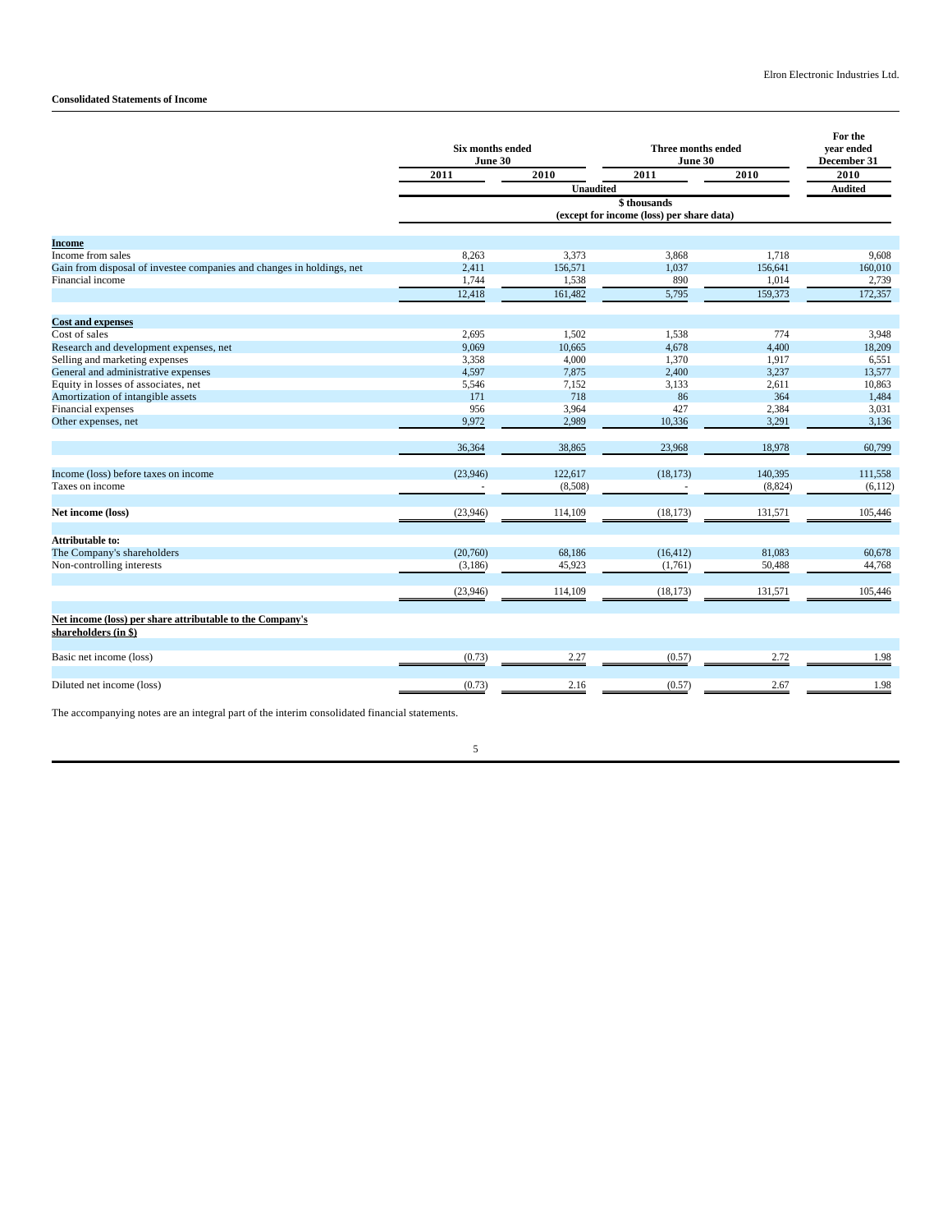# **Consolidated Statements of Income**

|                                                                                   | <b>Six months ended</b><br>June 30 |                                           | Three months ended<br>June 30 |          | For the<br>vear ended<br>December 31 |
|-----------------------------------------------------------------------------------|------------------------------------|-------------------------------------------|-------------------------------|----------|--------------------------------------|
|                                                                                   | 2011                               | 2010                                      | 2011                          | 2010     | 2010                                 |
|                                                                                   |                                    | <b>Unaudited</b>                          |                               |          | <b>Audited</b>                       |
|                                                                                   |                                    | (except for income (loss) per share data) |                               |          |                                      |
| <b>Income</b>                                                                     |                                    |                                           |                               |          |                                      |
| Income from sales                                                                 | 8,263                              | 3,373                                     | 3,868                         | 1,718    | 9,608                                |
| Gain from disposal of investee companies and changes in holdings, net             | 2,411                              | 156,571                                   | 1,037                         | 156,641  | 160,010                              |
| Financial income                                                                  | 1,744                              | 1,538                                     | 890                           | 1,014    | 2,739                                |
|                                                                                   | 12,418                             | 161,482                                   | 5,795                         | 159,373  | 172,357                              |
| <b>Cost and expenses</b>                                                          |                                    |                                           |                               |          |                                      |
| Cost of sales                                                                     | 2,695                              | 1,502                                     | 1,538                         | 774      | 3,948                                |
| Research and development expenses, net                                            | 9,069                              | 10,665                                    | 4,678                         | 4,400    | 18,209                               |
| Selling and marketing expenses                                                    | 3,358                              | 4,000                                     | 1,370                         | 1,917    | 6,551                                |
| General and administrative expenses                                               | 4,597                              | 7,875                                     | 2,400                         | 3,237    | 13,577                               |
| Equity in losses of associates, net                                               | 5,546                              | 7,152                                     | 3,133                         | 2,611    | 10,863                               |
| Amortization of intangible assets                                                 | 171                                | 718                                       | 86                            | 364      | 1,484                                |
| Financial expenses                                                                | 956                                | 3,964                                     | 427                           | 2,384    | 3,031                                |
| Other expenses, net                                                               | 9,972                              | 2,989                                     | 10,336                        | 3,291    | 3,136                                |
|                                                                                   | 36,364                             | 38,865                                    | 23,968                        | 18,978   | 60,799                               |
| Income (loss) before taxes on income                                              | (23,946)                           | 122,617                                   | (18, 173)                     | 140,395  | 111,558                              |
| Taxes on income                                                                   |                                    | (8,508)                                   |                               | (8, 824) | (6,112)                              |
| Net income (loss)                                                                 | (23,946)                           | 114,109                                   | (18, 173)                     | 131,571  | 105,446                              |
| Attributable to:                                                                  |                                    |                                           |                               |          |                                      |
| The Company's shareholders                                                        | (20,760)                           | 68,186                                    | (16, 412)                     | 81,083   | 60,678                               |
| Non-controlling interests                                                         | (3,186)                            | 45,923                                    | (1,761)                       | 50,488   | 44,768                               |
|                                                                                   | (23,946)                           | 114,109                                   | (18, 173)                     | 131,571  | 105,446                              |
| Net income (loss) per share attributable to the Company's<br>shareholders (in \$) |                                    |                                           |                               |          |                                      |
| Basic net income (loss)                                                           | (0.73)                             | 2.27                                      | (0.57)                        | 2.72     | 1.98                                 |
| Diluted net income (loss)                                                         | (0.73)                             | 2.16                                      | (0.57)                        | 2.67     | 1.98                                 |

The accompanying notes are an integral part of the interim consolidated financial statements.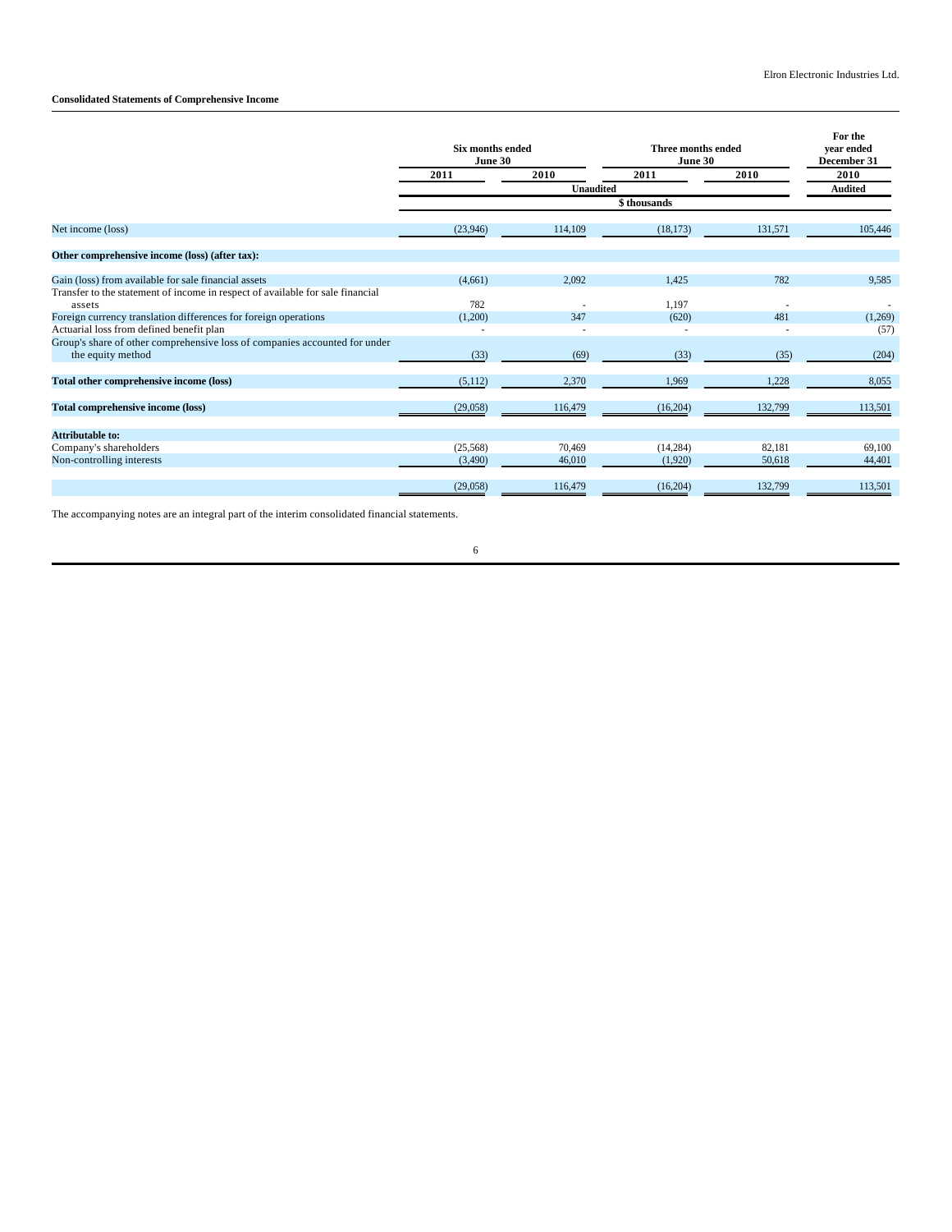# **Consolidated Statements of Comprehensive Income**

|                                                                                | <b>Six months ended</b><br>June 30 |                  | Three months ended<br>June 30 | For the<br>year ended<br>December 31 |                |
|--------------------------------------------------------------------------------|------------------------------------|------------------|-------------------------------|--------------------------------------|----------------|
|                                                                                | 2011                               | 2010             | 2011                          | 2010                                 | 2010           |
|                                                                                |                                    | <b>Unaudited</b> |                               |                                      | <b>Audited</b> |
|                                                                                |                                    |                  |                               |                                      |                |
| Net income (loss)                                                              | (23,946)                           | 114,109          | (18, 173)                     | 131,571                              | 105,446        |
| Other comprehensive income (loss) (after tax):                                 |                                    |                  |                               |                                      |                |
| Gain (loss) from available for sale financial assets                           | (4,661)                            | 2,092            | 1.425                         | 782                                  | 9.585          |
| Transfer to the statement of income in respect of available for sale financial |                                    |                  |                               |                                      |                |
| assets                                                                         | 782                                |                  | 1.197                         |                                      |                |
| Foreign currency translation differences for foreign operations                | (1,200)                            | 347              | (620)                         | 481                                  | (1,269)        |
| Actuarial loss from defined benefit plan                                       |                                    |                  | $\overline{\phantom{a}}$      |                                      | (57)           |
| Group's share of other comprehensive loss of companies accounted for under     |                                    |                  |                               |                                      |                |
| the equity method                                                              | (33)                               | (69)             | (33)                          | (35)                                 | (204)          |
| Total other comprehensive income (loss)                                        | (5,112)                            | 2,370            | 1,969                         | 1,228                                | 8,055          |
| <b>Total comprehensive income (loss)</b>                                       | (29,058)                           | 116,479          | (16,204)                      | 132,799                              | 113,501        |
| Attributable to:                                                               |                                    |                  |                               |                                      |                |
| Company's shareholders                                                         | (25,568)                           | 70.469           | (14.284)                      | 82.181                               | 69.100         |
| Non-controlling interests                                                      | (3,490)                            | 46,010           | (1,920)                       | 50,618                               | 44,401         |
|                                                                                | (29,058)                           | 116,479          | (16,204)                      | 132,799                              | 113,501        |

The accompanying notes are an integral part of the interim consolidated financial statements.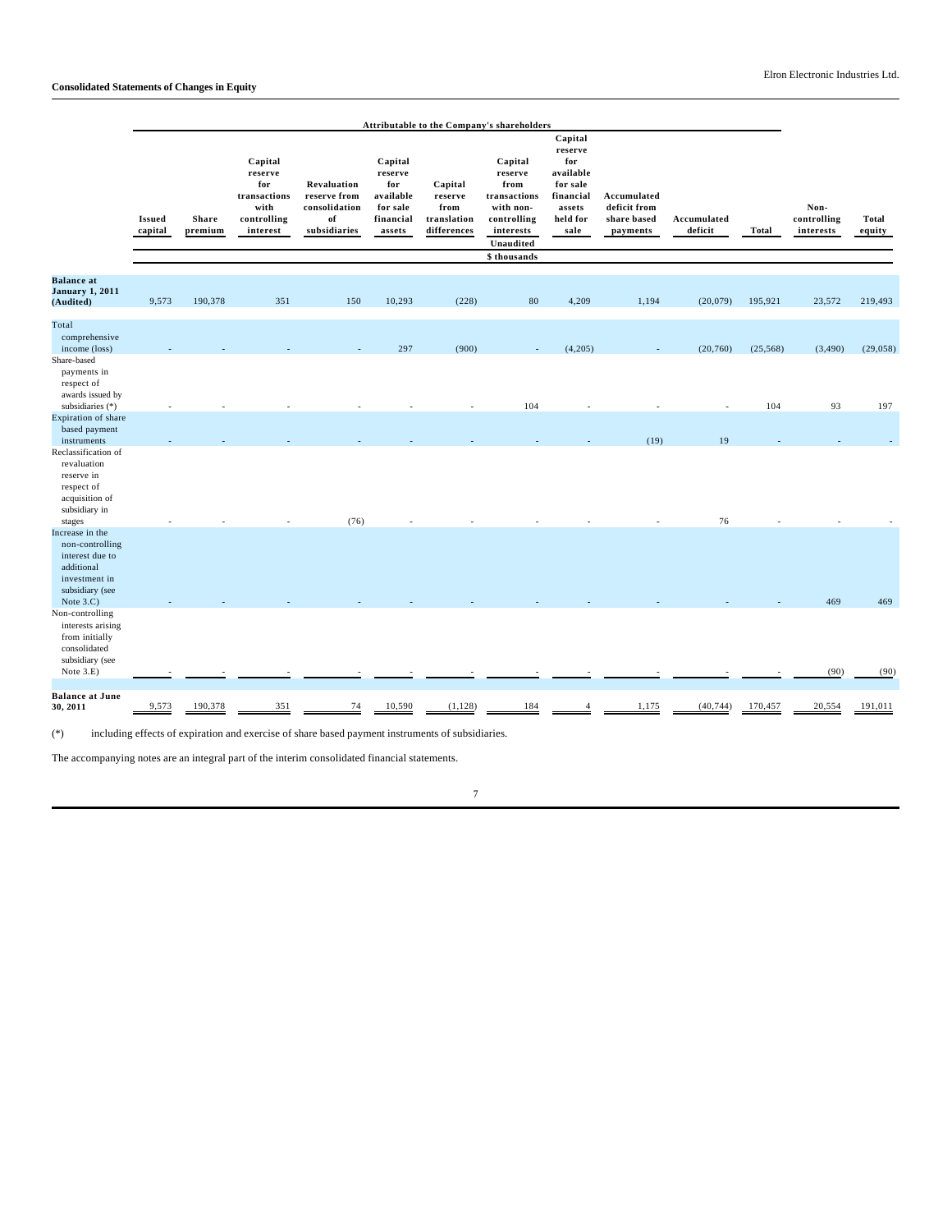|                                                                                                             |                          |                  |                                                                              |                                                                    |                                                                           |                                                          | Attributable to the Company's shareholders                                                                       |                                                                                               |                                                        |                        |           |                                  |                        |
|-------------------------------------------------------------------------------------------------------------|--------------------------|------------------|------------------------------------------------------------------------------|--------------------------------------------------------------------|---------------------------------------------------------------------------|----------------------------------------------------------|------------------------------------------------------------------------------------------------------------------|-----------------------------------------------------------------------------------------------|--------------------------------------------------------|------------------------|-----------|----------------------------------|------------------------|
|                                                                                                             | <b>Issued</b><br>capital | Share<br>premium | Capital<br>reserve<br>for<br>transactions<br>with<br>controlling<br>interest | Revaluation<br>reserve from<br>consolidation<br>of<br>subsidiaries | Capital<br>reserve<br>for<br>available<br>for sale<br>financial<br>assets | Capital<br>reserve<br>from<br>translation<br>differences | Capital<br>reserve<br>from<br>transactions<br>with non-<br>controlling<br>interests<br>Unaudited<br>\$ thousands | Capital<br>reserve<br>for<br>available<br>for sale<br>financial<br>assets<br>held for<br>sale | Accumulated<br>deficit from<br>share based<br>payments | Accumulated<br>deficit | Total     | Non-<br>controlling<br>interests | <b>Total</b><br>equity |
|                                                                                                             |                          |                  |                                                                              |                                                                    |                                                                           |                                                          |                                                                                                                  |                                                                                               |                                                        |                        |           |                                  |                        |
| <b>Balance</b> at<br><b>January 1, 2011</b><br>(Audited)                                                    | 9,573                    | 190,378          | 351                                                                          | 150                                                                | 10,293                                                                    | (228)                                                    | 80                                                                                                               | 4,209                                                                                         | 1,194                                                  | (20,079)               | 195,921   | 23,572                           | 219,493                |
| Total<br>comprehensive<br>income (loss)                                                                     |                          |                  |                                                                              |                                                                    | 297                                                                       | (900)                                                    |                                                                                                                  | (4,205)                                                                                       |                                                        | (20, 760)              | (25, 568) | (3, 490)                         | (29, 058)              |
| Share-based<br>payments in<br>respect of<br>awards issued by                                                |                          |                  |                                                                              |                                                                    |                                                                           |                                                          |                                                                                                                  |                                                                                               |                                                        |                        |           |                                  |                        |
| subsidiaries (*)<br>Expiration of share                                                                     |                          |                  |                                                                              |                                                                    |                                                                           |                                                          | 104                                                                                                              |                                                                                               |                                                        |                        | 104       | 93                               | 197                    |
| based payment<br>instruments                                                                                |                          |                  |                                                                              |                                                                    |                                                                           |                                                          |                                                                                                                  |                                                                                               | (19)                                                   | 19                     |           |                                  |                        |
| Reclassification of<br>revaluation<br>reserve in<br>respect of<br>acquisition of<br>subsidiary in<br>stages |                          |                  |                                                                              | (76)                                                               |                                                                           |                                                          |                                                                                                                  |                                                                                               |                                                        | 76                     |           |                                  |                        |
| Increase in the<br>non-controlling<br>interest due to<br>additional<br>investment in<br>subsidiary (see     |                          |                  |                                                                              |                                                                    |                                                                           |                                                          |                                                                                                                  |                                                                                               |                                                        |                        |           |                                  |                        |
| Note 3.C)<br>Non-controlling<br>interests arising<br>from initially<br>consolidated                         |                          |                  |                                                                              |                                                                    |                                                                           |                                                          |                                                                                                                  |                                                                                               |                                                        |                        |           | 469                              | 469                    |
| subsidiary (see<br>Note 3.E)                                                                                |                          |                  |                                                                              |                                                                    |                                                                           |                                                          |                                                                                                                  |                                                                                               |                                                        |                        |           | (90)                             | (90)                   |
| <b>Balance at June</b><br>30, 2011                                                                          | 9,573                    | 190,378          | 351                                                                          | 74                                                                 | 10,590                                                                    | (1, 128)                                                 | 184                                                                                                              |                                                                                               | 1,175                                                  | (40, 744)              | 170,457   | 20,554                           | 191,011                |

 $(\ast)$  including effects of expiration and exercise of share based payment instruments of subsidiaries.

The accompanying notes are an integral part of the interim consolidated financial statements.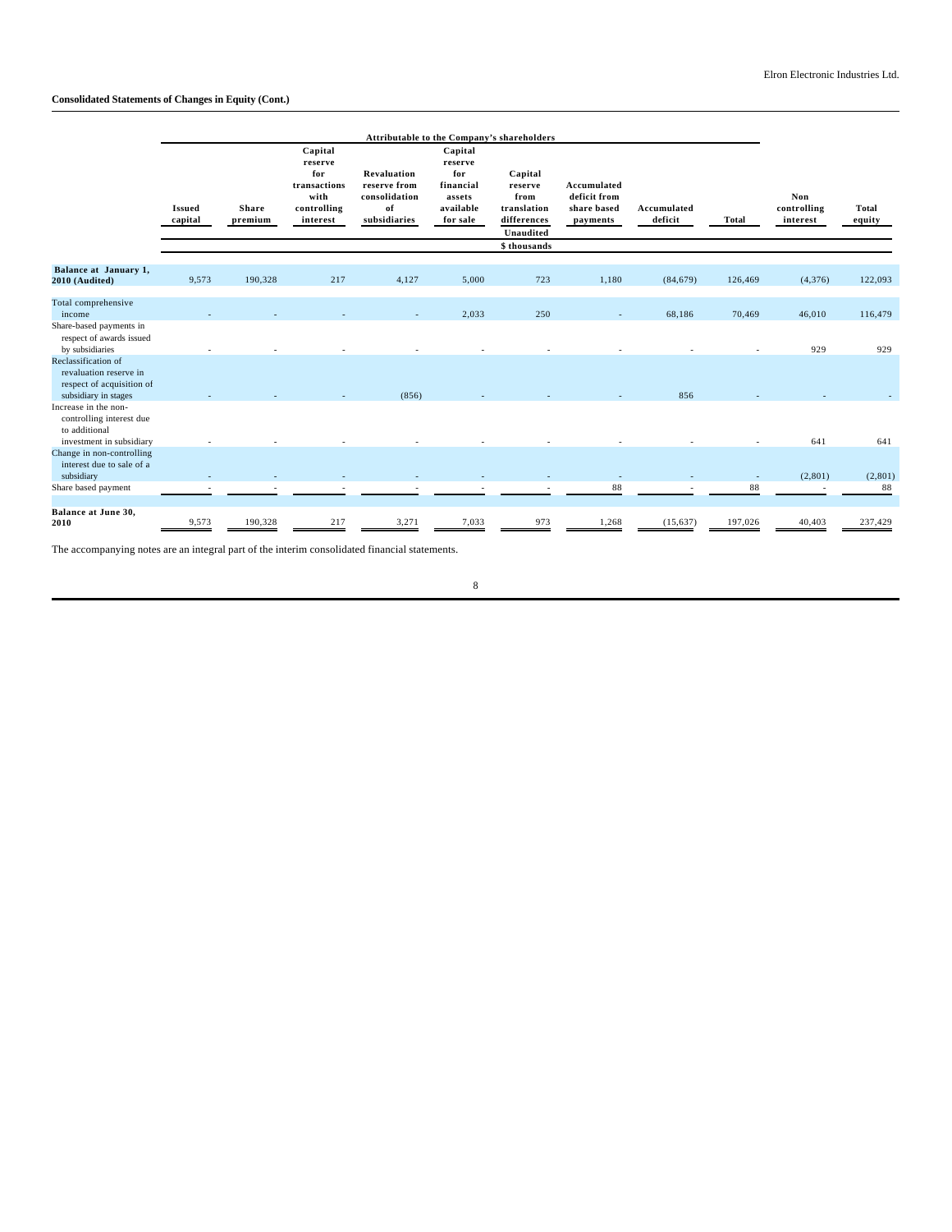# **Consolidated Statements of Changes in Equity (Cont.)**

|                                                                                                    |                          |                         |                                                                              |                                                                    | Attributable to the Company's shareholders                                |                                                                       |                                                        |                        |         |                                |                        |
|----------------------------------------------------------------------------------------------------|--------------------------|-------------------------|------------------------------------------------------------------------------|--------------------------------------------------------------------|---------------------------------------------------------------------------|-----------------------------------------------------------------------|--------------------------------------------------------|------------------------|---------|--------------------------------|------------------------|
|                                                                                                    | <b>Issued</b><br>capital | <b>Share</b><br>premium | Capital<br>reserve<br>for<br>transactions<br>with<br>controlling<br>interest | Revaluation<br>reserve from<br>consolidation<br>of<br>subsidiaries | Capital<br>reserve<br>for<br>financial<br>assets<br>available<br>for sale | Capital<br>reserve<br>from<br>translation<br>differences<br>Unaudited | Accumulated<br>deficit from<br>share based<br>payments | Accumulated<br>deficit | Total   | Non<br>controlling<br>interest | <b>Total</b><br>equity |
|                                                                                                    |                          |                         |                                                                              |                                                                    |                                                                           | \$ thousands                                                          |                                                        |                        |         |                                |                        |
| Balance at January 1,<br>2010 (Audited)                                                            | 9,573                    | 190,328                 | 217                                                                          | 4,127                                                              | 5.000                                                                     | 723                                                                   | 1.180                                                  | (84, 679)              | 126,469 | (4,376)                        | 122,093                |
| Total comprehensive<br>income                                                                      |                          |                         |                                                                              |                                                                    | 2.033                                                                     | 250                                                                   |                                                        | 68.186                 | 70,469  | 46.010                         | 116,479                |
| Share-based payments in<br>respect of awards issued<br>by subsidiaries                             |                          |                         |                                                                              |                                                                    |                                                                           |                                                                       |                                                        |                        |         | 929                            | 929                    |
| Reclassification of<br>revaluation reserve in<br>respect of acquisition of<br>subsidiary in stages |                          |                         |                                                                              | (856)                                                              |                                                                           |                                                                       |                                                        | 856                    |         |                                |                        |
| Increase in the non-<br>controlling interest due<br>to additional                                  |                          |                         |                                                                              |                                                                    |                                                                           |                                                                       |                                                        |                        |         |                                |                        |
| investment in subsidiary<br>Change in non-controlling<br>interest due to sale of a<br>subsidiary   |                          |                         |                                                                              |                                                                    |                                                                           |                                                                       |                                                        |                        | $\sim$  | 641<br>(2,801)                 | 641<br>(2,801)         |
| Share based payment                                                                                |                          |                         |                                                                              |                                                                    |                                                                           |                                                                       | 88                                                     |                        | 88      |                                | 88                     |
| Balance at June 30,<br>2010                                                                        | 9,573                    | 190,328                 | 217                                                                          | 3,271                                                              | 7,033                                                                     | 973                                                                   | 1,268                                                  | (15, 637)              | 197,026 | 40,403                         | 237,429                |

The accompanying notes are an integral part of the interim consolidated financial statements.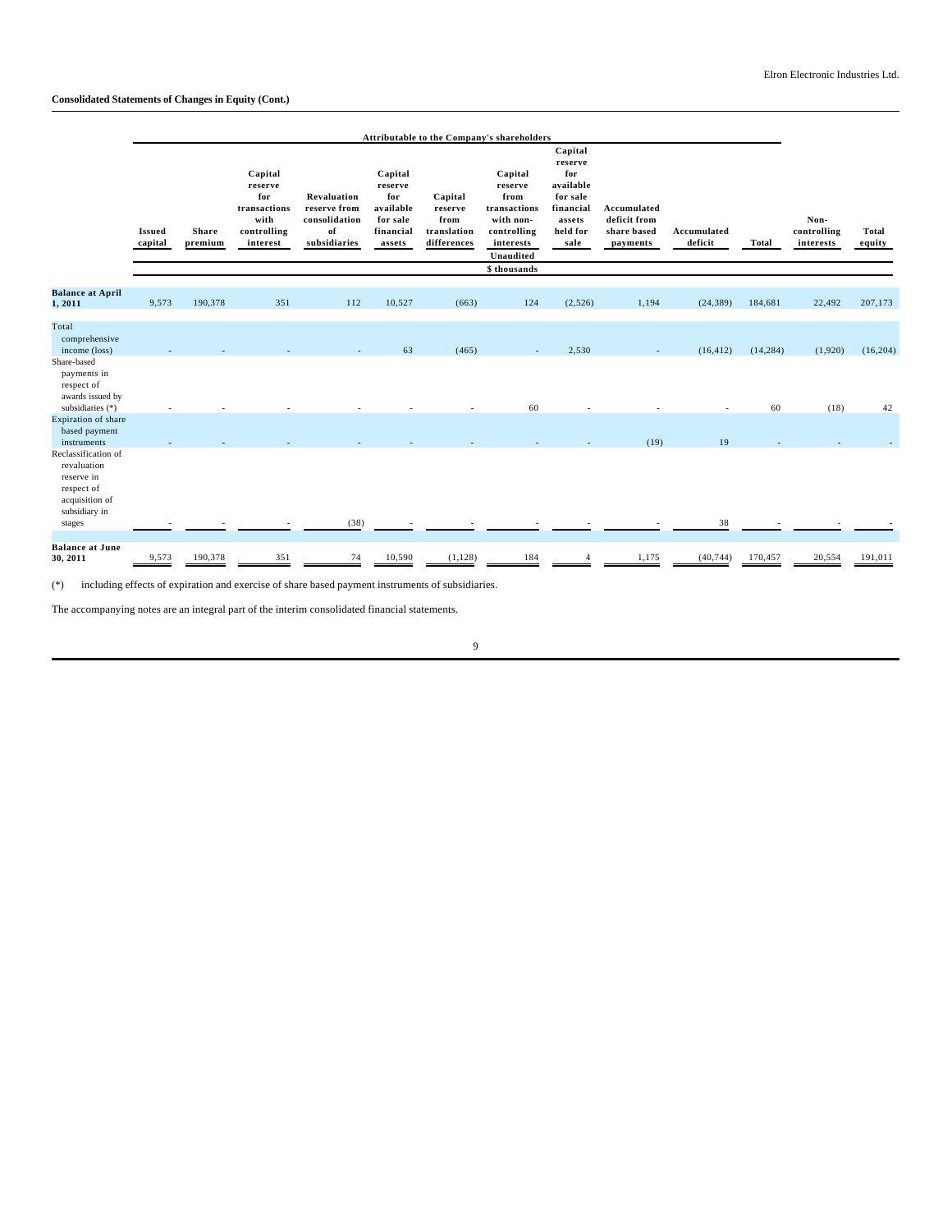|                                                                                                   | Attributable to the Company's shareholders |                  |                                                                              |                                                                    |                                                                           |                                                          |                                                                                                                  |                                                                                               |                                                        |                        |              |                                  |                        |
|---------------------------------------------------------------------------------------------------|--------------------------------------------|------------------|------------------------------------------------------------------------------|--------------------------------------------------------------------|---------------------------------------------------------------------------|----------------------------------------------------------|------------------------------------------------------------------------------------------------------------------|-----------------------------------------------------------------------------------------------|--------------------------------------------------------|------------------------|--------------|----------------------------------|------------------------|
|                                                                                                   | <b>Issued</b><br>capital                   | Share<br>premium | Capital<br>reserve<br>for<br>transactions<br>with<br>controlling<br>interest | Revaluation<br>reserve from<br>consolidation<br>of<br>subsidiaries | Capital<br>reserve<br>for<br>available<br>for sale<br>financial<br>assets | Capital<br>reserve<br>from<br>translation<br>differences | Capital<br>reserve<br>from<br>transactions<br>with non-<br>controlling<br>interests<br>Unaudited<br>\$ thousands | Capital<br>reserve<br>for<br>available<br>for sale<br>financial<br>assets<br>held for<br>sale | Accumulated<br>deficit from<br>share based<br>payments | Accumulated<br>deficit | <b>Total</b> | Non-<br>controlling<br>interests | <b>Total</b><br>equity |
| <b>Balance at April</b>                                                                           |                                            |                  |                                                                              |                                                                    |                                                                           |                                                          |                                                                                                                  |                                                                                               |                                                        |                        |              |                                  |                        |
| 1,2011                                                                                            | 9,573                                      | 190,378          | 351                                                                          | 112                                                                | 10,527                                                                    | (663)                                                    | 124                                                                                                              | (2,526)                                                                                       | 1,194                                                  | (24, 389)              | 184,681      | 22,492                           | 207,173                |
| Total                                                                                             |                                            |                  |                                                                              |                                                                    |                                                                           |                                                          |                                                                                                                  |                                                                                               |                                                        |                        |              |                                  |                        |
| comprehensive                                                                                     |                                            |                  |                                                                              |                                                                    |                                                                           |                                                          |                                                                                                                  |                                                                                               |                                                        |                        |              |                                  |                        |
| income (loss)<br>Share-based                                                                      |                                            |                  |                                                                              |                                                                    | 63                                                                        | (465)                                                    |                                                                                                                  | 2,530                                                                                         |                                                        | (16, 412)              | (14, 284)    | (1,920)                          | (16, 204)              |
| payments in<br>respect of<br>awards issued by                                                     |                                            |                  |                                                                              |                                                                    |                                                                           |                                                          |                                                                                                                  |                                                                                               |                                                        |                        |              |                                  |                        |
| subsidiaries (*)                                                                                  |                                            |                  |                                                                              |                                                                    |                                                                           |                                                          | 60                                                                                                               |                                                                                               |                                                        | ٠                      | 60           | (18)                             | 42                     |
| Expiration of share<br>based payment<br>instruments                                               |                                            |                  |                                                                              |                                                                    |                                                                           |                                                          |                                                                                                                  |                                                                                               | (19)                                                   | 19                     |              |                                  |                        |
| Reclassification of<br>revaluation<br>reserve in<br>respect of<br>acquisition of<br>subsidiary in |                                            |                  |                                                                              |                                                                    |                                                                           |                                                          |                                                                                                                  |                                                                                               |                                                        |                        |              |                                  |                        |
| stages                                                                                            |                                            |                  |                                                                              | (38)                                                               |                                                                           |                                                          |                                                                                                                  |                                                                                               |                                                        | 38                     |              |                                  |                        |
| <b>Balance at June</b><br>30, 2011                                                                | 9,573                                      | 190,378          | 351                                                                          | 74                                                                 | 10,590                                                                    | (1, 128)                                                 | 184                                                                                                              |                                                                                               | 1,175                                                  | (40, 744)              | 170,457      | 20,554                           | 191,011                |

(\*) including effects of expiration and exercise of share based payment instruments of subsidiaries.

The accompanying notes are an integral part of the interim consolidated financial statements.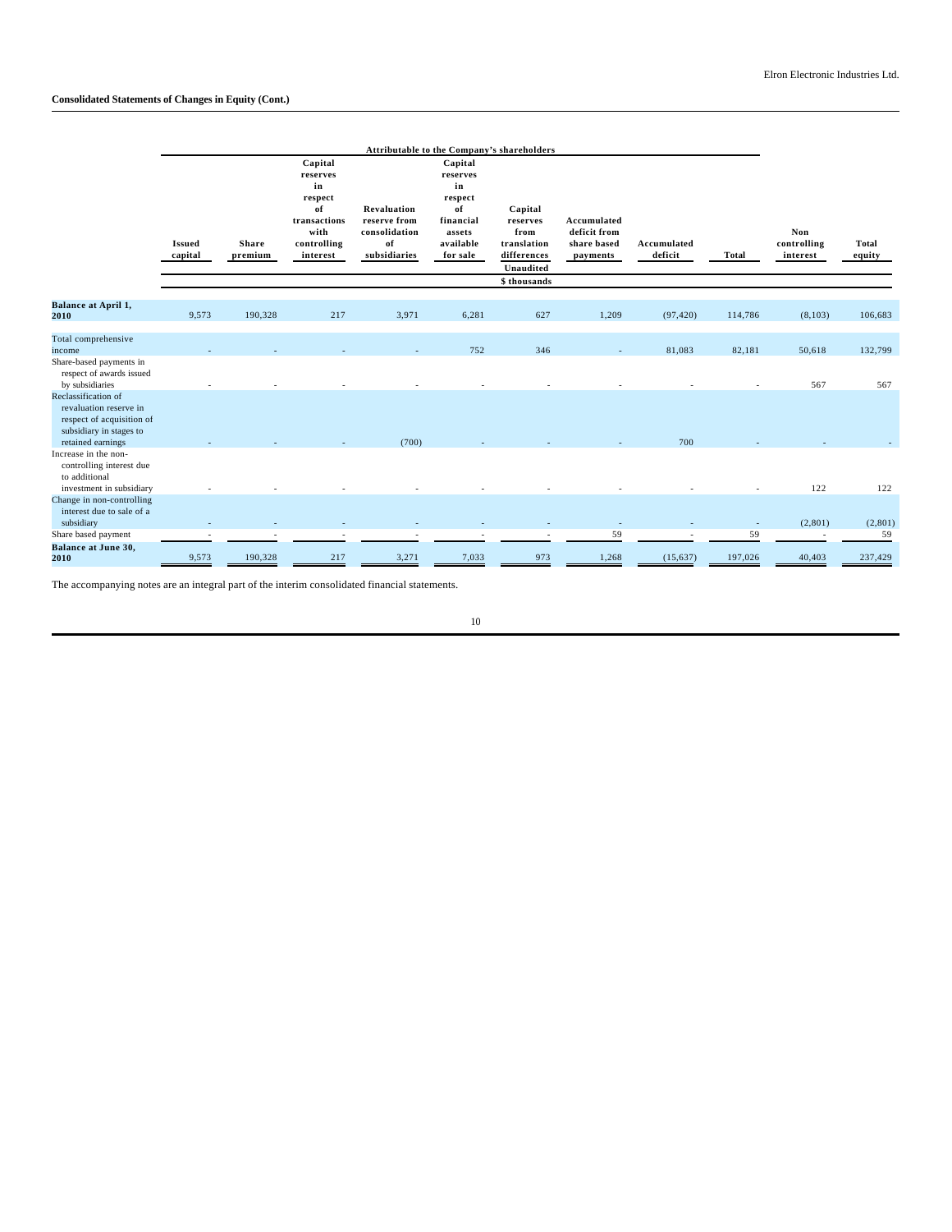|                                                                                                                                               |                          |                         |                                                                                               |                                                                    | Attributable to the Company's shareholders                                                 |                                                                                        |                                                        |                        |              |                                |                        |
|-----------------------------------------------------------------------------------------------------------------------------------------------|--------------------------|-------------------------|-----------------------------------------------------------------------------------------------|--------------------------------------------------------------------|--------------------------------------------------------------------------------------------|----------------------------------------------------------------------------------------|--------------------------------------------------------|------------------------|--------------|--------------------------------|------------------------|
|                                                                                                                                               | <b>Issued</b><br>capital | <b>Share</b><br>premium | Capital<br>reserves<br>in<br>respect<br>of<br>transactions<br>with<br>controlling<br>interest | Revaluation<br>reserve from<br>consolidation<br>of<br>subsidiaries | Capital<br>reserves<br>in<br>respect<br>of<br>financial<br>assets<br>available<br>for sale | Capital<br>reserves<br>from<br>translation<br>differences<br>Unaudited<br>\$ thousands | Accumulated<br>deficit from<br>share based<br>payments | Accumulated<br>deficit | <b>Total</b> | Non<br>controlling<br>interest | <b>Total</b><br>equity |
| <b>Balance at April 1,</b><br>2010                                                                                                            | 9,573                    | 190,328                 | 217                                                                                           | 3,971                                                              | 6,281                                                                                      | 627                                                                                    | 1,209                                                  | (97, 420)              | 114,786      | (8,103)                        | 106,683                |
| Total comprehensive<br>income<br>Share-based payments in<br>respect of awards issued                                                          |                          |                         |                                                                                               |                                                                    | 752                                                                                        | 346                                                                                    |                                                        | 81,083                 | 82,181       | 50,618                         | 132,799                |
| by subsidiaries<br>Reclassification of<br>revaluation reserve in<br>respect of acquisition of<br>subsidiary in stages to<br>retained earnings |                          |                         |                                                                                               | (700)                                                              |                                                                                            |                                                                                        |                                                        | 700                    |              | 567                            | 567                    |
| Increase in the non-<br>controlling interest due<br>to additional<br>investment in subsidiary                                                 |                          |                         |                                                                                               |                                                                    |                                                                                            |                                                                                        |                                                        |                        |              | 122                            | 122                    |
| Change in non-controlling<br>interest due to sale of a<br>subsidiary<br>Share based payment                                                   |                          |                         |                                                                                               |                                                                    |                                                                                            |                                                                                        | 59                                                     |                        | $\sim$<br>59 | (2, 801)                       | (2,801)<br>59          |
| <b>Balance at June 30,</b><br>2010                                                                                                            | 9,573                    | 190,328                 | 217                                                                                           | 3,271                                                              | 7,033                                                                                      | 973                                                                                    | 1,268                                                  | (15, 637)              | 197,026      | 40,403                         | 237,429                |

The accompanying notes are an integral part of the interim consolidated financial statements.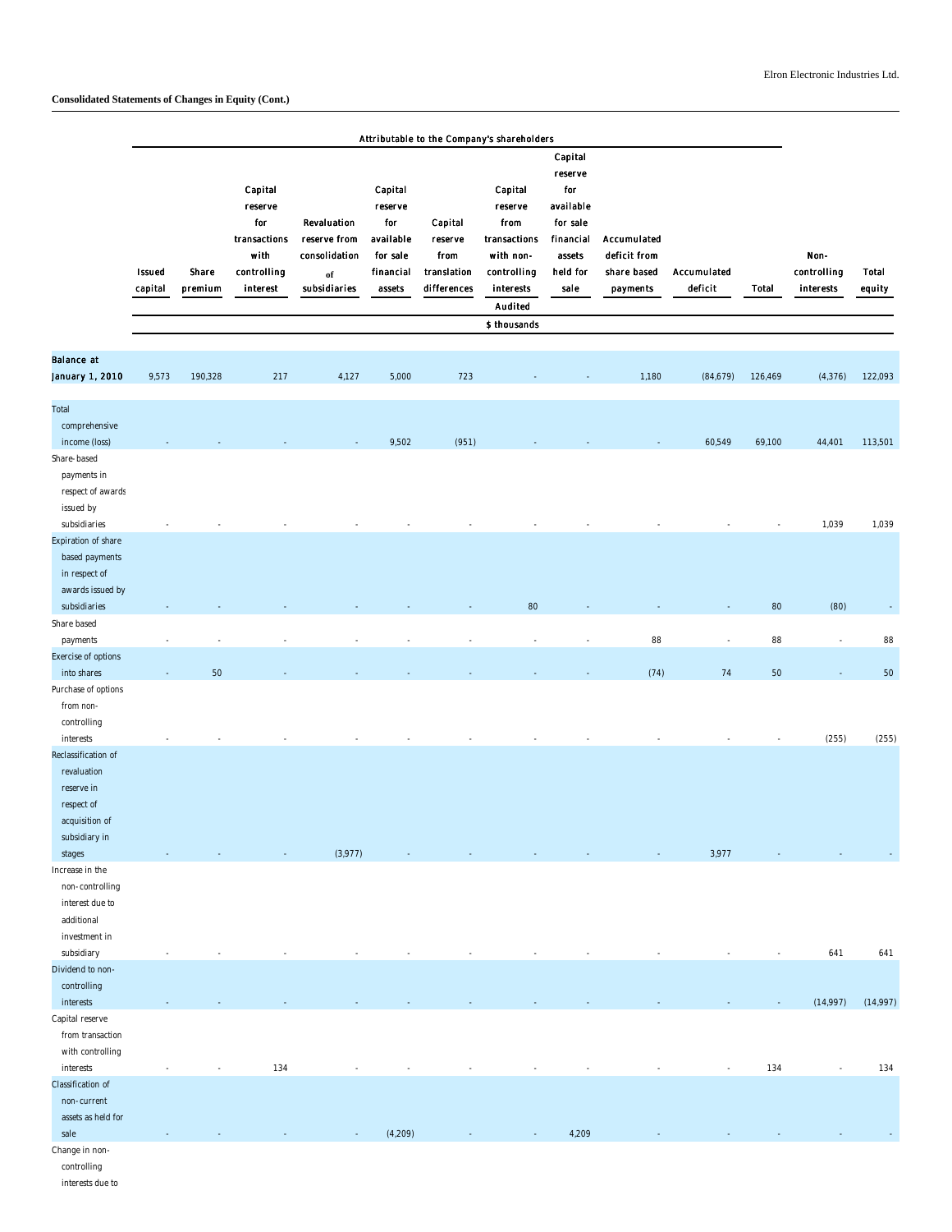|                                                                                                                |                          |                  |                                                                              |                                                                    |                                                                           |                                                          | Attributable to the Company's shareholders                                                                     |                                                                                               |                                                        |                        |         |                                  |                 |
|----------------------------------------------------------------------------------------------------------------|--------------------------|------------------|------------------------------------------------------------------------------|--------------------------------------------------------------------|---------------------------------------------------------------------------|----------------------------------------------------------|----------------------------------------------------------------------------------------------------------------|-----------------------------------------------------------------------------------------------|--------------------------------------------------------|------------------------|---------|----------------------------------|-----------------|
|                                                                                                                | <b>Issued</b><br>capital | Share<br>premium | Capital<br>reserve<br>for<br>transactions<br>with<br>controlling<br>interest | Revaluation<br>reserve from<br>consolidation<br>of<br>subsidiaries | Capital<br>reserve<br>for<br>available<br>for sale<br>financial<br>assets | Capital<br>reserve<br>from<br>translation<br>differences | Capital<br>reserve<br>from<br>transactions<br>with non-<br>controlling<br>interests<br>Audited<br>\$ thousands | Capital<br>reserve<br>for<br>available<br>for sale<br>financial<br>assets<br>held for<br>sale | Accumulated<br>deficit from<br>share based<br>payments | Accumulated<br>deficit | Total   | Non-<br>controlling<br>interests | Total<br>equity |
| Balance at                                                                                                     |                          |                  |                                                                              |                                                                    |                                                                           |                                                          |                                                                                                                |                                                                                               |                                                        |                        |         |                                  |                 |
| January 1, 2010                                                                                                | 9,573                    | 190,328          | 217                                                                          | 4,127                                                              | 5,000                                                                     | 723                                                      |                                                                                                                |                                                                                               | 1,180                                                  | (84, 679)              | 126,469 | (4, 376)                         | 122,093         |
| Total<br>comprehensive<br>income (loss)                                                                        |                          |                  |                                                                              |                                                                    | 9,502                                                                     | (951)                                                    |                                                                                                                |                                                                                               |                                                        | 60,549                 | 69,100  | 44,401                           | 113,501         |
| Share-based<br>payments in<br>respect of awards<br>issued by                                                   |                          |                  |                                                                              |                                                                    |                                                                           |                                                          |                                                                                                                |                                                                                               |                                                        |                        |         |                                  |                 |
| subsidiaries<br>Expiration of share<br>based payments<br>in respect of<br>awards issued by                     |                          |                  |                                                                              |                                                                    |                                                                           |                                                          |                                                                                                                |                                                                                               |                                                        |                        |         | 1,039                            | 1,039           |
| subsidiaries<br>Share based                                                                                    |                          |                  |                                                                              |                                                                    |                                                                           |                                                          | 80                                                                                                             |                                                                                               |                                                        |                        | 80      | (80)                             |                 |
| payments                                                                                                       |                          |                  |                                                                              |                                                                    |                                                                           |                                                          |                                                                                                                |                                                                                               | 88                                                     | $\overline{a}$         | 88      | $\overline{\phantom{a}}$         | 88              |
| Exercise of options                                                                                            |                          |                  |                                                                              |                                                                    |                                                                           |                                                          |                                                                                                                |                                                                                               |                                                        |                        |         |                                  |                 |
| into shares<br>Purchase of options<br>from non-<br>controlling                                                 |                          | 50               |                                                                              |                                                                    |                                                                           |                                                          |                                                                                                                |                                                                                               | (74)                                                   | 74                     | 50      |                                  | 50              |
| interests<br>Reclassification of<br>revaluation<br>reserve in<br>respect of<br>acquisition of<br>subsidiary in |                          |                  |                                                                              |                                                                    |                                                                           |                                                          |                                                                                                                |                                                                                               |                                                        |                        |         | (255)                            | (255)           |
| stages<br>ncrease in the<br>non-controlling<br>interest due to<br>additional<br>investment in                  |                          |                  |                                                                              | (3,977)                                                            |                                                                           |                                                          |                                                                                                                |                                                                                               |                                                        | 3,977                  |         |                                  |                 |
| subsidiary                                                                                                     |                          |                  |                                                                              |                                                                    |                                                                           |                                                          |                                                                                                                |                                                                                               |                                                        |                        |         | 641                              | 641             |
| Dividend to non-<br>controlling                                                                                |                          |                  |                                                                              |                                                                    |                                                                           |                                                          |                                                                                                                |                                                                                               |                                                        |                        |         |                                  |                 |
| interests<br>Capital reserve<br>from transaction<br>with controlling                                           |                          |                  |                                                                              |                                                                    |                                                                           |                                                          |                                                                                                                |                                                                                               |                                                        |                        |         | (14,997)                         | (14,997)        |
| interests                                                                                                      |                          |                  | 134                                                                          |                                                                    |                                                                           |                                                          |                                                                                                                |                                                                                               |                                                        |                        | 134     |                                  | 134             |
| Classification of<br>non-current<br>assets as held for                                                         |                          |                  |                                                                              |                                                                    |                                                                           |                                                          |                                                                                                                |                                                                                               |                                                        |                        |         |                                  |                 |
| sale<br>Change in non-                                                                                         |                          |                  |                                                                              |                                                                    | (4,209)                                                                   |                                                          |                                                                                                                | 4,209                                                                                         |                                                        |                        |         |                                  |                 |

controlling

interests due to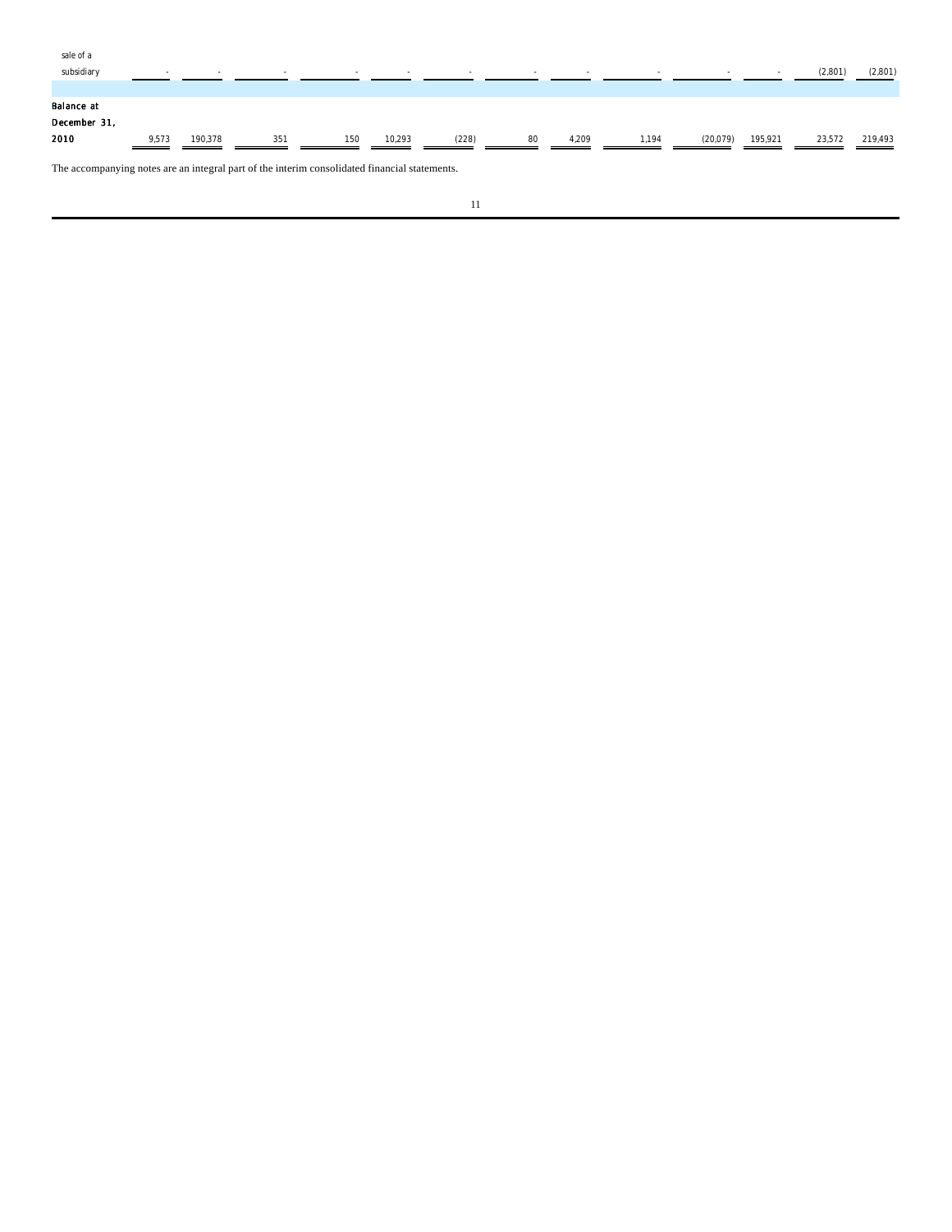| sale of a                                                                                     |       |         |     |     |        |       |    |       |       |          |                          |         |         |
|-----------------------------------------------------------------------------------------------|-------|---------|-----|-----|--------|-------|----|-------|-------|----------|--------------------------|---------|---------|
| subsidiary                                                                                    | ۰     |         | . . | . . | $\sim$ |       |    |       |       |          | $\overline{\phantom{a}}$ | (2,801) | (2,801) |
|                                                                                               |       |         |     |     |        |       |    |       |       |          |                          |         |         |
| Balance at                                                                                    |       |         |     |     |        |       |    |       |       |          |                          |         |         |
| December 31,                                                                                  |       |         |     |     |        |       |    |       |       |          |                          |         |         |
| 2010                                                                                          | 9.573 | 190.378 | 351 | 150 | 10,293 | (228) | 80 | 4,209 | 1.194 | (20,079) | 195,921                  | 23,572  | 219,493 |
|                                                                                               |       |         |     |     |        |       |    |       |       |          |                          |         |         |
| The accompanying notes are an integral part of the interim consolidated financial statements. |       |         |     |     |        |       |    |       |       |          |                          |         |         |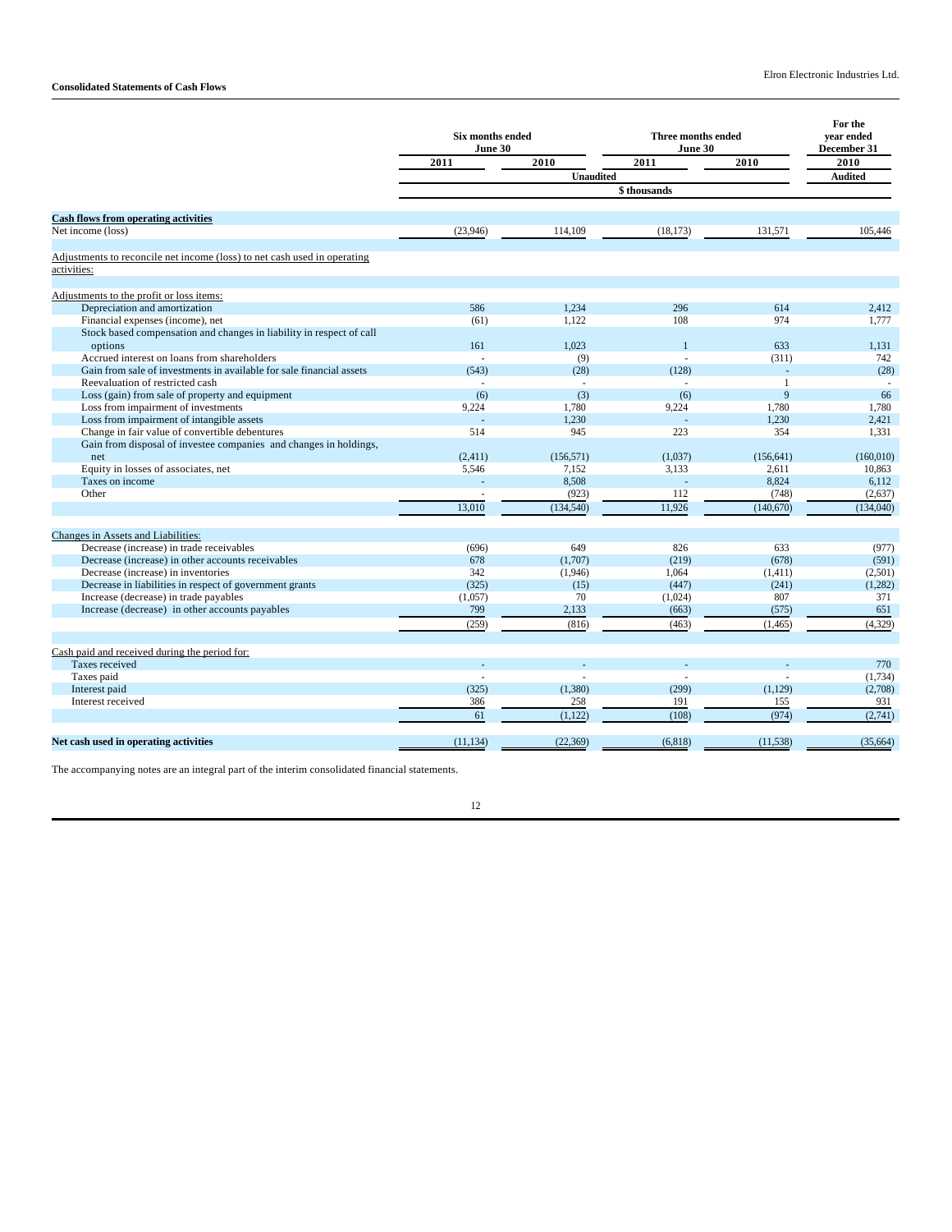|                                                                          | <b>Six months ended</b><br>June 30 |                  | Three months ended<br>June 30 |              | For the<br>vear ended<br>December 31 |
|--------------------------------------------------------------------------|------------------------------------|------------------|-------------------------------|--------------|--------------------------------------|
|                                                                          | 2011                               | 2010             | 2011                          | 2010         | 2010                                 |
|                                                                          |                                    | <b>Unaudited</b> |                               |              | <b>Audited</b>                       |
|                                                                          |                                    |                  | \$thousands                   |              |                                      |
| <b>Cash flows from operating activities</b>                              |                                    |                  |                               |              |                                      |
| Net income (loss)                                                        | (23,946)                           | 114,109          | (18, 173)                     | 131,571      | 105,446                              |
| Adjustments to reconcile net income (loss) to net cash used in operating |                                    |                  |                               |              |                                      |
| activities:                                                              |                                    |                  |                               |              |                                      |
| Adjustments to the profit or loss items:                                 |                                    |                  |                               |              |                                      |
| Depreciation and amortization                                            | 586                                | 1.234            | 296                           | 614          | 2,412                                |
| Financial expenses (income), net                                         | (61)                               | 1.122            | 108                           | 974          | 1.777                                |
| Stock based compensation and changes in liability in respect of call     |                                    |                  |                               |              |                                      |
| options                                                                  | 161                                | 1.023            | $\mathbf{1}$                  | 633          | 1.131                                |
| Accrued interest on loans from shareholders                              |                                    | (9)              | $\overline{a}$                | (311)        | 742                                  |
| Gain from sale of investments in available for sale financial assets     | (543)                              | (28)             | (128)                         |              | (28)                                 |
| Reevaluation of restricted cash                                          |                                    |                  |                               | $\mathbf{1}$ |                                      |
| Loss (gain) from sale of property and equipment                          | (6)                                | (3)              | (6)                           | 9            | 66                                   |
| Loss from impairment of investments                                      | 9,224                              | 1,780            | 9,224                         | 1,780        | 1,780                                |
| Loss from impairment of intangible assets                                |                                    | 1.230            |                               | 1.230        | 2,421                                |
| Change in fair value of convertible debentures                           | 514                                | 945              | 223                           | 354          | 1.331                                |
| Gain from disposal of investee companies and changes in holdings,        |                                    |                  |                               |              |                                      |
| net                                                                      | (2,411)                            | (156.571)        | (1,037)                       | (156.641)    | (160.010)                            |
| Equity in losses of associates, net                                      | 5,546                              | 7,152            | 3,133                         | 2,611        | 10,863                               |
| Taxes on income                                                          |                                    | 8,508            | L.                            | 8,824        | 6,112                                |
| Other                                                                    |                                    | (923)            | 112                           | (748)        | (2,637)                              |
|                                                                          | 13,010                             | (134, 540)       | 11,926                        | (140, 670)   | (134,040)                            |
| Changes in Assets and Liabilities:                                       |                                    |                  |                               |              |                                      |
| Decrease (increase) in trade receivables                                 | (696)                              | 649              | 826                           | 633          | (977)                                |
| Decrease (increase) in other accounts receivables                        | 678                                | (1,707)          | (219)                         | (678)        | (591)                                |
| Decrease (increase) in inventories                                       | 342                                | (1,946)          | 1,064                         | (1,411)      | (2,501)                              |
| Decrease in liabilities in respect of government grants                  | (325)                              | (15)             | (447)                         | (241)        | (1,282)                              |
| Increase (decrease) in trade payables                                    | (1,057)                            | 70               | (1,024)                       | 807          | 371                                  |
| Increase (decrease) in other accounts payables                           | 799                                | 2,133            | (663)                         | (575)        | 651                                  |
|                                                                          | (259)                              | (816)            | (463)                         | (1, 465)     | (4,329)                              |
| Cash paid and received during the period for:                            |                                    |                  |                               |              |                                      |
| Taxes received                                                           |                                    |                  |                               |              | 770                                  |
| Taxes paid                                                               |                                    |                  |                               |              | (1,734)                              |
| Interest paid                                                            | (325)                              | (1,380)          | (299)                         | (1,129)      | (2,708)                              |
| Interest received                                                        | 386                                | 258              | 191                           | 155          | 931                                  |
|                                                                          | 61                                 | (1, 122)         | (108)                         | (974)        | (2,741)                              |
| Net cash used in operating activities                                    | (11, 134)                          | (22, 369)        | (6,818)                       | (11, 538)    | (35, 664)                            |
|                                                                          |                                    |                  |                               |              |                                      |

The accompanying notes are an integral part of the interim consolidated financial statements.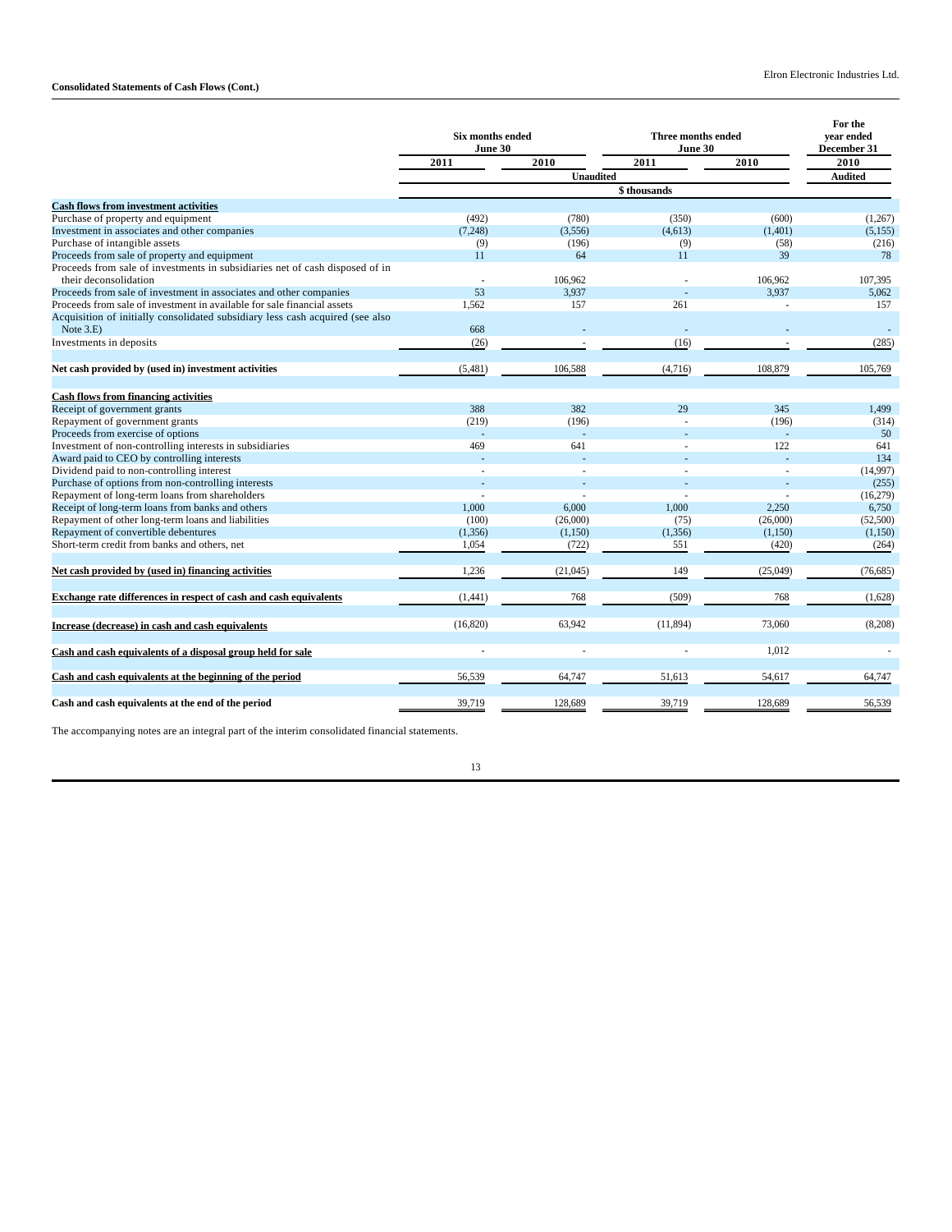|                                                                               | <b>Six months ended</b><br>June 30 |                  | <b>Three months ended</b><br>June 30 |          | For the<br>vear ended<br>December 31 |
|-------------------------------------------------------------------------------|------------------------------------|------------------|--------------------------------------|----------|--------------------------------------|
|                                                                               | 2011                               | 2010             | 2011                                 | 2010     | 2010                                 |
|                                                                               |                                    | <b>Unaudited</b> |                                      |          | <b>Audited</b>                       |
|                                                                               |                                    |                  |                                      |          |                                      |
| <b>Cash flows from investment activities</b>                                  |                                    |                  |                                      |          |                                      |
| Purchase of property and equipment                                            | (492)                              | (780)            | (350)                                | (600)    | (1,267)                              |
| Investment in associates and other companies                                  | (7, 248)                           | (3,556)          | (4,613)                              | (1,401)  | (5,155)                              |
| Purchase of intangible assets                                                 | (9)                                | (196)            | (9)                                  | (58)     | (216)                                |
| Proceeds from sale of property and equipment                                  | 11                                 | 64               | 11                                   | 39       | 78                                   |
| Proceeds from sale of investments in subsidiaries net of cash disposed of in  |                                    |                  |                                      |          |                                      |
| their deconsolidation                                                         | ٠                                  | 106,962          |                                      | 106.962  | 107,395                              |
| Proceeds from sale of investment in associates and other companies            | 53                                 | 3,937            |                                      | 3,937    | 5,062                                |
| Proceeds from sale of investment in available for sale financial assets       | 1,562                              | 157              | 261                                  |          | 157                                  |
| Acquisition of initially consolidated subsidiary less cash acquired (see also |                                    |                  |                                      |          |                                      |
| Note $3.E$ )                                                                  | 668                                |                  |                                      |          |                                      |
| Investments in deposits                                                       | (26)                               |                  | (16)                                 |          | (285)                                |
|                                                                               |                                    |                  |                                      |          |                                      |
| Net cash provided by (used in) investment activities                          | (5,481)                            | 106,588          | (4,716)                              | 108,879  | 105,769                              |
|                                                                               |                                    |                  |                                      |          |                                      |
| <b>Cash flows from financing activities</b>                                   |                                    |                  |                                      |          |                                      |
| Receipt of government grants                                                  | 388                                | 382              | 29                                   | 345      | 1,499                                |
| Repayment of government grants                                                | (219)                              | (196)            |                                      | (196)    | (314)                                |
| Proceeds from exercise of options                                             |                                    |                  |                                      |          | 50                                   |
| Investment of non-controlling interests in subsidiaries                       | 469                                | 641              |                                      | 122      | 641                                  |
| Award paid to CEO by controlling interests                                    |                                    |                  |                                      |          | 134                                  |
| Dividend paid to non-controlling interest                                     | ä,                                 |                  |                                      |          | (14,997)                             |
| Purchase of options from non-controlling interests                            |                                    |                  |                                      |          | (255)                                |
| Repayment of long-term loans from shareholders                                | J.                                 |                  |                                      |          | (16,279)                             |
| Receipt of long-term loans from banks and others                              | 1.000                              | 6.000            | 1.000                                | 2.250    | 6,750                                |
| Repayment of other long-term loans and liabilities                            | (100)                              | (26,000)         | (75)                                 | (26,000) | (52,500)                             |
| Repayment of convertible debentures                                           | (1, 356)                           | (1,150)          | (1, 356)                             | (1,150)  | (1,150)                              |
| Short-term credit from banks and others, net                                  | 1,054                              | (722)            | 551                                  | (420)    | (264)                                |
| Net cash provided by (used in) financing activities                           | 1,236                              | (21,045)         | 149                                  | (25,049) | (76, 685)                            |
|                                                                               |                                    |                  |                                      |          |                                      |
| Exchange rate differences in respect of cash and cash equivalents             | (1, 441)                           | 768              | (509)                                | 768      | (1,628)                              |
| Increase (decrease) in cash and cash equivalents                              | (16, 820)                          | 63,942           | (11, 894)                            | 73,060   | (8,208)                              |
| Cash and cash equivalents of a disposal group held for sale                   |                                    |                  |                                      | 1,012    |                                      |
| Cash and cash equivalents at the beginning of the period                      | 56,539                             | 64,747           | 51,613                               | 54,617   | 64,747                               |
|                                                                               |                                    |                  |                                      |          |                                      |
| Cash and cash equivalents at the end of the period                            | 39,719                             | 128,689          | 39,719                               | 128,689  | 56,539                               |

The accompanying notes are an integral part of the interim consolidated financial statements.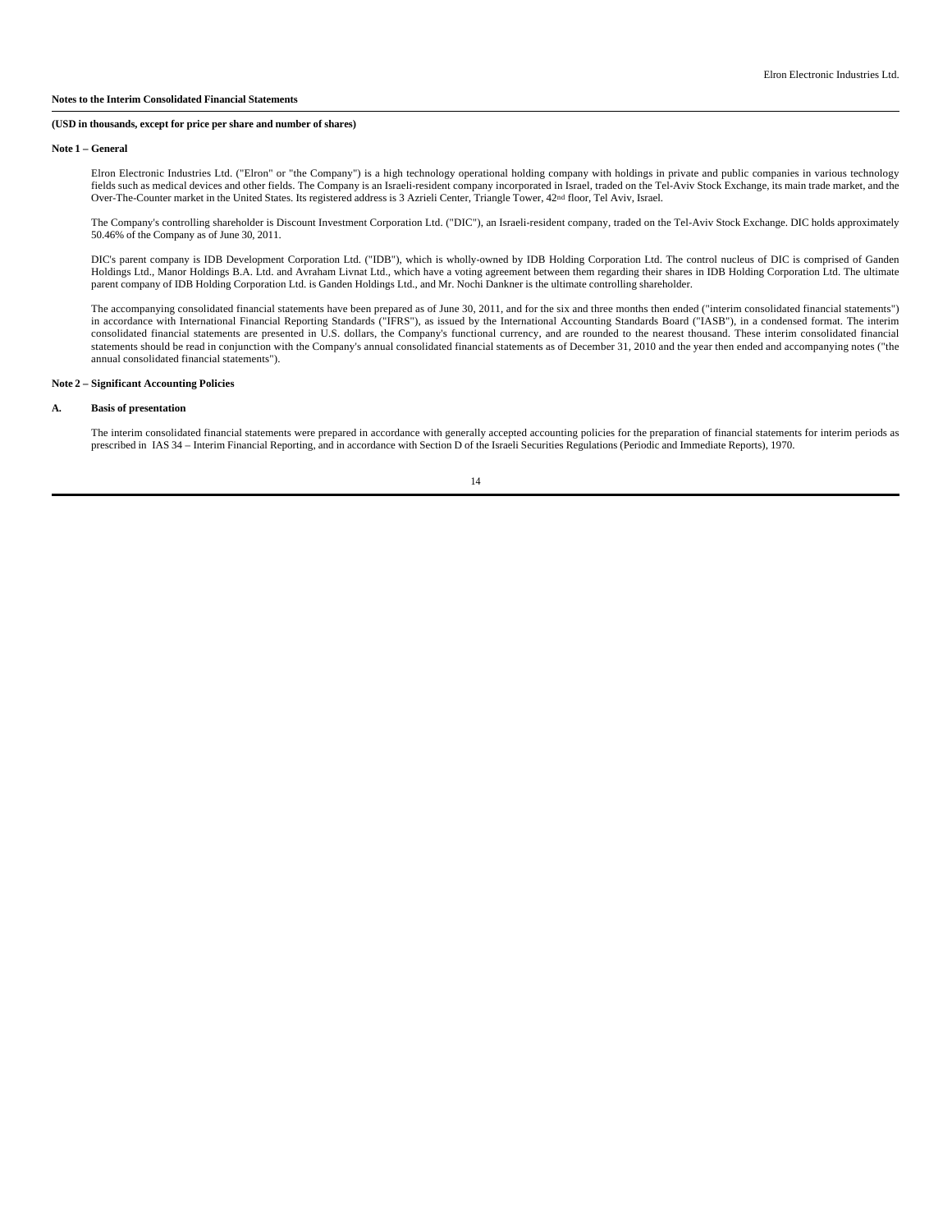#### **Note 1 – General**

Elron Electronic Industries Ltd. ("Elron" or "the Company") is a high technology operational holding company with holdings in private and public companies in various technology fields such as medical devices and other fields. The Company is an Israeli-resident company incorporated in Israel, traded on the Tel-Aviv Stock Exchange, its main trade market, and the Over-The-Counter market in the United States. Its registered address is 3 Azrieli Center, Triangle Tower, 42nd floor, Tel Aviv, Israel.

The Company's controlling shareholder is Discount Investment Corporation Ltd. ("DIC"), an Israeli-resident company, traded on the Tel-Aviv Stock Exchange. DIC holds approximately 50.46% of the Company as of June 30, 2011.

DIC's parent company is IDB Development Corporation Ltd. ("IDB"), which is wholly-owned by IDB Holding Corporation Ltd. The control nucleus of DIC is comprised of Ganden Holdings Ltd., Manor Holdings B.A. Ltd. and Avraham Livnat Ltd., which have a voting agreement between them regarding their shares in IDB Holding Corporation Ltd. The ultimate parent company of IDB Holding Corporation Ltd. is Ganden Holdings Ltd., and Mr. Nochi Dankner is the ultimate controlling shareholder.

The accompanying consolidated financial statements have been prepared as of June 30, 2011, and for the six and three months then ended ("interim consolidated financial statements") in accordance with International Financial Reporting Standards ("IFRS"), as issued by the International Accounting Standards Board ("IASB"), in a condensed format. The interim<br>consolidated financial statements are presente statements should be read in conjunction with the Company's annual consolidated financial statements as of December 31, 2010 and the year then ended and accompanying notes ("the annual consolidated financial statements").

#### **Note 2 – Significant Accounting Policies**

# **A. Basis of presentation**

The interim consolidated financial statements were prepared in accordance with generally accepted accounting policies for the preparation of financial statements for interim periods as prescribed in IAS 34 – Interim Financial Reporting, and in accordance with Section D of the Israeli Securities Regulations (Periodic and Immediate Reports), 1970.

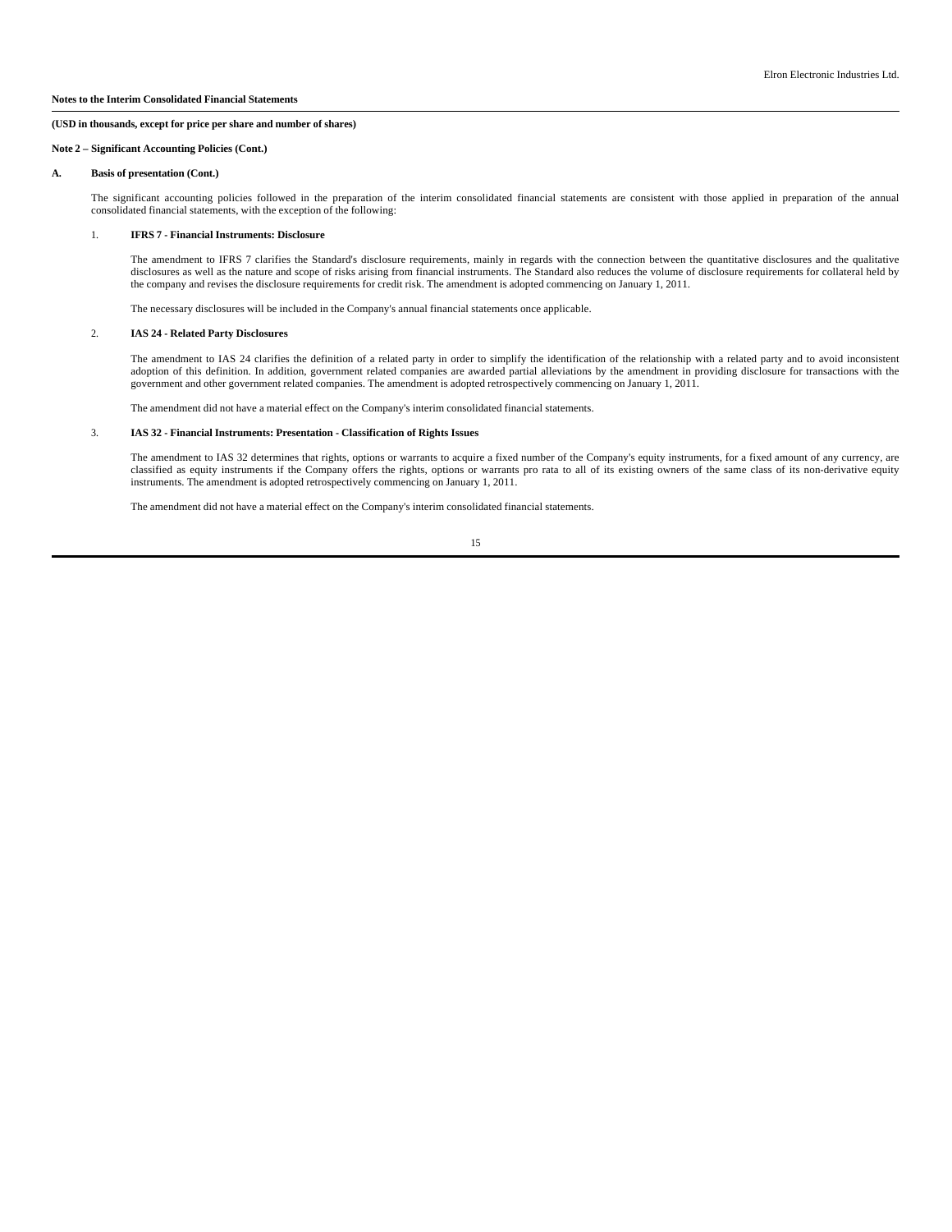#### **Note 2 – Significant Accounting Policies (Cont.)**

#### **A. Basis of presentation (Cont.)**

The significant accounting policies followed in the preparation of the interim consolidated financial statements are consistent with those applied in preparation of the annual consolidated financial statements, with the ex

#### 1. **IFRS 7 - Financial Instruments: Disclosure**

The amendment to IFRS 7 clarifies the Standard's disclosure requirements, mainly in regards with the connection between the quantitative disclosures and the qualitative<br>disclosures as well as the nature and scope of risks the company and revises the disclosure requirements for credit risk. The amendment is adopted commencing on January 1, 2011.

The necessary disclosures will be included in the Company's annual financial statements once applicable.

## 2. **IAS 24 - Related Party Disclosures**

The amendment to IAS 24 clarifies the definition of a related party in order to simplify the identification of the relationship with a related party and to avoid inconsistent<br>adoption of this definition. In addition, gover government and other government related companies. The amendment is adopted retrospectively commencing on January 1, 2011.

The amendment did not have a material effect on the Company's interim consolidated financial statements.

#### 3. **IAS 32 - Financial Instruments: Presentation - Classification of Rights Issues**

The amendment to IAS 32 determines that rights, options or warrants to acquire a fixed number of the Company's equity instruments, for a fixed amount of any currency, are classified as equity instruments if the Company offers the rights, options or warrants pro rata to all of its existing owners of the same class of its non-derivative equity instruments. The amendment is adopted retrospectively commencing on January 1, 2011.

The amendment did not have a material effect on the Company's interim consolidated financial statements.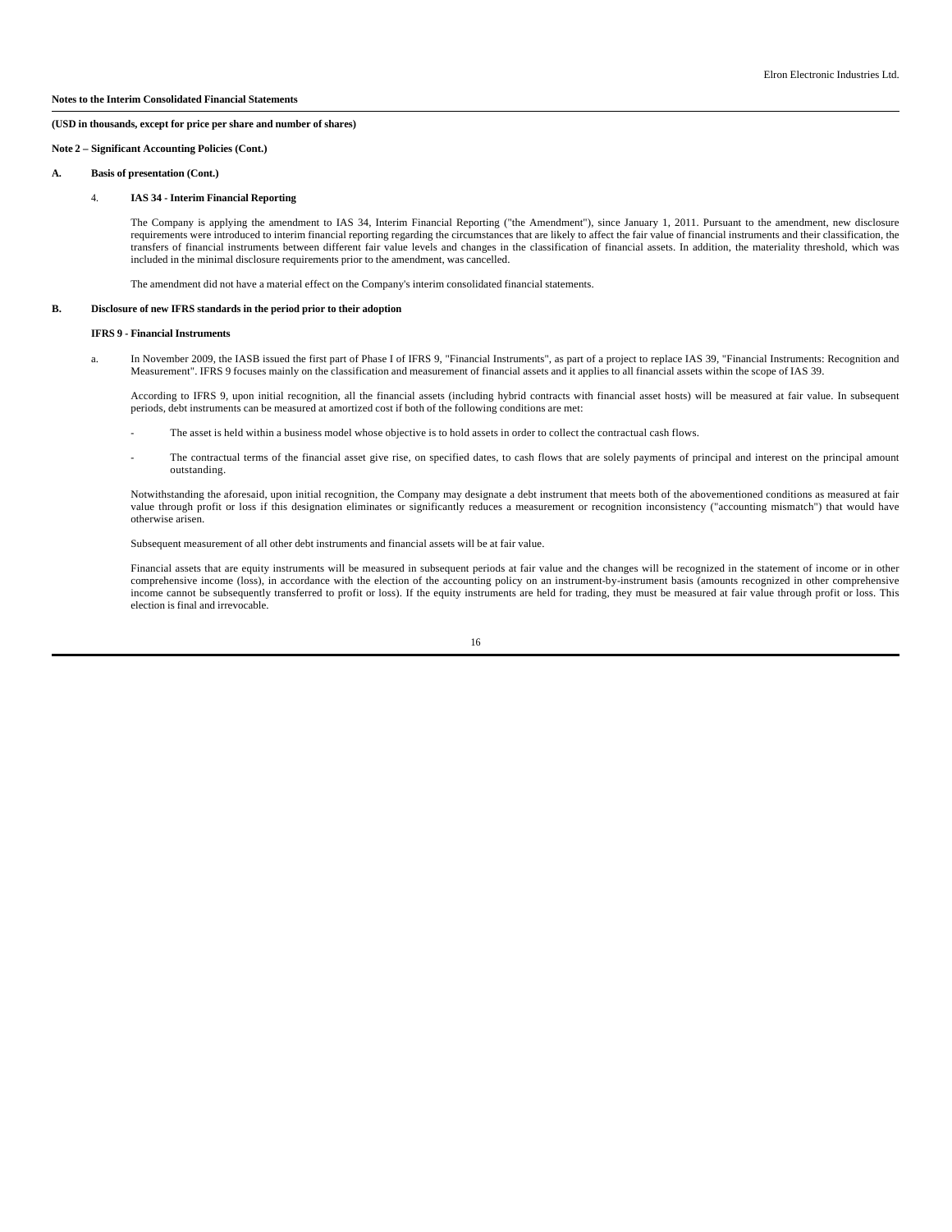#### **Note 2 – Significant Accounting Policies (Cont.)**

#### **A. Basis of presentation (Cont.)**

#### 4. **IAS 34 - Interim Financial Reporting**

The Company is applying the amendment to IAS 34, Interim Financial Reporting ("the Amendment"), since January 1, 2011. Pursuant to the amendment, new disclosure requirements were introduced to interim financial reporting regarding the circumstances that are likely to affect the fair value of financial instruments and their classification, the transfers of financial instruments between different fair value levels and changes in the classification of financial assets. In addition, the materiality threshold, which was included in the minimal disclosure requirements prior to the amendment, was cancelled.

The amendment did not have a material effect on the Company's interim consolidated financial statements.

# **B. Disclosure of new IFRS standards in the period prior to their adoption**

#### **IFRS 9 - Financial Instruments**

 a. In November 2009, the IASB issued the first part of Phase I of IFRS 9, "Financial Instruments", as part of a project to replace IAS 39, "Financial Instruments: Recognition and Measurement". IFRS 9 focuses mainly on the classification and measurement of financial assets and it applies to all financial assets within the scope of IAS 39.

According to IFRS 9, upon initial recognition, all the financial assets (including hybrid contracts with financial asset hosts) will be measured at fair value. In subsequent periods, debt instruments can be measured at amortized cost if both of the following conditions are met:

- The asset is held within a business model whose objective is to hold assets in order to collect the contractual cash flows.
- The contractual terms of the financial asset give rise, on specified dates, to cash flows that are solely payments of principal and interest on the principal amount outstanding.

Notwithstanding the aforesaid, upon initial recognition, the Company may designate a debt instrument that meets both of the abovementioned conditions as measured at fair value through profit or loss if this designation eliminates or significantly reduces a measurement or recognition inconsistency ("accounting mismatch") that would have otherwise arisen.

Subsequent measurement of all other debt instruments and financial assets will be at fair value.

Financial assets that are equity instruments will be measured in subsequent periods at fair value and the changes will be recognized in the statement of income or in other comprehensive income (loss), in accordance with the election of the accounting policy on an instrument-by-instrument basis (amounts recognized in other comprehensive income cannot be subsequently transferred to profit or loss). If the equity instruments are held for trading, they must be measured at fair value through profit or loss. This election is final and irrevocable.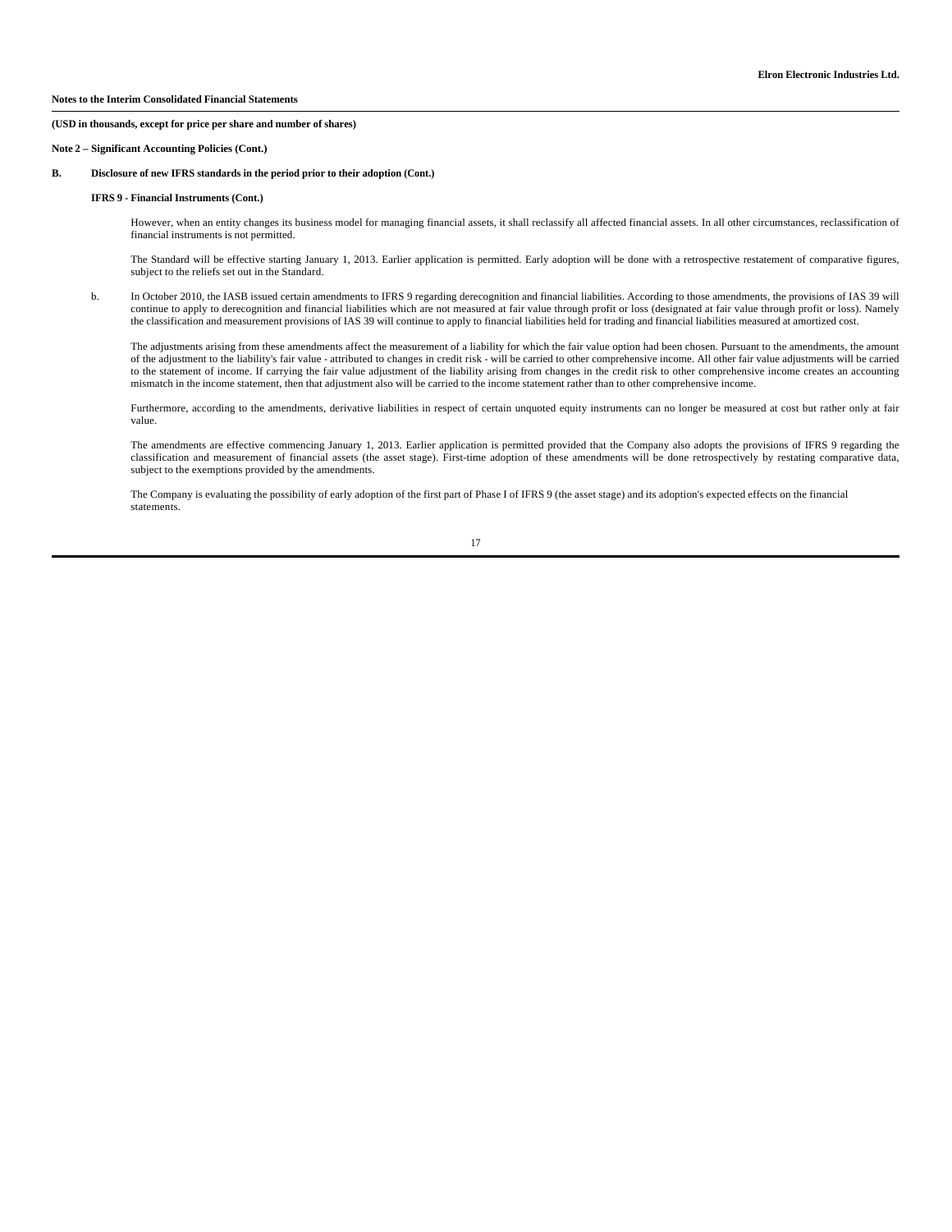#### **Note 2 – Significant Accounting Policies (Cont.)**

# **B. Disclosure of new IFRS standards in the period prior to their adoption (Cont.)**

#### **IFRS 9 - Financial Instruments (Cont.)**

However, when an entity changes its business model for managing financial assets, it shall reclassify all affected financial assets. In all other circumstances, reclassification of financial instruments is not permitted.

The Standard will be effective starting January 1, 2013. Earlier application is permitted. Early adoption will be done with a retrospective restatement of comparative figures, subject to the reliefs set out in the Standard.

 b. In October 2010, the IASB issued certain amendments to IFRS 9 regarding derecognition and financial liabilities. According to those amendments, the provisions of IAS 39 will continue to apply to derecognition and financial liabilities which are not measured at fair value through profit or loss (designated at fair value through profit or loss). Namely the classification and measurement provisions of IAS 39 will continue to apply to financial liabilities held for trading and financial liabilities measured at amortized cost.

The adjustments arising from these amendments affect the measurement of a liability for which the fair value option had been chosen. Pursuant to the amendments, the amount of the adjustment to the liability's fair value - attributed to changes in credit risk - will be carried to other comprehensive income. All other fair value adjustments will be carried<br>to the statement of income. If carryi mismatch in the income statement, then that adjustment also will be carried to the income statement rather than to other comprehensive income.

Furthermore, according to the amendments, derivative liabilities in respect of certain unquoted equity instruments can no longer be measured at cost but rather only at fair value.

The amendments are effective commencing January 1, 2013. Earlier application is permitted provided that the Company also adopts the provisions of IFRS 9 regarding the classification and measurement of financial assets (the asset stage). First-time adoption of these amendments will be done retrospectively by restating comparative data, subject to the exemptions provided by the amendments.

The Company is evaluating the possibility of early adoption of the first part of Phase I of IFRS 9 (the asset stage) and its adoption's expected effects on the financial statements.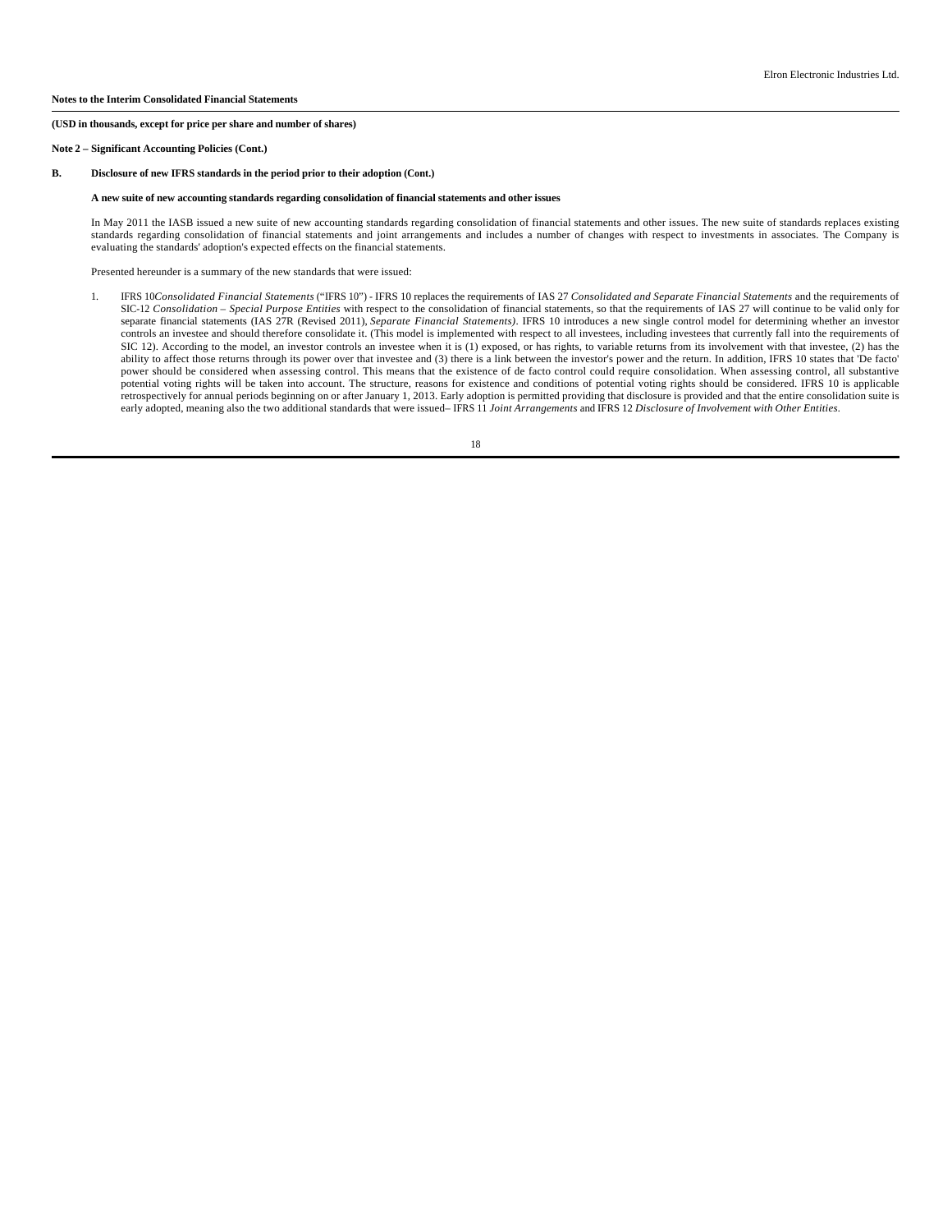#### **Note 2 – Significant Accounting Policies (Cont.)**

# **B. Disclosure of new IFRS standards in the period prior to their adoption (Cont.)**

#### **A new suite of new accounting standards regarding consolidation of financial statements and other issues**

In May 2011 the IASB issued a new suite of new accounting standards regarding consolidation of financial statements and other issues. The new suite of standards replaces existing standards regarding consolidation of financial statements and joint arrangements and includes a number of changes with respect to investments in associates. The Company is evaluating the standards' adoption's expected effects on the financial statements.

Presented hereunder is a summary of the new standards that were issued:

1. IFRS 10*Consolidated Financial Statements* ("IFRS 10") - IFRS 10 replaces the requirements of IAS 27 *Consolidated and Separate Financial Statements* and the requirements of SIC-12 *Consolidation – Special Purpose Entities* with respect to the consolidation of financial statements, so that the requirements of IAS 27 will continue to be valid only for separate financial statements (IAS 27R (Revised 2011), *Separate Financial Statements)*. IFRS 10 introduces a new single control model for determining whether an investor controls an investee and should therefore consolidate it. (This model is implemented with respect to all investees, including investees that currently fall into the requirements of SIC 12). According to the model, an investor controls an investee when it is (1) exposed, or has rights, to variable returns from its involvement with that investee, (2) has the ability to affect those returns through its power over that investee and (3) there is a link between the investor's power and the return. In addition, IFRS 10 states that 'De facto' power should be considered when assessing control. This means that the existence of de facto control could require consolidation. When assessing control, all substantive potential voting rights will be taken into account. The structure, reasons for existence and conditions of potential voting rights should be considered. IFRS 10 is applicable retrospectively for annual periods beginning on or after January 1, 2013. Early adoption is permitted providing that disclosure is provided and that the entire consolidation suite is early adopted, meaning also the two additional standards that were issued– IFRS 11 *Joint Arrangements* and IFRS 12 *Disclosure of Involvement with Other Entities*.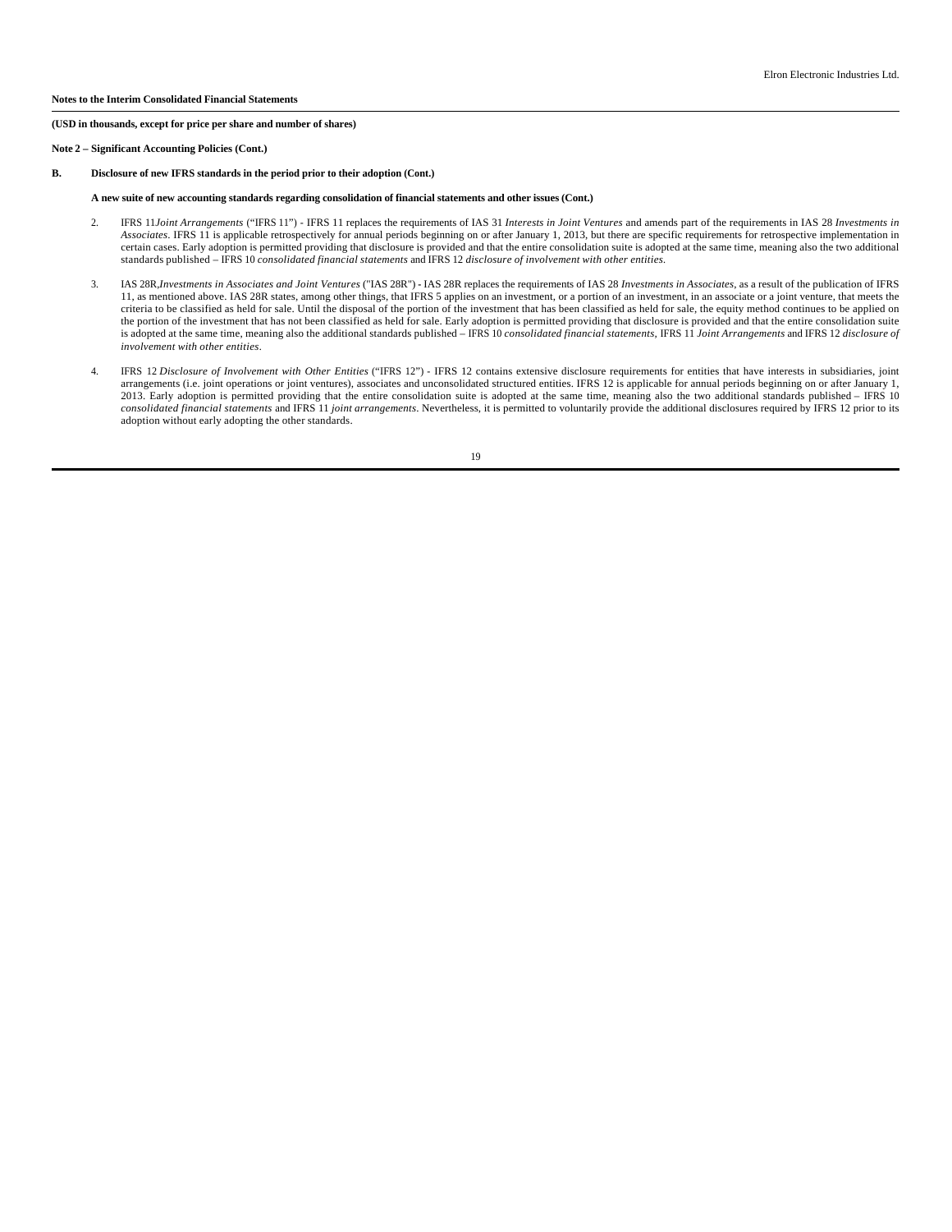#### **Note 2 – Significant Accounting Policies (Cont.)**

# **B. Disclosure of new IFRS standards in the period prior to their adoption (Cont.)**

#### **A new suite of new accounting standards regarding consolidation of financial statements and other issues (Cont.)**

- 2. IFRS 11*Joint Arrangements* ("IFRS 11") IFRS 11 replaces the requirements of IAS 31 *Interests in Joint Ventures* and amends part of the requirements in IAS 28 *Investments in Associates*. IFRS 11 is applicable retrospectively for annual periods beginning on or after January 1, 2013, but there are specific requirements for retrospective implementation in certain cases. Early adoption is permitted providing that disclosure is provided and that the entire consolidation suite is adopted at the same time, meaning also the two additional standards published – IFRS 10 *consolidated financial statements* and IFRS 12 *disclosure of involvement with other entities*.
- 3. IAS 28R,*Investments in Associates and Joint Ventures* ("IAS 28R") **-** IAS 28R replaces the requirements of IAS 28 *Investments in Associates*, as a result of the publication of IFRS 11, as mentioned above. IAS 28R states, among other things, that IFRS 5 applies on an investment, or a portion of an investment, in an associate or a joint venture, that meets the criteria to be classified as held for sale. Until the disposal of the portion of the investment that has been classified as held for sale, the equity method continues to be applied on the portion of the investment that has not been classified as held for sale. Early adoption is permitted providing that disclosure is provided and that the entire consolidation suite<br>is adopted at the same time, meaning al *involvement with other entities*.
- 4. IFRS 12 *Disclosure of Involvement with Other Entities* ("IFRS 12") IFRS 12 contains extensive disclosure requirements for entities that have interests in subsidiaries, joint arrangements (i.e. joint operations or joint ventures), associates and unconsolidated structured entities. IFRS 12 is applicable for annual periods beginning on or after January 1,<br>2013. Early adoption is permitted providi *consolidated financial statements* and IFRS 11 *joint arrangements*. Nevertheless, it is permitted to voluntarily provide the additional disclosures required by IFRS 12 prior to its adoption without early adopting the other standards.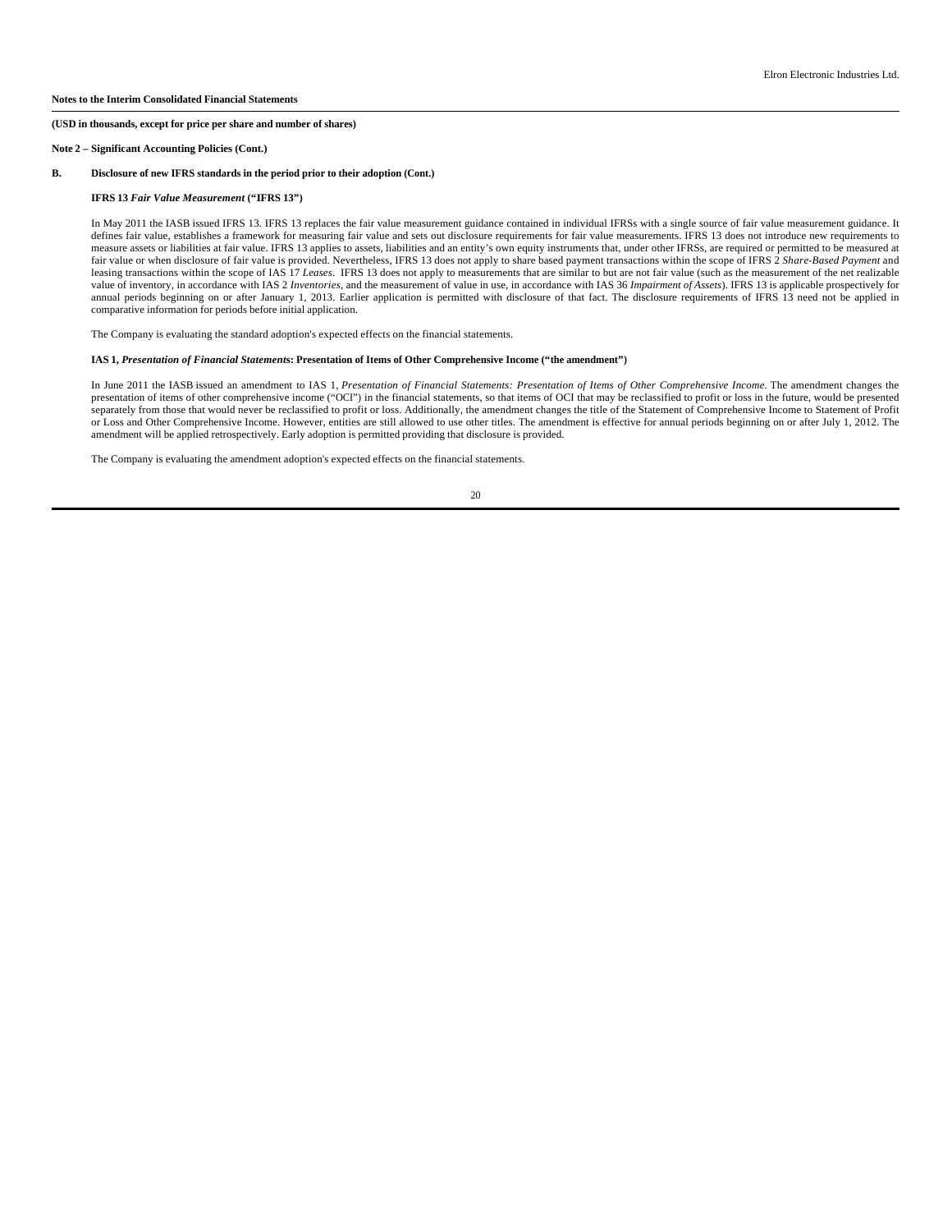#### **Note 2 – Significant Accounting Policies (Cont.)**

#### **B. Disclosure of new IFRS standards in the period prior to their adoption (Cont.)**

## **IFRS 13** *Fair Value Measurement* **("IFRS 13")**

In May 2011 the IASB issued IFRS 13. IFRS 13 replaces the fair value measurement guidance contained in individual IFRSs with a single source of fair value measurement guidance. It defines fair value, establishes a framework for measuring fair value and sets out disclosure requirements for fair value measurements. IFRS 13 does not introduce new requirements to measure assets or liabilities at fair value. IFRS 13 applies to assets, liabilities and an entity's own equity instruments that, under other IFRSs, are required or permitted to be measured at fair value or when disclosure of fair value is provided. Nevertheless, IFRS 13 does not apply to share based payment transactions within the scope of IFRS 2 *Share-Based Payment* and leasing transactions within the scope of IAS 17 *Leases*. IFRS 13 does not apply to measurements that are similar to but are not fair value (such as the measurement of the net realizable value of inventory, in accordance with IAS 2 *Inventories*, and the measurement of value in use, in accordance with IAS 36 *Impairment of Assets*). IFRS 13 is applicable prospectively for annual periods beginning on or after January 1, 2013. Earlier application is permitted with disclosure of that fact. The disclosure requirements of IFRS 13 need not be applied in comparative information for periods before initial application.

The Company is evaluating the standard adoption's expected effects on the financial statements.

#### **IAS 1,** *Presentation of Financial Statement***s: Presentation of Items of Other Comprehensive Income ("the amendment")**

In June 2011 the IASB issued an amendment to IAS 1, *Presentation of Financial Statements: Presentation of Items of Other Comprehensive Income.* The amendment changes the presentation of items of other comprehensive income ("OCI") in the financial statements, so that items of OCI that may be reclassified to profit or loss in the future, would be presented separately from those that would never be reclassified to profit or loss. Additionally, the amendment changes the title of the Statement of Comprehensive Income to Statement of Profit or Loss and Other Comprehensive Income. However, entities are still allowed to use other titles. The amendment is effective for annual periods beginning on or after July 1, 2012. The amendment will be applied retrospectively. Early adoption is permitted providing that disclosure is provided.

The Company is evaluating the amendment adoption's expected effects on the financial statements.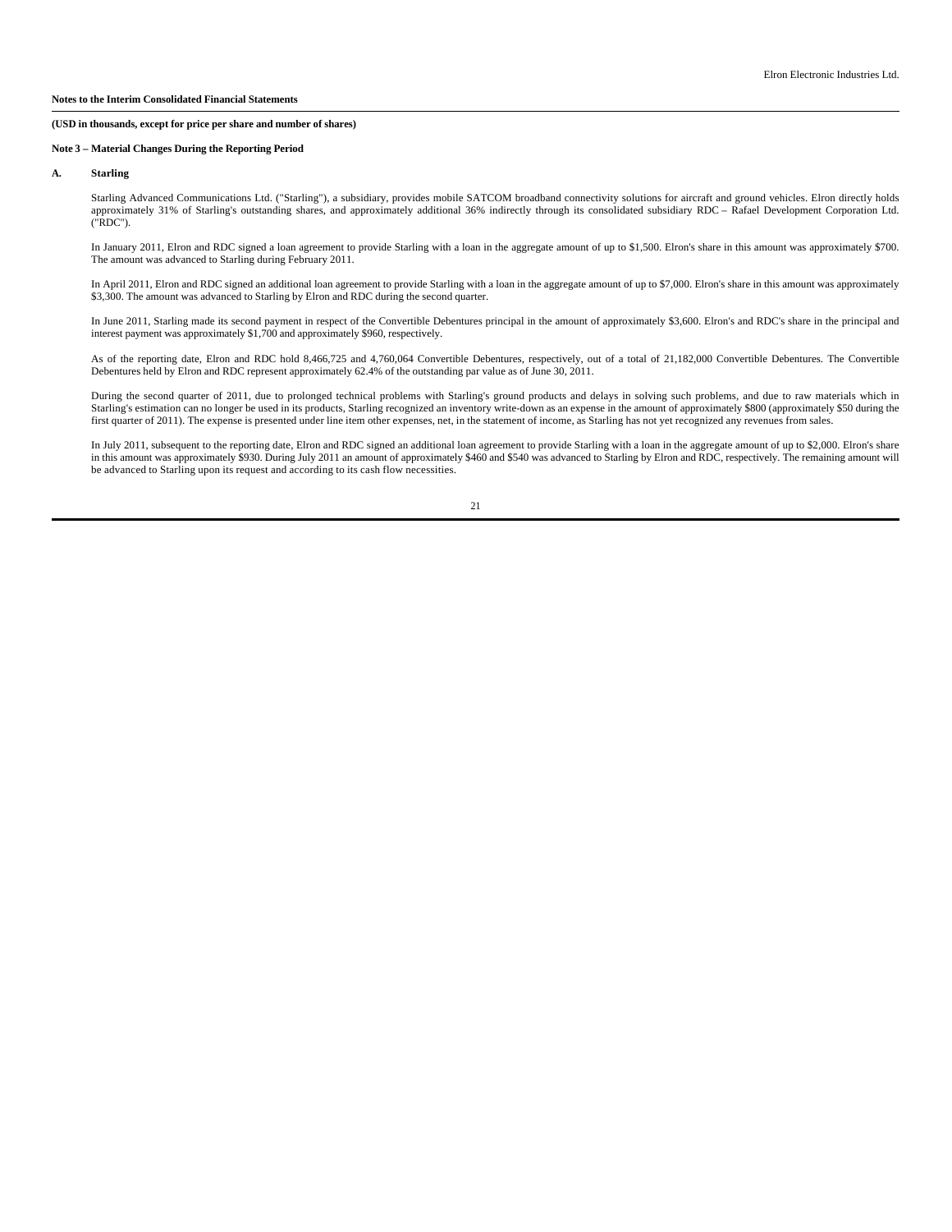## **Note 3 – Material Changes During the Reporting Period**

#### **A. Starling**

Starling Advanced Communications Ltd. ("Starling"), a subsidiary, provides mobile SATCOM broadband connectivity solutions for aircraft and ground vehicles. Elron directly holds approximately 31% of Starling's outstanding shares, and approximately additional 36% indirectly through its consolidated subsidiary RDC – Rafael Development Corporation Ltd. ("RDC").

In January 2011, Elron and RDC signed a loan agreement to provide Starling with a loan in the aggregate amount of up to \$1,500. Elron's share in this amount was approximately \$700. The amount was advanced to Starling during February 2011.

In April 2011, Elron and RDC signed an additional loan agreement to provide Starling with a loan in the aggregate amount of up to \$7,000. Elron's share in this amount was approximately \$3,300. The amount was advanced to Starling by Elron and RDC during the second quarter.

In June 2011, Starling made its second payment in respect of the Convertible Debentures principal in the amount of approximately \$3,600. Elron's and RDC's share in the principal and<br>interest payment was approximately \$1,70

As of the reporting date, Elron and RDC hold 8,466,725 and 4,760,064 Convertible Debentures, respectively, out of a total of 21,182,000 Convertible Debentures. The Convertible Debentures held by Elron and RDC represent approximately 62.4% of the outstanding par value as of June 30, 2011.

During the second quarter of 2011, due to prolonged technical problems with Starling's ground products and delays in solving such problems, and due to raw materials which in Starling's estimation can no longer be used in its products, Starling recognized an inventory write-down as an expense in the amount of approximately \$800 (approximately \$50 during the<br>first quarter of 2011). The expense i

In July 2011, subsequent to the reporting date, Elron and RDC signed an additional loan agreement to provide Starling with a loan in the aggregate amount of up to \$2,000. Elron's share<br>in this amount was approximately \$930 be advanced to Starling upon its request and according to its cash flow necessities.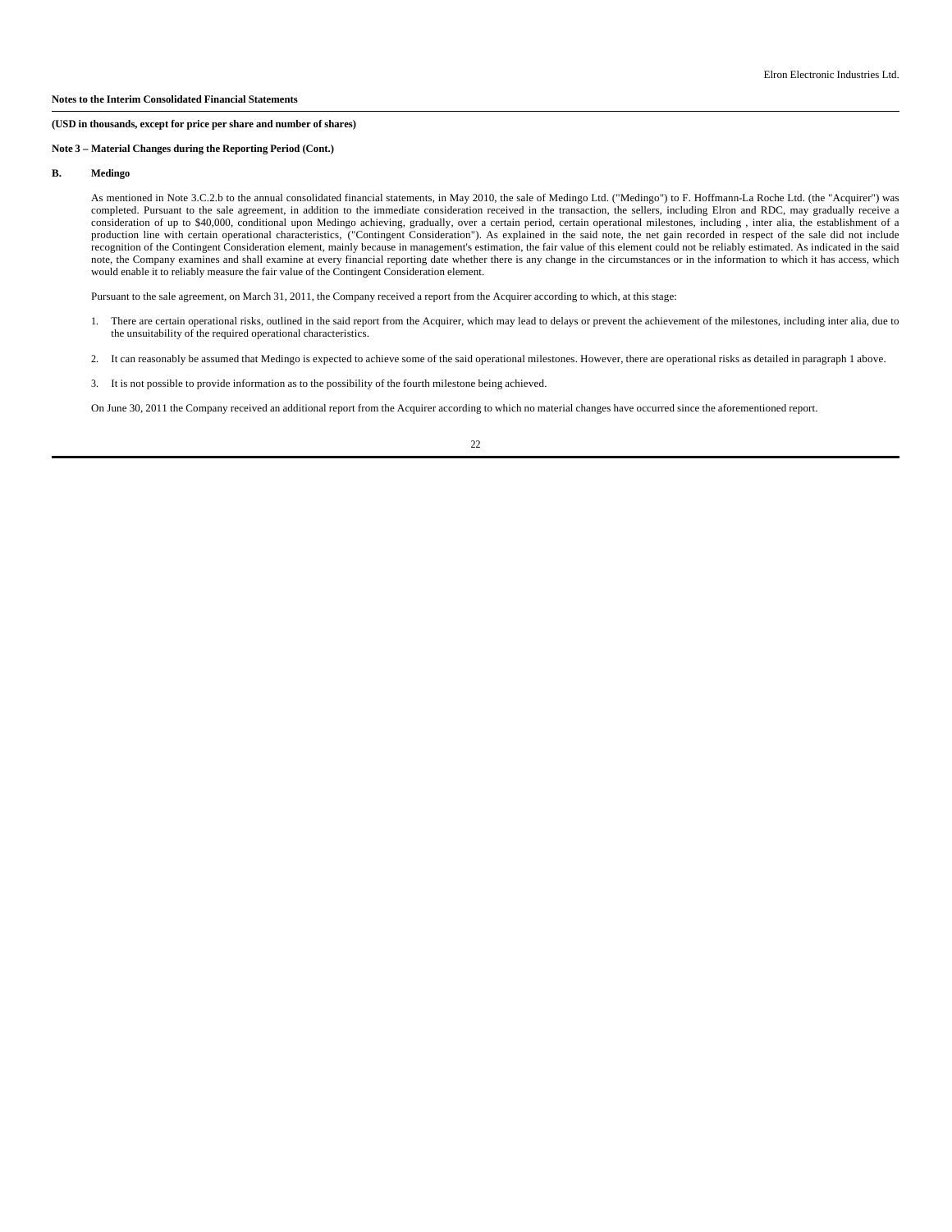## **Note 3 – Material Changes during the Reporting Period (Cont.)**

#### В. **B. Medingo**

As mentioned in Note 3.C.2.b to the annual consolidated financial statements, in May 2010, the sale of Medingo Ltd. ("Medingo") to F. Hoffmann-La Roche Ltd. (the "Acquirer") was completed. Pursuant to the sale agreement, in addition to the immediate consideration received in the transaction, the sellers, including Elron and RDC, may gradually receive a consideration of up to \$40,000, conditional upon Medingo achieving, gradually, over a certain period, certain operational milestones, including , inter alia, the establishment of a production line with certain operational characteristics, ("Contingent Consideration"). As explained in the said note, the net gain recorded in respect of the sale did not include recognition of the Contingent Consideration element, mainly because in management's estimation, the fair value of this element could not be reliably estimated. As indicated in the said note, the Company examines and shall examine at every financial reporting date whether there is any change in the circumstances or in the information to which it has access, which would enable it to reliably measure the fair value of the Contingent Consideration element.

Pursuant to the sale agreement, on March 31, 2011, the Company received a report from the Acquirer according to which, at this stage:

- 1. There are certain operational risks, outlined in the said report from the Acquirer, which may lead to delays or prevent the achievement of the milestones, including inter alia, due to the unsuitability of the required operational characteristics.
- 2. It can reasonably be assumed that Medingo is expected to achieve some of the said operational milestones. However, there are operational risks as detailed in paragraph 1 above.
- 3. It is not possible to provide information as to the possibility of the fourth milestone being achieved.

On June 30, 2011 the Company received an additional report from the Acquirer according to which no material changes have occurred since the aforementioned report.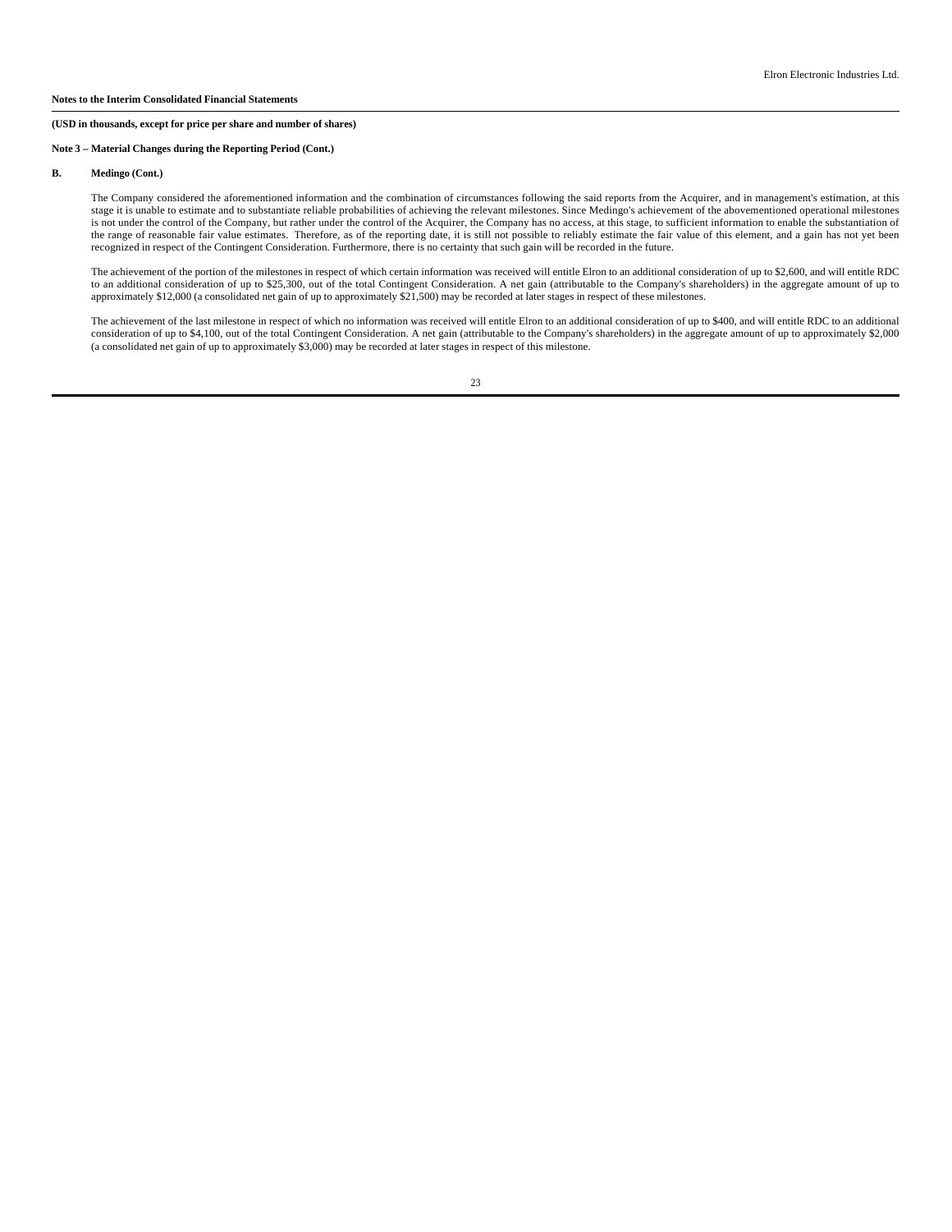# **Note 3 – Material Changes during the Reporting Period (Cont.)**

# **B. Medingo (Cont.)**

The Company considered the aforementioned information and the combination of circumstances following the said reports from the Acquirer, and in management's estimation, at this stage it is unable to estimate and to substantiate reliable probabilities of achieving the relevant milestones. Since Medingo's achievement of the abovementioned operational milestones is not under the control of the Company, but rather under the control of the Acquirer, the Company has no access, at this stage, to sufficient information to enable the substantiation of the range of reasonable fair value estimates. Therefore, as of the reporting date, it is still not possible to reliably estimate the fair value of this element, and a gain has not yet been recognized in respect of the Contingent Consideration. Furthermore, there is no certainty that such gain will be recorded in the future.

The achievement of the portion of the milestones in respect of which certain information was received will entitle Elron to an additional consideration of up to \$2,600, and will entitle RDC<br>to an additional consideration o approximately \$12,000 (a consolidated net gain of up to approximately \$21,500) may be recorded at later stages in respect of these milestones.

The achievement of the last milestone in respect of which no information was received will entitle Elron to an additional consideration of up to \$400, and will entitle RDC to an additional<br>consideration of up to \$4,100, ou (a consolidated net gain of up to approximately \$3,000) may be recorded at later stages in respect of this milestone.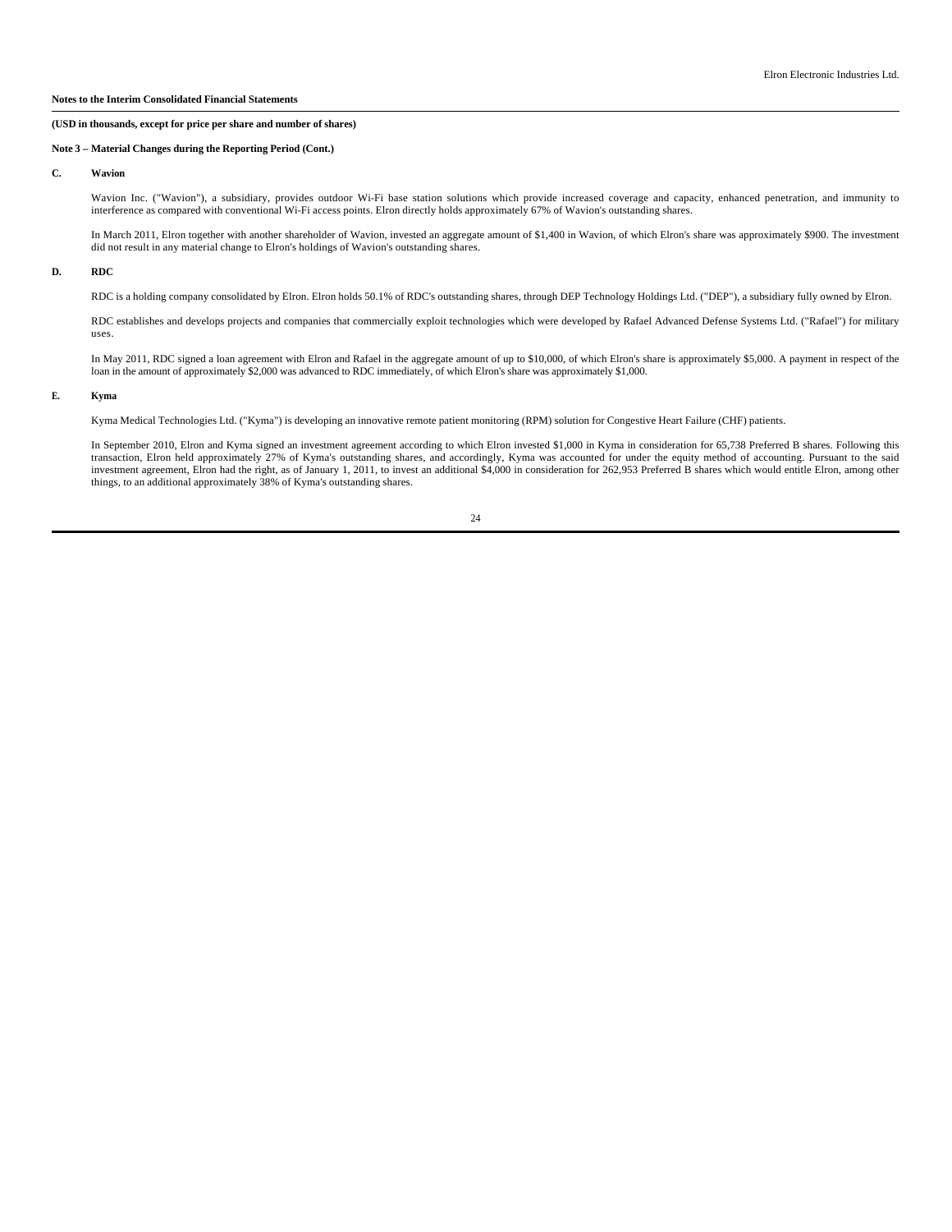# **Note 3 – Material Changes during the Reporting Period (Cont.)**

## **C. Wavion**

Wavion Inc. ("Wavion"), a subsidiary, provides outdoor Wi-Fi base station solutions which provide increased coverage and capacity, enhanced penetration, and immunity to interference as compared with conventional Wi-Fi acce

In March 2011, Elron together with another shareholder of Wavion, invested an aggregate amount of \$1,400 in Wavion, of which Elron's share was approximately \$900. The investment did not result in any material change to Elron's holdings of Wavion's outstanding shares.

## **D. RDC**

RDC is a holding company consolidated by Elron. Elron holds 50.1% of RDC's outstanding shares, through DEP Technology Holdings Ltd. ("DEP"), a subsidiary fully owned by Elron.

RDC establishes and develops projects and companies that commercially exploit technologies which were developed by Rafael Advanced Defense Systems Ltd. ("Rafael") for military uses.

In May 2011, RDC signed a loan agreement with Elron and Rafael in the aggregate amount of up to \$10,000, of which Elron's share is approximately \$5,000. A payment in respect of the<br>loan in the amount of approximately \$2,00

# **E. Kyma**

Kyma Medical Technologies Ltd. ("Kyma") is developing an innovative remote patient monitoring (RPM) solution for Congestive Heart Failure (CHF) patients.

In September 2010, Elron and Kyma signed an investment agreement according to which Elron invested \$1,000 in Kyma in consideration for 65,738 Preferred B shares. Following this transaction, Elron held approximately 27% of things, to an additional approximately 38% of Kyma's outstanding shares.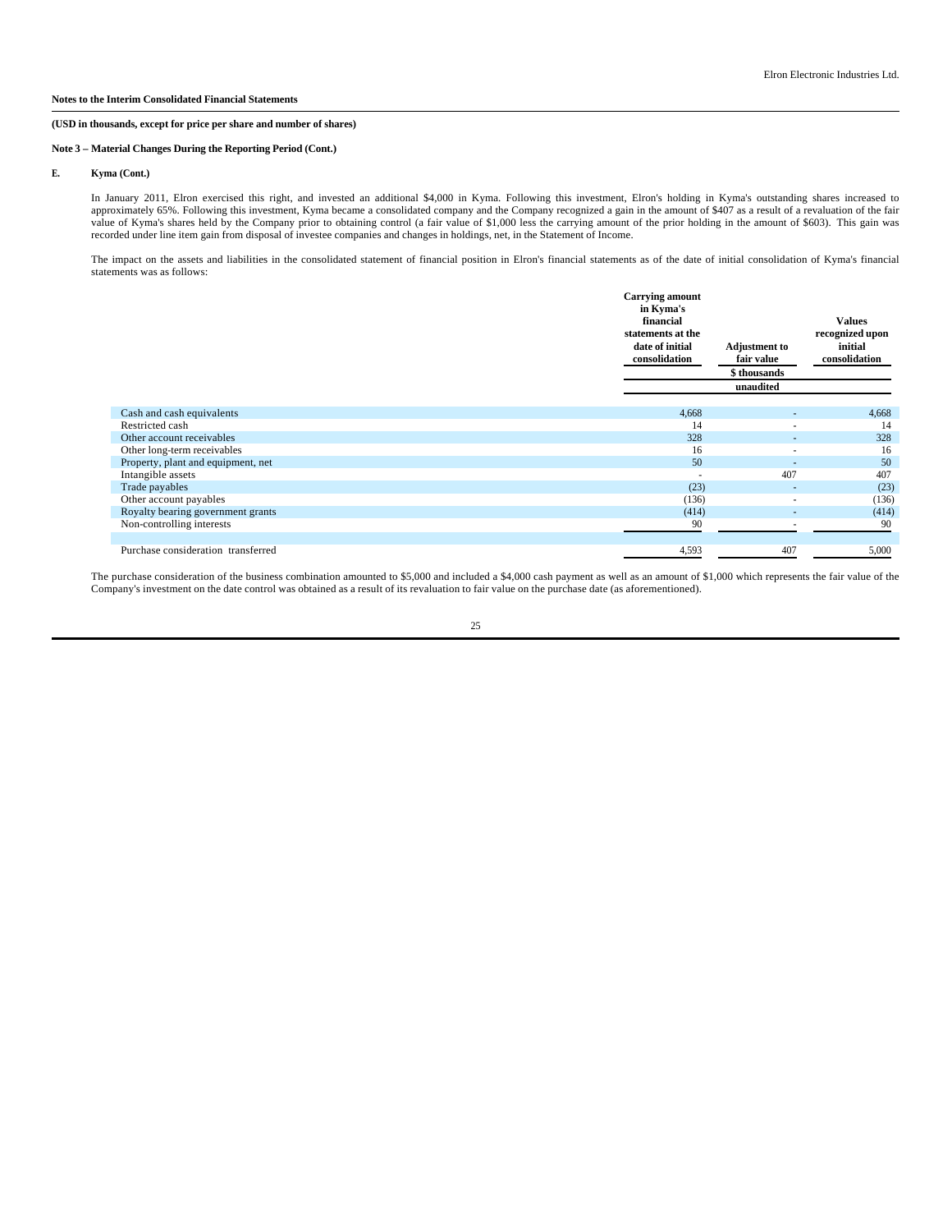# **Note 3 – Material Changes During the Reporting Period (Cont.)**

## **E. Kyma (Cont.)**

In January 2011, Elron exercised this right, and invested an additional \$4,000 in Kyma. Following this investment, Elron's holding in Kyma's outstanding shares increased to approximately 65%. Following this investment, Kym value of Kyma's shares held by the Company prior to obtaining control (a fair value of \$1,000 less the carrying amount of the prior holding in the amount of \$603). This gain was recorded under line item gain from disposal of investee companies and changes in holdings, net, in the Statement of Income.

The impact on the assets and liabilities in the consolidated statement of financial position in Elron's financial statements as of the date of initial consolidation of Kyma's financial statements was as follows:

|                                    | <b>Carrying amount</b><br>in Kyma's<br>financial<br>statements at the<br>date of initial<br>consolidation | <b>Adjustment to</b><br>fair value<br>\$ thousands | <b>Values</b><br>recognized upon<br>initial<br>consolidation |
|------------------------------------|-----------------------------------------------------------------------------------------------------------|----------------------------------------------------|--------------------------------------------------------------|
|                                    |                                                                                                           | unaudited                                          |                                                              |
| Cash and cash equivalents          | 4,668                                                                                                     | ٠                                                  | 4,668                                                        |
| Restricted cash                    | 14                                                                                                        | ۰                                                  | 14                                                           |
| Other account receivables          | 328                                                                                                       |                                                    | 328                                                          |
| Other long-term receivables        | 16                                                                                                        | ۰                                                  | 16                                                           |
| Property, plant and equipment, net | 50                                                                                                        | $\overline{\phantom{a}}$                           | 50                                                           |
| Intangible assets                  |                                                                                                           | 407                                                | 407                                                          |
| Trade payables                     | (23)                                                                                                      | ٠                                                  | (23)                                                         |
| Other account payables             | (136)                                                                                                     | ÷.                                                 | (136)                                                        |
| Royalty bearing government grants  | (414)                                                                                                     | $\overline{\phantom{a}}$                           | (414)                                                        |
| Non-controlling interests          | 90                                                                                                        |                                                    | 90                                                           |
| Purchase consideration transferred | 4,593                                                                                                     | 407                                                | 5,000                                                        |

The purchase consideration of the business combination amounted to \$5,000 and included a \$4,000 cash payment as well as an amount of \$1,000 which represents the fair value of the Company's investment on the date control was obtained as a result of its revaluation to fair value on the purchase date (as aforementioned).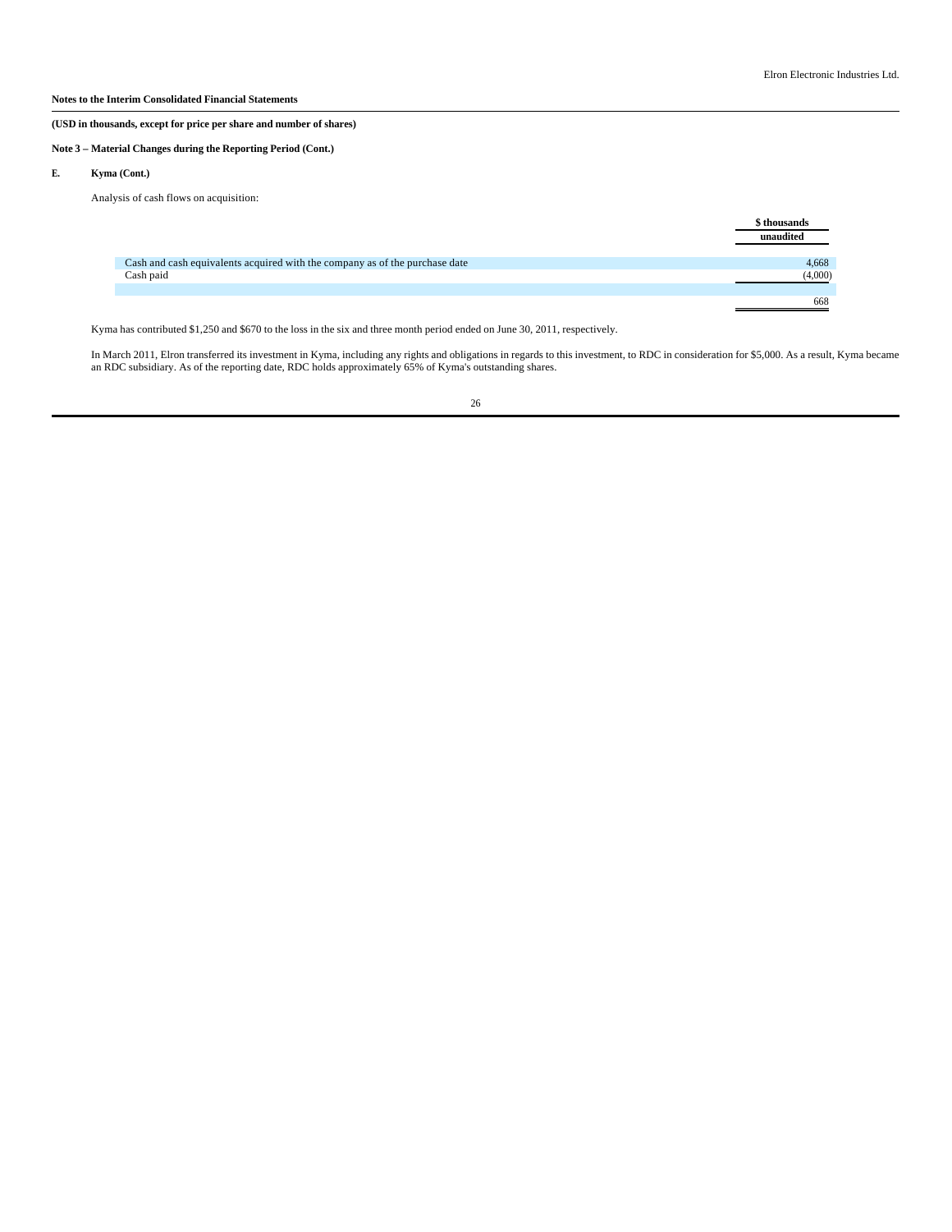# **(USD in thousands, except for price per share and number of shares)**

# **Note 3 – Material Changes during the Reporting Period (Cont.)**

# **E. Kyma (Cont.)**

Analysis of cash flows on acquisition:

|                                                                             | \$ thousands<br>unaudited |
|-----------------------------------------------------------------------------|---------------------------|
| Cash and cash equivalents acquired with the company as of the purchase date | 4,668                     |
| Cash paid                                                                   | (4,000)                   |
|                                                                             |                           |
|                                                                             | 668                       |

Kyma has contributed \$1,250 and \$670 to the loss in the six and three month period ended on June 30, 2011, respectively.

In March 2011, Elron transferred its investment in Kyma, including any rights and obligations in regards to this investment, to RDC in consideration for \$5,000. As a result, Kyma became<br>an RDC subsidiary. As of the reporti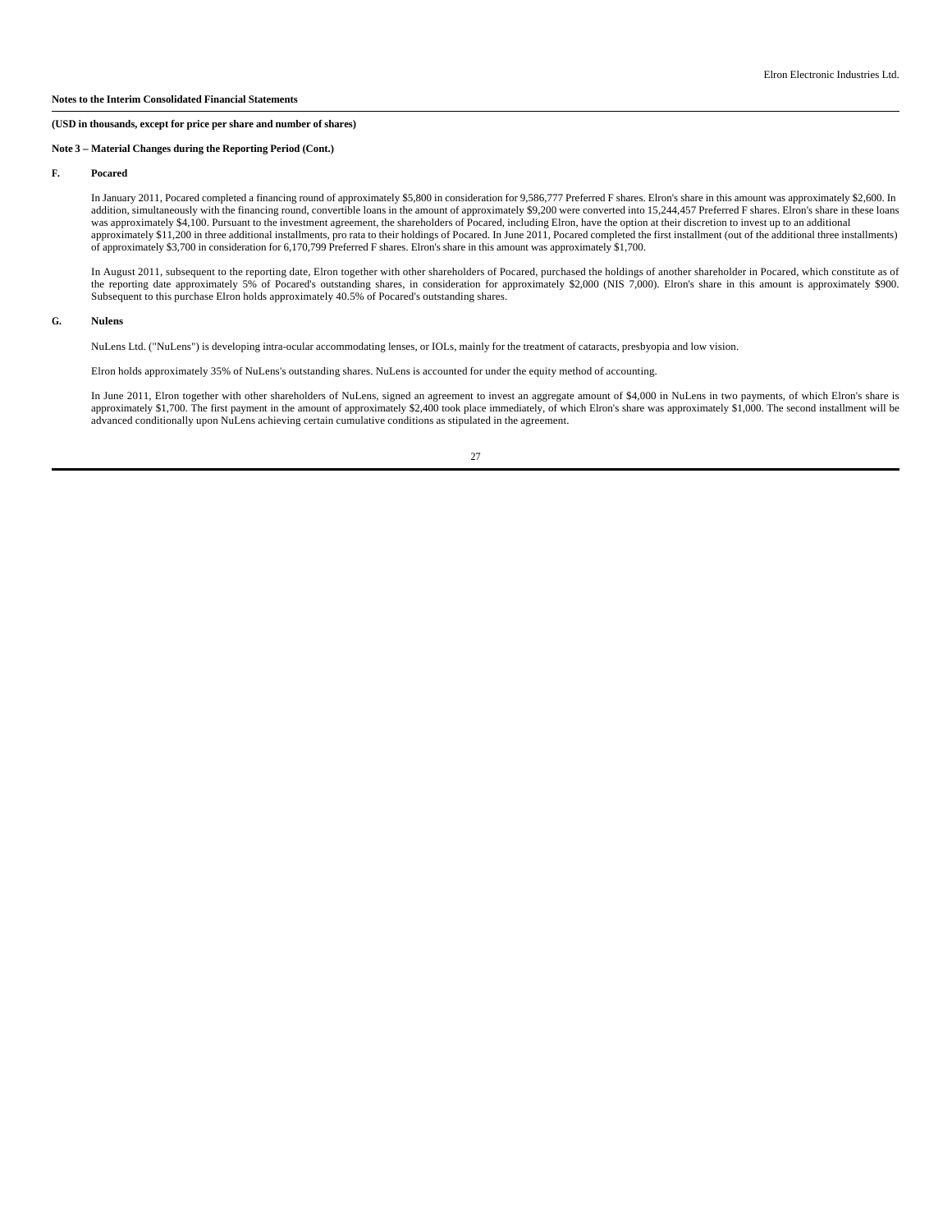# **Note 3 – Material Changes during the Reporting Period (Cont.)**

#### **F. Pocared**

In January 2011, Pocared completed a financing round of approximately \$5,800 in consideration for 9,586,777 Preferred F shares. Elron's share in this amount was approximately \$2,600. In addition, simultaneously with the financing round, convertible loans in the amount of approximately \$9,200 were converted into 15,244,457 Preferred F shares. Elron's share in these loans was approximately \$4,100. Pursuant to the investment agreement, the shareholders of Pocared, including Elron, have the option at their discretion to invest up to an additional approximately \$11,200 in three additional installments, pro rata to their holdings of Pocared. In June 2011, Pocared completed the first installment (out of the additional three installments) of approximately \$3,700 in consideration for 6,170,799 Preferred F shares. Elron's share in this amount was approximately \$1,700.

In August 2011, subsequent to the reporting date, Elron together with other shareholders of Pocared, purchased the holdings of another shareholder in Pocared, which constitute as of the reporting date approximately 5% of Pocared's outstanding shares, in consideration for approximately \$2,000 (NIS 7,000). Elron's share in this amount is approximately \$900. Subsequent to this purchase Elron holds approximately 40.5% of Pocared's outstanding shares.

#### **G. Nulens**

NuLens Ltd. ("NuLens") is developing intra-ocular accommodating lenses, or IOLs, mainly for the treatment of cataracts, presbyopia and low vision.

Elron holds approximately 35% of NuLens's outstanding shares. NuLens is accounted for under the equity method of accounting.

In June 2011, Elron together with other shareholders of NuLens, signed an agreement to invest an aggregate amount of \$4,000 in NuLens in two payments, of which Elron's share is approximately \$1,700. The first payment in the amount of approximately \$2,400 took place immediately, of which Elron's share was approximately \$1,000. The second installment will be<br>advanced conditionally upon NuLens achie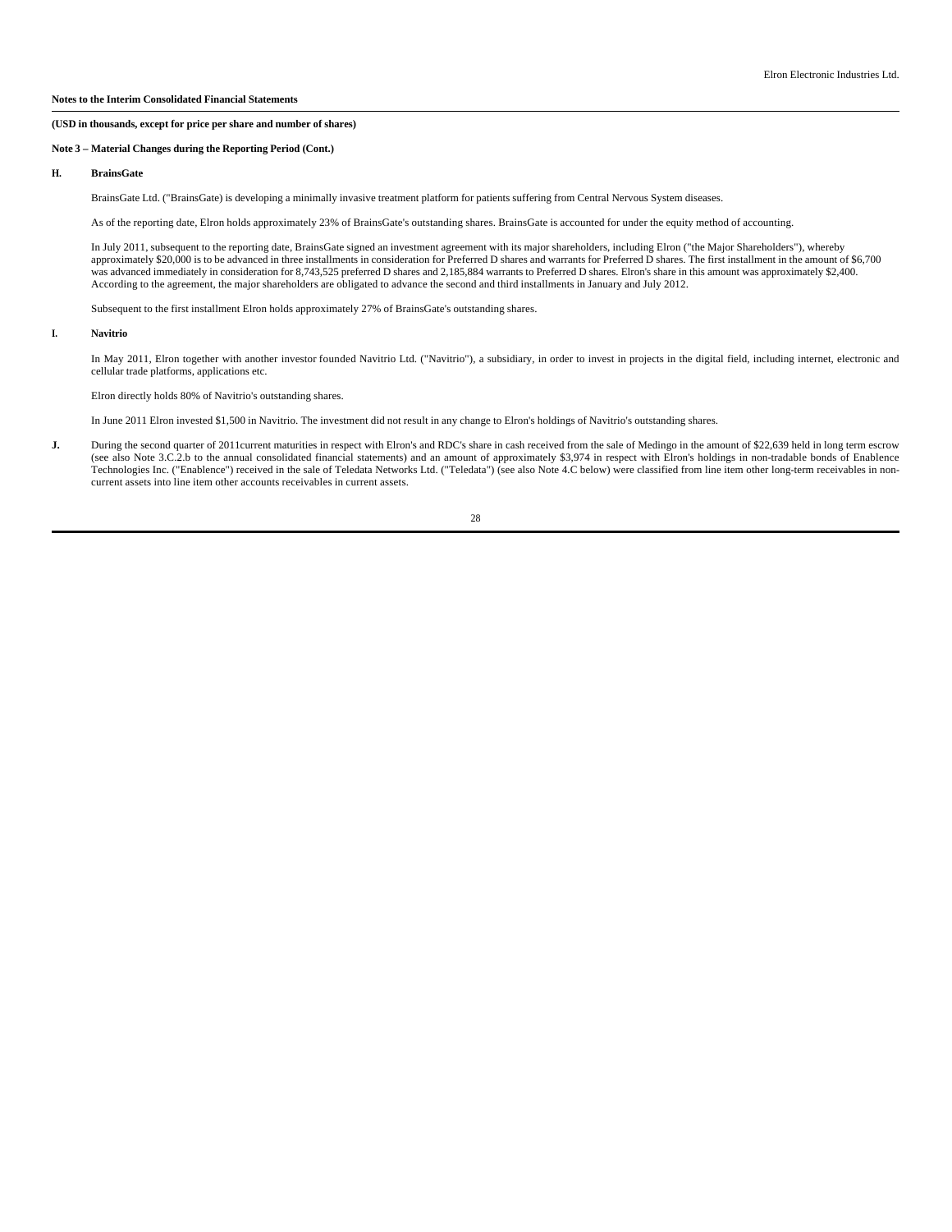# **Note 3 – Material Changes during the Reporting Period (Cont.)**

## **H. BrainsGate**

BrainsGate Ltd. ("BrainsGate) is developing a minimally invasive treatment platform for patients suffering from Central Nervous System diseases.

As of the reporting date, Elron holds approximately 23% of BrainsGate's outstanding shares. BrainsGate is accounted for under the equity method of accounting.

In July 2011, subsequent to the reporting date, BrainsGate signed an investment agreement with its major shareholders, including Elron ("the Major Shareholders"), whereby approximately \$20,000 is to be advanced in three installments in consideration for Preferred D shares and warrants for Preferred D shares. The first installment in the amount of \$6,700 was advanced immediately in consideration for 8,743,525 preferred D shares and 2,185,884 warrants to Preferred D shares. Elron's share in this amount was approximately \$2,400. According to the agreement, the major shareholders are obligated to advance the second and third installments in January and July 2012.

Subsequent to the first installment Elron holds approximately 27% of BrainsGate's outstanding shares.

## **I. Navitrio**

In May 2011, Elron together with another investor founded Navitrio Ltd. ("Navitrio"), a subsidiary, in order to invest in projects in the digital field, including internet, electronic and cellular trade platforms, applications etc.

Elron directly holds 80% of Navitrio's outstanding shares.

In June 2011 Elron invested \$1,500 in Navitrio. The investment did not result in any change to Elron's holdings of Navitrio's outstanding shares.

J. During the second quarter of 2011 current maturities in respect with Elron's and RDC's share in cash received from the sale of Medingo in the amount of \$22,639 held in long term escrow (see also Note 3.C.2.b to the annu Technologies Inc. ("Enablence") received in the sale of Teledata Networks Ltd. ("Teledata") (see also Note 4.C below) were classified from line item other long-term receivables in noncurrent assets into line item other accounts receivables in current assets.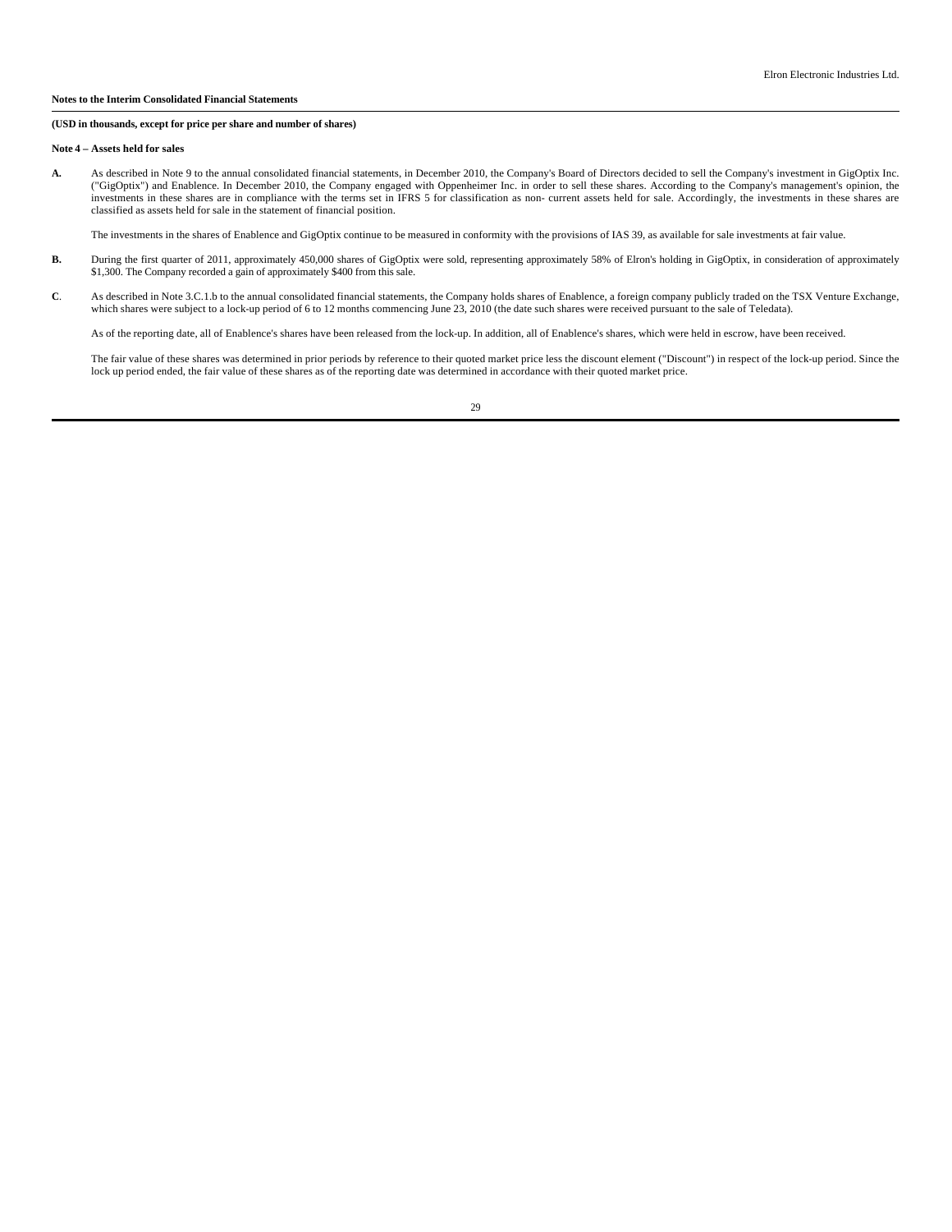# **(USD in thousands, except for price per share and number of shares)**

#### **Note 4 – Assets held for sales**

**A.** As described in Note 9 to the annual consolidated financial statements, in December 2010, the Company's Board of Directors decided to sell the Company's investment in GigOptix Inc. ("GigOptix") and Enablence. In December 2010, the Company engaged with Oppenheimer Inc. in order to sell these shares. According to the Company's management's opinion, the investments in these shares are in compliance with the terms set in IFRS 5 for classification as non- current assets held for sale. Accordingly, the investments in these shares are classified as assets held for sale in the statement of financial position.

The investments in the shares of Enablence and GigOptix continue to be measured in conformity with the provisions of IAS 39, as available for sale investments at fair value.

- B. During the first quarter of 2011, approximately 450,000 shares of GigOptix were sold, representing approximately 58% of Elron's holding in GigOptix, in consideration of approximately \$1,300. The Company recorded a gain of approximately \$400 from this sale.
- C. As described in Note 3.C.1.b to the annual consolidated financial statements, the Company holds shares of Enablence, a foreign company publicly traded on the TSX Venture Exchange, which shares were subject to a lock-up

As of the reporting date, all of Enablence's shares have been released from the lock-up. In addition, all of Enablence's shares, which were held in escrow, have been received.

The fair value of these shares was determined in prior periods by reference to their quoted market price less the discount element ("Discount") in respect of the lock-up period. Since the<br>lock up period ended, the fair val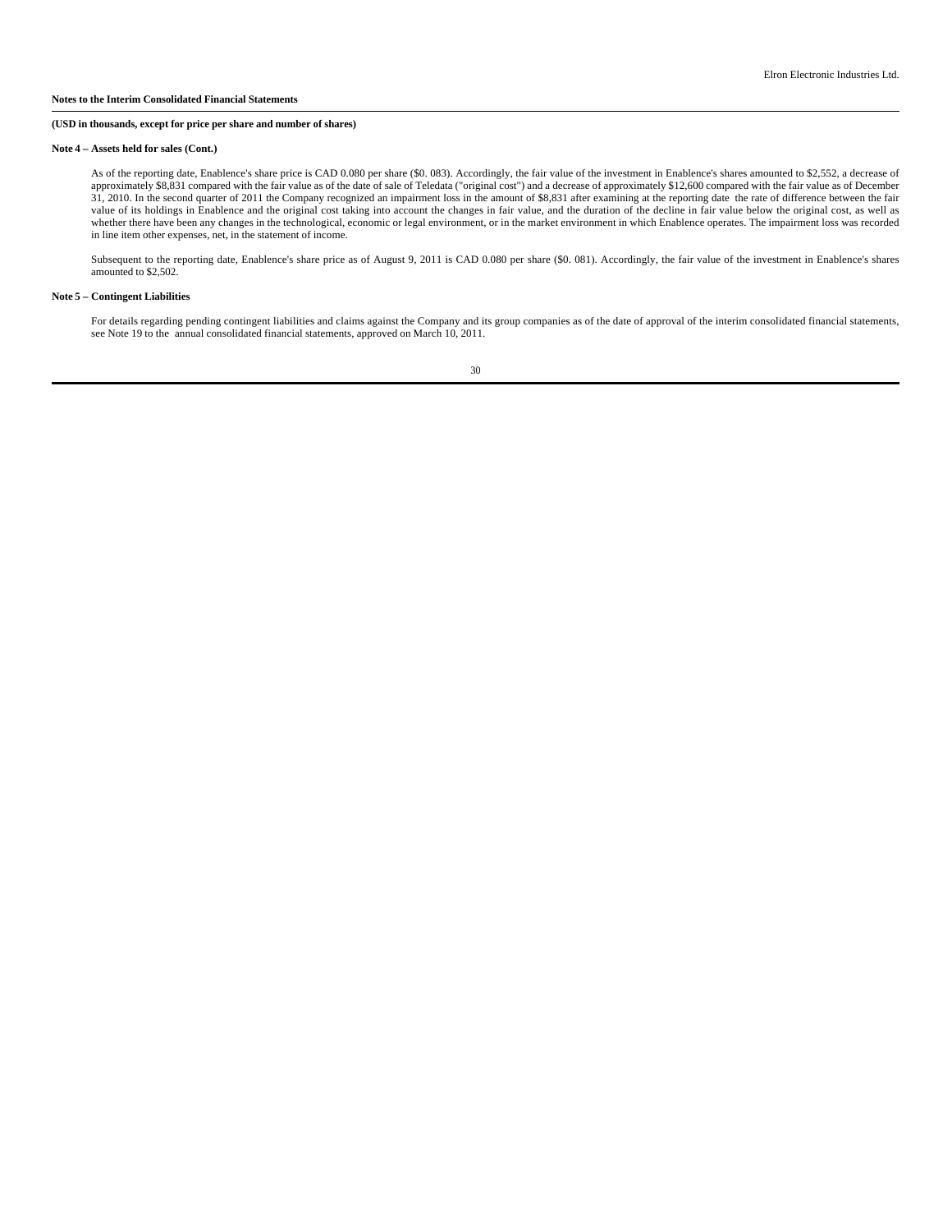## **(USD in thousands, except for price per share and number of shares)**

#### **Note 4 – Assets held for sales (Cont.)**

As of the reporting date, Enablence's share price is CAD 0.080 per share (\$0.083). Accordingly, the fair value of the investment in Enablence's shares amounted to \$2,552, a decrease of<br>approximately \$8,831 compared with th 31, 2010. In the second quarter of 2011 the Company recognized an impairment loss in the amount of \$8,831 after examining at the reporting date the rate of difference between the fair<br>value of its holdings in Enablence and whether there have been any changes in the technological, economic or legal environment, or in the market environment in which Enablence operates. The impairment loss was recorded in line item other expenses, net, in the statement of income.

Subsequent to the reporting date, Enablence's share price as of August 9, 2011 is CAD 0.080 per share (\$0. 081). Accordingly, the fair value of the investment in Enablence's shares amounted to \$2,502.

#### **Note 5 – Contingent Liabilities**

For details regarding pending contingent liabilities and claims against the Company and its group companies as of the date of approval of the interim consolidated financial statements,<br>see Note 19 to the annual consolidate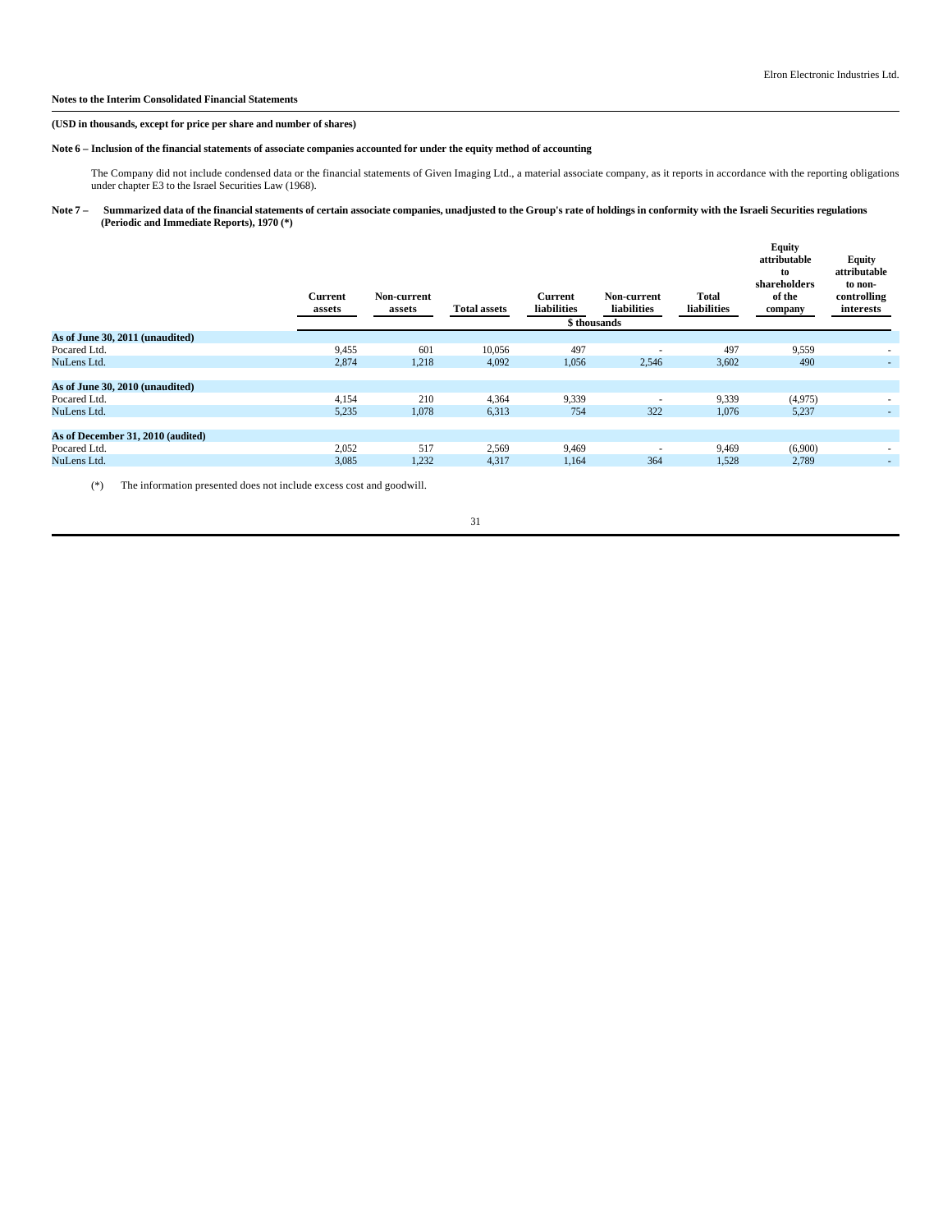#### **(USD in thousands, except for price per share and number of shares)**

# **Note 6 – Inclusion of the financial statements of associate companies accounted for under the equity method of accounting**

The Company did not include condensed data or the financial statements of Given Imaging Ltd., a material associate company, as it reports in accordance with the reporting obligations<br>under chapter E3 to the Israel Securiti

## Note 7 – Summarized data of the financial statements of certain associate companies, unadjusted to the Group's rate of holdings in conformity with the Israeli Securities regulations **(Periodic and Immediate Reports), 1970 (\*)**

| As of June 30, 2011 (unaudited)<br>601<br>497<br>497<br>9,455<br>10,056<br>9,559<br>Pocared Ltd.<br>2,874<br>1,218<br>1,056<br>NuLens Ltd.<br>4,092<br>2,546<br>3,602<br>490<br>۰.<br>As of June 30, 2010 (unaudited)<br>4,154<br>210<br>9,339<br>4,364<br>9,339<br>(4,975)<br>Pocared Ltd.<br>$\overline{\phantom{a}}$<br>5,235<br>1,078<br>754<br>322<br>NuLens Ltd.<br>6,313<br>1,076<br>5,237<br>$\overline{\phantom{a}}$<br>As of December 31, 2010 (audited)<br>517<br>2,052<br>2,569<br>(6,900)<br>9,469<br>9,469<br>Pocared Ltd.<br>$\overline{\phantom{a}}$<br>3,085<br>2,789<br>NuLens Ltd.<br>1,232<br>4,317<br>1,164<br>364<br>1,528<br>۰. | <b>Current</b><br>assets | Non-current<br>assets | <b>Total assets</b> | <b>Current</b><br>liabilities | Non-current<br>liabilities<br>\$ thousands | <b>Total</b><br>liabilities | <b>Equity</b><br>attributable<br>to<br>shareholders<br>of the<br>company | Equity<br>attributable<br>to non-<br>controlling<br>interests |
|--------------------------------------------------------------------------------------------------------------------------------------------------------------------------------------------------------------------------------------------------------------------------------------------------------------------------------------------------------------------------------------------------------------------------------------------------------------------------------------------------------------------------------------------------------------------------------------------------------------------------------------------------------|--------------------------|-----------------------|---------------------|-------------------------------|--------------------------------------------|-----------------------------|--------------------------------------------------------------------------|---------------------------------------------------------------|
|                                                                                                                                                                                                                                                                                                                                                                                                                                                                                                                                                                                                                                                        |                          |                       |                     |                               |                                            |                             |                                                                          |                                                               |
|                                                                                                                                                                                                                                                                                                                                                                                                                                                                                                                                                                                                                                                        |                          |                       |                     |                               |                                            |                             |                                                                          |                                                               |
|                                                                                                                                                                                                                                                                                                                                                                                                                                                                                                                                                                                                                                                        |                          |                       |                     |                               |                                            |                             |                                                                          |                                                               |
|                                                                                                                                                                                                                                                                                                                                                                                                                                                                                                                                                                                                                                                        |                          |                       |                     |                               |                                            |                             |                                                                          |                                                               |
|                                                                                                                                                                                                                                                                                                                                                                                                                                                                                                                                                                                                                                                        |                          |                       |                     |                               |                                            |                             |                                                                          |                                                               |
|                                                                                                                                                                                                                                                                                                                                                                                                                                                                                                                                                                                                                                                        |                          |                       |                     |                               |                                            |                             |                                                                          |                                                               |
|                                                                                                                                                                                                                                                                                                                                                                                                                                                                                                                                                                                                                                                        |                          |                       |                     |                               |                                            |                             |                                                                          |                                                               |
|                                                                                                                                                                                                                                                                                                                                                                                                                                                                                                                                                                                                                                                        |                          |                       |                     |                               |                                            |                             |                                                                          |                                                               |
|                                                                                                                                                                                                                                                                                                                                                                                                                                                                                                                                                                                                                                                        |                          |                       |                     |                               |                                            |                             |                                                                          |                                                               |
|                                                                                                                                                                                                                                                                                                                                                                                                                                                                                                                                                                                                                                                        |                          |                       |                     |                               |                                            |                             |                                                                          |                                                               |
|                                                                                                                                                                                                                                                                                                                                                                                                                                                                                                                                                                                                                                                        |                          |                       |                     |                               |                                            |                             |                                                                          |                                                               |

(\*) The information presented does not include excess cost and goodwill.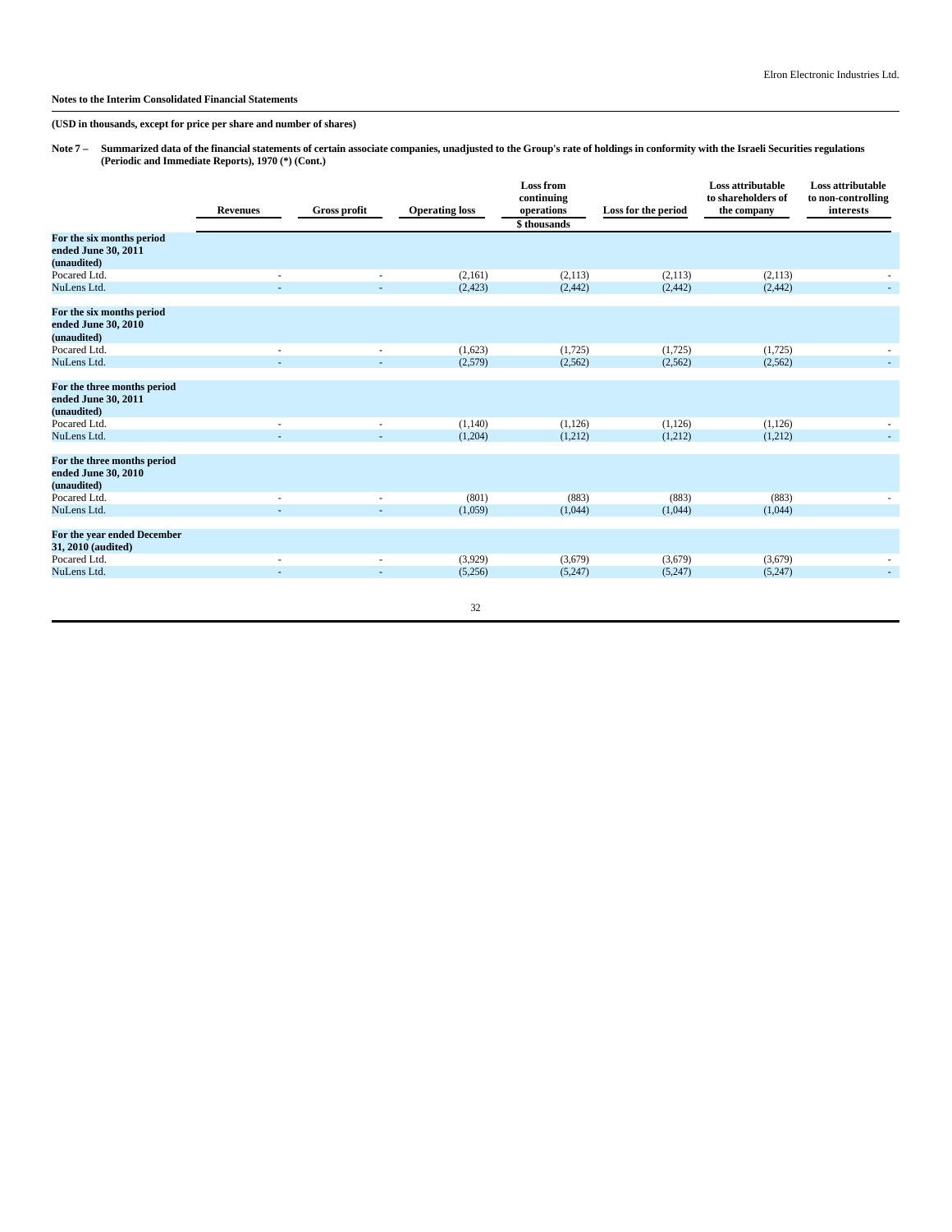**(USD in thousands, except for price per share and number of shares)**

Note 7 – Summarized data of the financial statements of certain associate companies, unadjusted to the Group's rate of holdings in conformity with the Israeli Securities regulations **(Periodic and Immediate Reports), 1970 (\*) (Cont.)**

|                                                                   | <b>Revenues</b>          | <b>Gross profit</b> | <b>Operating loss</b> | <b>Loss from</b><br>continuing<br>operations<br>\$thousands | Loss for the period | Loss attributable<br>to shareholders of<br>the company | Loss attributable<br>to non-controlling<br>interests |
|-------------------------------------------------------------------|--------------------------|---------------------|-----------------------|-------------------------------------------------------------|---------------------|--------------------------------------------------------|------------------------------------------------------|
| For the six months period<br>ended June 30, 2011<br>(unaudited)   |                          |                     |                       |                                                             |                     |                                                        |                                                      |
| Pocared Ltd.                                                      |                          |                     | (2,161)               | (2,113)                                                     | (2,113)             | (2,113)                                                |                                                      |
| NuLens Ltd.                                                       |                          |                     | (2, 423)              | (2, 442)                                                    | (2, 442)            | (2, 442)                                               |                                                      |
| For the six months period<br>ended June 30, 2010<br>(unaudited)   |                          |                     |                       |                                                             |                     |                                                        |                                                      |
| Pocared Ltd.                                                      |                          | ٠                   | (1,623)               | (1,725)                                                     | (1,725)             | (1,725)                                                |                                                      |
| NuLens Ltd.                                                       | ÷                        | ÷                   | (2,579)               | (2,562)                                                     | (2, 562)            | (2,562)                                                |                                                      |
| For the three months period<br>ended June 30, 2011<br>(unaudited) |                          |                     |                       |                                                             |                     |                                                        |                                                      |
| Pocared Ltd.                                                      | $\overline{\phantom{a}}$ | ٠                   | (1,140)               | (1,126)                                                     | (1, 126)            | (1, 126)                                               |                                                      |
| NuLens Ltd.                                                       |                          |                     | (1,204)               | (1,212)                                                     | (1,212)             | (1,212)                                                |                                                      |
| For the three months period<br>ended June 30, 2010<br>(unaudited) |                          |                     |                       |                                                             |                     |                                                        |                                                      |
| Pocared Ltd.                                                      |                          |                     | (801)                 | (883)                                                       | (883)               | (883)                                                  |                                                      |
| NuLens Ltd.                                                       |                          |                     | (1,059)               | (1,044)                                                     | (1,044)             | (1,044)                                                |                                                      |
| For the year ended December<br>31, 2010 (audited)                 |                          |                     |                       |                                                             |                     |                                                        |                                                      |
| Pocared Ltd.                                                      |                          | ٠                   | (3,929)               | (3,679)                                                     | (3,679)             | (3,679)                                                |                                                      |
| NuLens Ltd.                                                       |                          |                     | (5,256)               | (5,247)                                                     | (5,247)             | (5,247)                                                | $\sim$                                               |
|                                                                   |                          |                     | 32                    |                                                             |                     |                                                        |                                                      |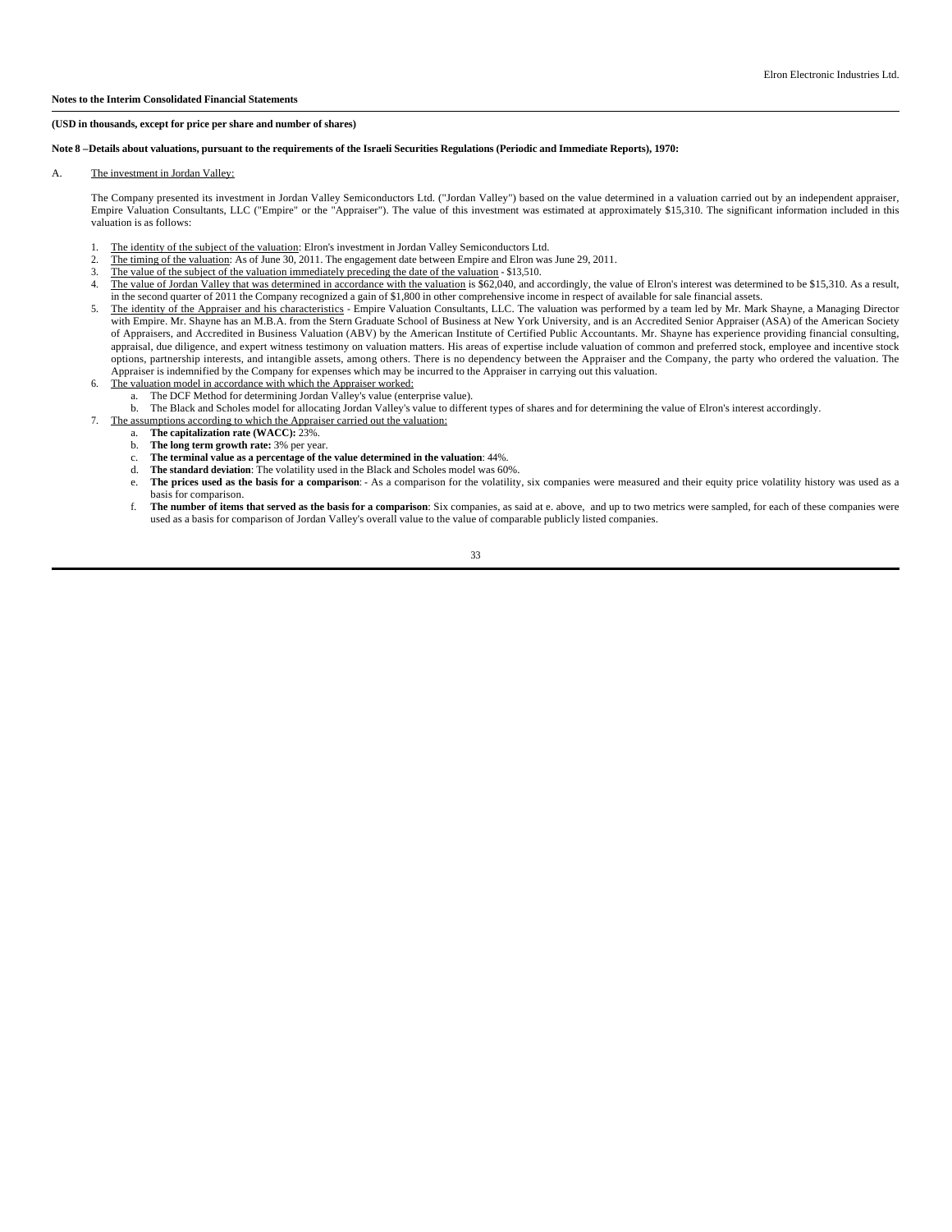#### **(USD in thousands, except for price per share and number of shares)**

#### **Note 8 –Details about valuations, pursuant to the requirements of the Israeli Securities Regulations (Periodic and Immediate Reports), 1970:**

#### A. The investment in Jordan Valley:

The Company presented its investment in Jordan Valley Semiconductors Ltd. ("Jordan Valley") based on the value determined in a valuation carried out by an independent appraiser, Empire Valuation Consultants, LLC ("Empire" or the "Appraiser"). The value of this investment was estimated at approximately \$15,310. The significant information included in this valuation is as follows:

- 1. The identity of the subject of the valuation: Elron's investment in Jordan Valley Semiconductors Ltd.
- 2. The timing of the valuation: As of June 30, 2011. The engagement date between Empire and Elron was June 29, 2011.<br>The value of the subject of the valuation immediately preceding the date of the valuation \$13.510
- The value of the subject of the valuation immediately preceding the date of the valuation \$13,510.
- 4. The value of Jordan Valley that was determined in accordance with the valuation is \$62,040, and accordingly, the value of Elron's interest was determined to be \$15,310. As a result, in the second quarter of 2011 the Company recognized a gain of \$1,800 in other comprehensive income in respect of available for sale financial assets.
- 5. The identity of the Appraiser and his characteristics Empire Valuation Consultants, LLC. The valuation was performed by a team led by Mr. Mark Shayne, a Managing Director with Empire. Mr. Shayne has an M.B.A. from the Stern Graduate School of Business at New York University, and is an Accredited Senior Appraiser (ASA) of the American Society of Appraisers, and Accredited in Business Valuation (ABV) by the American Institute of Certified Public Accountants. Mr. Shayne has experience providing financial consulting, appraisal, due diligence, and expert witness testimony on valuation matters. His areas of expertise include valuation of common and preferred stock, employee and incentive stock options, partnership interests, and intangible assets, among others. There is no dependency between the Appraiser and the Company, the party who ordered the valuation. The Appraiser is indemnified by the Company for expenses which may be incurred to the Appraiser in carrying out this valuation.
- 6. The valuation model in accordance with which the Appraiser worked:
	- a. The DCF Method for determining Jordan Valley's value (enterprise value).
- b. The Black and Scholes model for allocating Jordan Valley's value to different types of shares and for determining the value of Elron's interest accordingly.
- 7. The assumptions according to which the Appraiser carried out the valuation:
	- a. **The capitalization rate (WACC):** 23%.
	- b. **The long term growth rate:** 3% per year. c. **The terminal value as a percentage of the value determined in the valuation**: 44%.
	- d. **The standard deviation**: The volatility used in the Black and Scholes model was 60%.
	- e. **The prices used as the basis for a comparison**: As a comparison for the volatility, six companies were measured and their equity price volatility history was used as a basis for comparison.
	- f. **The number of items that served as the basis for a comparison**: Six companies, as said at e. above, and up to two metrics were sampled, for each of these companies were used as a basis for comparison of Jordan Valley's overall value to the value of comparable publicly listed companies.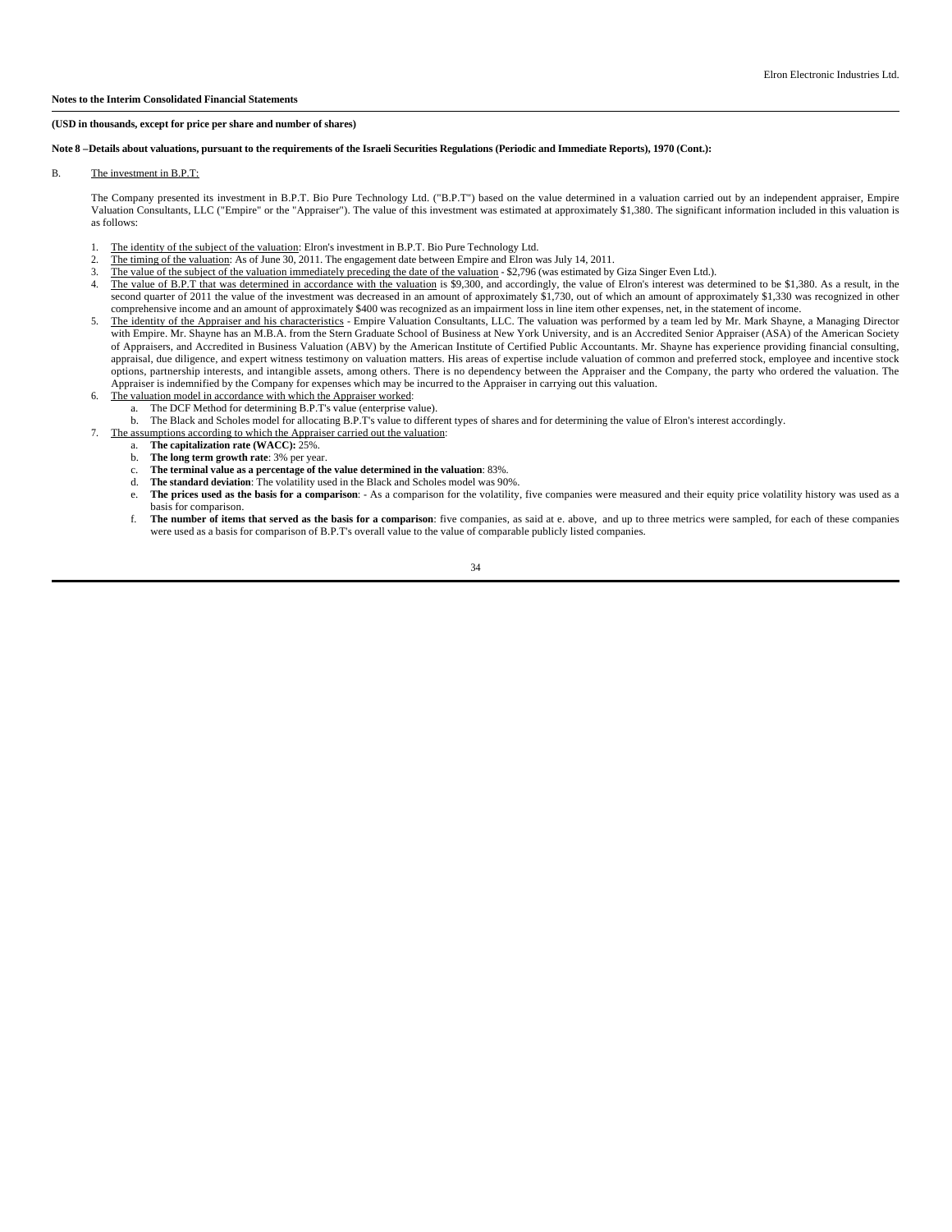## **Note 8 –Details about valuations, pursuant to the requirements of the Israeli Securities Regulations (Periodic and Immediate Reports), 1970 (Cont.):**

#### B. The investment in B.P.T:

The Company presented its investment in B.P.T. Bio Pure Technology Ltd. ("B.P.T") based on the value determined in a valuation carried out by an independent appraiser, Empire Valuation Consultants, LLC ("Empire" or the "Appraiser"). The value of this investment was estimated at approximately \$1,380. The significant information included in this valuation is as follows:

- 1. The identity of the subject of the valuation: Elron's investment in B.P.T. Bio Pure Technology Ltd.
- 2. The timing of the valuation: As of June 30, 2011. The engagement date between Empire and Elron was July 14, 2011.<br>The value of the subject of the valuation immediately preceding the date of the valuation \$2.796 (was e
- The value of the subject of the valuation immediately preceding the date of the valuation \$2,796 (was estimated by Giza Singer Even Ltd.).
- 4. The value of B.P.T that was determined in accordance with the valuation is \$9,300, and accordingly, the value of Elron's interest was determined to be \$1,380. As a result, in the second quarter of 2011 the value of the investment was decreased in an amount of approximately \$1,730, out of which an amount of approximately \$1,330 was recognized in other comprehensive income and an amount of approximately \$400 was recognized as an impairment loss in line item other expenses, net, in the statement of income.
- 5. The identity of the Appraiser and his characteristics Empire Valuation Consultants, LLC. The valuation was performed by a team led by Mr. Mark Shayne, a Managing Director with Empire. Mr. Shayne has an M.B.A. from the Stern Graduate School of Business at New York University, and is an Accredited Senior Appraiser (ASA) of the American Society of Appraisers, and Accredited in Business Valuation (ABV) by the American Institute of Certified Public Accountants. Mr. Shayne has experience providing financial consulting, appraisal, due diligence, and expert witness testimony on valuation matters. His areas of expertise include valuation of common and preferred stock, employee and incentive stock options, partnership interests, and intangible assets, among others. There is no dependency between the Appraiser and the Company, the party who ordered the valuation. The Appraiser is indemnified by the Company for expenses which may be incurred to the Appraiser in carrying out this valuation.
- 6. The valuation model in accordance with which the Appraiser worked:
	- a. The DCF Method for determining B.P.T's value (enterprise value).
	- b. The Black and Scholes model for allocating B.P.T's value to different types of shares and for determining the value of Elron's interest accordingly.
- 7. The assumptions according to which the Appraiser carried out the valuation:
- a. **The capitalization rate (WACC):** 25%. b. **The long term growth rate**: 3% per year.
	-
	- c. **The terminal value as a percentage of the value determined in the valuation**: 83%.
	- The standard deviation: The volatility used in the Black and Scholes model was 90%.
	- e. **The prices used as the basis for a comparison**: As a comparison for the volatility, five companies were measured and their equity price volatility history was used as a basis for comparison.
	- f. **The number of items that served as the basis for a comparison**: five companies, as said at e. above, and up to three metrics were sampled, for each of these companies were used as a basis for comparison of B.P.T's overall value to the value of comparable publicly listed companies.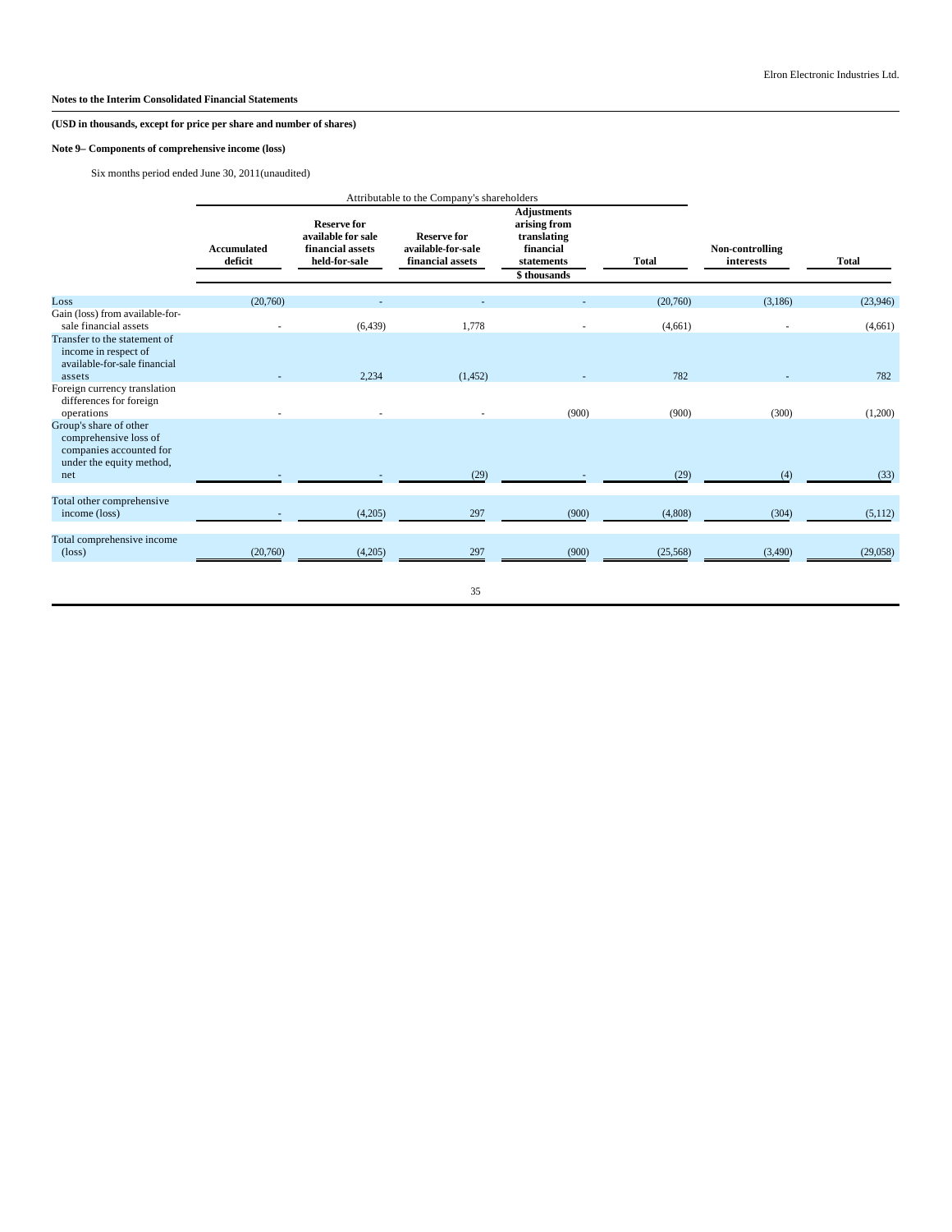# **Note 9– Components of comprehensive income (loss)**

Six months period ended June 30, 2011(unaudited)

|                                                                                                               |                               | Attributable to the Company's shareholders                                    |                                                              |                                                                                             |              |                              |              |
|---------------------------------------------------------------------------------------------------------------|-------------------------------|-------------------------------------------------------------------------------|--------------------------------------------------------------|---------------------------------------------------------------------------------------------|--------------|------------------------------|--------------|
|                                                                                                               | <b>Accumulated</b><br>deficit | <b>Reserve for</b><br>available for sale<br>financial assets<br>held-for-sale | <b>Reserve for</b><br>available-for-sale<br>financial assets | <b>Adjustments</b><br>arising from<br>translating<br>financial<br>statements<br>\$thousands | <b>Total</b> | Non-controlling<br>interests | <b>Total</b> |
| Loss                                                                                                          | (20,760)                      |                                                                               |                                                              |                                                                                             | (20,760)     | (3,186)                      | (23,946)     |
| Gain (loss) from available-for-<br>sale financial assets                                                      |                               | (6, 439)                                                                      | 1,778                                                        |                                                                                             | (4,661)      |                              | (4,661)      |
| Transfer to the statement of<br>income in respect of<br>available-for-sale financial<br>assets                |                               | 2,234                                                                         | (1, 452)                                                     |                                                                                             | 782          |                              | 782          |
| Foreign currency translation<br>differences for foreign<br>operations                                         |                               |                                                                               |                                                              | (900)                                                                                       | (900)        | (300)                        | (1,200)      |
| Group's share of other<br>comprehensive loss of<br>companies accounted for<br>under the equity method,<br>net |                               |                                                                               | (29)                                                         |                                                                                             | (29)         | (4)                          | (33)         |
|                                                                                                               |                               |                                                                               |                                                              |                                                                                             |              |                              |              |
| Total other comprehensive<br>income (loss)                                                                    |                               | (4,205)                                                                       | 297                                                          | (900)                                                                                       | (4,808)      | (304)                        | (5,112)      |
| Total comprehensive income<br>$(\text{loss})$                                                                 | (20,760)                      | (4,205)                                                                       | 297                                                          | (900)                                                                                       | (25, 568)    | (3,490)                      | (29,058)     |
|                                                                                                               |                               |                                                                               | 35                                                           |                                                                                             |              |                              |              |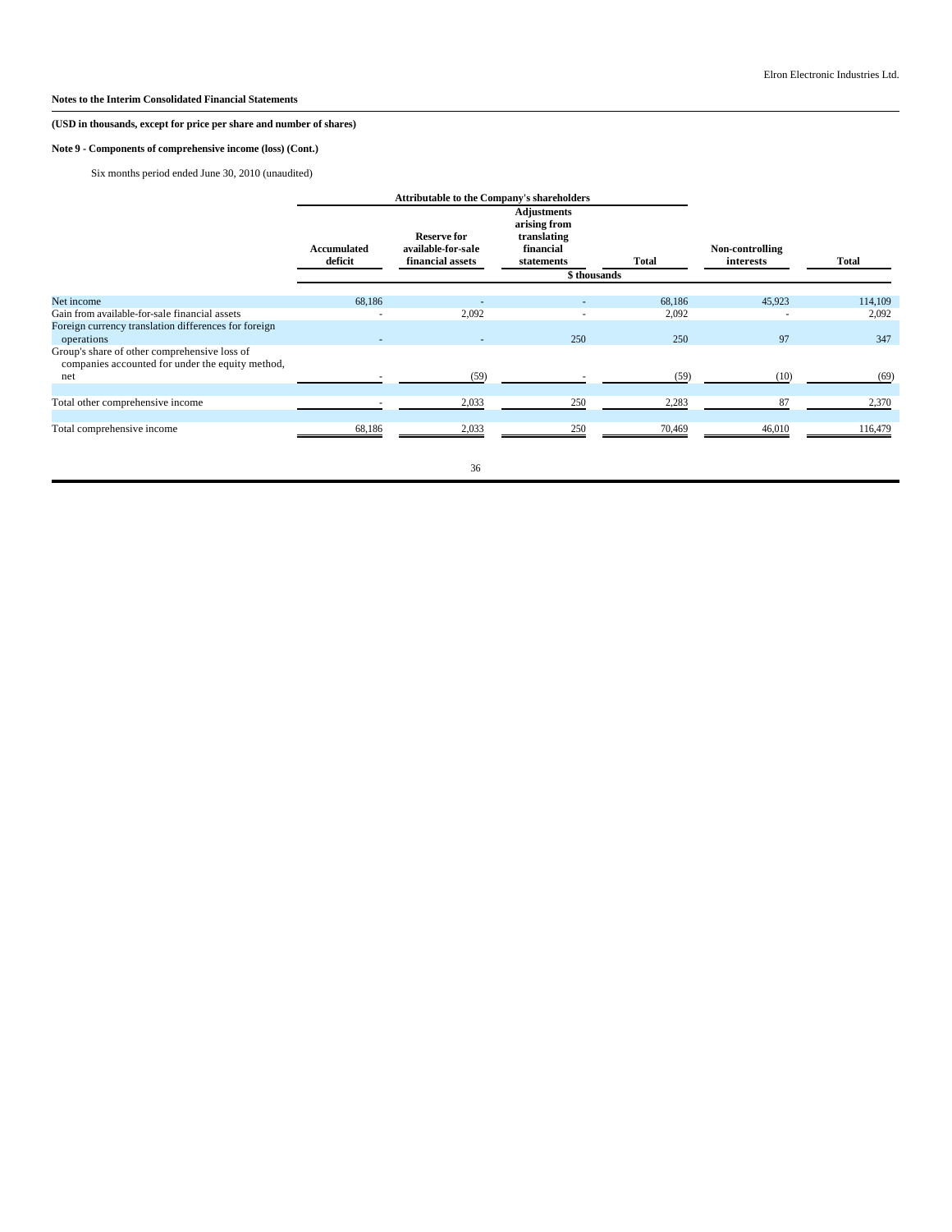# **(USD in thousands, except for price per share and number of shares)**

# **Note 9 - Components of comprehensive income (loss) (Cont.)**

Six months period ended June 30, 2010 (unaudited)

|                                                                                                  |                        | <b>Attributable to the Company's shareholders</b>            |                                                                                             |        |                              |              |
|--------------------------------------------------------------------------------------------------|------------------------|--------------------------------------------------------------|---------------------------------------------------------------------------------------------|--------|------------------------------|--------------|
|                                                                                                  | Accumulated<br>deficit | <b>Reserve for</b><br>available-for-sale<br>financial assets | <b>Adjustments</b><br>arising from<br>translating<br>financial<br>statements<br>\$thousands | Total  | Non-controlling<br>interests | <b>Total</b> |
| Net income                                                                                       | 68,186                 |                                                              |                                                                                             | 68,186 | 45,923                       | 114,109      |
| Gain from available-for-sale financial assets                                                    |                        | 2,092                                                        | $\overline{\phantom{a}}$                                                                    | 2,092  |                              | 2,092        |
| Foreign currency translation differences for foreign<br>operations                               |                        |                                                              | 250                                                                                         | 250    | 97                           | 347          |
| Group's share of other comprehensive loss of<br>companies accounted for under the equity method, |                        |                                                              |                                                                                             |        |                              |              |
| net                                                                                              |                        | (59)                                                         |                                                                                             | (59)   | (10)                         | (69)         |
| Total other comprehensive income                                                                 |                        | 2,033                                                        | 250                                                                                         | 2,283  | 87                           | 2,370        |
| Total comprehensive income                                                                       | 68,186                 | 2,033                                                        | 250                                                                                         | 70,469 | 46,010                       | 116,479      |
|                                                                                                  |                        | 36                                                           |                                                                                             |        |                              |              |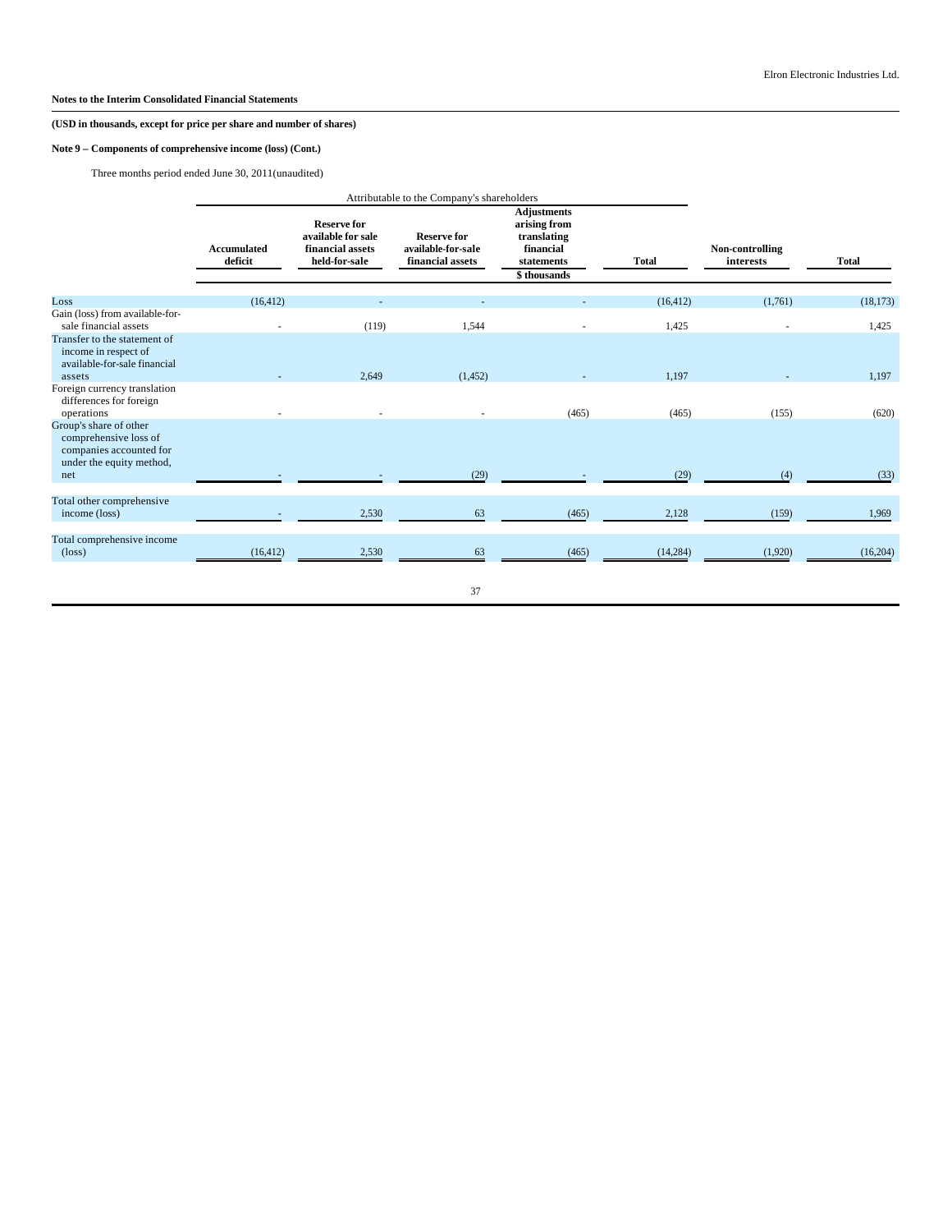# **Note 9 – Components of comprehensive income (loss) (Cont.)**

Three months period ended June 30, 2011(unaudited)

|                                                                                                               |                               | Attributable to the Company's shareholders                                    |                                                              |                                                                                             |              |                              |              |
|---------------------------------------------------------------------------------------------------------------|-------------------------------|-------------------------------------------------------------------------------|--------------------------------------------------------------|---------------------------------------------------------------------------------------------|--------------|------------------------------|--------------|
|                                                                                                               | <b>Accumulated</b><br>deficit | <b>Reserve for</b><br>available for sale<br>financial assets<br>held-for-sale | <b>Reserve for</b><br>available-for-sale<br>financial assets | <b>Adjustments</b><br>arising from<br>translating<br>financial<br>statements<br>\$thousands | <b>Total</b> | Non-controlling<br>interests | <b>Total</b> |
| Loss                                                                                                          | (16, 412)                     |                                                                               |                                                              |                                                                                             | (16, 412)    | (1,761)                      | (18, 173)    |
| Gain (loss) from available-for-<br>sale financial assets                                                      |                               | (119)                                                                         | 1,544                                                        |                                                                                             | 1,425        |                              | 1,425        |
| Transfer to the statement of<br>income in respect of<br>available-for-sale financial<br>assets                |                               | 2,649                                                                         | (1, 452)                                                     |                                                                                             | 1,197        |                              | 1,197        |
| Foreign currency translation<br>differences for foreign<br>operations                                         |                               |                                                                               |                                                              | (465)                                                                                       | (465)        | (155)                        | (620)        |
| Group's share of other<br>comprehensive loss of<br>companies accounted for<br>under the equity method,<br>net |                               |                                                                               | (29)                                                         |                                                                                             | (29)         | (4)                          | (33)         |
|                                                                                                               |                               |                                                                               |                                                              |                                                                                             |              |                              |              |
| Total other comprehensive<br>income (loss)                                                                    |                               | 2,530                                                                         | 63                                                           | (465)                                                                                       | 2,128        | (159)                        | 1,969        |
| Total comprehensive income<br>$(\text{loss})$                                                                 | (16, 412)                     | 2,530                                                                         | 63                                                           | (465)                                                                                       | (14, 284)    | (1,920)                      | (16,204)     |
|                                                                                                               |                               |                                                                               | 37                                                           |                                                                                             |              |                              |              |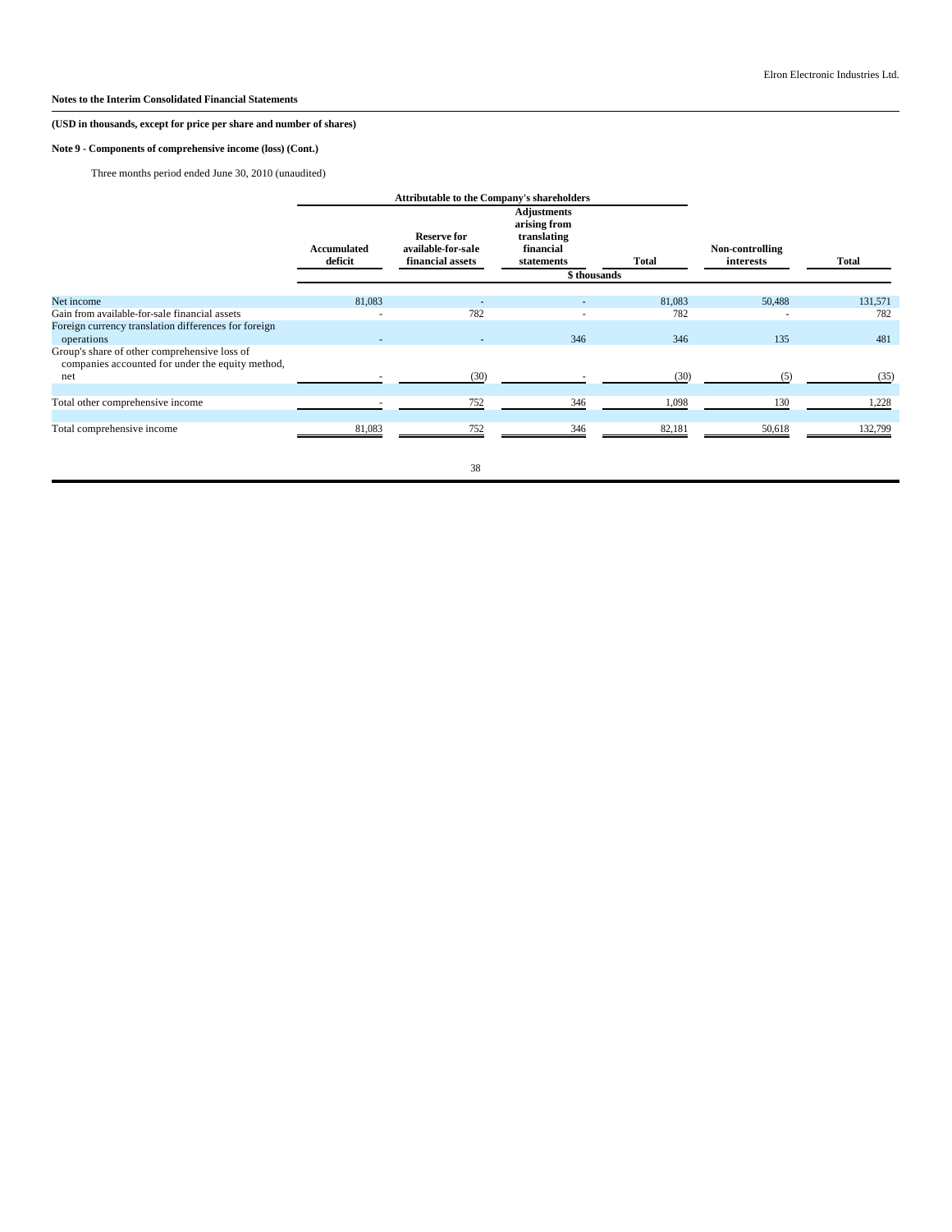# **Note 9 - Components of comprehensive income (loss) (Cont.)**

Three months period ended June 30, 2010 (unaudited)

|                                                                                                  |                               | <b>Attributable to the Company's shareholders</b>            |                                                                                              |        |                              |              |
|--------------------------------------------------------------------------------------------------|-------------------------------|--------------------------------------------------------------|----------------------------------------------------------------------------------------------|--------|------------------------------|--------------|
|                                                                                                  | <b>Accumulated</b><br>deficit | <b>Reserve for</b><br>available-for-sale<br>financial assets | <b>Adjustments</b><br>arising from<br>translating<br>financial<br>statements<br>\$ thousands | Total  | Non-controlling<br>interests | <b>Total</b> |
|                                                                                                  |                               |                                                              |                                                                                              |        |                              |              |
| Net income                                                                                       | 81,083                        |                                                              |                                                                                              | 81,083 | 50,488                       | 131,571      |
| Gain from available-for-sale financial assets                                                    |                               | 782                                                          | $\overline{\phantom{a}}$                                                                     | 782    |                              | 782          |
| Foreign currency translation differences for foreign<br>operations                               |                               |                                                              | 346                                                                                          | 346    | 135                          | 481          |
| Group's share of other comprehensive loss of<br>companies accounted for under the equity method, |                               |                                                              |                                                                                              |        |                              |              |
| net                                                                                              |                               | (30)                                                         |                                                                                              | (30)   | (5)                          | (35)         |
| Total other comprehensive income                                                                 |                               | 752                                                          | 346                                                                                          | 1,098  | 130                          | 1,228        |
| Total comprehensive income                                                                       | 81,083                        | 752                                                          | 346                                                                                          | 82,181 | 50,618                       | 132,799      |
|                                                                                                  |                               | 38                                                           |                                                                                              |        |                              |              |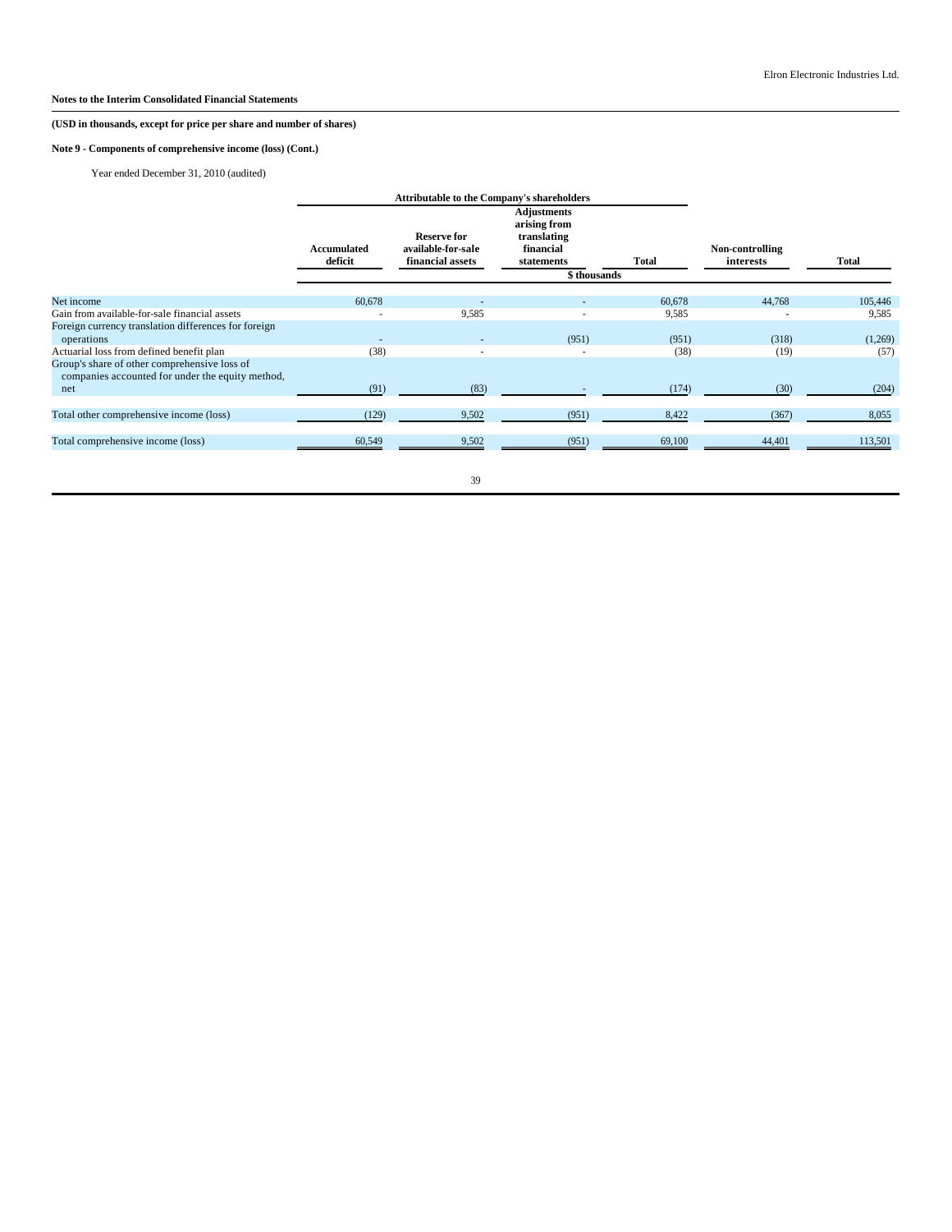# **Note 9 - Components of comprehensive income (loss) (Cont.)**

Year ended December 31, 2010 (audited)

|                                                                                                  |                          | <b>Attributable to the Company's shareholders</b>            |                                                                                             |        |                              |         |
|--------------------------------------------------------------------------------------------------|--------------------------|--------------------------------------------------------------|---------------------------------------------------------------------------------------------|--------|------------------------------|---------|
|                                                                                                  | Accumulated<br>deficit   | <b>Reserve for</b><br>available-for-sale<br>financial assets | <b>Adjustments</b><br>arising from<br>translating<br>financial<br>statements<br>\$thousands | Total  | Non-controlling<br>interests | Total   |
| Net income                                                                                       | 60,678                   |                                                              |                                                                                             | 60,678 | 44,768                       | 105,446 |
| Gain from available-for-sale financial assets                                                    |                          | 9,585                                                        |                                                                                             | 9,585  |                              | 9,585   |
| Foreign currency translation differences for foreign<br>operations                               | $\overline{\phantom{a}}$ |                                                              | (951)                                                                                       | (951)  | (318)                        | (1,269) |
| Actuarial loss from defined benefit plan                                                         | (38)                     |                                                              |                                                                                             | (38)   | (19)                         | (57)    |
| Group's share of other comprehensive loss of<br>companies accounted for under the equity method, |                          |                                                              |                                                                                             |        |                              |         |
| net                                                                                              | (91)                     | (83)                                                         |                                                                                             | (174)  | (30)                         | (204)   |
| Total other comprehensive income (loss)                                                          | (129)                    | 9,502                                                        | (951)                                                                                       | 8,422  | (367)                        | 8,055   |
| Total comprehensive income (loss)                                                                | 60,549                   | 9,502                                                        | (951)                                                                                       | 69,100 | 44,401                       | 113,501 |
|                                                                                                  |                          |                                                              |                                                                                             |        |                              |         |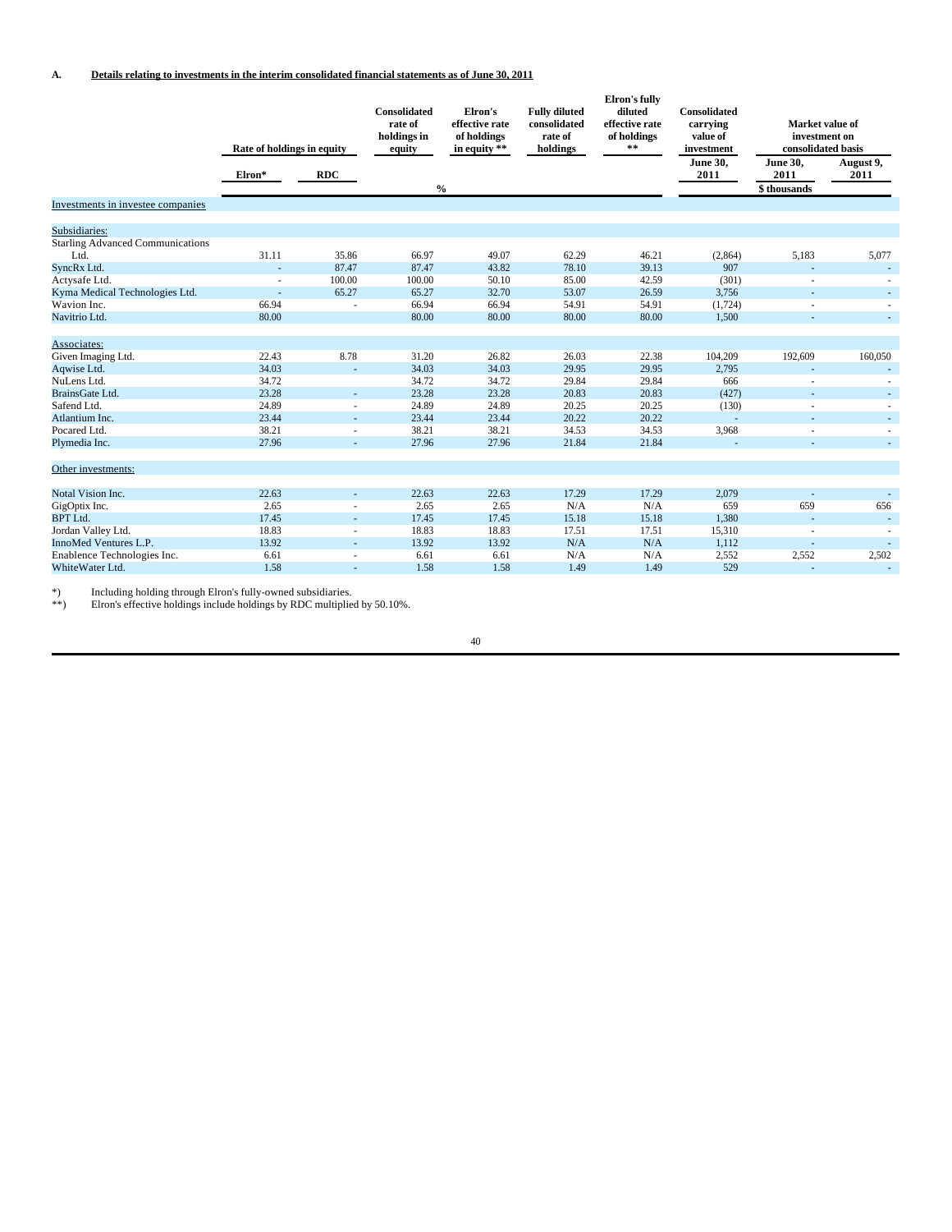|                                         | Rate of holdings in equity |                          | <b>Consolidated</b><br>rate of<br>holdings in<br>equity | Elron's<br>effective rate<br>of holdings<br>in equity ** | <b>Fully diluted</b><br>consolidated<br>rate of<br>holdings | Elron's fully<br>diluted<br>effective rate<br>of holdings<br>$\pm\pm$ | <b>Consolidated</b><br>carrying<br>value of<br>investment | Market value of<br>investment on<br>consolidated basis |                          |
|-----------------------------------------|----------------------------|--------------------------|---------------------------------------------------------|----------------------------------------------------------|-------------------------------------------------------------|-----------------------------------------------------------------------|-----------------------------------------------------------|--------------------------------------------------------|--------------------------|
|                                         | Elron*                     | <b>RDC</b>               | $\frac{0}{0}$                                           |                                                          |                                                             |                                                                       | <b>June 30,</b><br>2011                                   | <b>June 30,</b><br>2011<br>\$ thousands                | August 9,<br>2011        |
| Investments in investee companies       |                            |                          |                                                         |                                                          |                                                             |                                                                       |                                                           |                                                        |                          |
| Subsidiaries:                           |                            |                          |                                                         |                                                          |                                                             |                                                                       |                                                           |                                                        |                          |
| <b>Starling Advanced Communications</b> |                            |                          |                                                         |                                                          |                                                             |                                                                       |                                                           |                                                        |                          |
| Ltd                                     | 31.11                      | 35.86                    | 66.97                                                   | 49.07                                                    | 62.29                                                       | 46.21                                                                 | (2,864)                                                   | 5,183                                                  | 5,077                    |
| SyncRx Ltd.                             |                            | 87.47                    | 87.47                                                   | 43.82                                                    | 78.10                                                       | 39.13                                                                 | 907                                                       |                                                        |                          |
| Actysafe Ltd.                           | $\sim$                     | 100.00                   | 100.00                                                  | 50.10                                                    | 85.00                                                       | 42.59                                                                 | (301)                                                     | ٠                                                      |                          |
| Kyma Medical Technologies Ltd.          | ×,                         | 65.27                    | 65.27                                                   | 32.70                                                    | 53.07                                                       | 26.59                                                                 | 3,756                                                     |                                                        | $\sim$                   |
| Wavion Inc.                             | 66.94                      |                          | 66.94                                                   | 66.94                                                    | 54.91                                                       | 54.91                                                                 | (1, 724)                                                  |                                                        | $\sim$                   |
| Navitrio Ltd.                           | 80.00                      |                          | 80.00                                                   | 80.00                                                    | 80.00                                                       | 80.00                                                                 | 1,500                                                     | ÷                                                      | $\sim$                   |
| Associates:                             |                            |                          |                                                         |                                                          |                                                             |                                                                       |                                                           |                                                        |                          |
| Given Imaging Ltd.                      | 22.43                      | 8.78                     | 31.20                                                   | 26.82                                                    | 26.03                                                       | 22.38                                                                 | 104,209                                                   | 192,609                                                | 160,050                  |
| Aqwise Ltd.                             | 34.03                      | $\overline{\phantom{a}}$ | 34.03                                                   | 34.03                                                    | 29.95                                                       | 29.95                                                                 | 2,795                                                     | ÷                                                      |                          |
| NuLens Ltd.                             | 34.72                      |                          | 34.72                                                   | 34.72                                                    | 29.84                                                       | 29.84                                                                 | 666                                                       |                                                        |                          |
| BrainsGate Ltd.                         | 23.28                      | $\sim$                   | 23.28                                                   | 23.28                                                    | 20.83                                                       | 20.83                                                                 | (427)                                                     |                                                        | ÷.                       |
| Safend Ltd.                             | 24.89                      |                          | 24.89                                                   | 24.89                                                    | 20.25                                                       | 20.25                                                                 | (130)                                                     |                                                        |                          |
| Atlantium Inc.                          | 23.44                      |                          | 23.44                                                   | 23.44                                                    | 20.22                                                       | 20.22                                                                 |                                                           |                                                        | ٠                        |
| Pocared Ltd.                            | 38.21                      |                          | 38.21                                                   | 38.21                                                    | 34.53                                                       | 34.53                                                                 | 3,968                                                     |                                                        | ٠                        |
| Plymedia Inc.                           | 27.96                      |                          | 27.96                                                   | 27.96                                                    | 21.84                                                       | 21.84                                                                 |                                                           |                                                        | ٠                        |
| Other investments:                      |                            |                          |                                                         |                                                          |                                                             |                                                                       |                                                           |                                                        |                          |
| Notal Vision Inc.                       | 22.63                      | $\sim$                   | 22.63                                                   | 22.63                                                    | 17.29                                                       | 17.29                                                                 | 2,079                                                     |                                                        |                          |
| GigOptix Inc.                           | 2.65                       |                          | 2.65                                                    | 2.65                                                     | N/A                                                         | N/A                                                                   | 659                                                       | 659                                                    | 656                      |
| <b>BPT</b> Ltd.                         | 17.45                      | $\overline{\phantom{a}}$ | 17.45                                                   | 17.45                                                    | 15.18                                                       | 15.18                                                                 | 1,380                                                     |                                                        | $\overline{a}$           |
| Jordan Valley Ltd.                      | 18.83                      |                          | 18.83                                                   | 18.83                                                    | 17.51                                                       | 17.51                                                                 | 15,310                                                    | ٠                                                      |                          |
| InnoMed Ventures L.P.                   | 13.92                      |                          | 13.92                                                   | 13.92                                                    | N/A                                                         | N/A                                                                   | 1,112                                                     | ÷                                                      | $\overline{\phantom{a}}$ |
| Enablence Technologies Inc.             | 6.61                       | $\sim$                   | 6.61                                                    | 6.61                                                     | N/A                                                         | N/A                                                                   | 2,552                                                     | 2,552                                                  | 2,502                    |
| WhiteWater Ltd.                         | 1.58                       |                          | 1.58                                                    | 1.58                                                     | 1.49                                                        | 1.49                                                                  | 529                                                       |                                                        | $\sim$                   |

\*) Including holding through Elron's fully-owned subsidiaries. \*\*) Elron's effective holdings include holdings by RDC multiplied by 50.10%.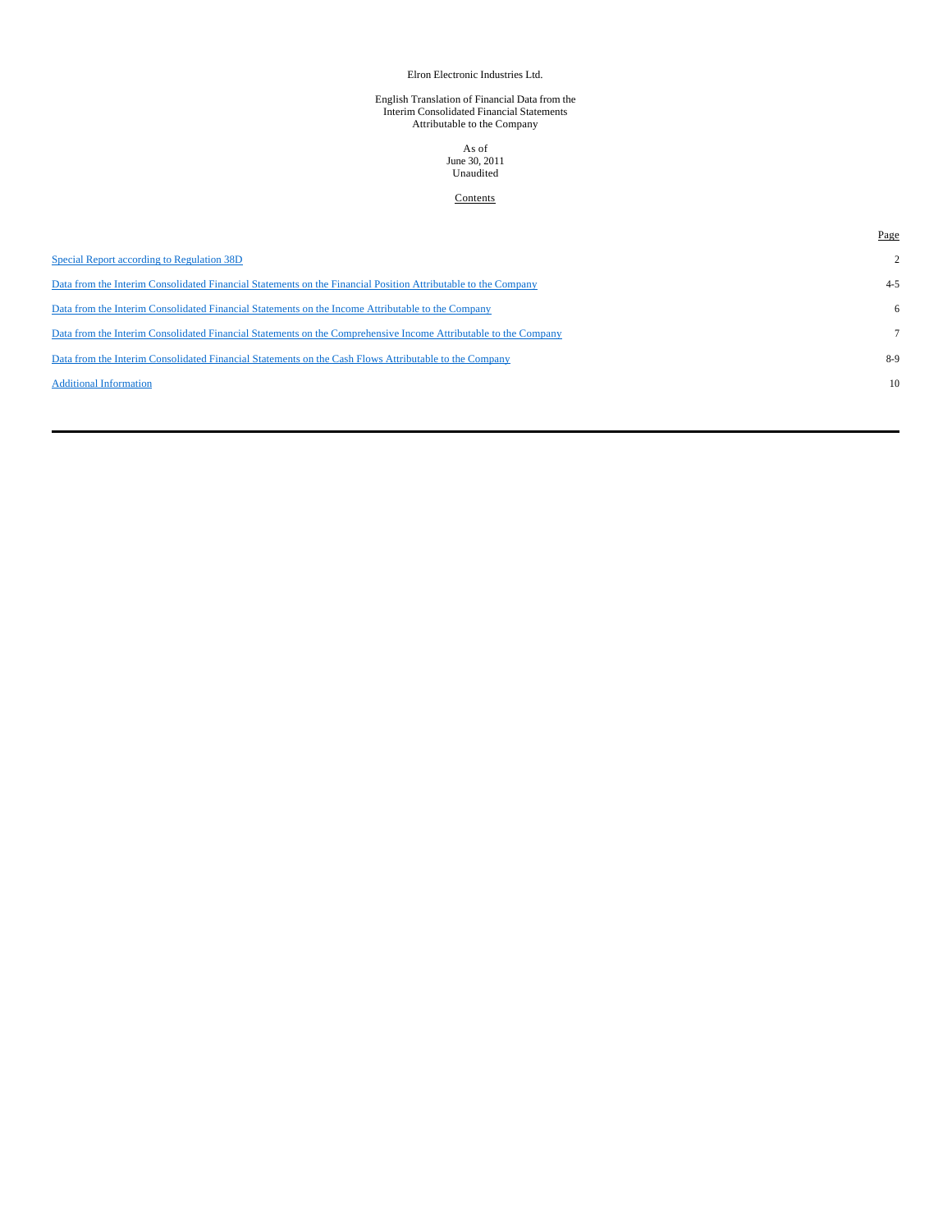#### Elron Electronic Industries Ltd.

# English Translation of Financial Data from the Interim Consolidated Financial Statements Attributable to the Company

# As of June 30, 2011 Unaudited

# **Contents**

|                                                                                                                 | Page           |
|-----------------------------------------------------------------------------------------------------------------|----------------|
| Special Report according to Regulation 38D                                                                      | $\mathfrak{2}$ |
| Data from the Interim Consolidated Financial Statements on the Financial Position Attributable to the Company   | $4 - 5$        |
| Data from the Interim Consolidated Financial Statements on the Income Attributable to the Company               | 6              |
| Data from the Interim Consolidated Financial Statements on the Comprehensive Income Attributable to the Company |                |
| Data from the Interim Consolidated Financial Statements on the Cash Flows Attributable to the Company           | 8-9            |
| <b>Additional Information</b>                                                                                   | 10             |
|                                                                                                                 |                |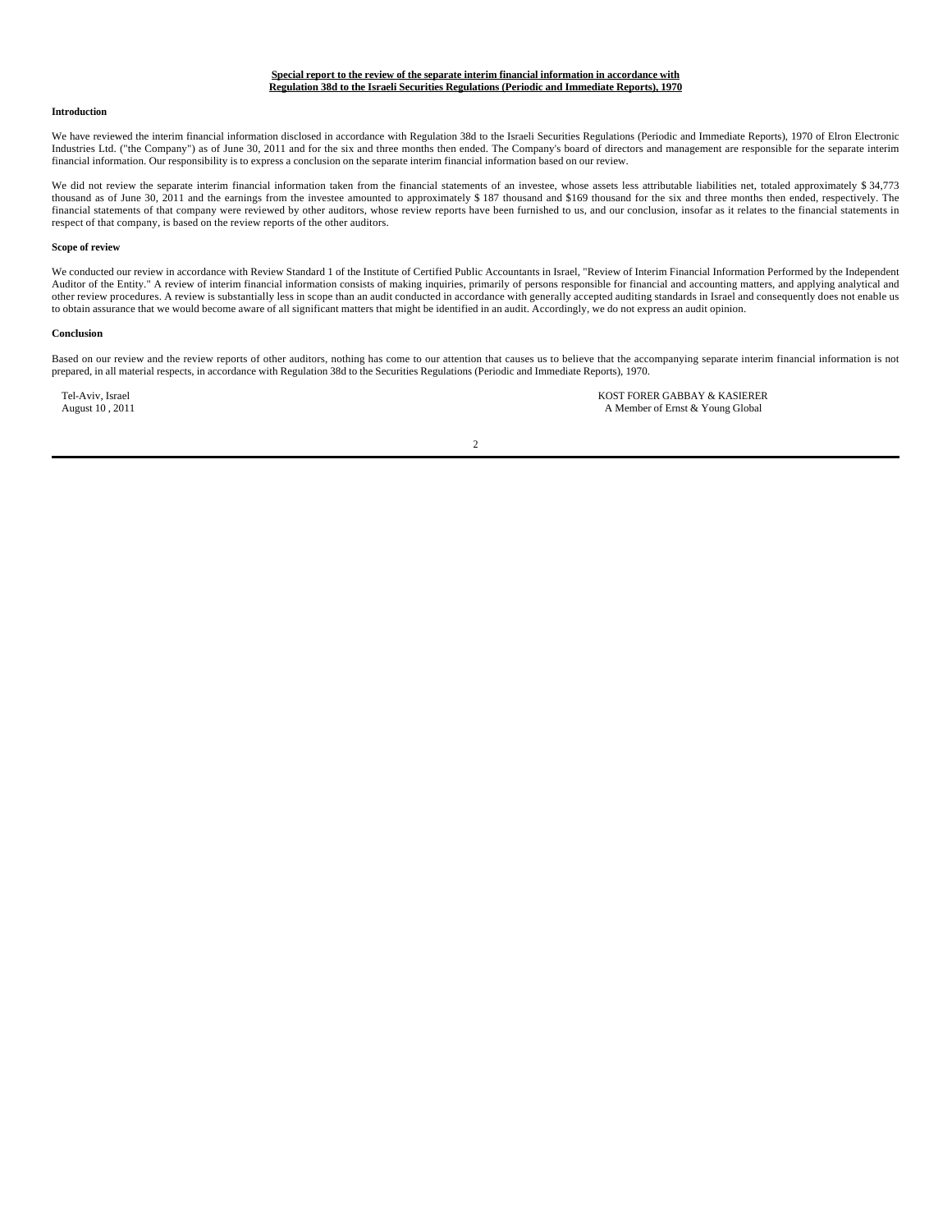#### **Special report to the review of the separate interim financial information in accordance with Regulation 38d to the Israeli Securities Regulations (Periodic and Immediate Reports), 1970**

#### **Introduction**

We have reviewed the interim financial information disclosed in accordance with Regulation 38d to the Israeli Securities Regulations (Periodic and Immediate Reports), 1970 of Elron Electronic Industries Ltd. ("the Company") as of June 30, 2011 and for the six and three months then ended. The Company's board of directors and management are responsible for the separate interim financial information. Our responsibility is to express a conclusion on the separate interim financial information based on our review.

We did not review the separate interim financial information taken from the financial statements of an investee, whose assets less attributable liabilities net, totaled approximately \$34,773 thousand as of June 30, 2011 and the earnings from the investee amounted to approximately \$ 187 thousand and \$169 thousand for the six and three months then ended, respectively. The financial statements of that company were reviewed by other auditors, whose review reports have been furnished to us, and our conclusion, insofar as it relates to the financial statements in respect of that company, is based on the review reports of the other auditors.

#### **Scope of review**

We conducted our review in accordance with Review Standard 1 of the Institute of Certified Public Accountants in Israel, "Review of Interim Financial Information Performed by the Independent Auditor of the Entity." A review of interim financial information consists of making inquiries, primarily of persons responsible for financial and accounting matters, and applying analytical and other review procedures. A review is substantially less in scope than an audit conducted in accordance with generally accepted auditing standards in Israel and consequently does not enable us to obtain assurance that we would become aware of all significant matters that might be identified in an audit. Accordingly, we do not express an audit opinion.

#### **Conclusion**

Based on our review and the review reports of other auditors, nothing has come to our attention that causes us to believe that the accompanying separate interim financial information is not prepared, in all material respects, in accordance with Regulation 38d to the Securities Regulations (Periodic and Immediate Reports), 1970.

Tel-Aviv, Israel **KOST FORER GABBAY & KASIERER**<br>August 10, 2011 **A Member of Ernst & Young Global** A Member of Ernst & Young Global

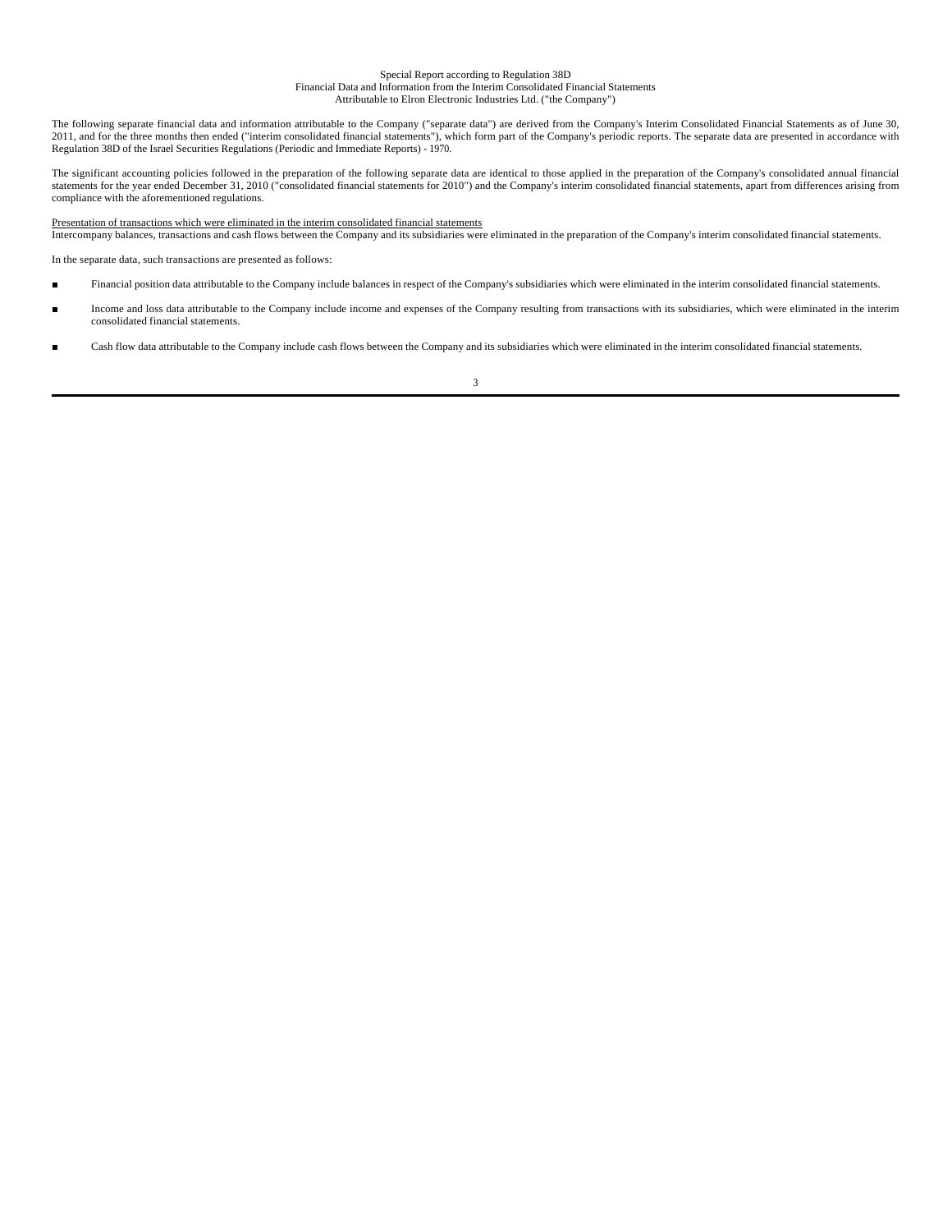#### Special Report according to Regulation 38D Financial Data and Information from the Interim Consolidated Financial Statements Attributable to Elron Electronic Industries Ltd. ("the Company")

The following separate financial data and information attributable to the Company ("separate data") are derived from the Company's Interim Consolidated Financial Statements as of June 30, 2011, and for the three months then ended ("interim consolidated financial statements"), which form part of the Company's periodic reports. The separate data are presented in accordance with Regulation 38D of the Israel Securities Regulations (Periodic and Immediate Reports) - 1970.

The significant accounting policies followed in the preparation of the following separate data are identical to those applied in the preparation of the Company's consolidated annual financial<br>statements for the year ended compliance with the aforementioned regulations.

Presentation of transactions which were eliminated in the interim consolidated financial statements<br>Intercompany balances, transactions and cash flows between the Company and its subsidiaries were eliminated in the prepara

In the separate data, such transactions are presented as follows:

- Financial position data attributable to the Company include balances in respect of the Company's subsidiaries which were eliminated in the interim consolidated financial statements.
- Income and loss data attributable to the Company include income and expenses of the Company resulting from transactions with its subsidiaries, which were eliminated in the interim consolidated financial statements.
- Cash flow data attributable to the Company include cash flows between the Company and its subsidiaries which were eliminated in the interim consolidated financial statements.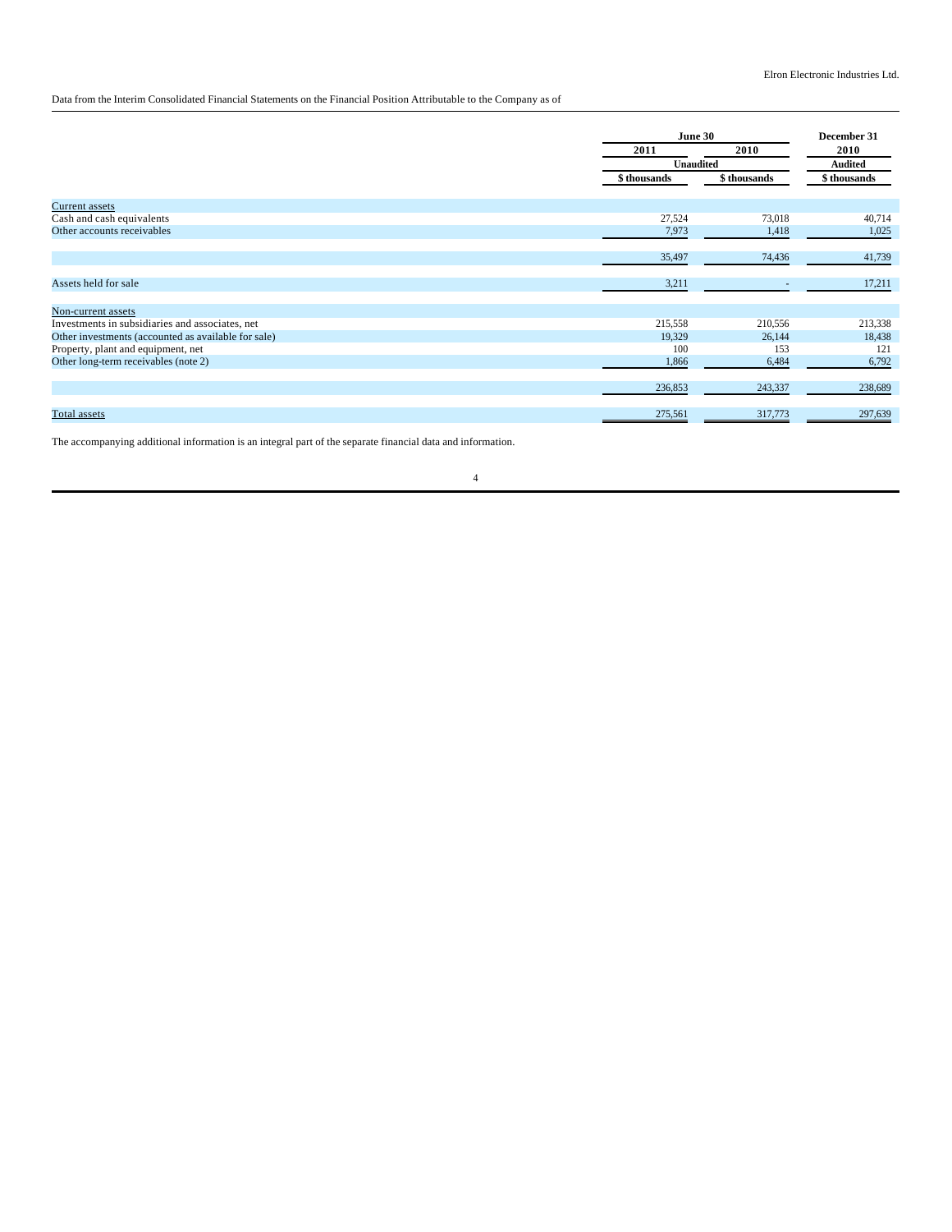Data from the Interim Consolidated Financial Statements on the Financial Position Attributable to the Company as of

|                                                     |              | June 30                  |                |  |
|-----------------------------------------------------|--------------|--------------------------|----------------|--|
|                                                     | 2011         | 2010                     | 2010           |  |
|                                                     |              | <b>Unaudited</b>         | <b>Audited</b> |  |
|                                                     | \$ thousands | \$ thousands             | \$ thousands   |  |
| <b>Current assets</b>                               |              |                          |                |  |
| Cash and cash equivalents                           | 27,524       | 73,018                   | 40,714         |  |
| Other accounts receivables                          | 7,973        | 1,418                    | 1,025          |  |
|                                                     | 35,497       | 74,436                   | 41,739         |  |
| Assets held for sale                                | 3,211        | $\overline{\phantom{a}}$ | 17,211         |  |
| Non-current assets                                  |              |                          |                |  |
| Investments in subsidiaries and associates, net     | 215,558      | 210,556                  | 213,338        |  |
| Other investments (accounted as available for sale) | 19,329       | 26,144                   | 18,438         |  |
| Property, plant and equipment, net                  | 100          | 153                      | 121            |  |
| Other long-term receivables (note 2)                | 1,866        | 6,484                    | 6,792          |  |
|                                                     | 236,853      | 243,337                  | 238,689        |  |
| Total assets                                        | 275,561      | 317,773                  | 297,639        |  |

The accompanying additional information is an integral part of the separate financial data and information.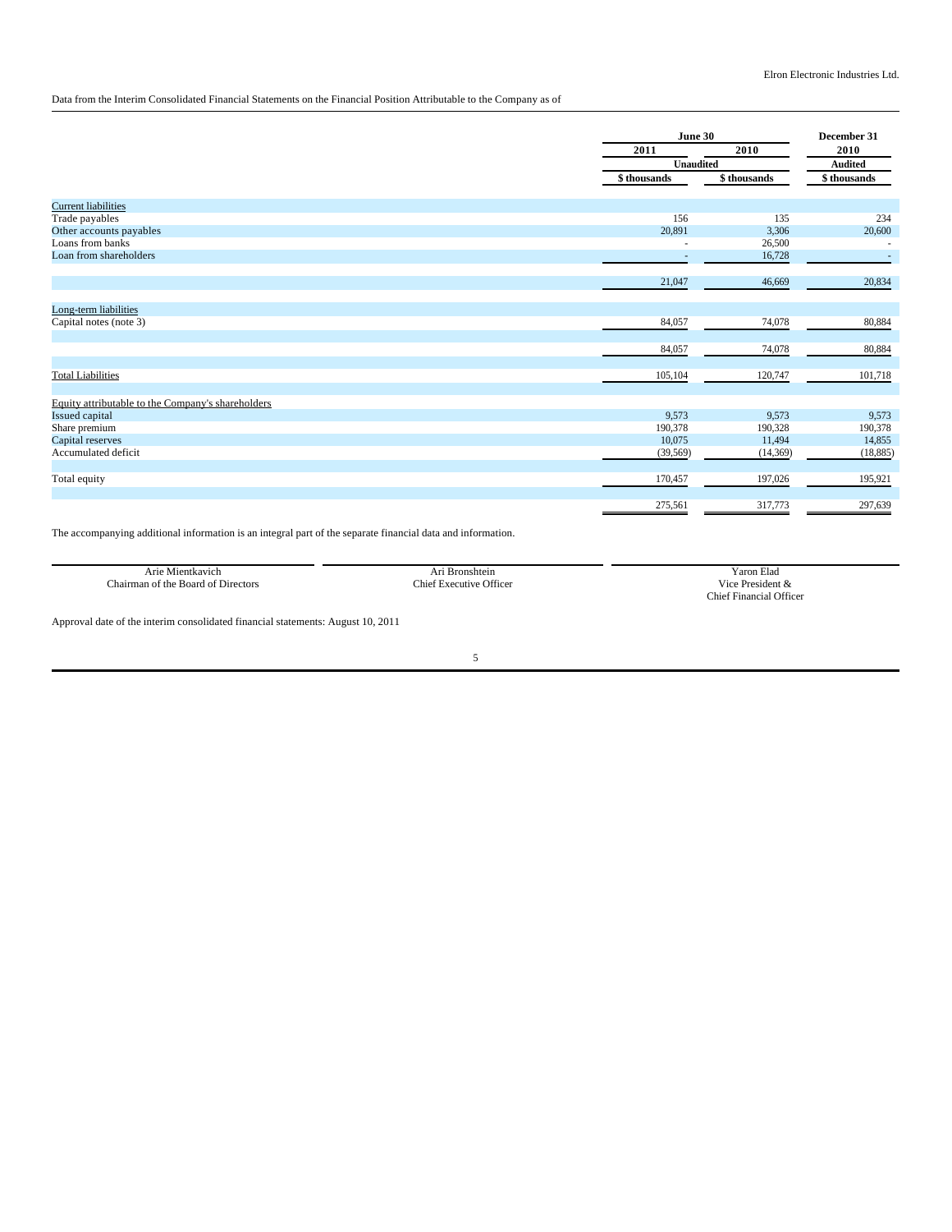Data from the Interim Consolidated Financial Statements on the Financial Position Attributable to the Company as of

|                                                   |              | June 30      |                          |  |
|---------------------------------------------------|--------------|--------------|--------------------------|--|
|                                                   | 2011         | 2010         | 2010                     |  |
|                                                   | Unaudited    |              | <b>Audited</b>           |  |
|                                                   | \$ thousands | \$ thousands | \$ thousands             |  |
| <b>Current liabilities</b>                        |              |              |                          |  |
| Trade payables                                    | 156          | 135          | 234                      |  |
| Other accounts payables                           | 20,891       | 3,306        | 20,600                   |  |
| Loans from banks                                  |              | 26,500       | $\overline{\phantom{a}}$ |  |
| Loan from shareholders                            | ٠            | 16,728       | $\overline{a}$           |  |
|                                                   | 21,047       | 46,669       | 20,834                   |  |
| Long-term liabilities                             |              |              |                          |  |
| Capital notes (note 3)                            | 84,057       | 74,078       | 80,884                   |  |
|                                                   | 84,057       | 74,078       | 80,884                   |  |
| <b>Total Liabilities</b>                          | 105,104      | 120,747      | 101,718                  |  |
| Equity attributable to the Company's shareholders |              |              |                          |  |
| Issued capital                                    | 9,573        | 9,573        | 9,573                    |  |
| Share premium                                     | 190,378      | 190,328      | 190,378                  |  |
| Capital reserves                                  | 10,075       | 11,494       | 14,855                   |  |
| Accumulated deficit                               | (39, 569)    | (14, 369)    | (18, 885)                |  |
| Total equity                                      | 170,457      | 197,026      | 195,921                  |  |
|                                                   | 275,561      | 317,773      | 297,639                  |  |

The accompanying additional information is an integral part of the separate financial data and information.

| .                                               |                                  | $\sim$                                    |
|-------------------------------------------------|----------------------------------|-------------------------------------------|
| Arie<br>Mientkavich                             | Bronshtein                       | Elad<br>r aron                            |
| $\sim$<br>Chairman of the Board<br>of Directors | <b>Executive Officer</b><br>:hie | .<br>$\sim$ President $\infty$<br>$1 + 0$ |
|                                                 |                                  | l Officer<br>Thief.<br>Hinancial<br>.     |

Approval date of the interim consolidated financial statements: August 10, 2011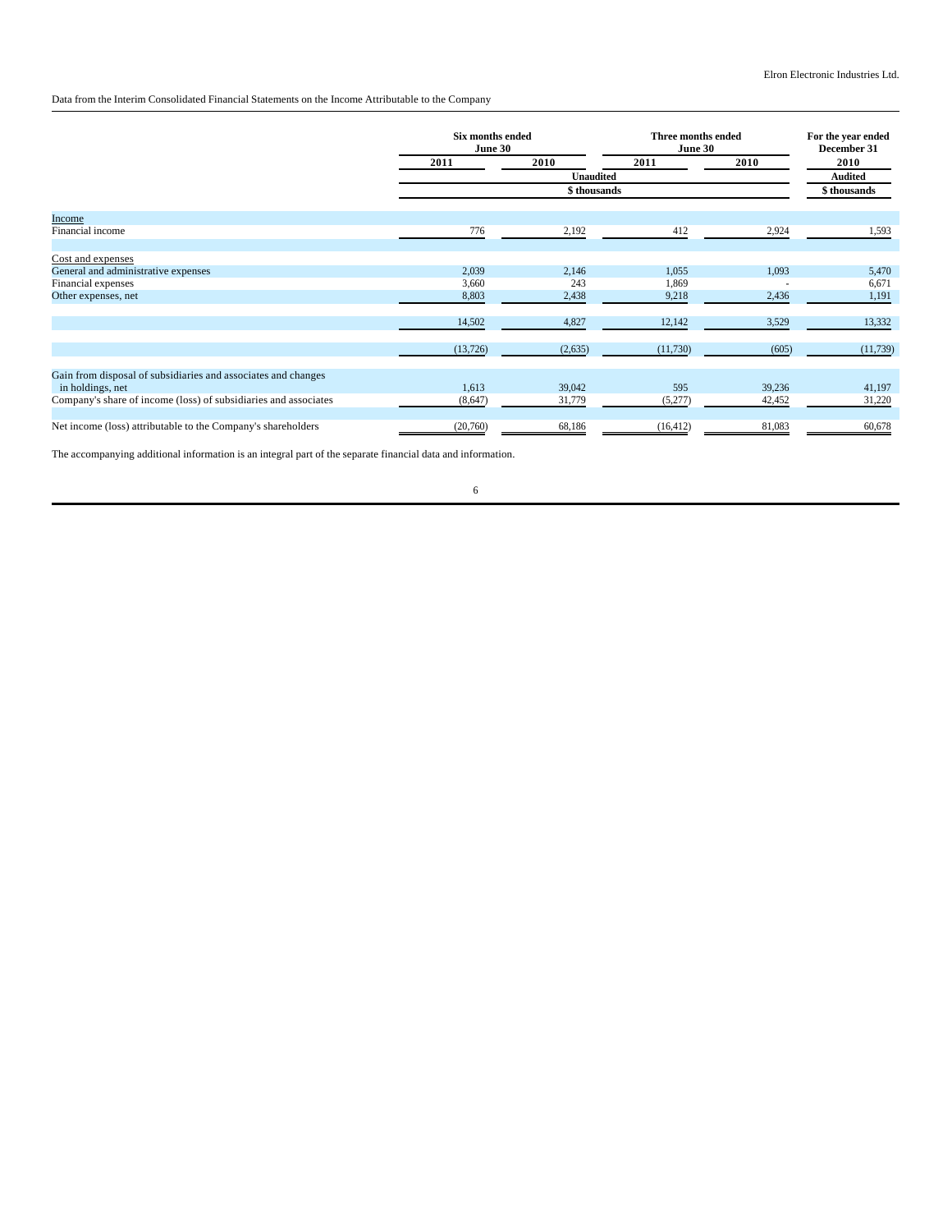## Data from the Interim Consolidated Financial Statements on the Income Attributable to the Company

|                                                                 | Six months ended<br>June 30 |              | Three months ended<br>June 30 |        | For the year ended<br>December 31 |  |
|-----------------------------------------------------------------|-----------------------------|--------------|-------------------------------|--------|-----------------------------------|--|
|                                                                 | 2011                        | 2010         | 2011                          | 2010   | 2010                              |  |
|                                                                 |                             | Unaudited    |                               |        | <b>Audited</b>                    |  |
|                                                                 |                             | \$ thousands |                               |        | \$ thousands                      |  |
| Income                                                          |                             |              |                               |        |                                   |  |
| Financial income                                                | 776                         | 2,192        | 412                           | 2,924  | 1,593                             |  |
|                                                                 |                             |              |                               |        |                                   |  |
| Cost and expenses                                               |                             |              |                               |        |                                   |  |
| General and administrative expenses                             | 2,039                       | 2,146        | 1,055                         | 1,093  | 5,470                             |  |
| Financial expenses                                              | 3,660                       | 243          | 1,869                         |        | 6,671                             |  |
| Other expenses, net                                             | 8,803                       | 2,438        | 9,218                         | 2,436  | 1,191                             |  |
|                                                                 |                             |              |                               |        |                                   |  |
|                                                                 | 14,502                      | 4,827        | 12,142                        | 3,529  | 13,332                            |  |
|                                                                 | (13, 726)                   | (2,635)      | (11,730)                      | (605)  | (11, 739)                         |  |
|                                                                 |                             |              |                               |        |                                   |  |
| Gain from disposal of subsidiaries and associates and changes   |                             |              |                               |        |                                   |  |
| in holdings, net                                                | 1,613                       | 39,042       | 595                           | 39,236 | 41,197                            |  |
| Company's share of income (loss) of subsidiaries and associates | (8,647)                     | 31,779       | (5,277)                       | 42,452 | 31,220                            |  |
| Net income (loss) attributable to the Company's shareholders    | (20,760)                    | 68,186       | (16, 412)                     | 81,083 | 60,678                            |  |
|                                                                 |                             |              |                               |        |                                   |  |

The accompanying additional information is an integral part of the separate financial data and information.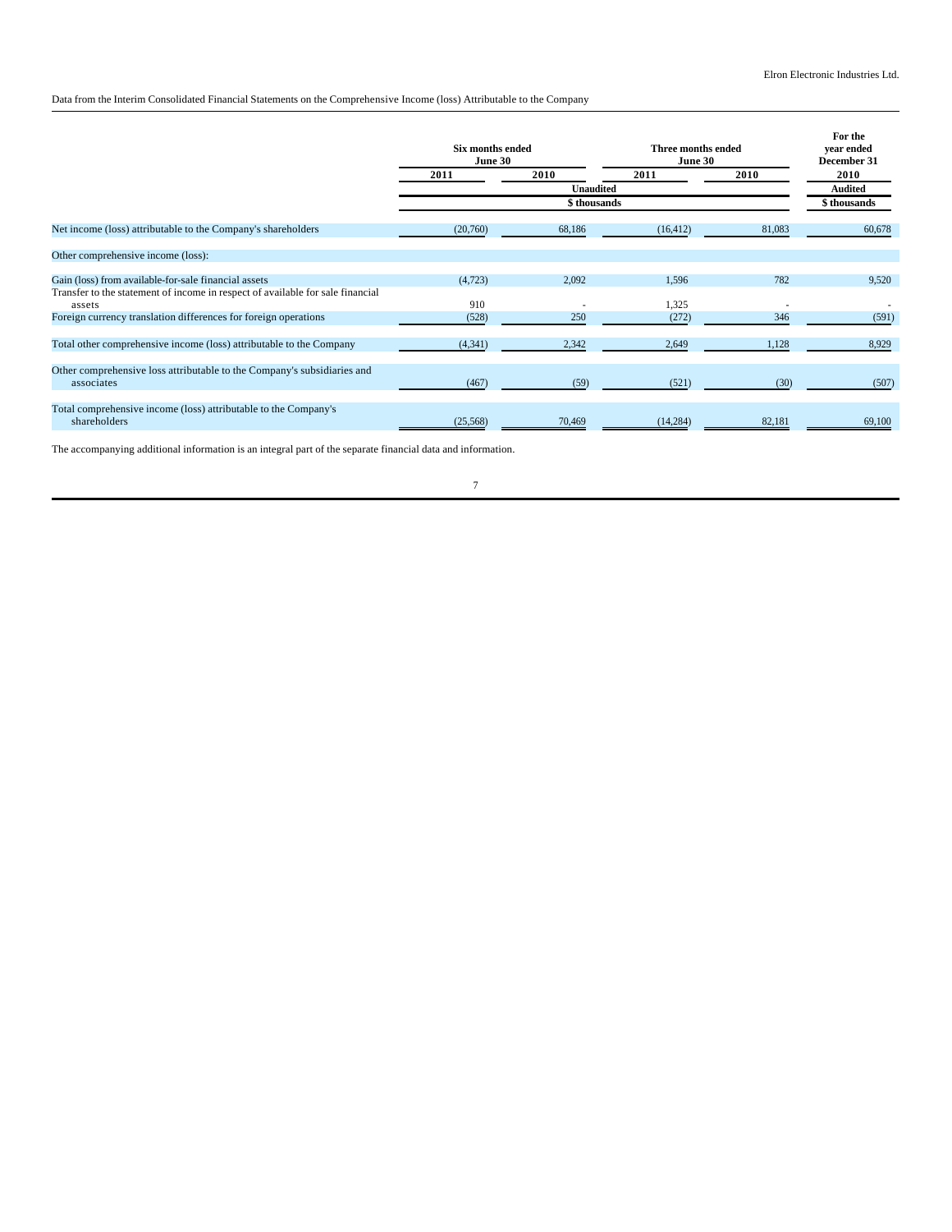Data from the Interim Consolidated Financial Statements on the Comprehensive Income (loss) Attributable to the Company

|                                                                                          | Six months ended<br>June 30 |                  | Three months ended<br>June 30 |        | For the<br>vear ended<br>December 31 |  |
|------------------------------------------------------------------------------------------|-----------------------------|------------------|-------------------------------|--------|--------------------------------------|--|
|                                                                                          | 2011                        | 2010             | 2011                          | 2010   | 2010                                 |  |
|                                                                                          |                             | <b>Unaudited</b> |                               |        | <b>Audited</b>                       |  |
|                                                                                          |                             | \$ thousands     |                               |        | \$ thousands                         |  |
| Net income (loss) attributable to the Company's shareholders                             | (20,760)                    | 68,186           | (16, 412)                     | 81,083 | 60,678                               |  |
| Other comprehensive income (loss):                                                       |                             |                  |                               |        |                                      |  |
| Gain (loss) from available-for-sale financial assets                                     | (4, 723)                    | 2,092            | 1,596                         | 782    | 9,520                                |  |
| Transfer to the statement of income in respect of available for sale financial<br>assets | 910                         |                  | 1,325                         |        |                                      |  |
| Foreign currency translation differences for foreign operations                          | (528)                       | 250              | (272)                         | 346    | (591)                                |  |
| Total other comprehensive income (loss) attributable to the Company                      | (4,341)                     | 2,342            | 2,649                         | 1,128  | 8,929                                |  |
| Other comprehensive loss attributable to the Company's subsidiaries and<br>associates    | (467)                       | (59)             | (521)                         | (30)   | (507)                                |  |
| Total comprehensive income (loss) attributable to the Company's<br>shareholders          | (25, 568)                   | 70,469           | (14, 284)                     | 82,181 | 69,100                               |  |

The accompanying additional information is an integral part of the separate financial data and information.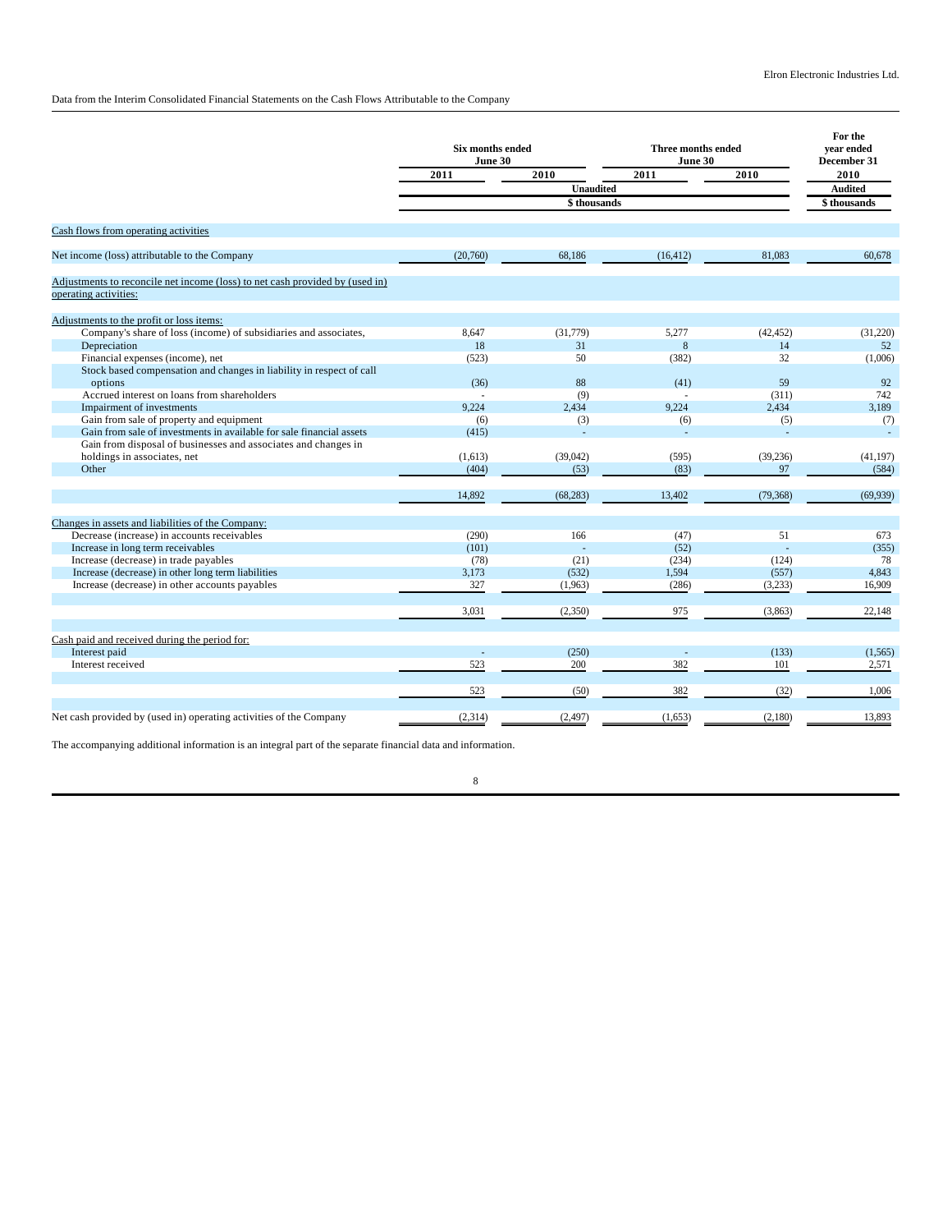Data from the Interim Consolidated Financial Statements on the Cash Flows Attributable to the Company

|                                                                                                       | Six months ended<br>June 30 |                  | <b>Three months ended</b><br>June 30 |              | For the<br>vear ended<br>December 31 |  |
|-------------------------------------------------------------------------------------------------------|-----------------------------|------------------|--------------------------------------|--------------|--------------------------------------|--|
|                                                                                                       | 2011                        | 2010             | 2011                                 | 2010         | 2010                                 |  |
|                                                                                                       |                             | <b>Unaudited</b> |                                      |              | <b>Audited</b>                       |  |
|                                                                                                       |                             | \$ thousands     |                                      |              | \$thousands                          |  |
| Cash flows from operating activities                                                                  |                             |                  |                                      |              |                                      |  |
| Net income (loss) attributable to the Company                                                         | (20,760)                    | 68,186           | (16, 412)                            | 81,083       | 60,678                               |  |
| Adjustments to reconcile net income (loss) to net cash provided by (used in)<br>operating activities: |                             |                  |                                      |              |                                      |  |
| Adjustments to the profit or loss items:                                                              |                             |                  |                                      |              |                                      |  |
| Company's share of loss (income) of subsidiaries and associates,                                      | 8,647                       | (31,779)         | 5,277                                | (42, 452)    | (31,220)                             |  |
| Depreciation                                                                                          | 18                          | 31               | 8                                    | 14           | 52                                   |  |
| Financial expenses (income), net                                                                      | (523)                       | 50               | (382)                                | 32           | (1,006)                              |  |
| Stock based compensation and changes in liability in respect of call                                  |                             |                  |                                      |              |                                      |  |
| options                                                                                               | (36)                        | 88               | (41)                                 | 59           | 92                                   |  |
| Accrued interest on loans from shareholders<br>Impairment of investments                              | 9.224                       | (9)<br>2.434     | 9.224                                | (311)        | 742                                  |  |
| Gain from sale of property and equipment                                                              |                             |                  |                                      | 2,434<br>(5) | 3,189                                |  |
| Gain from sale of investments in available for sale financial assets                                  | (6)<br>(415)                | (3)              | (6)                                  |              | (7)<br>$\overline{a}$                |  |
| Gain from disposal of businesses and associates and changes in                                        |                             |                  |                                      |              |                                      |  |
| holdings in associates, net                                                                           | (1,613)                     | (39,042)         | (595)                                | (39, 236)    | (41, 197)                            |  |
| Other                                                                                                 | (404)                       | (53)             | (83)                                 | 97           | (584)                                |  |
|                                                                                                       |                             |                  |                                      |              |                                      |  |
|                                                                                                       | 14,892                      | (68, 283)        | 13,402                               | (79, 368)    | (69,939)                             |  |
| Changes in assets and liabilities of the Company:                                                     |                             |                  |                                      |              |                                      |  |
| Decrease (increase) in accounts receivables                                                           | (290)                       | 166              | (47)                                 | 51           | 673                                  |  |
| Increase in long term receivables                                                                     | (101)                       |                  | (52)                                 |              | (355)                                |  |
| Increase (decrease) in trade payables                                                                 | (78)                        | (21)             | (234)                                | (124)        | 78                                   |  |
| Increase (decrease) in other long term liabilities                                                    | 3,173                       | (532)            | 1,594                                | (557)        | 4,843                                |  |
| Increase (decrease) in other accounts payables                                                        | 327                         | (1,963)          | (286)                                | (3,233)      | 16,909                               |  |
|                                                                                                       | 3,031                       | (2,350)          | 975                                  | (3,863)      | 22,148                               |  |
| Cash paid and received during the period for:                                                         |                             |                  |                                      |              |                                      |  |
| Interest paid                                                                                         |                             | (250)            |                                      | (133)        | (1, 565)                             |  |
| Interest received                                                                                     | 523                         | 200              | 382                                  | 101          | 2,571                                |  |
|                                                                                                       | 523                         | (50)             | 382                                  | (32)         | 1,006                                |  |
| Net cash provided by (used in) operating activities of the Company                                    | (2,314)                     | (2, 497)         | (1,653)                              | (2,180)      | 13,893                               |  |

The accompanying additional information is an integral part of the separate financial data and information.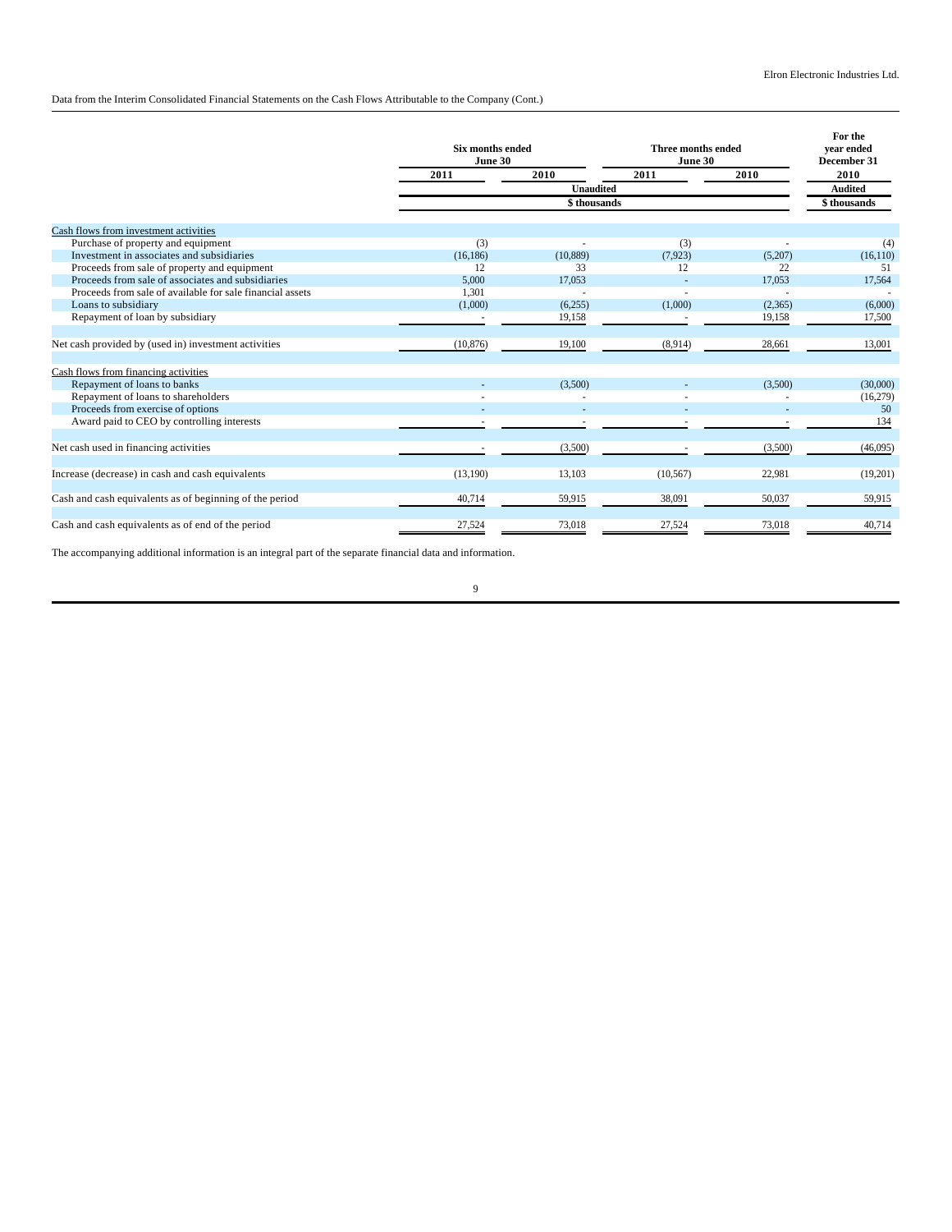Data from the Interim Consolidated Financial Statements on the Cash Flows Attributable to the Company (Cont.)

|                                                           | <b>Six months ended</b><br>June 30 |                  | Three months ended<br>June 30 |         | For the<br>vear ended<br>December 31 |  |
|-----------------------------------------------------------|------------------------------------|------------------|-------------------------------|---------|--------------------------------------|--|
|                                                           | 2011                               | 2010             | 2011                          | 2010    | 2010                                 |  |
|                                                           |                                    | <b>Unaudited</b> |                               |         | <b>Audited</b>                       |  |
|                                                           |                                    | \$thousands      |                               |         | \$thousands                          |  |
| Cash flows from investment activities                     |                                    |                  |                               |         |                                      |  |
| Purchase of property and equipment                        | (3)                                |                  | (3)                           |         | (4)                                  |  |
| Investment in associates and subsidiaries                 | (16, 186)                          | (10, 889)        | (7,923)                       | (5,207) | (16, 110)                            |  |
| Proceeds from sale of property and equipment              | 12                                 | 33               | 12                            | 22      | 51                                   |  |
| Proceeds from sale of associates and subsidiaries         | 5,000                              | 17,053           |                               | 17,053  | 17,564                               |  |
| Proceeds from sale of available for sale financial assets | 1.301                              |                  |                               |         |                                      |  |
| Loans to subsidiary                                       | (1,000)                            | (6,255)          | (1,000)                       | (2,365) | (6,000)                              |  |
| Repayment of loan by subsidiary                           |                                    | 19,158           |                               | 19,158  | 17,500                               |  |
| Net cash provided by (used in) investment activities      | (10, 876)                          | 19,100           | (8,914)                       | 28,661  | 13,001                               |  |
| Cash flows from financing activities                      |                                    |                  |                               |         |                                      |  |
| Repayment of loans to banks                               |                                    | (3,500)          |                               | (3,500) | (30,000)                             |  |
| Repayment of loans to shareholders                        |                                    |                  |                               |         | (16,279)                             |  |
| Proceeds from exercise of options                         |                                    |                  |                               |         | 50                                   |  |
| Award paid to CEO by controlling interests                |                                    |                  |                               |         | 134                                  |  |
| Net cash used in financing activities                     |                                    | (3,500)          |                               | (3,500) | (46,095)                             |  |
| Increase (decrease) in cash and cash equivalents          | (13,190)                           | 13,103           | (10, 567)                     | 22,981  | (19,201)                             |  |
| Cash and cash equivalents as of beginning of the period   | 40,714                             | 59,915           | 38,091                        | 50,037  | 59,915                               |  |
| Cash and cash equivalents as of end of the period         | 27,524                             | 73,018           | 27,524                        | 73,018  | 40,714                               |  |

The accompanying additional information is an integral part of the separate financial data and information.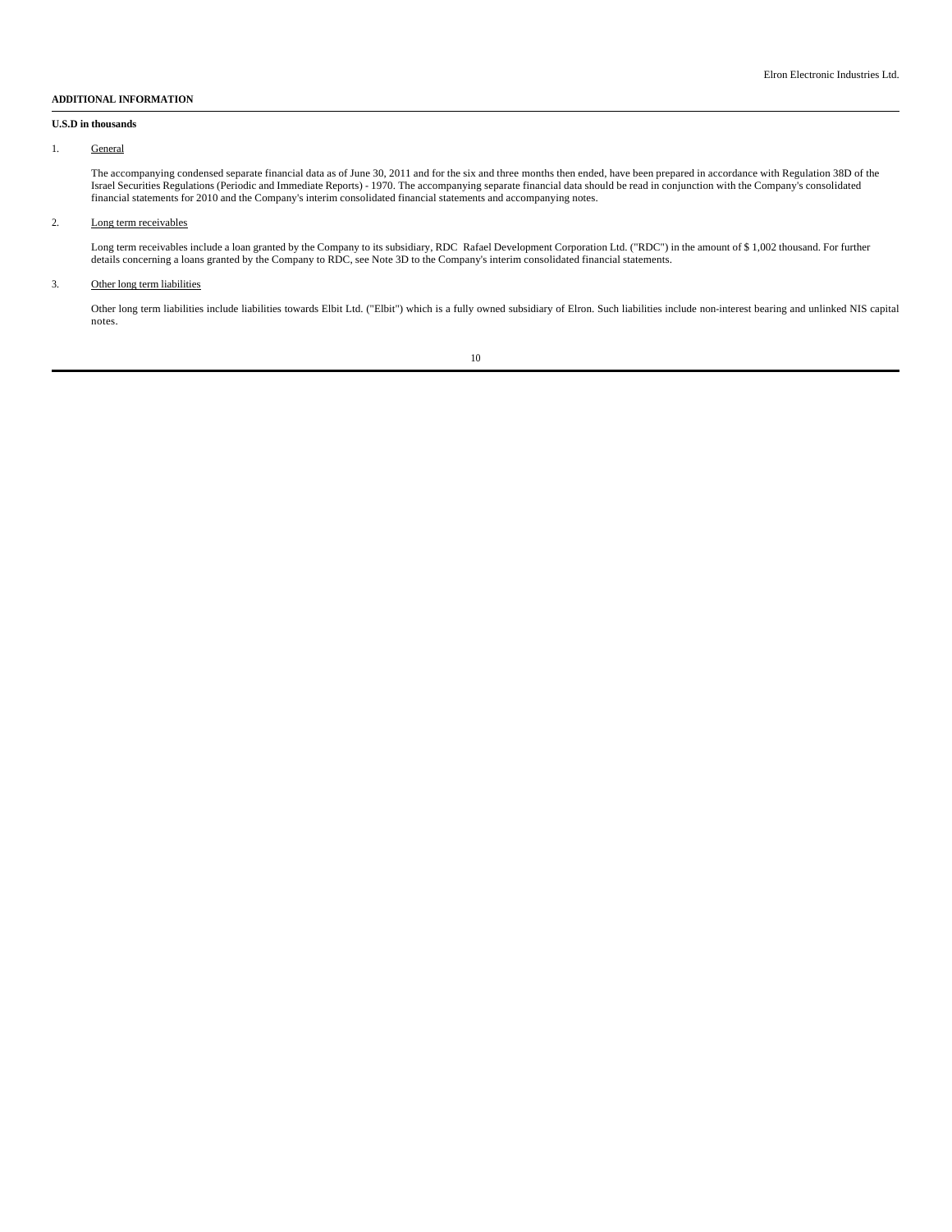#### **ADDITIONAL INFORMATION**

#### **U.S.D in thousands**

#### 1. General

The accompanying condensed separate financial data as of June 30, 2011 and for the six and three months then ended, have been prepared in accordance with Regulation 38D of the<br>Israel Securities Regulations (Periodic and Im financial statements for 2010 and the Company's interim consolidated financial statements and accompanying notes.

### 2. Long term receivables

Long term receivables include a loan granted by the Company to its subsidiary, RDC Rafael Development Corporation Ltd. ("RDC") in the amount of \$ 1,002 thousand. For further details concerning a loans granted by the Company to RDC, see Note 3D to the Company's interim consolidated financial statements.

### 3. Other long term liabilities

Other long term liabilities include liabilities towards Elbit Ltd. ("Elbit") which is a fully owned subsidiary of Elron. Such liabilities include non-interest bearing and unlinked NIS capital notes.

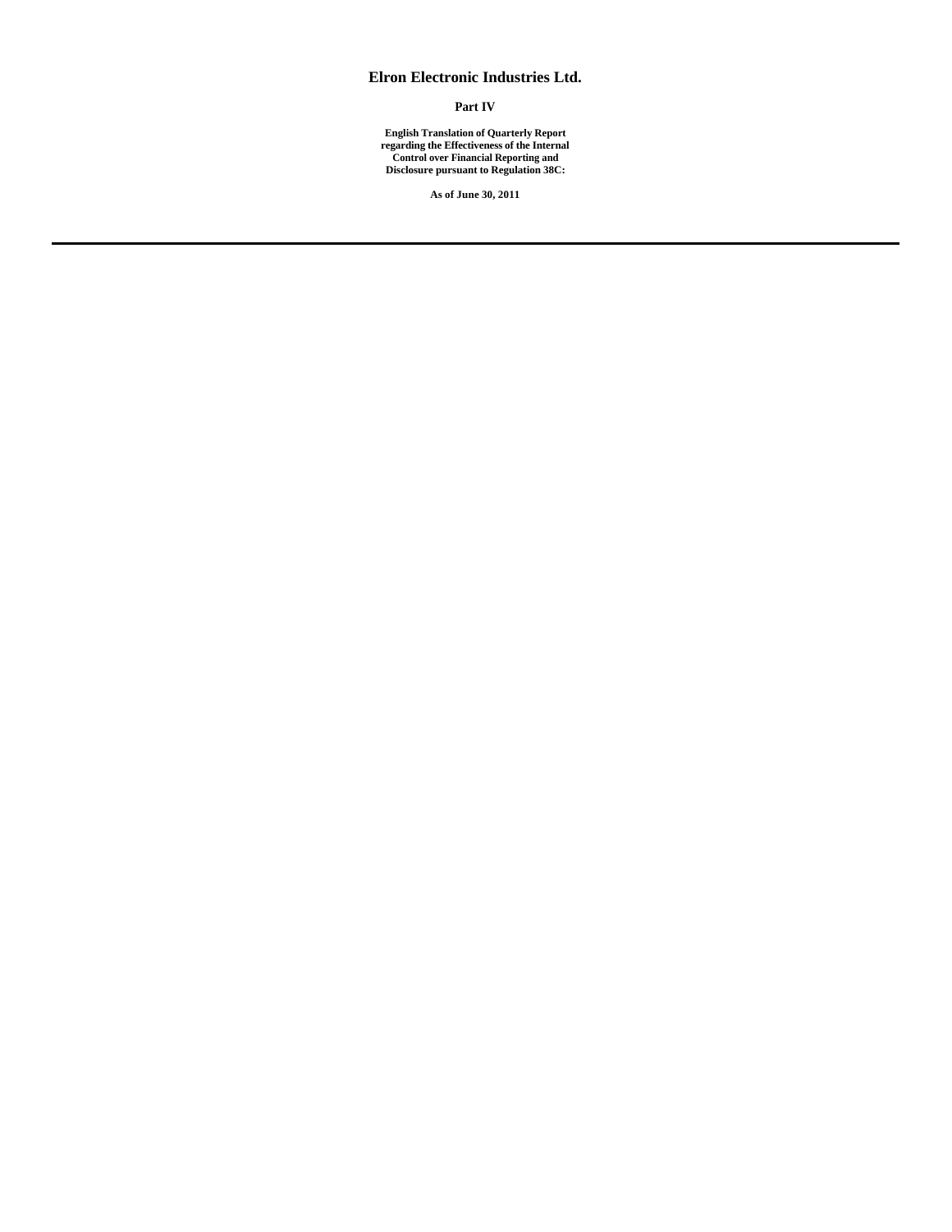# **Elron Electronic Industries Ltd.**

# **Part IV**

**English Translation of Quarterly Report regarding the Effectiveness of the Internal Control over Financial Reporting and Disclosure pursuant to Regulation 38C:**

**As of June 30, 2011**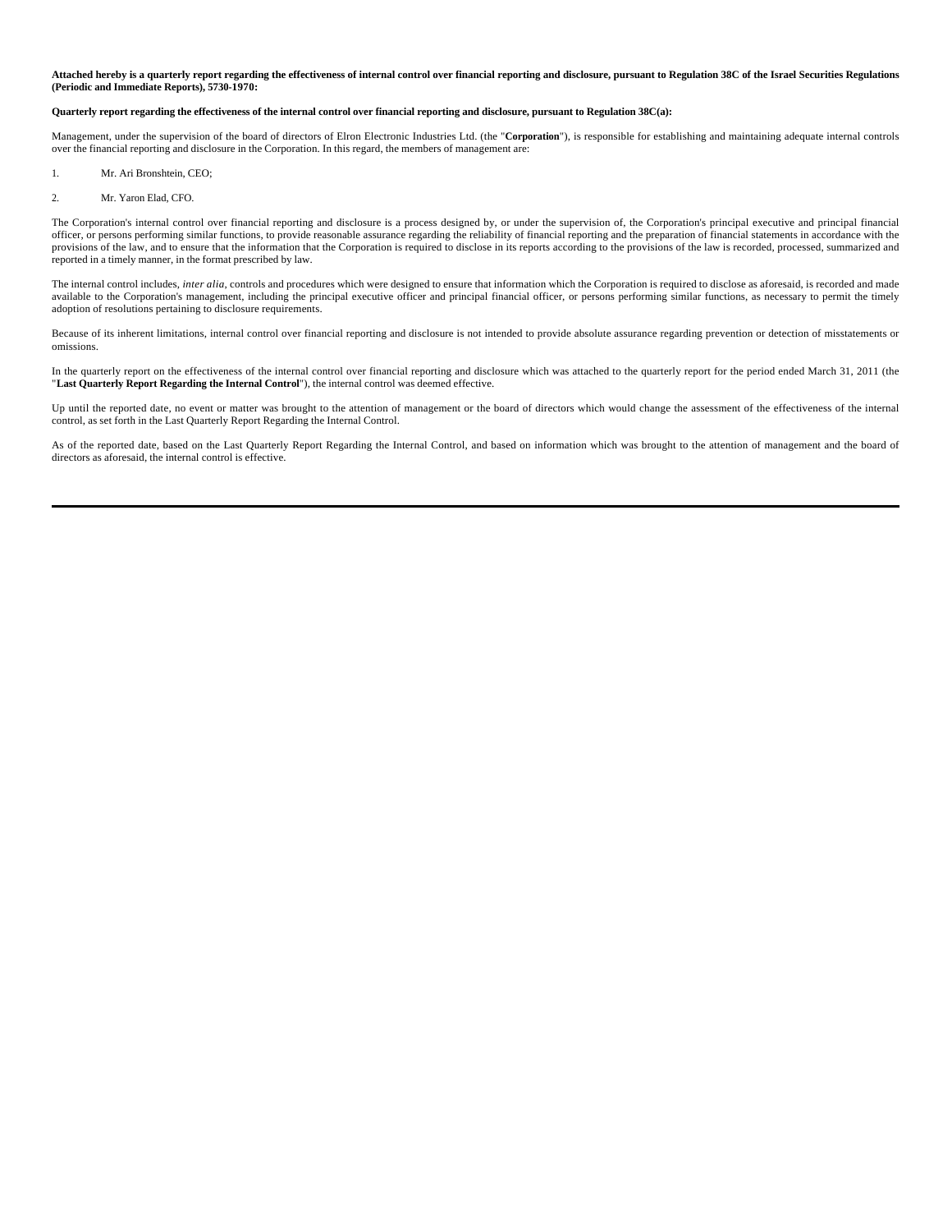**Attached hereby is a quarterly report regarding the effectiveness of internal control over financial reporting and disclosure, pursuant to Regulation 38C of the Israel Securities Regulations (Periodic and Immediate Reports), 5730-1970:**

#### **Quarterly report regarding the effectiveness of the internal control over financial reporting and disclosure, pursuant to Regulation 38C(a):**

Management, under the supervision of the board of directors of Elron Electronic Industries Ltd. (the "**Corporation**"), is responsible for establishing and maintaining adequate internal controls over the financial reporting and disclosure in the Corporation. In this regard, the members of management are:

- 1. Mr. Ari Bronshtein, CEO;
- 2. Mr. Yaron Elad, CFO.

The Corporation's internal control over financial reporting and disclosure is a process designed by, or under the supervision of, the Corporation's principal executive and principal financial officer, or persons performing similar functions, to provide reasonable assurance regarding the reliability of financial reporting and the preparation of financial statements in accordance with the provisions of the law, and to ensure that the information that the Corporation is required to disclose in its reports according to the provisions of the law is recorded, processed, summarized and reported in a timely manner, in the format prescribed by law.

The internal control includes, *inter alia*, controls and procedures which were designed to ensure that information which the Corporation is required to disclose as aforesaid, is recorded and made available to the Corporation's management, including the principal executive officer and principal financial officer, or persons performing similar functions, as necessary to permit the timely adoption of resolutions pertaining to disclosure requirements.

Because of its inherent limitations, internal control over financial reporting and disclosure is not intended to provide absolute assurance regarding prevention or detection of misstatements or omissions.

In the quarterly report on the effectiveness of the internal control over financial reporting and disclosure which was attached to the quarterly report for the period ended March 31, 2011 (the "**Last Quarterly Report Regarding the Internal Control**"), the internal control was deemed effective.

Up until the reported date, no event or matter was brought to the attention of management or the board of directors which would change the assessment of the effectiveness of the internal control, as set forth in the Last Quarterly Report Regarding the Internal Control.

As of the reported date, based on the Last Quarterly Report Regarding the Internal Control, and based on information which was brought to the attention of management and the board of directors as aforesaid, the internal control is effective.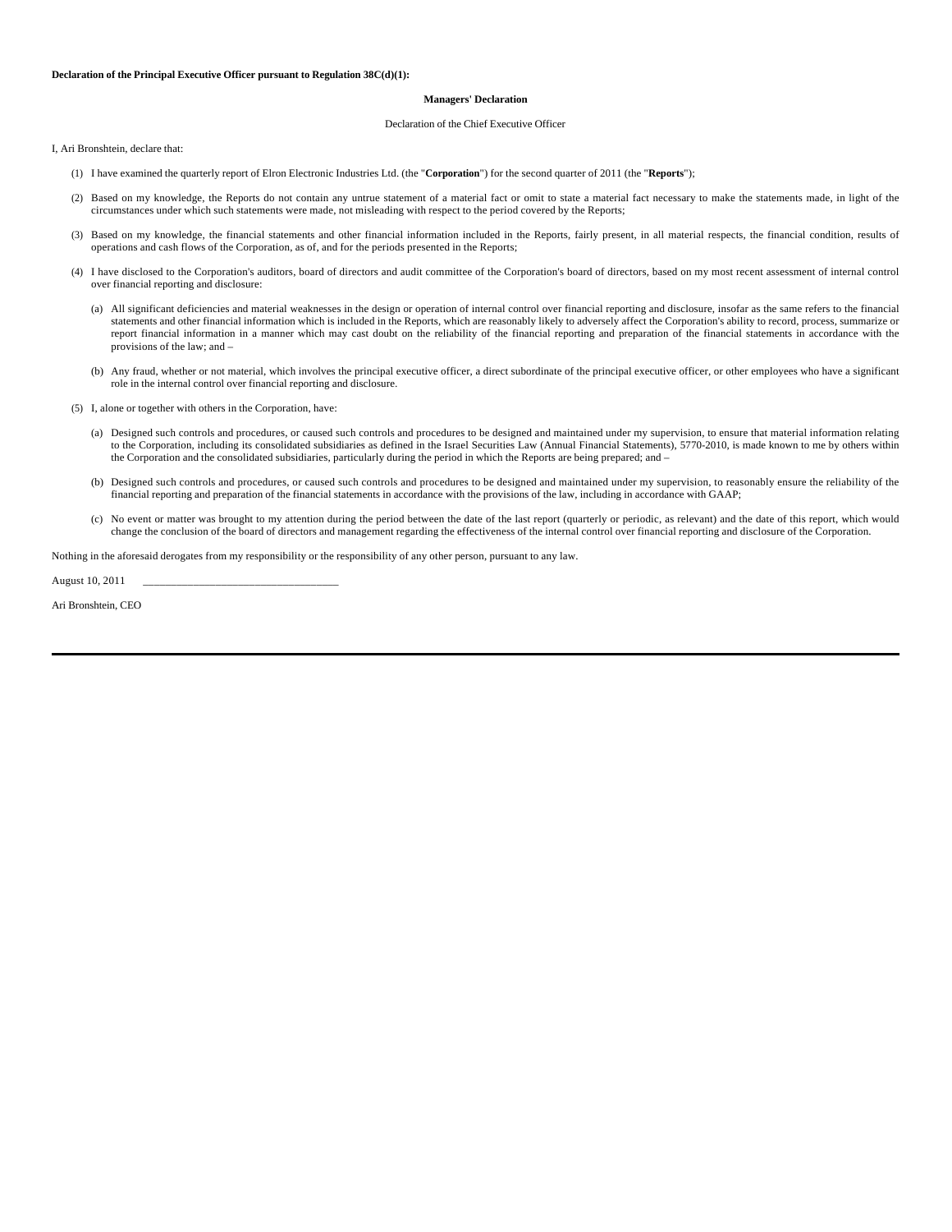#### **Managers' Declaration**

#### Declaration of the Chief Executive Officer

I, Ari Bronshtein, declare that:

- (1) I have examined the quarterly report of Elron Electronic Industries Ltd. (the "**Corporation**") for the second quarter of 2011 (the "**Reports**");
- (2) Based on my knowledge, the Reports do not contain any untrue statement of a material fact or omit to state a material fact necessary to make the statements made, in light of the circumstances under which such statements were made, not misleading with respect to the period covered by the Reports;
- (3) Based on my knowledge, the financial statements and other financial information included in the Reports, fairly present, in all material respects, the financial condition, results of operations and cash flows of the Corporation, as of, and for the periods presented in the Reports;
- (4) I have disclosed to the Corporation's auditors, board of directors and audit committee of the Corporation's board of directors, based on my most recent assessment of internal control over financial reporting and disclosure:
	- (a) All significant deficiencies and material weaknesses in the design or operation of internal control over financial reporting and disclosure, insofar as the same refers to the financial statements and other financial information which is included in the Reports, which are reasonably likely to adversely affect the Corporation's ability to record, process, summarize or report financial information in a manner which may cast doubt on the reliability of the financial reporting and preparation of the financial statements in accordance with the provisions of the law; and –
	- (b) Any fraud, whether or not material, which involves the principal executive officer, a direct subordinate of the principal executive officer, or other employees who have a significant role in the internal control over financial reporting and disclosure.
- (5) I, alone or together with others in the Corporation, have:
	- (a) Designed such controls and procedures, or caused such controls and procedures to be designed and maintained under my supervision, to ensure that material information relating to the Corporation, including its consolidated subsidiaries as defined in the Israel Securities Law (Annual Financial Statements), 5770-2010, is made known to me by others within the Corporation and the consolidated subsidiaries, particularly during the period in which the Reports are being prepared; and –
	- (b) Designed such controls and procedures, or caused such controls and procedures to be designed and maintained under my supervision, to reasonably ensure the reliability of the financial reporting and preparation of the financial statements in accordance with the provisions of the law, including in accordance with GAAP;
	- (c) No event or matter was brought to my attention during the period between the date of the last report (quarterly or periodic, as relevant) and the date of this report, which would change the conclusion of the board of directors and management regarding the effectiveness of the internal control over financial reporting and disclosure of the Corporation.

Nothing in the aforesaid derogates from my responsibility or the responsibility of any other person, pursuant to any law.

August 10, 2011 \_\_\_\_\_\_\_\_\_\_\_\_\_\_\_\_\_\_\_\_\_\_\_\_\_\_\_\_\_\_\_\_\_\_\_

Ari Bronshtein, CEO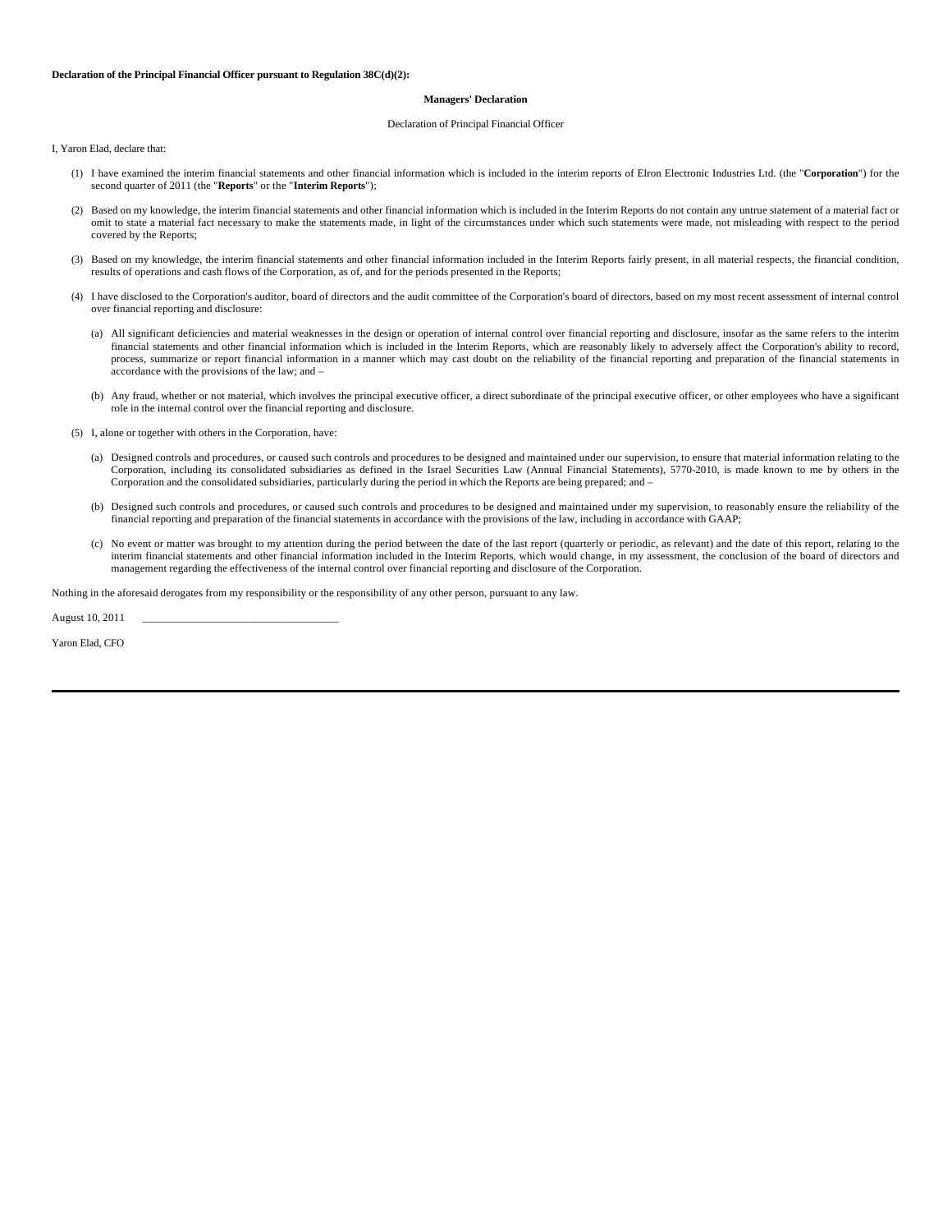#### **Declaration of the Principal Financial Officer pursuant to Regulation 38C(d)(2):**

#### **Managers' Declaration**

#### Declaration of Principal Financial Officer

I, Yaron Elad, declare that:

- (1) I have examined the interim financial statements and other financial information which is included in the interim reports of Elron Electronic Industries Ltd. (the "**Corporation**") for the second quarter of 2011 (the "**Reports**" or the "**Interim Reports**");
- (2) Based on my knowledge, the interim financial statements and other financial information which is included in the Interim Reports do not contain any untrue statement of a material fact or omit to state a material fact necessary to make the statements made, in light of the circumstances under which such statements were made, not misleading with respect to the period covered by the Reports;
- (3) Based on my knowledge, the interim financial statements and other financial information included in the Interim Reports fairly present, in all material respects, the financial condition, results of operations and cash flows of the Corporation, as of, and for the periods presented in the Reports;
- (4) I have disclosed to the Corporation's auditor, board of directors and the audit committee of the Corporation's board of directors, based on my most recent assessment of internal control over financial reporting and disclosure:
	- (a) All significant deficiencies and material weaknesses in the design or operation of internal control over financial reporting and disclosure, insofar as the same refers to the interim financial statements and other financial information which is included in the Interim Reports, which are reasonably likely to adversely affect the Corporation's ability to record, process, summarize or report financial information in a manner which may cast doubt on the reliability of the financial reporting and preparation of the financial statements in accordance with the provisions of the law; and –
	- (b) Any fraud, whether or not material, which involves the principal executive officer, a direct subordinate of the principal executive officer, or other employees who have a significant role in the internal control over the financial reporting and disclosure.
- (5) I, alone or together with others in the Corporation, have:
	- (a) Designed controls and procedures, or caused such controls and procedures to be designed and maintained under our supervision, to ensure that material information relating to the Corporation, including its consolidated subsidiaries as defined in the Israel Securities Law (Annual Financial Statements), 5770-2010, is made known to me by others in the Corporation and the consolidated subsidiaries, particularly during the period in which the Reports are being prepared; and –
	- (b) Designed such controls and procedures, or caused such controls and procedures to be designed and maintained under my supervision, to reasonably ensure the reliability of the financial reporting and preparation of the financial statements in accordance with the provisions of the law, including in accordance with GAAP;
	- (c) No event or matter was brought to my attention during the period between the date of the last report (quarterly or periodic, as relevant) and the date of this report, relating to the interim financial statements and other financial information included in the Interim Reports, which would change, in my assessment, the conclusion of the board of directors and management regarding the effectiveness of the internal control over financial reporting and disclosure of the Corporation.

Nothing in the aforesaid derogates from my responsibility or the responsibility of any other person, pursuant to any law.

August 10, 2011 \_\_\_\_\_\_\_\_\_\_\_\_\_\_\_\_\_\_\_\_\_\_\_\_\_\_\_\_\_\_\_\_\_\_\_

Yaron Elad, CFO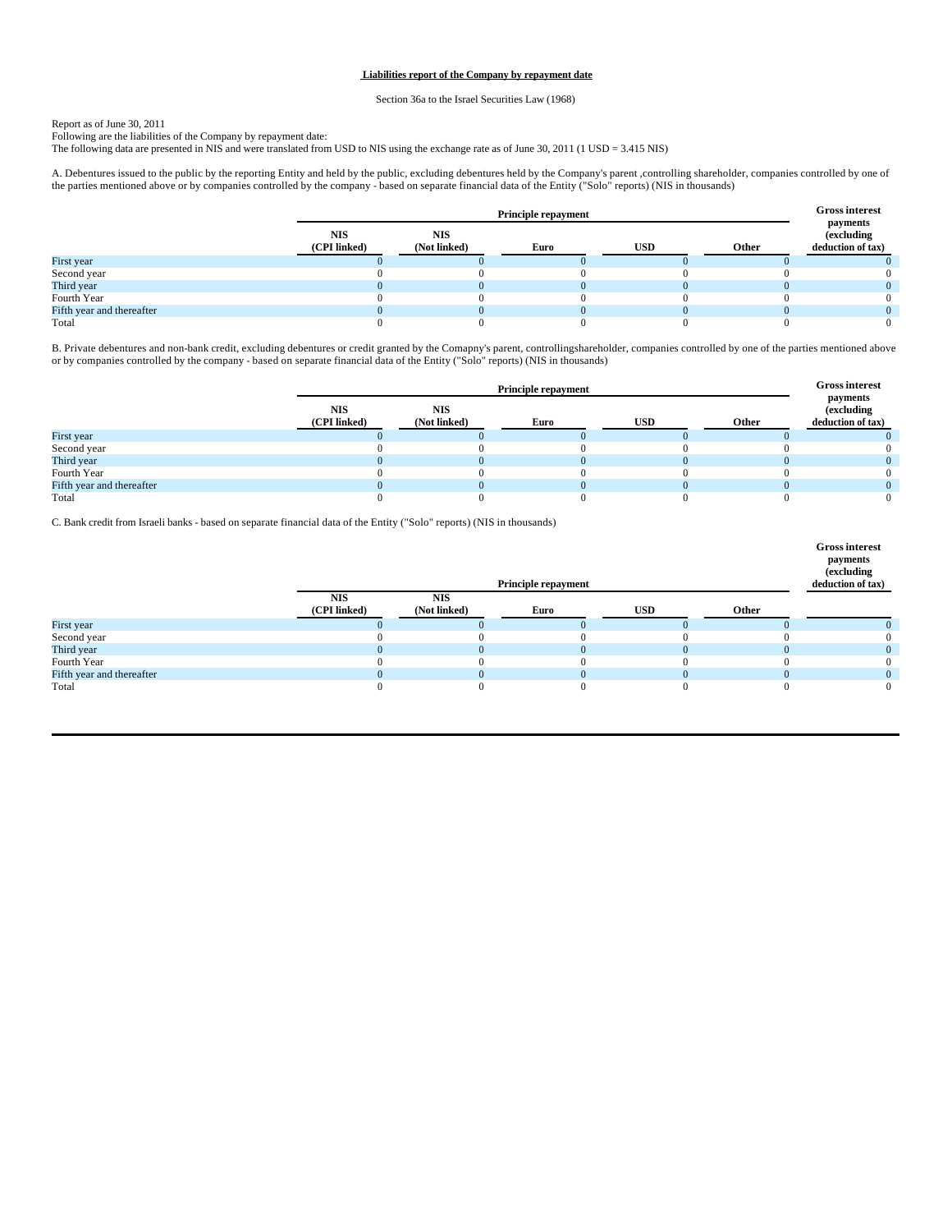#### **Liabilities report of the Company by repayment date**

Section 36a to the Israel Securities Law (1968)

Report as of June 30, 2011<br>Following are the liabilities of the Company by repayment date:<br>The following data are presented in NIS and were translated from USD to NIS using the exchange rate as of June 30, 2011 (1 USD = 3.

A. Debentures issued to the public by the reporting Entity and held by the public, excluding debentures held by the Company's parent ,controlling shareholder, companies controlled by one of<br>the parties mentioned above or b

|                           |                            | <b>Principle repayment</b> |      |            |       |                                                     |
|---------------------------|----------------------------|----------------------------|------|------------|-------|-----------------------------------------------------|
|                           | <b>NIS</b><br>(CPI linked) | <b>NIS</b><br>(Not linked) | Euro | <b>USD</b> | Other | payments<br><i>(excluding)</i><br>deduction of tax) |
| First year                |                            |                            |      |            |       |                                                     |
| Second year               |                            |                            |      |            |       |                                                     |
| Third year                |                            |                            |      |            |       |                                                     |
| Fourth Year               |                            |                            |      |            |       |                                                     |
| Fifth year and thereafter |                            |                            |      |            |       |                                                     |
| Total                     |                            |                            |      |            |       |                                                     |

B. Private debentures and non-bank credit, excluding debentures or credit granted by the Comapny's parent, controllingshareholder, companies controlled by one of the parties mentioned above or by companies controlled by the company - based on separate financial data of the Entity ("Solo" reports) (NIS in thousands)

|                           |                            | <b>Principle repayment</b> |      |            |              |                                                     |
|---------------------------|----------------------------|----------------------------|------|------------|--------------|-----------------------------------------------------|
|                           | <b>NIS</b><br>(CPI linked) | <b>NIS</b><br>(Not linked) | Euro | <b>USD</b> | <b>Other</b> | payments<br><i>(excluding)</i><br>deduction of tax) |
| First year                |                            |                            |      |            |              |                                                     |
| Second year               |                            |                            |      |            |              |                                                     |
| Third year                |                            |                            |      |            |              |                                                     |
| Fourth Year               |                            |                            |      |            |              |                                                     |
| Fifth year and thereafter |                            |                            |      |            |              |                                                     |
| Total                     |                            |                            |      |            |              |                                                     |

C. Bank credit from Israeli banks - based on separate financial data of the Entity ("Solo" reports) (NIS in thousands)

|                           | Principle repayment        |                            |      |            |       | <b>Gross interest</b><br>payments<br>(excluding<br>deduction of tax) |
|---------------------------|----------------------------|----------------------------|------|------------|-------|----------------------------------------------------------------------|
|                           | <b>NIS</b><br>(CPI linked) | <b>NIS</b><br>(Not linked) | Euro | <b>USD</b> | Other |                                                                      |
| First year                |                            |                            |      |            |       |                                                                      |
| Second year               |                            |                            |      |            |       |                                                                      |
| Third year                |                            |                            |      |            |       |                                                                      |
| Fourth Year               |                            |                            |      |            |       |                                                                      |
| Fifth year and thereafter |                            |                            |      | $\Omega$   |       |                                                                      |
| Total                     |                            |                            |      |            |       | $^{(1)}$                                                             |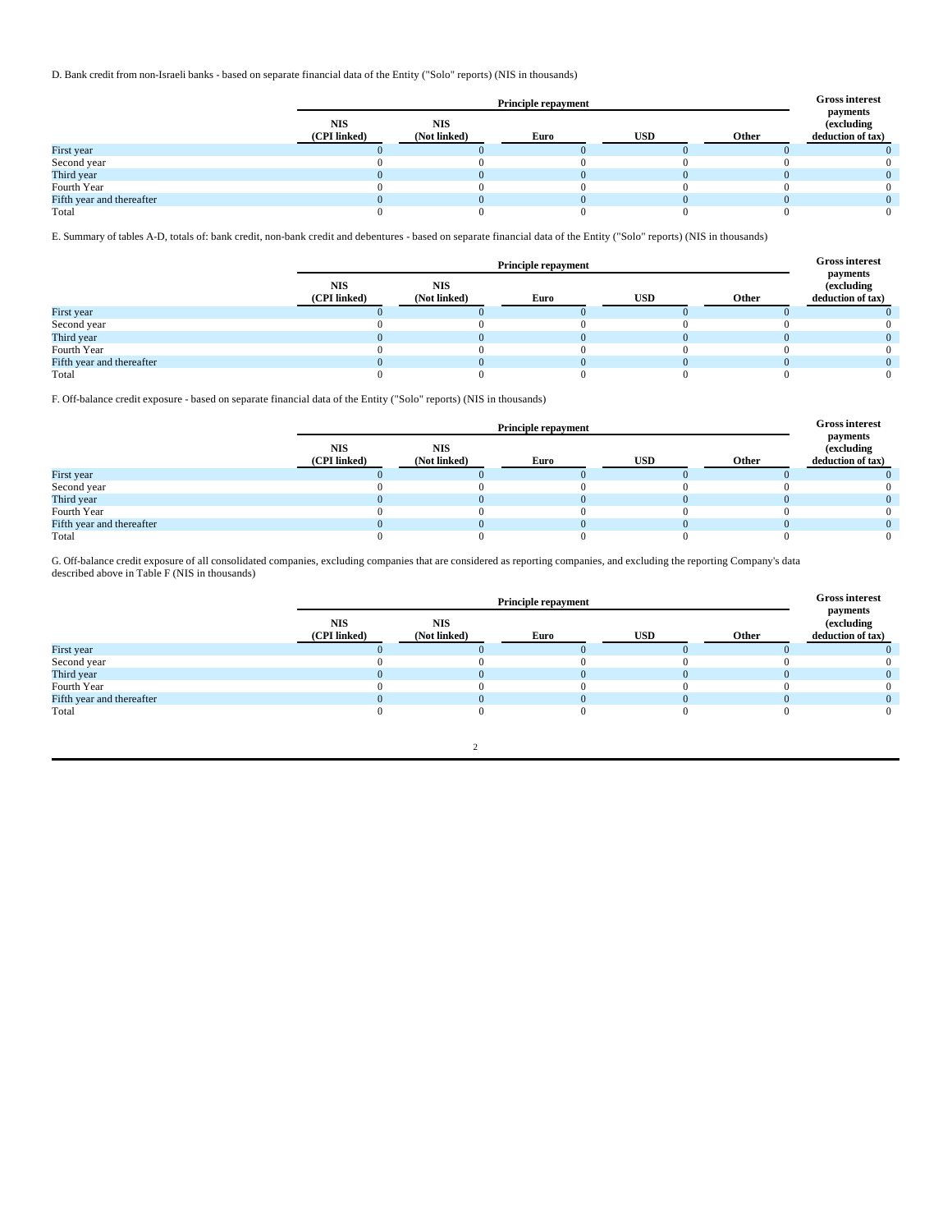D. Bank credit from non-Israeli banks - based on separate financial data of the Entity ("Solo" reports) (NIS in thousands)

|                           |                            | <b>Principle repayment</b> |      |            |       |                                                     |  |
|---------------------------|----------------------------|----------------------------|------|------------|-------|-----------------------------------------------------|--|
|                           | <b>NIS</b><br>(CPI linked) | <b>NIS</b><br>(Not linked) | Euro | <b>USD</b> | Other | payments<br><i>(excluding)</i><br>deduction of tax) |  |
| First year                |                            |                            |      |            |       |                                                     |  |
| Second year               |                            |                            |      |            |       |                                                     |  |
| Third year                |                            |                            |      |            |       |                                                     |  |
| Fourth Year               |                            |                            |      |            |       |                                                     |  |
| Fifth year and thereafter |                            |                            |      |            |       |                                                     |  |
| Total                     |                            |                            |      |            |       |                                                     |  |

E. Summary of tables A-D, totals of: bank credit, non-bank credit and debentures - based on separate financial data of the Entity ("Solo" reports) (NIS in thousands)

|                           |                            | <b>Principle repayment</b> |      |            |       |                                                     |  |
|---------------------------|----------------------------|----------------------------|------|------------|-------|-----------------------------------------------------|--|
|                           | <b>NIS</b><br>(CPI linked) | <b>NIS</b><br>(Not linked) | Euro | <b>USD</b> | Other | payments<br><i>(excluding)</i><br>deduction of tax) |  |
| First year                |                            |                            |      |            |       |                                                     |  |
| Second year               |                            |                            |      |            |       |                                                     |  |
| Third year                |                            |                            |      |            |       |                                                     |  |
| Fourth Year               |                            |                            |      |            |       |                                                     |  |
| Fifth year and thereafter |                            |                            |      |            |       |                                                     |  |
| Total                     |                            |                            |      |            |       |                                                     |  |

F. Off-balance credit exposure - based on separate financial data of the Entity ("Solo" reports) (NIS in thousands)

|                           |                            | <b>Principle repayment</b> |      |            |       |                                             |  |
|---------------------------|----------------------------|----------------------------|------|------------|-------|---------------------------------------------|--|
|                           | <b>NIS</b><br>(CPI linked) | <b>NIS</b><br>(Not linked) | Euro | <b>USD</b> | Other | payments<br>(excluding<br>deduction of tax) |  |
| First year                |                            |                            |      |            |       |                                             |  |
| Second year               |                            |                            |      |            |       |                                             |  |
| Third year                |                            |                            |      |            |       |                                             |  |
| Fourth Year               |                            |                            |      |            |       |                                             |  |
| Fifth year and thereafter |                            |                            |      |            |       |                                             |  |
| Total                     |                            |                            |      |            |       |                                             |  |

G. Off-balance credit exposure of all consolidated companies, excluding companies that are considered as reporting companies, and excluding the reporting Company's data described above in Table F (NIS in thousands)

|                           |                            | <b>Principle repayment</b> |      |            |       |                                                     |
|---------------------------|----------------------------|----------------------------|------|------------|-------|-----------------------------------------------------|
|                           | <b>NIS</b><br>(CPI linked) | <b>NIS</b><br>(Not linked) | Euro | <b>USD</b> | Other | payments<br><i>(excluding)</i><br>deduction of tax) |
| First year                |                            |                            |      |            |       |                                                     |
| Second year               |                            |                            |      |            |       |                                                     |
| Third year                |                            |                            |      |            |       |                                                     |
| Fourth Year               |                            |                            |      |            |       |                                                     |
| Fifth year and thereafter |                            |                            |      |            |       |                                                     |
| Total                     |                            |                            |      |            |       |                                                     |